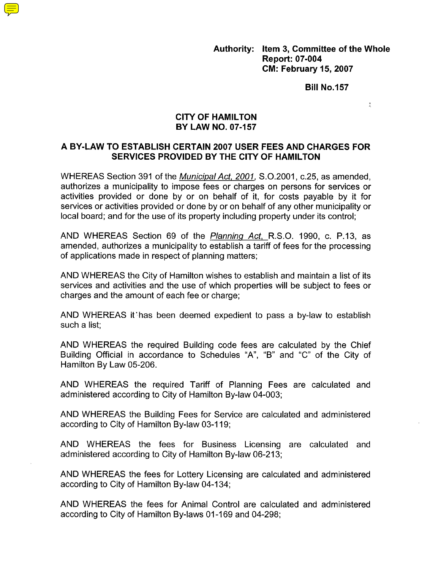**Authority: Item 3, Committee of the Whole Report: 07-004 CM: February 15,2007** 

**Bill No.157** 

 $\frac{\pi}{4}$ 

#### **CITY OF HAMILTON BY LAW NO. 07-157**

#### **A BY-LAW TO ESTABLISH CERTAIN 2007 USER FEES AND CHARGES FOR SERVICES PROVIDED BY THE CITY OF HAMILTON**

WHEREAS Section 391 of the *Municipal Act, 2001,* S.0.2001, c.25, as amended, authorizes a municipality to impose fees or charges on persons for services or activities provided or done by or on behalf of it, for costs payable by it for services or activities provided or done by or on behalf of any other municipality or local board; and for the use of its property including property under its control;

AND WHEREAS Section 69 of the *Planning Act,* R.S.O. 1990, c. P.13, as amended, authorizes a municipality to establish a tariff of fees for the processing of applications made in respect of planning matters;

AND WHEREAS the City of Hamilton wishes to establish and maintain a list of its services and activities and the use of which properties will be subject to fees or charges and the amount of each fee or charge:

AND WHEREAS it'has been deemed expedient to pass a by-law to establish such a list:

AND WHEREAS the required Building code fees are calculated by the Chief Building Official in accordance to Schedules "A", "B" and "C" of the City of Hamilton By Law 05-206.

AND WHEREAS the required Tariff of Planning Fees are calculated and administered according to City of Hamilton By-law 04-003;

AND WHEREAS the Building Fees for Service are calculated and administered according to City of Hamilton By-law 03-1 19;

AND WHEREAS the fees for Business Licensing are calculated and administered according to City of Hamilton By-law 06-213;

AND WHEREAS the fees for Lottery Licensing are calculated and administered according to City of Hamilton By-law 04-134;

AND WHEREAS the fees for Animal Control are calculated and administered according to City of Hamilton By-laws 01-169 and 04-298;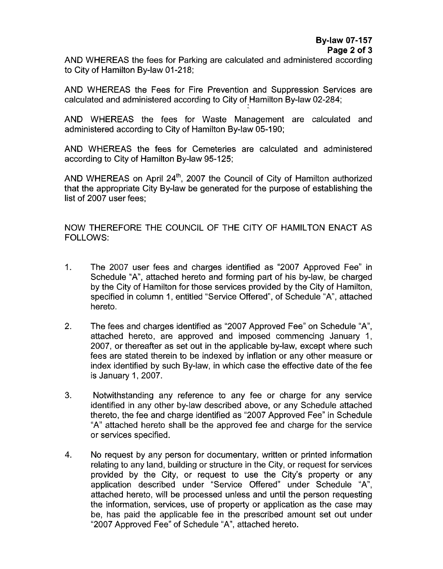AND WHEREAS the fees for Parking are calculated and administered according to City of Hamilton By-law 01-218;

AND WHEREAS the Fees for Fire Prevention and Suppression Services are calculated and administered according to City of Hamilton By-law 02-284;

AND WHEREAS the fees for Waste Management are calculated and administered according to City of Hamilton By-law 05-190;

AND WHEREAS the fees for Cemeteries are calculated and administered according to City of Hamilton By-law 95-125;

AND WHEREAS on April  $24<sup>th</sup>$ , 2007 the Council of City of Hamilton authorized that the appropriate City By-law be generated for the purpose of establishing the list of 2007 user fees;

NOW THEREFORE THE COUNCIL OF THE CITY OF HAMILTON ENACT AS FOLLOWS:

- 1. The 2007 user fees and charges identified as "2007 Approved Fee" in Schedule "A", attached hereto and forming part of his by-law, be charged by the City of Hamilton for those services provided by the City of Hamilton, specified in column 1, entitled "Service Offered", of Schedule "A", attached hereto.
- 2. The fees and charges identified as "2007 Approved Fee" on Schedule "A", attached hereto, are approved and imposed commencing January 1, 2007, or thereafter as set out in the applicable by-law, except where such fees are stated therein to be indexed by inflation or any other measure or index identified by such By-law, in which case the effective date of the fee is January 1, 2007.
- **3.**  Notwithstanding any reference to any fee or charge for any service identified in any other by-law described above, or any Schedule attached thereto, the fee and charge identified as "2007 Approved Fee" in Schedule "A" attached hereto shall be the approved fee and charge for the service or services specified.
- 4. No request by any person for documentary, written or printed information relating to any land, building or structure in the City, or request for services provided by the City, or request to use the City's property or any application described under "Service Offered" under Schedule "A", attached hereto, will be processed unless and until the person requesting the information, services, use of property or application as the case may be, has paid the applicable fee in the prescribed amount set out under "2007 Approved Fee" of Schedule "A", attached hereto.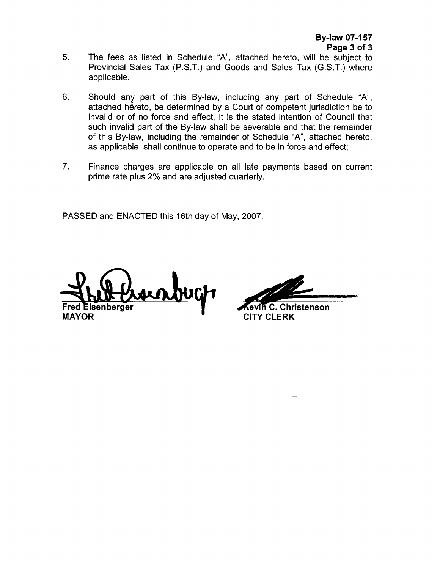- The fees as listed in Schedule "A", attached hereto, will be subject to Provincial Sales Tax (P.S.T.) and Goods and Sales Tax (G.S.T.) where applicable. **5.**
- 6. Should any part of this By-law, including any part of Schedule "A", attached hereto, be determined by a Court of competent jurisdiction be to invalid or of no force and effect, it is the stated intention of Council that such invalid part of the By-law shall be severable and that the remainder of this By-law, including the remainder of Schedule "A", attached hereto, as applicable, shall continue to operate and to be in force and effect;
- 7. Finance charges are applicable on all late payments based on current prime rate plus 2% and are adjusted quarterly.

PASSED and ENACTED this 16th day of May, 2007.

senberaer **MAYOR** *P* **CITY CLERK** 

evin C. Christenson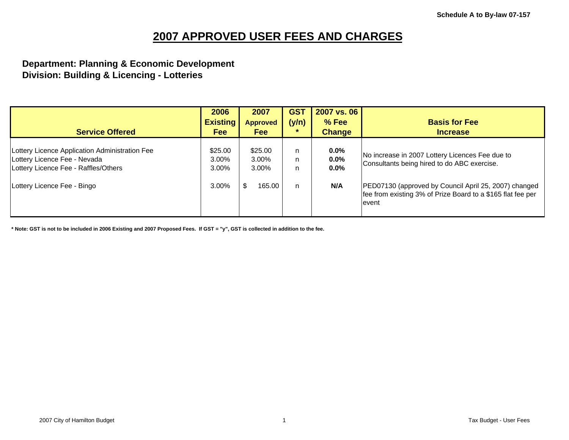#### **Department: Planning & Economic Development Division: Building & Licencing - Lotteries**

| <b>Service Offered</b>                                                                                                 | 2006<br><b>Existing</b><br>Fee | 2007<br><b>Approved</b><br><b>Fee</b> | <b>GST</b><br>(y/n)<br>÷ | 2007 vs. 06<br>% Fee<br><b>Change</b> | <b>Basis for Fee</b><br><b>Increase</b>                                                                                        |
|------------------------------------------------------------------------------------------------------------------------|--------------------------------|---------------------------------------|--------------------------|---------------------------------------|--------------------------------------------------------------------------------------------------------------------------------|
| Lottery Licence Application Administration Fee<br>Lottery Licence Fee - Nevada<br>Lottery Licence Fee - Raffles/Others | \$25.00<br>3.00%<br>3.00%      | \$25.00<br>3.00%<br>$3.00\%$          | n<br>n<br>n              | $0.0\%$<br>0.0%<br>$0.0\%$            | No increase in 2007 Lottery Licences Fee due to<br>Consultants being hired to do ABC exercise.                                 |
| Lottery Licence Fee - Bingo                                                                                            | 3.00%                          | 165.00                                | n                        | N/A                                   | PED07130 (approved by Council April 25, 2007) changed<br>fee from existing 3% of Prize Board to a \$165 flat fee per<br>levent |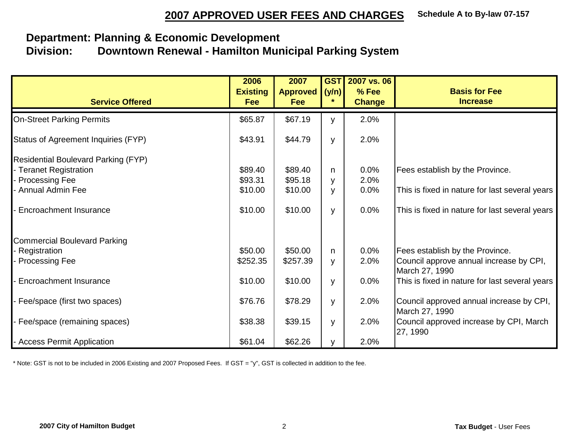## **Department: Planning & Economic Development Division: Downtown Renewal - Hamilton Municipal Parking System**

| <b>Service Offered</b>                                                                        | 2006<br><b>Existing</b><br>Fee | 2007<br><b>Approved</b><br>Fee | <b>GST</b><br>(y/n) | 2007 vs. 06<br>% Fee<br><b>Change</b> | <b>Basis for Fee</b><br><b>Increase</b>                                    |
|-----------------------------------------------------------------------------------------------|--------------------------------|--------------------------------|---------------------|---------------------------------------|----------------------------------------------------------------------------|
| <b>On-Street Parking Permits</b>                                                              | \$65.87                        | \$67.19                        | y                   | 2.0%                                  |                                                                            |
| Status of Agreement Inquiries (FYP)                                                           | \$43.91                        | \$44.79                        | y                   | 2.0%                                  |                                                                            |
| <b>Residential Boulevard Parking (FYP)</b><br>- Teranet Registration<br><b>Processing Fee</b> | \$89.40<br>\$93.31             | \$89.40<br>\$95.18             | n.<br>У             | 0.0%<br>2.0%                          | Fees establish by the Province.                                            |
| - Annual Admin Fee                                                                            | \$10.00                        | \$10.00                        | y                   | 0.0%                                  | This is fixed in nature for last several years                             |
| Encroachment Insurance                                                                        | \$10.00                        | \$10.00                        | y                   | 0.0%                                  | This is fixed in nature for last several years                             |
| Commercial Boulevard Parking<br>Registration<br><b>Processing Fee</b>                         | \$50.00<br>\$252.35            | \$50.00<br>\$257.39            | n.<br>У             | 0.0%<br>2.0%                          | Fees establish by the Province.<br>Council approve annual increase by CPI, |
| <b>Encroachment Insurance</b>                                                                 | \$10.00                        | \$10.00                        | y                   | 0.0%                                  | March 27, 1990<br>This is fixed in nature for last several years           |
| Fee/space (first two spaces)                                                                  | \$76.76                        | \$78.29                        | y                   | 2.0%                                  | Council approved annual increase by CPI,<br>March 27, 1990                 |
| - Fee/space (remaining spaces)                                                                | \$38.38                        | \$39.15                        | y                   | 2.0%                                  | Council approved increase by CPI, March<br>27, 1990                        |
| - Access Permit Application                                                                   | \$61.04                        | \$62.26                        | V                   | 2.0%                                  |                                                                            |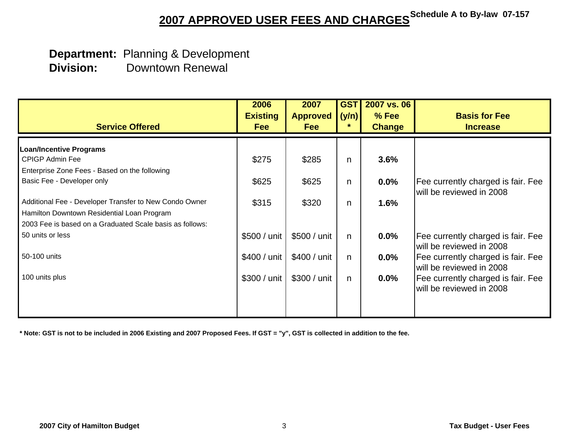## **Department:** Planning & Development  **Division:** Downtown Renewal

| <b>Service Offered</b>                                   | 2006<br><b>Existing</b><br><b>Fee</b> | 2007<br><b>Approved</b><br><b>Fee</b> | <b>GST</b><br>(y/n)<br>$\ast$ | 2007 vs. 06<br>$%$ Fee<br><b>Change</b> | <b>Basis for Fee</b><br><b>Increase</b> |
|----------------------------------------------------------|---------------------------------------|---------------------------------------|-------------------------------|-----------------------------------------|-----------------------------------------|
| <b>Loan/Incentive Programs</b>                           |                                       |                                       |                               |                                         |                                         |
| CPIGP Admin Fee                                          | \$275                                 | \$285                                 | n                             | 3.6%                                    |                                         |
| Enterprise Zone Fees - Based on the following            |                                       |                                       |                               |                                         |                                         |
| Basic Fee - Developer only                               | \$625                                 | \$625                                 | n                             | 0.0%                                    | Fee currently charged is fair. Fee      |
|                                                          |                                       |                                       |                               |                                         | will be reviewed in 2008                |
| Additional Fee - Developer Transfer to New Condo Owner   | \$315                                 | \$320                                 | n                             | 1.6%                                    |                                         |
| Hamilton Downtown Residential Loan Program               |                                       |                                       |                               |                                         |                                         |
| 2003 Fee is based on a Graduated Scale basis as follows: |                                       |                                       |                               |                                         |                                         |
| 50 units or less                                         | \$500 / unit                          | \$500 / unit                          | n                             | $0.0\%$                                 | Fee currently charged is fair. Fee      |
|                                                          |                                       |                                       |                               |                                         | will be reviewed in 2008                |
| 50-100 units                                             | \$400 / unit                          | \$400 / unit                          | n                             | $0.0\%$                                 | Fee currently charged is fair. Fee      |
|                                                          |                                       |                                       |                               |                                         | will be reviewed in 2008                |
| 100 units plus                                           | \$300 / unit                          | \$300 / unit                          | n                             | $0.0\%$                                 | Fee currently charged is fair. Fee      |
|                                                          |                                       |                                       |                               |                                         | will be reviewed in 2008                |
|                                                          |                                       |                                       |                               |                                         |                                         |
|                                                          |                                       |                                       |                               |                                         |                                         |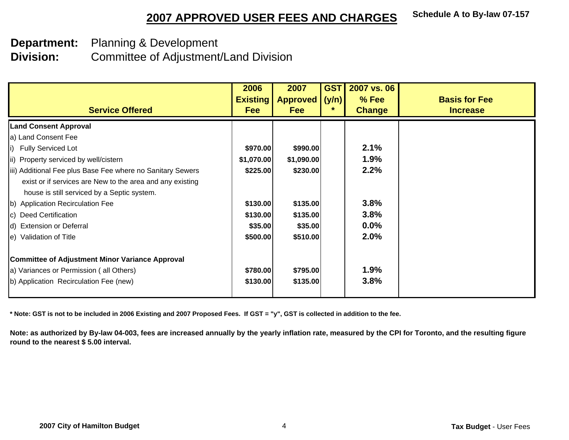**Department:** Planning & Development

**Division:** Committee of Adjustment/Land Division

| <b>Service Offered</b>                                                                                                                                                 | 2006<br><b>Existing</b><br><b>Fee</b> | 2007<br><b>Approved</b><br><b>Fee</b> | <b>GST</b><br>(y/n)<br>*. | 2007 vs. 06<br>$%$ Fee<br><b>Change</b> | <b>Basis for Fee</b><br><b>Increase</b> |
|------------------------------------------------------------------------------------------------------------------------------------------------------------------------|---------------------------------------|---------------------------------------|---------------------------|-----------------------------------------|-----------------------------------------|
| <b>Land Consent Approval</b>                                                                                                                                           |                                       |                                       |                           |                                         |                                         |
| a) Land Consent Fee                                                                                                                                                    |                                       |                                       |                           |                                         |                                         |
| i) Fully Serviced Lot                                                                                                                                                  | \$970.00                              | \$990.00                              |                           | 2.1%                                    |                                         |
| ii) Property serviced by well/cistern                                                                                                                                  | \$1,070.00                            | \$1,090.00                            |                           | 1.9%                                    |                                         |
| iii) Additional Fee plus Base Fee where no Sanitary Sewers<br>exist or if services are New to the area and any existing<br>house is still serviced by a Septic system. | \$225.00                              | \$230.00                              |                           | 2.2%                                    |                                         |
| b) Application Recirculation Fee                                                                                                                                       | \$130.00                              | \$135.00                              |                           | 3.8%                                    |                                         |
| c) Deed Certification                                                                                                                                                  | \$130.00                              | \$135.00                              |                           | 3.8%                                    |                                         |
| d) Extension or Deferral                                                                                                                                               | \$35.00                               | \$35.00                               |                           | $0.0\%$                                 |                                         |
| e) Validation of Title                                                                                                                                                 | \$500.00                              | \$510.00                              |                           | 2.0%                                    |                                         |
| <b>Committee of Adjustment Minor Variance Approval</b>                                                                                                                 |                                       |                                       |                           |                                         |                                         |
| a) Variances or Permission (all Others)                                                                                                                                | \$780.00                              | \$795.00                              |                           | 1.9%                                    |                                         |
| b) Application Recirculation Fee (new)                                                                                                                                 | \$130.00                              | \$135.00                              |                           | 3.8%                                    |                                         |

**\* Note: GST is not to be included in 2006 Existing and 2007 Proposed Fees. If GST = "y", GST is collected in addition to the fee.**

**Note: as authorized by By-law 04-003, fees are increased annually by the yearly inflation rate, measured by the CPI for Toronto, and the resulting figure round to the nearest \$ 5.00 interval.**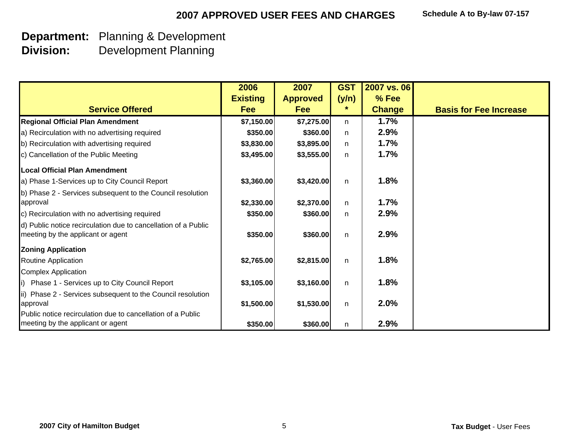# **Department:** Planning & Development

**Division:** Development Planning

|                                                                                                     | 2006            | 2007            | <b>GST</b>   | 2007 vs. 06   |                               |
|-----------------------------------------------------------------------------------------------------|-----------------|-----------------|--------------|---------------|-------------------------------|
|                                                                                                     | <b>Existing</b> | <b>Approved</b> | (y/n)        | $%$ Fee       |                               |
| <b>Service Offered</b>                                                                              | <b>Fee</b>      | <b>Fee</b>      | *            | <b>Change</b> | <b>Basis for Fee Increase</b> |
| <b>Regional Official Plan Amendment</b>                                                             | \$7,150.00      | \$7,275.00      | n.           | 1.7%          |                               |
| a) Recirculation with no advertising required                                                       | \$350.00        | \$360.00        | n            | 2.9%          |                               |
| b) Recirculation with advertising required                                                          | \$3,830.00      | \$3,895.00      | n            | 1.7%          |                               |
| c) Cancellation of the Public Meeting                                                               | \$3,495.00      | \$3,555.00      | n            | 1.7%          |                               |
| <b>Local Official Plan Amendment</b>                                                                |                 |                 |              |               |                               |
| a) Phase 1-Services up to City Council Report                                                       | \$3,360.00      | \$3,420.00      | $\mathsf{n}$ | 1.8%          |                               |
| b) Phase 2 - Services subsequent to the Council resolution<br>approval                              | \$2,330.00      | \$2,370.00      | n            | 1.7%          |                               |
| c) Recirculation with no advertising required                                                       | \$350.00        | \$360.00        | n.           | 2.9%          |                               |
| d) Public notice recirculation due to cancellation of a Public<br>meeting by the applicant or agent | \$350.00        | \$360.00        | $\mathsf{n}$ | 2.9%          |                               |
| <b>Zoning Application</b>                                                                           |                 |                 |              |               |                               |
| Routine Application                                                                                 | \$2,765.00      | \$2,815.00      | $\mathsf{n}$ | 1.8%          |                               |
| <b>Complex Application</b>                                                                          |                 |                 |              |               |                               |
| Phase 1 - Services up to City Council Report<br>i)                                                  | \$3,105.00      | \$3,160.00      | $\mathsf{n}$ | 1.8%          |                               |
| ii) Phase 2 - Services subsequent to the Council resolution<br>approval                             | \$1,500.00      | \$1,530.00      | n            | 2.0%          |                               |
| Public notice recirculation due to cancellation of a Public<br>meeting by the applicant or agent    | \$350.00        | \$360.00        | n            | 2.9%          |                               |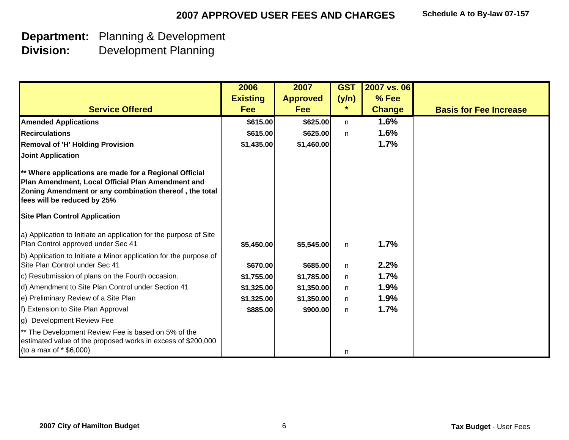## **Department:** Planning & Development

**Division:** Development Planning

|                                                                                                                                                                                                      | 2006            | 2007            | <b>GST</b>   | 2007 vs. 06   |                               |
|------------------------------------------------------------------------------------------------------------------------------------------------------------------------------------------------------|-----------------|-----------------|--------------|---------------|-------------------------------|
|                                                                                                                                                                                                      | <b>Existing</b> | <b>Approved</b> | (y/n)        | % Fee         |                               |
| <b>Service Offered</b>                                                                                                                                                                               | <b>Fee</b>      | Fee             | $\ast$       | <b>Change</b> | <b>Basis for Fee Increase</b> |
| <b>Amended Applications</b>                                                                                                                                                                          | \$615.00        | \$625.00        | n            | 1.6%          |                               |
| <b>Recirculations</b>                                                                                                                                                                                | \$615.00        | \$625.00        | n            | 1.6%          |                               |
| <b>Removal of 'H' Holding Provision</b>                                                                                                                                                              | \$1,435.00      | \$1,460.00      |              | 1.7%          |                               |
| <b>Joint Application</b>                                                                                                                                                                             |                 |                 |              |               |                               |
| ** Where applications are made for a Regional Official<br>Plan Amendment, Local Official Plan Amendment and<br>Zoning Amendment or any combination thereof, the total<br>fees will be reduced by 25% |                 |                 |              |               |                               |
| <b>Site Plan Control Application</b>                                                                                                                                                                 |                 |                 |              |               |                               |
| a) Application to Initiate an application for the purpose of Site<br>Plan Control approved under Sec 41                                                                                              | \$5,450.00      | \$5,545.00      | $\mathsf{n}$ | 1.7%          |                               |
| b) Application to Initiate a Minor application for the purpose of                                                                                                                                    |                 |                 |              |               |                               |
| Site Plan Control under Sec 41                                                                                                                                                                       | \$670.00        | \$685.00        | n            | 2.2%          |                               |
| c) Resubmission of plans on the Fourth occasion.                                                                                                                                                     | \$1,755.00      | \$1,785.00      | n            | 1.7%          |                               |
| d) Amendment to Site Plan Control under Section 41                                                                                                                                                   | \$1,325.00      | \$1,350.00      | $\mathsf{n}$ | 1.9%          |                               |
| e) Preliminary Review of a Site Plan                                                                                                                                                                 | \$1,325.00      | \$1,350.00      | n            | 1.9%          |                               |
| f) Extension to Site Plan Approval                                                                                                                                                                   | \$885.00        | \$900.00        | n.           | 1.7%          |                               |
| g) Development Review Fee                                                                                                                                                                            |                 |                 |              |               |                               |
| ** The Development Review Fee is based on 5% of the                                                                                                                                                  |                 |                 |              |               |                               |
| estimated value of the proposed works in excess of \$200,000                                                                                                                                         |                 |                 |              |               |                               |
| (to a max of $*$ \$6,000)                                                                                                                                                                            |                 |                 | n            |               |                               |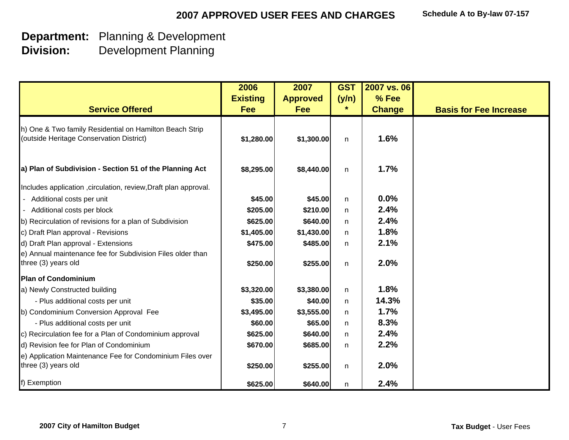# **Department:** Planning & Development

**Division:** Development Planning

|                                                                                                     | 2006            | 2007            | <b>GST</b>   | 2007 vs. 06   |                               |
|-----------------------------------------------------------------------------------------------------|-----------------|-----------------|--------------|---------------|-------------------------------|
|                                                                                                     | <b>Existing</b> | <b>Approved</b> | (y/n)        | % Fee         |                               |
| <b>Service Offered</b>                                                                              | <b>Fee</b>      | <b>Fee</b>      |              | <b>Change</b> | <b>Basis for Fee Increase</b> |
| h) One & Two family Residential on Hamilton Beach Strip<br>(outside Heritage Conservation District) | \$1,280.00      | \$1,300.00      | n            | 1.6%          |                               |
| a) Plan of Subdivision - Section 51 of the Planning Act                                             | \$8,295.00      | \$8,440.00      | n            | 1.7%          |                               |
| Includes application , circulation, review, Draft plan approval.                                    |                 |                 |              |               |                               |
| Additional costs per unit                                                                           | \$45.00         | \$45.00         | n            | 0.0%          |                               |
| - Additional costs per block                                                                        | \$205.00        | \$210.00        | n            | 2.4%          |                               |
| b) Recirculation of revisions for a plan of Subdivision                                             | \$625.00        | \$640.00        | n.           | 2.4%          |                               |
| c) Draft Plan approval - Revisions                                                                  | \$1,405.00      | \$1,430.00      | $\mathsf{n}$ | 1.8%          |                               |
| d) Draft Plan approval - Extensions                                                                 | \$475.00        | \$485.00        | n            | 2.1%          |                               |
| e) Annual maintenance fee for Subdivision Files older than<br>three (3) years old                   | \$250.00        | \$255.00        | n            | 2.0%          |                               |
| <b>Plan of Condominium</b>                                                                          |                 |                 |              |               |                               |
| a) Newly Constructed building                                                                       | \$3,320.00      | \$3,380.00      | n            | 1.8%          |                               |
| - Plus additional costs per unit                                                                    | \$35.00         | \$40.00         | n.           | 14.3%         |                               |
| b) Condominium Conversion Approval Fee                                                              | \$3,495.00      | \$3,555.00      | n.           | 1.7%          |                               |
| - Plus additional costs per unit                                                                    | \$60.00         | \$65.00         | n.           | 8.3%          |                               |
| c) Recirculation fee for a Plan of Condominium approval                                             | \$625.00        | \$640.00        | n            | 2.4%          |                               |
| d) Revision fee for Plan of Condominium                                                             | \$670.00        | \$685.00        | n            | 2.2%          |                               |
| e) Application Maintenance Fee for Condominium Files over<br>three (3) years old                    | \$250.00        | \$255.00        | n            | 2.0%          |                               |
| f) Exemption                                                                                        | \$625.00        | \$640.00        | n            | 2.4%          |                               |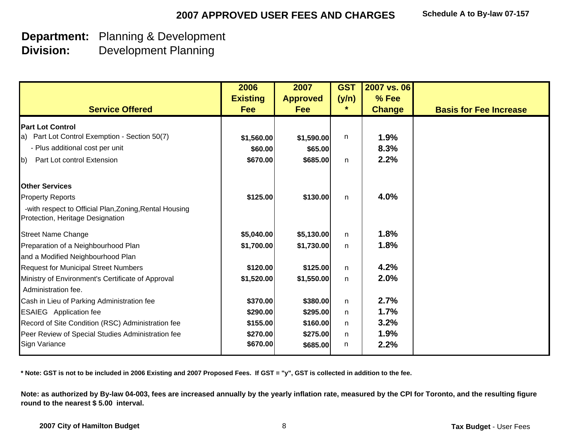**Department:** Planning & Development

**Division:** Development Planning

|                                                                                            | 2006<br><b>Existing</b> | 2007<br><b>Approved</b> | <b>GST</b><br>(y/n) | 2007 vs. 06<br>% Fee |                               |
|--------------------------------------------------------------------------------------------|-------------------------|-------------------------|---------------------|----------------------|-------------------------------|
| <b>Service Offered</b>                                                                     | <b>Fee</b>              | <b>Fee</b>              | *                   | <b>Change</b>        | <b>Basis for Fee Increase</b> |
| <b>Part Lot Control</b>                                                                    |                         |                         |                     |                      |                               |
| a) Part Lot Control Exemption - Section 50(7)                                              | \$1,560.00              | \$1,590.00              | n                   | 1.9%                 |                               |
| - Plus additional cost per unit                                                            | \$60.00                 | \$65.00                 |                     | 8.3%                 |                               |
| Part Lot control Extension<br>$\mathsf{b}$                                                 | \$670.00                | \$685.00                | n                   | 2.2%                 |                               |
| <b>Other Services</b>                                                                      |                         |                         |                     |                      |                               |
| <b>Property Reports</b>                                                                    | \$125.00                | \$130.00                | n                   | 4.0%                 |                               |
| -with respect to Official Plan, Zoning, Rental Housing<br>Protection, Heritage Designation |                         |                         |                     |                      |                               |
| <b>Street Name Change</b>                                                                  | \$5,040.00              | \$5,130.00              | n                   | 1.8%                 |                               |
| Preparation of a Neighbourhood Plan                                                        | \$1,700.00              | \$1,730.00              | $\mathsf{n}$        | 1.8%                 |                               |
| and a Modified Neighbourhood Plan                                                          |                         |                         |                     |                      |                               |
| <b>Request for Municipal Street Numbers</b>                                                | \$120.00                | \$125.00                | $\mathsf{n}$        | 4.2%                 |                               |
| Ministry of Environment's Certificate of Approval                                          | \$1,520.00              | \$1,550.00              | $\mathsf{n}$        | 2.0%                 |                               |
| Administration fee.                                                                        |                         |                         |                     |                      |                               |
| Cash in Lieu of Parking Administration fee                                                 | \$370.00                | \$380.00                | n                   | 2.7%                 |                               |
| <b>ESAIEG</b> Application fee                                                              | \$290.00                | \$295.00                | $\mathsf{n}$        | 1.7%                 |                               |
| Record of Site Condition (RSC) Administration fee                                          | \$155.00                | \$160.00                | n                   | 3.2%<br>1.9%         |                               |
| Peer Review of Special Studies Administration fee<br><b>Sign Variance</b>                  | \$270.00<br>\$670.00    | \$275.00<br>\$685.00    | $\mathsf{n}$<br>n   | 2.2%                 |                               |

**\* Note: GST is not to be included in 2006 Existing and 2007 Proposed Fees. If GST = "y", GST is collected in addition to the fee.**

**Note: as authorized by By-law 04-003, fees are increased annually by the yearly inflation rate, measured by the CPI for Toronto, and the resulting figure round to the nearest \$ 5.00 interval.**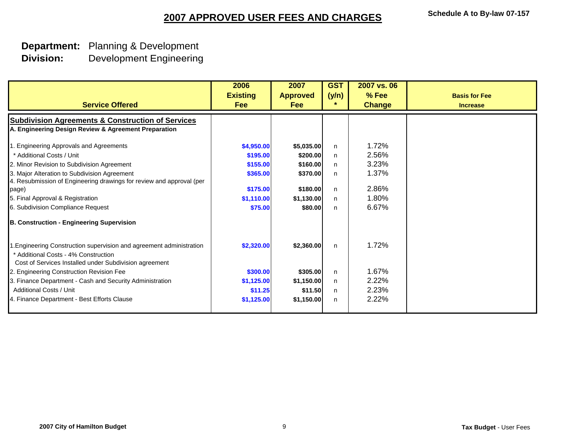#### **Department:** Planning & Development **Division:**Development Engineering

| <b>Service Offered</b>                                                                                                                                                                                                                                                                                                                                                           | 2006<br><b>Existing</b><br><b>Fee</b>                                               | 2007<br><b>Approved</b><br><b>Fee</b>                                               | <b>GST</b><br>(y/n)<br>$\ast$       | 2007 vs. 06<br>% Fee<br><b>Change</b>                       | <b>Basis for Fee</b><br><b>Increase</b> |
|----------------------------------------------------------------------------------------------------------------------------------------------------------------------------------------------------------------------------------------------------------------------------------------------------------------------------------------------------------------------------------|-------------------------------------------------------------------------------------|-------------------------------------------------------------------------------------|-------------------------------------|-------------------------------------------------------------|-----------------------------------------|
| <b>Subdivision Agreements &amp; Construction of Services</b><br>A. Engineering Design Review & Agreement Preparation                                                                                                                                                                                                                                                             |                                                                                     |                                                                                     |                                     |                                                             |                                         |
| 1. Engineering Approvals and Agreements<br>* Additional Costs / Unit<br>2. Minor Revision to Subdivision Agreement<br>3. Major Alteration to Subdivision Agreement<br>4. Resubmission of Engineering drawings for review and approval (per<br>page)<br>5. Final Approval & Registration<br>6. Subdivision Compliance Request<br><b>B. Construction - Engineering Supervision</b> | \$4,950.00<br>\$195.00<br>\$155.00<br>\$365.00<br>\$175.00<br>\$1,110.00<br>\$75.00 | \$5,035.00<br>\$200.00<br>\$160.00<br>\$370.00<br>\$180.00<br>\$1,130.00<br>\$80.00 | n.<br>n<br>n.<br>n.<br>n<br>n.<br>n | 1.72%<br>2.56%<br>3.23%<br>1.37%<br>2.86%<br>1.80%<br>6.67% |                                         |
| 1. Engineering Construction supervision and agreement administration<br>* Additional Costs - 4% Construction<br>Cost of Services Installed under Subdivision agreement<br>2. Engineering Construction Revision Fee<br>3. Finance Department - Cash and Security Administration<br>Additional Costs / Unit<br>4. Finance Department - Best Efforts Clause                         | \$2,320.00<br>\$300.00<br>\$1,125.00<br>\$11.25<br>\$1,125.00                       | \$2,360.00<br>\$305.00<br>\$1,150.00<br>\$11.50<br>\$1,150.00                       | n<br>n.<br>n<br>n.<br>n             | 1.72%<br>1.67%<br>2.22%<br>2.23%<br>2.22%                   |                                         |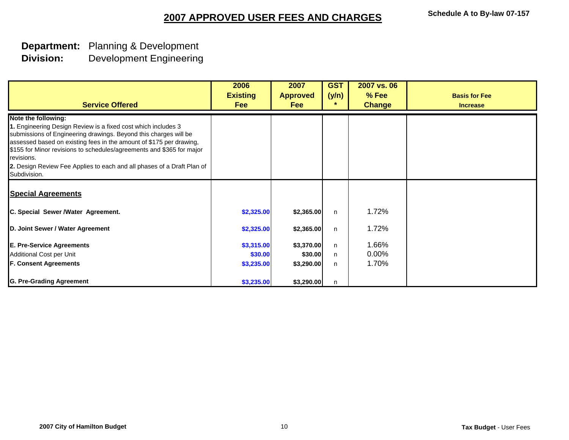#### **Department:** Planning & Development **Division:**Development Engineering

| <b>Service Offered</b>                                                                                                                                                                                                                                                                                                                                                                                           | 2006<br><b>Existing</b><br><b>Fee</b> | 2007<br><b>Approved</b><br><b>Fee</b> | <b>GST</b><br>(y/n)<br>$\ast$ | 2007 vs. 06<br>% Fee<br><b>Change</b> | <b>Basis for Fee</b><br><b>Increase</b> |
|------------------------------------------------------------------------------------------------------------------------------------------------------------------------------------------------------------------------------------------------------------------------------------------------------------------------------------------------------------------------------------------------------------------|---------------------------------------|---------------------------------------|-------------------------------|---------------------------------------|-----------------------------------------|
| Note the following:<br>1. Engineering Design Review is a fixed cost which includes 3<br>submissions of Engineering drawings. Beyond this charges will be<br>assessed based on existing fees in the amount of \$175 per drawing,<br>\$155 for Minor revisions to schedules/agreements and \$365 for major<br>revisions.<br>2. Design Review Fee Applies to each and all phases of a Draft Plan of<br>Subdivision. |                                       |                                       |                               |                                       |                                         |
| <b>Special Agreements</b>                                                                                                                                                                                                                                                                                                                                                                                        |                                       |                                       |                               |                                       |                                         |
| C. Special Sewer /Water Agreement.                                                                                                                                                                                                                                                                                                                                                                               | \$2,325.00                            | \$2,365.00                            | n                             | 1.72%                                 |                                         |
| D. Joint Sewer / Water Agreement                                                                                                                                                                                                                                                                                                                                                                                 | \$2,325.00                            | \$2,365.00                            | n                             | 1.72%                                 |                                         |
| <b>E. Pre-Service Agreements</b>                                                                                                                                                                                                                                                                                                                                                                                 | \$3,315.00                            | \$3,370.00                            | n                             | 1.66%                                 |                                         |
| Additional Cost per Unit                                                                                                                                                                                                                                                                                                                                                                                         | \$30.00                               | \$30.00                               | n.                            | $0.00\%$                              |                                         |
| <b>F. Consent Agreements</b>                                                                                                                                                                                                                                                                                                                                                                                     | \$3,235.00                            | \$3,290.00                            | n                             | 1.70%                                 |                                         |
| <b>G. Pre-Grading Agreement</b>                                                                                                                                                                                                                                                                                                                                                                                  | \$3,235.00                            | \$3,290.00                            | n                             |                                       |                                         |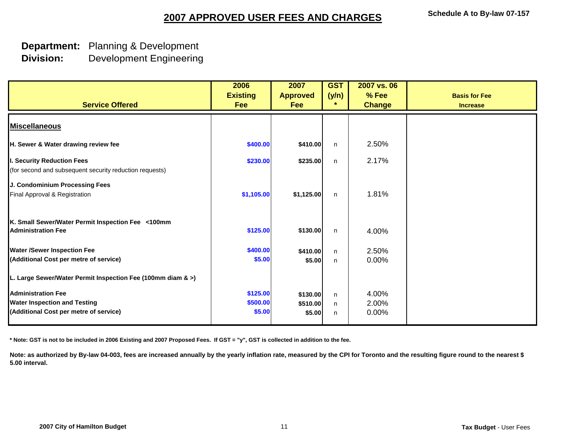#### **Department:** Planning & Development **Division:**Development Engineering

| <b>Service Offered</b>                                                                | 2006<br><b>Existing</b><br>Fee | 2007<br><b>Approved</b><br><b>Fee</b> | <b>GST</b><br>(y/n)<br>$\star$ | 2007 vs. 06<br>% Fee<br><b>Change</b> | <b>Basis for Fee</b><br><b>Increase</b> |
|---------------------------------------------------------------------------------------|--------------------------------|---------------------------------------|--------------------------------|---------------------------------------|-----------------------------------------|
| <b>Miscellaneous</b>                                                                  |                                |                                       |                                |                                       |                                         |
| H. Sewer & Water drawing review fee                                                   | \$400.00                       | \$410.00                              | n                              | 2.50%                                 |                                         |
| I. Security Reduction Fees<br>(for second and subsequent security reduction requests) | \$230.00                       | \$235.00                              | n                              | 2.17%                                 |                                         |
| J. Condominium Processing Fees<br>Final Approval & Registration                       | \$1,105.00                     | \$1,125.00                            | n                              | 1.81%                                 |                                         |
| K. Small Sewer/Water Permit Inspection Fee <100mm<br><b>Administration Fee</b>        | \$125.00                       | \$130.00                              | n                              | 4.00%                                 |                                         |
| <b>Water /Sewer Inspection Fee</b>                                                    | \$400.00                       | \$410.00                              | n                              | 2.50%                                 |                                         |
| (Additional Cost per metre of service)                                                | \$5.00                         | \$5.00                                | n.                             | 0.00%                                 |                                         |
| L. Large Sewer/Water Permit Inspection Fee (100mm diam & >)                           |                                |                                       |                                |                                       |                                         |
| <b>Administration Fee</b>                                                             | \$125.00                       | \$130.00                              | n                              | 4.00%                                 |                                         |
| <b>Water Inspection and Testing</b>                                                   | \$500.00                       | \$510.00                              | n                              | 2.00%                                 |                                         |
| (Additional Cost per metre of service)                                                | \$5.00                         | \$5.00                                | n                              | 0.00%                                 |                                         |

**\* Note: GST is not to be included in 2006 Existing and 2007 Proposed Fees. If GST = "y", GST is collected in addition to the fee.**

Note: as authorized by By-law 04-003, fees are increased annually by the yearly inflation rate, measured by the CPI for Toronto and the resulting figure round to the nearest \$ **5.00 interval.**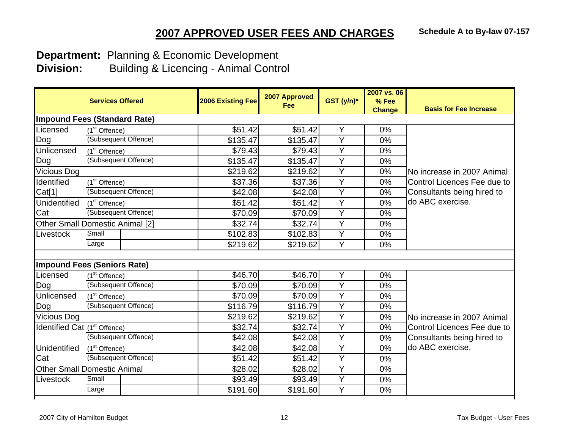**Department:** Planning & Economic Development

|                                     | <b>Services Offered</b>                | <b>2006 Existing Fee</b> | 2007 Approved<br>Fee | GST (y/n)*     | 2007 vs. 06<br>% Fee<br><b>Change</b> | <b>Basis for Fee Increase</b> |
|-------------------------------------|----------------------------------------|--------------------------|----------------------|----------------|---------------------------------------|-------------------------------|
| <b>Impound Fees (Standard Rate)</b> |                                        |                          |                      |                |                                       |                               |
| Licensed                            | (1 <sup>st</sup> Offence)              | \$51.42                  | \$51.42              | Y              | 0%                                    |                               |
| Dog                                 | (Subsequent Offence)                   | \$135.47                 | \$135.47             | Y              | 0%                                    |                               |
| Unlicensed                          | $(1st$ Offence)                        | \$79.43                  | \$79.43              | Y              | 0%                                    |                               |
| Dog                                 | (Subsequent Offence)                   | \$135.47                 | \$135.47             | $\overline{Y}$ | 0%                                    |                               |
| Vicious Dog                         |                                        | \$219.62                 | \$219.62             | Y              | 0%                                    | No increase in 2007 Animal    |
| Identified                          | (1 <sup>st</sup> Offence)              | \$37.36                  | \$37.36              | Y              | 0%                                    | Control Licences Fee due to   |
| Cat[1]                              | (Subsequent Offence)                   | \$42.08                  | \$42.08              | $\overline{Y}$ | 0%                                    | Consultants being hired to    |
| <b>Unidentified</b>                 | (1 <sup>st</sup> Offence)              | \$51.42                  | \$51.42              | $\overline{Y}$ | 0%                                    | do ABC exercise.              |
| Cat                                 | (Subsequent Offence)                   | \$70.09                  | \$70.09              | Y              | 0%                                    |                               |
|                                     | <b>Other Small Domestic Animal [2]</b> | \$32.74                  | \$32.74              | Y              | 0%                                    |                               |
| Livestock                           | Small                                  | \$102.83                 | \$102.83             | Y              | 0%                                    |                               |
|                                     | Large                                  | \$219.62                 | \$219.62             | $\overline{Y}$ | 0%                                    |                               |
|                                     | <b>Impound Fees (Seniors Rate)</b>     |                          |                      |                |                                       |                               |
| Licensed                            | (1 <sup>st</sup> Offence)              | \$46.70                  | \$46.70              | Y              | 0%                                    |                               |
| Dog                                 | (Subsequent Offence)                   | \$70.09                  | \$70.09              | $\overline{Y}$ | 0%                                    |                               |
| Unlicensed                          | (1 <sup>st</sup> Offence)              | \$70.09                  | \$70.09              | $\overline{Y}$ | 0%                                    |                               |
| Dog                                 | (Subsequent Offence)                   | \$116.79                 | \$116.79             | Y              | 0%                                    |                               |
| Vicious Dog                         |                                        | \$219.62                 | \$219.62             | Y              | 0%                                    | No increase in 2007 Animal    |
| Identified Cat $(1st$ Offence)      |                                        | \$32.74                  | \$32.74              | $\overline{Y}$ | 0%                                    | Control Licences Fee due to   |
|                                     | (Subsequent Offence)                   | \$42.08                  | \$42.08              | $\overline{Y}$ | 0%                                    | Consultants being hired to    |
| <b>Unidentified</b>                 | (1 <sup>st</sup> Offence)              | \$42.08                  | \$42.08              | Y              | 0%                                    | do ABC exercise.              |
| Cat                                 | (Subsequent Offence)                   | \$51.42                  | \$51.42              | Y              | 0%                                    |                               |
|                                     | <b>Other Small Domestic Animal</b>     | \$28.02                  | \$28.02              | $\overline{Y}$ | 0%                                    |                               |
| Livestock                           | Small                                  | \$93.49                  | \$93.49              | Y              | 0%                                    |                               |
|                                     | Large                                  | \$191.60                 | \$191.60             | Y              | 0%                                    |                               |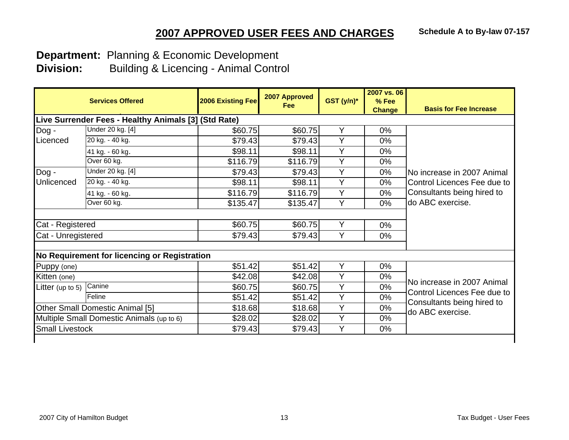**Department:** Planning & Economic Development

|                        | <b>Services Offered</b>                              | 2006 Existing Fee | 2007 Approved<br>Fee | $GST(y/n)^*$ | 2007 vs. 06<br>% Fee<br><b>Change</b> | <b>Basis for Fee Increase</b>                  |
|------------------------|------------------------------------------------------|-------------------|----------------------|--------------|---------------------------------------|------------------------------------------------|
|                        | Live Surrender Fees - Healthy Animals [3] (Std Rate) |                   |                      |              |                                       |                                                |
| Dog -                  | Under 20 kg. [4]                                     | \$60.75           | \$60.75              | Y            | $0\%$                                 |                                                |
| Licenced               | 20 kg. - 40 kg.                                      | \$79.43           | \$79.43              | Y            | 0%                                    |                                                |
|                        | 41 kg. - 60 kg.                                      | \$98.11           | \$98.11              | Y            | $0\%$                                 |                                                |
|                        | Over 60 kg.                                          | \$116.79          | \$116.79             | Υ            | 0%                                    |                                                |
| Dog -                  | Under 20 kg. [4]                                     | \$79.43           | \$79.43              | Y            | 0%                                    | No increase in 2007 Animal                     |
| Unlicenced             | 20 kg. - 40 kg.                                      | \$98.11           | \$98.11              | Y            | 0%                                    | Control Licences Fee due to                    |
|                        | 41 kg. - 60 kg.                                      | \$116.79          | \$116.79             | Y            | 0%                                    | Consultants being hired to                     |
|                        | Over 60 kg.                                          | \$135.47          | \$135.47             | Y            | 0%                                    | do ABC exercise.                               |
|                        |                                                      |                   |                      |              |                                       |                                                |
| Cat - Registered       |                                                      | \$60.75           | \$60.75              | Y            | 0%                                    |                                                |
| Cat - Unregistered     |                                                      | \$79.43           | \$79.43              | Y            | 0%                                    |                                                |
|                        |                                                      |                   |                      |              |                                       |                                                |
|                        | No Requirement for licencing or Registration         |                   |                      |              |                                       |                                                |
| Puppy (one)            |                                                      | \$51.42           | \$51.42              | Y            | 0%                                    |                                                |
| Kitten (one)           |                                                      | \$42.08           | \$42.08              | Y            | $0\%$                                 |                                                |
| Litter (up to 5)       | Canine                                               | \$60.75           | \$60.75              | Y            | 0%                                    | No increase in 2007 Animal                     |
|                        | Feline                                               | \$51.42           | \$51.42              | Y            | 0%                                    | Control Licences Fee due to                    |
|                        | <b>Other Small Domestic Animal [5]</b>               | \$18.68           | \$18.68              | Y            | 0%                                    | Consultants being hired to<br>do ABC exercise. |
|                        | Multiple Small Domestic Animals (up to 6)            | \$28.02           | \$28.02              | Y            | 0%                                    |                                                |
| <b>Small Livestock</b> |                                                      | \$79.43           | \$79.43              | Y            | 0%                                    |                                                |
|                        |                                                      |                   |                      |              |                                       |                                                |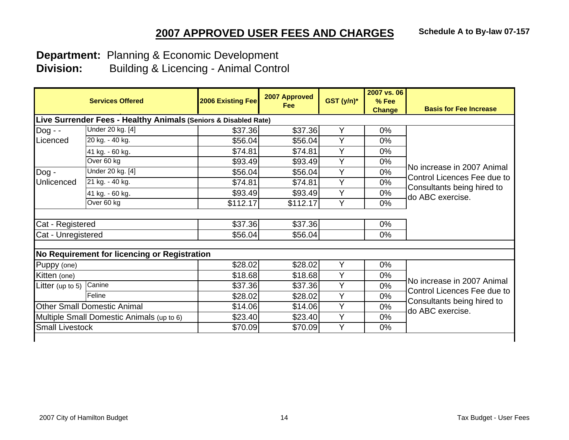**Department:** Planning & Economic Development

|                                    |                                                                 |          | Fee      | GST (y/n)* | % Fee<br><b>Change</b> | <b>Basis for Fee Increase</b>                  |
|------------------------------------|-----------------------------------------------------------------|----------|----------|------------|------------------------|------------------------------------------------|
|                                    | Live Surrender Fees - Healthy Animals (Seniors & Disabled Rate) |          |          |            |                        |                                                |
| $Dog - -$                          | Under 20 kg. [4]                                                | \$37.36  | \$37.36  | Y          | 0%                     |                                                |
| Licenced                           | 20 kg. - 40 kg.                                                 | \$56.04  | \$56.04  | Y          | 0%                     |                                                |
|                                    | 41 kg. - 60 kg.                                                 | \$74.81  | \$74.81  | Y          | 0%                     |                                                |
|                                    | Over 60 kg                                                      | \$93.49  | \$93.49  | Y          | 0%                     |                                                |
| Dog -                              | Under 20 kg. [4]                                                | \$56.04  | \$56.04  | Y          | 0%                     | No increase in 2007 Animal                     |
| Unlicenced                         | 21 kg. - 40 kg.                                                 | \$74.81  | \$74.81  | Y          | 0%                     | Control Licences Fee due to                    |
|                                    | 41 kg. - 60 kg.                                                 | \$93.49  | \$93.49  | Y          | 0%                     | Consultants being hired to<br>do ABC exercise. |
|                                    | Over 60 kg                                                      | \$112.17 | \$112.17 | Y          | 0%                     |                                                |
|                                    |                                                                 |          |          |            |                        |                                                |
| Cat - Registered                   |                                                                 | \$37.36  | \$37.36  |            | 0%                     |                                                |
| Cat - Unregistered                 |                                                                 | \$56.04  | \$56.04  |            | $0\%$                  |                                                |
|                                    |                                                                 |          |          |            |                        |                                                |
|                                    | No Requirement for licencing or Registration                    |          |          |            |                        |                                                |
| Puppy (one)                        |                                                                 | \$28.02  | \$28.02  | Y          | 0%                     |                                                |
| Kitten (one)                       |                                                                 | \$18.68  | \$18.68  | Y          | 0%                     | No increase in 2007 Animal                     |
| Litter (up to 5)                   | Canine                                                          | \$37.36  | \$37.36  | Y          | 0%                     | Control Licences Fee due to                    |
|                                    | Feline                                                          | \$28.02  | \$28.02  | Y          | $0\%$                  | Consultants being hired to                     |
| <b>Other Small Domestic Animal</b> |                                                                 | \$14.06  | \$14.06  | Y          | 0%                     | do ABC exercise.                               |
|                                    | Multiple Small Domestic Animals (up to 6)                       | \$23.40  | \$23.40  | Y          | 0%                     |                                                |
| <b>Small Livestock</b>             |                                                                 | \$70.09  | \$70.09  | Y          | $0\%$                  |                                                |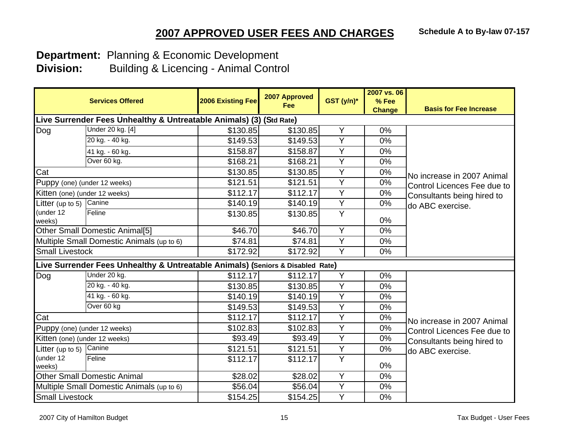**Department:** Planning & Economic Development

|                               | <b>Services Offered</b>                                                        | <b>2006 Existing Fee</b> | 2007 Approved<br>Fee | $GST(y/n)^*$   | 2007 vs. 06<br>% Fee<br><b>Change</b> | <b>Basis for Fee Increase</b> |
|-------------------------------|--------------------------------------------------------------------------------|--------------------------|----------------------|----------------|---------------------------------------|-------------------------------|
|                               | Live Surrender Fees Unhealthy & Untreatable Animals) (3) (Std Rate)            |                          |                      |                |                                       |                               |
| Dog                           | Under 20 kg. [4]                                                               | \$130.85                 | \$130.85             | Υ              | 0%                                    |                               |
|                               | 20 kg. - 40 kg.                                                                | \$149.53                 | \$149.53             | Ÿ              | 0%                                    |                               |
|                               | 41 kg. - 60 kg.                                                                | \$158.87                 | \$158.87             | Y              | 0%                                    |                               |
|                               | Over 60 kg.                                                                    | \$168.21                 | \$168.21             | $\overline{Y}$ | 0%                                    |                               |
| Cat                           |                                                                                | \$130.85                 | \$130.85             | Y              | 0%                                    | No increase in 2007 Animal    |
|                               | Puppy (one) (under 12 weeks)                                                   | \$121.51                 | \$121.51             | $\overline{Y}$ | 0%                                    | Control Licences Fee due to   |
| Kitten (one) (under 12 weeks) |                                                                                | \$112.17                 | \$112.17             | Y              | 0%                                    | Consultants being hired to    |
| Litter (up to 5)              | Canine                                                                         | \$140.19                 | \$140.19             | $\overline{Y}$ | 0%                                    | do ABC exercise.              |
| (under 12<br>weeks)           | Feline                                                                         | \$130.85                 | \$130.85             | Y              | 0%                                    |                               |
|                               | <b>Other Small Domestic Animal[5]</b>                                          | \$46.70                  | \$46.70              | Y              | 0%                                    |                               |
|                               | Multiple Small Domestic Animals (up to 6)                                      | \$74.81                  | \$74.81              | $\overline{Y}$ | 0%                                    |                               |
| <b>Small Livestock</b>        |                                                                                | \$172.92                 | \$172.92             | Y              | 0%                                    |                               |
|                               | Live Surrender Fees Unhealthy & Untreatable Animals) (Seniors & Disabled Rate) |                          |                      |                |                                       |                               |
| Dog                           | Under 20 kg.                                                                   | \$112.17                 | \$112.17             | Y              | 0%                                    |                               |
|                               | 20 kg. - 40 kg.                                                                | \$130.85                 | \$130.85             | Y              | 0%                                    |                               |
|                               | 41 kg. - 60 kg.                                                                | \$140.19                 | \$140.19             | Y              | 0%                                    |                               |
|                               | Over 60 kg                                                                     | \$149.53                 | \$149.53             | $\overline{Y}$ | 0%                                    |                               |
| Cat                           |                                                                                | \$112.17                 | \$112.17             | $\overline{Y}$ | 0%                                    | No increase in 2007 Animal    |
|                               | Puppy (one) (under 12 weeks)                                                   | \$102.83                 | \$102.83             | Y              | 0%                                    | Control Licences Fee due to   |
| Kitten (one) (under 12 weeks) |                                                                                | \$93.49                  | \$93.49              | $\overline{Y}$ | 0%                                    | Consultants being hired to    |
| Litter (up to 5)              | Canine                                                                         | \$121.51                 | \$121.51             | Y              | 0%                                    | do ABC exercise.              |
| (under 12<br>weeks)           | Feline                                                                         | \$112.17                 | \$112.17             | $\overline{Y}$ | 0%                                    |                               |
|                               | <b>Other Small Domestic Animal</b>                                             | \$28.02                  | \$28.02              | $\overline{Y}$ | 0%                                    |                               |
|                               | Multiple Small Domestic Animals (up to 6)                                      | \$56.04                  | \$56.04              | $\overline{Y}$ | 0%                                    |                               |
| <b>Small Livestock</b>        |                                                                                | \$154.25                 | \$154.25             | $\overline{Y}$ | 0%                                    |                               |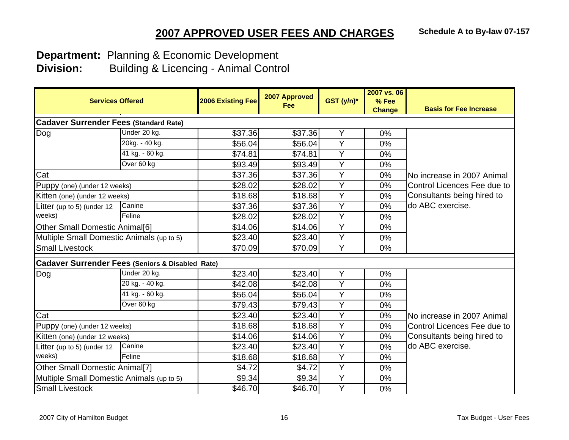**Department:** Planning & Economic Development

| <b>Services Offered</b>                                     |                 | <b>2006 Existing Fee</b> | 2007 Approved<br><b>Fee</b> | GST (y/n)*     | 2007 vs. 06<br>% Fee<br><b>Change</b> | <b>Basis for Fee Increase</b> |
|-------------------------------------------------------------|-----------------|--------------------------|-----------------------------|----------------|---------------------------------------|-------------------------------|
| <b>Cadaver Surrender Fees (Standard Rate)</b>               |                 |                          |                             |                |                                       |                               |
| Dog                                                         | Under 20 kg.    | \$37.36                  | \$37.36                     | Y              | $0\%$                                 |                               |
|                                                             | 20kg. - 40 kg.  | \$56.04                  | \$56.04                     | $\overline{Y}$ | 0%                                    |                               |
|                                                             | 41 kg. - 60 kg. | \$74.81                  | \$74.81                     | Y              | 0%                                    |                               |
|                                                             | Over 60 kg      | \$93.49                  | \$93.49                     | Y              | 0%                                    |                               |
| Cat                                                         |                 | \$37.36                  | \$37.36                     | Y              | 0%                                    | No increase in 2007 Animal    |
| Puppy (one) (under 12 weeks)                                |                 | \$28.02                  | \$28.02                     | Y              | 0%                                    | Control Licences Fee due to   |
| Kitten (one) (under 12 weeks)                               |                 | \$18.68                  | \$18.68                     | Y              | 0%                                    | Consultants being hired to    |
| Litter (up to 5) (under 12                                  | Canine          | \$37.36                  | \$37.36                     | $\overline{Y}$ | 0%                                    | do ABC exercise.              |
| weeks)                                                      | Feline          | \$28.02                  | \$28.02                     | Y              | 0%                                    |                               |
| <b>Other Small Domestic Animal[6]</b>                       |                 | \$14.06                  | \$14.06                     | Y              | 0%                                    |                               |
| Multiple Small Domestic Animals (up to 5)                   |                 | \$23.40                  | \$23.40                     | Y              | $0\%$                                 |                               |
| <b>Small Livestock</b>                                      |                 | \$70.09                  | \$70.09                     | Y              | 0%                                    |                               |
| <b>Cadaver Surrender Fees (Seniors &amp; Disabled Rate)</b> |                 |                          |                             |                |                                       |                               |
| Dog                                                         | Under 20 kg.    | \$23.40                  | \$23.40                     | Y              | 0%                                    |                               |
|                                                             | 20 kg. - 40 kg. | \$42.08                  | \$42.08                     | $\overline{Y}$ | 0%                                    |                               |
|                                                             | 41 kg. - 60 kg. | \$56.04                  | \$56.04                     | $\overline{Y}$ | 0%                                    |                               |
|                                                             | Over 60 kg      | \$79.43                  | \$79.43                     | Y              | 0%                                    |                               |
| Cat                                                         |                 | \$23.40                  | \$23.40                     | $\overline{Y}$ | 0%                                    | No increase in 2007 Animal    |
| Puppy (one) (under 12 weeks)                                |                 | \$18.68                  | \$18.68                     | Y              | 0%                                    | Control Licences Fee due to   |
| Kitten (one) (under 12 weeks)                               |                 | \$14.06                  | \$14.06                     | $\overline{Y}$ | 0%                                    | Consultants being hired to    |
| Litter (up to 5) (under 12                                  | Canine          | \$23.40                  | \$23.40                     | Y              | 0%                                    | do ABC exercise.              |
| weeks)                                                      | Feline          | \$18.68                  | \$18.68                     | Y              | $0\%$                                 |                               |
| <b>Other Small Domestic Animal[7]</b>                       |                 | \$4.72                   | \$4.72                      | Y              | 0%                                    |                               |
| Multiple Small Domestic Animals (up to 5)                   |                 | \$9.34                   | \$9.34                      | Y              | 0%                                    |                               |
| <b>Small Livestock</b>                                      |                 | \$46.70                  | \$46.70                     | $\overline{Y}$ | 0%                                    |                               |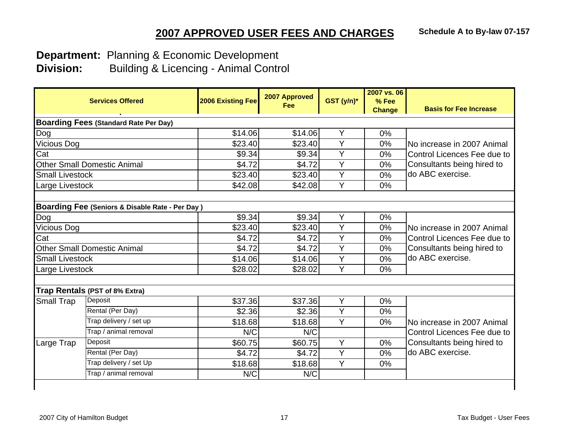**Department:** Planning & Economic Development

|                                              | <b>Services Offered</b>                                    | <b>2006 Existing Fee</b> | 2007 Approved<br>Fee | GST (y/n)*     | 2007 vs. 06<br>% Fee<br><b>Change</b> | <b>Basis for Fee Increase</b>                  |  |  |
|----------------------------------------------|------------------------------------------------------------|--------------------------|----------------------|----------------|---------------------------------------|------------------------------------------------|--|--|
| <b>Boarding Fees (Standard Rate Per Day)</b> |                                                            |                          |                      |                |                                       |                                                |  |  |
| Dog                                          |                                                            | \$14.06                  | \$14.06              | Y              | 0%                                    |                                                |  |  |
| Vicious Dog                                  |                                                            | \$23.40                  | \$23.40              | Y              | 0%                                    | No increase in 2007 Animal                     |  |  |
| Cat                                          |                                                            | \$9.34                   | \$9.34               | Y              | 0%                                    | Control Licences Fee due to                    |  |  |
|                                              | <b>Other Small Domestic Animal</b>                         | \$4.72                   | \$4.72               | Y              | 0%                                    | Consultants being hired to                     |  |  |
| <b>Small Livestock</b>                       |                                                            | \$23.40                  | \$23.40              | Y              | 0%                                    | do ABC exercise.                               |  |  |
| Large Livestock                              |                                                            | \$42.08                  | \$42.08              | Y              | 0%                                    |                                                |  |  |
| Dog                                          | <b>Boarding Fee (Seniors &amp; Disable Rate - Per Day)</b> | \$9.34                   | \$9.34               | Y              | 0%                                    |                                                |  |  |
| Vicious Dog                                  |                                                            | \$23.40                  | \$23.40              | $\overline{Y}$ | 0%                                    | No increase in 2007 Animal                     |  |  |
| Cat                                          |                                                            | \$4.72                   | \$4.72               | Y              | 0%                                    | Control Licences Fee due to                    |  |  |
|                                              | <b>Other Small Domestic Animal</b>                         | \$4.72                   | \$4.72               | Y              | 0%                                    | Consultants being hired to<br>do ABC exercise. |  |  |
| <b>Small Livestock</b>                       |                                                            | \$14.06                  | \$14.06              | $\overline{Y}$ | 0%                                    |                                                |  |  |
| Large Livestock                              |                                                            | \$28.02                  | \$28.02              | Y              | 0%                                    |                                                |  |  |
|                                              | Trap Rentals (PST of 8% Extra)                             |                          |                      |                |                                       |                                                |  |  |
| <b>Small Trap</b>                            | Deposit                                                    | \$37.36                  | \$37.36              | $\overline{Y}$ | 0%                                    |                                                |  |  |
|                                              | Rental (Per Day)                                           | \$2.36                   | \$2.36               | Y              | 0%                                    |                                                |  |  |
|                                              | Trap delivery / set up                                     | \$18.68                  | \$18.68              | $\overline{Y}$ | 0%                                    | No increase in 2007 Animal                     |  |  |
|                                              | Trap / animal removal                                      | N/C                      | N/C                  |                |                                       | Control Licences Fee due to                    |  |  |
| Large Trap                                   | Deposit                                                    | \$60.75                  | \$60.75              | Y              | 0%                                    | Consultants being hired to                     |  |  |
|                                              | Rental (Per Day)                                           | \$4.72                   | \$4.72               | $\overline{Y}$ | 0%                                    | do ABC exercise.                               |  |  |
|                                              | Trap delivery / set Up                                     | \$18.68                  | \$18.68              | Y              | 0%                                    |                                                |  |  |
|                                              | Trap / animal removal                                      | N/C                      | N/C                  |                |                                       |                                                |  |  |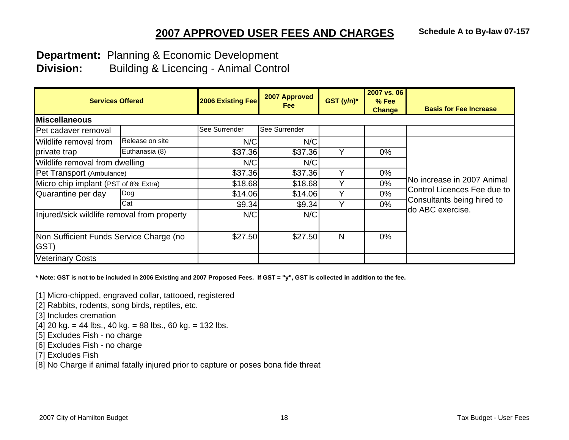**Department:** Planning & Economic Development

**Division:** Building & Licencing - Animal Control

| <b>Services Offered</b>                         |                 | 2006 Existing Fee | 2007 Approved<br>Fee | GST (y/n)* | 2007 vs. 06<br>$%$ Fee<br><b>Change</b> | <b>Basis for Fee Increase</b>                             |
|-------------------------------------------------|-----------------|-------------------|----------------------|------------|-----------------------------------------|-----------------------------------------------------------|
| <b>Miscellaneous</b>                            |                 |                   |                      |            |                                         |                                                           |
| Pet cadaver removal                             |                 | See Surrender     | <b>See Surrender</b> |            |                                         |                                                           |
| Wildlife removal from                           | Release on site | N/C               | N/C                  |            |                                         |                                                           |
| private trap                                    | Euthanasia (8)  | \$37.36           | \$37.36              |            | $0\%$                                   |                                                           |
| Wildlife removal from dwelling                  |                 | N/C               | N/C                  |            |                                         |                                                           |
| Pet Transport (Ambulance)                       |                 | \$37.36           | \$37.36              |            | 0%                                      | No increase in 2007 Animal<br>Control Licences Fee due to |
| Micro chip implant (PST of 8% Extra)            |                 | \$18.68           | \$18.68              |            | 0%                                      |                                                           |
| Quarantine per day                              | Dog             | \$14.06           | \$14.06              | v          | $0\%$                                   |                                                           |
|                                                 | Cat             | \$9.34            | \$9.34               |            | $0\%$                                   | Consultants being hired to                                |
| Injured/sick wildlife removal from property     |                 | N/C               | N/C                  |            |                                         | do ABC exercise.                                          |
| Non Sufficient Funds Service Charge (no<br>GST) |                 | \$27.50           | \$27.50              | N          | $0\%$                                   |                                                           |
| <b>Veterinary Costs</b>                         |                 |                   |                      |            |                                         |                                                           |

**\* Note: GST is not to be included in 2006 Existing and 2007 Proposed Fees. If GST = "y", GST is collected in addition to the fee.**

[1] Micro-chipped, engraved collar, tattooed, registered

[2] Rabbits, rodents, song birds, reptiles, etc.

[3] Includes cremation

 $[4]$  20 kg. = 44 lbs., 40 kg. = 88 lbs., 60 kg. = 132 lbs.

[5] Excludes Fish - no charge

[6] Excludes Fish - no charge

[7] Excludes Fish

[8] No Charge if animal fatally injured prior to capture or poses bona fide threat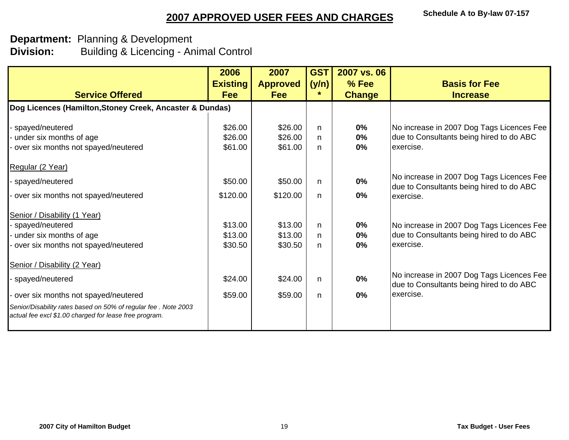### **Department:** Planning & Development **Division:** Building & Licencing - Animal Control

|                                                                                                                           | 2006            | 2007            | <b>GST</b> | 2007 vs. 06   |                                                                                       |
|---------------------------------------------------------------------------------------------------------------------------|-----------------|-----------------|------------|---------------|---------------------------------------------------------------------------------------|
|                                                                                                                           | <b>Existing</b> | <b>Approved</b> | (y/n)      | % Fee         | <b>Basis for Fee</b>                                                                  |
| <b>Service Offered</b>                                                                                                    | <b>Fee</b>      | <b>Fee</b>      | *          | <b>Change</b> | <b>Increase</b>                                                                       |
| Dog Licences (Hamilton, Stoney Creek, Ancaster & Dundas)                                                                  |                 |                 |            |               |                                                                                       |
| spayed/neutered                                                                                                           | \$26.00         | \$26.00         | n          | 0%            | No increase in 2007 Dog Tags Licences Fee                                             |
| under six months of age                                                                                                   | \$26.00         | \$26.00         | n          | 0%            | due to Consultants being hired to do ABC                                              |
| over six months not spayed/neutered                                                                                       | \$61.00         | \$61.00         | n.         | 0%            | exercise.                                                                             |
| Regular (2 Year)                                                                                                          |                 |                 |            |               |                                                                                       |
| spayed/neutered                                                                                                           | \$50.00         | \$50.00         | n          | 0%            | No increase in 2007 Dog Tags Licences Fee<br>due to Consultants being hired to do ABC |
| over six months not spayed/neutered                                                                                       | \$120.00        | \$120.00        | n          | $0\%$         | exercise.                                                                             |
| Senior / Disability (1 Year)                                                                                              |                 |                 |            |               |                                                                                       |
| spayed/neutered                                                                                                           | \$13.00         | \$13.00         | n          | 0%            | No increase in 2007 Dog Tags Licences Fee                                             |
| under six months of age                                                                                                   | \$13.00         | \$13.00         | n.         | 0%            | due to Consultants being hired to do ABC                                              |
| over six months not spayed/neutered                                                                                       | \$30.50         | \$30.50         | n          | 0%            | exercise.                                                                             |
| Senior / Disability (2 Year)                                                                                              |                 |                 |            |               |                                                                                       |
| spayed/neutered                                                                                                           | \$24.00         | \$24.00         | n.         | $0\%$         | No increase in 2007 Dog Tags Licences Fee<br>due to Consultants being hired to do ABC |
| over six months not spayed/neutered                                                                                       | \$59.00         | \$59.00         | n.         | 0%            | exercise.                                                                             |
| Senior/Disability rates based on 50% of regular fee . Note 2003<br>actual fee excl \$1.00 charged for lease free program. |                 |                 |            |               |                                                                                       |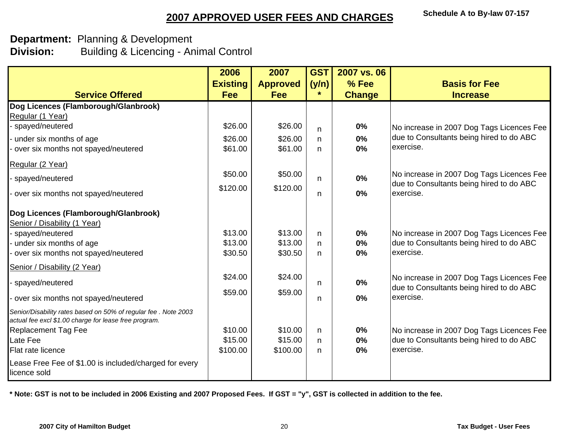#### **Department:** Planning & Development **Division:** Building & Licencing - Animal Control

|                                                                                                                          | 2006            | 2007            | <b>GST</b> | 2007 vs. 06   |                                                       |
|--------------------------------------------------------------------------------------------------------------------------|-----------------|-----------------|------------|---------------|-------------------------------------------------------|
|                                                                                                                          | <b>Existing</b> | <b>Approved</b> | (y/n)      | % Fee         | <b>Basis for Fee</b>                                  |
| <b>Service Offered</b>                                                                                                   | <b>Fee</b>      | <b>Fee</b>      | $\star$    | <b>Change</b> | <b>Increase</b>                                       |
| Dog Licences (Flamborough/Glanbrook)                                                                                     |                 |                 |            |               |                                                       |
| Regular (1 Year)                                                                                                         |                 |                 |            |               |                                                       |
| spayed/neutered                                                                                                          | \$26.00         | \$26.00         | n.         | 0%            | No increase in 2007 Dog Tags Licences Fee             |
| under six months of age                                                                                                  | \$26.00         | \$26.00         | n          | 0%            | due to Consultants being hired to do ABC              |
| over six months not spayed/neutered                                                                                      | \$61.00         | \$61.00         | n          | 0%            | exercise.                                             |
| Regular (2 Year)                                                                                                         |                 |                 |            |               |                                                       |
| spayed/neutered                                                                                                          | \$50.00         | \$50.00         | n          | 0%            | No increase in 2007 Dog Tags Licences Fee             |
| over six months not spayed/neutered                                                                                      | \$120.00        | \$120.00        | n          | 0%            | due to Consultants being hired to do ABC<br>exercise. |
|                                                                                                                          |                 |                 |            |               |                                                       |
| Dog Licences (Flamborough/Glanbrook)                                                                                     |                 |                 |            |               |                                                       |
| Senior / Disability (1 Year)                                                                                             |                 |                 |            |               |                                                       |
| spayed/neutered                                                                                                          | \$13.00         | \$13.00         | n          | 0%            | No increase in 2007 Dog Tags Licences Fee             |
| under six months of age                                                                                                  | \$13.00         | \$13.00         | n          | 0%            | due to Consultants being hired to do ABC              |
| over six months not spayed/neutered                                                                                      | \$30.50         | \$30.50         | n          | 0%            | exercise.                                             |
| Senior / Disability (2 Year)                                                                                             |                 |                 |            |               |                                                       |
| spayed/neutered                                                                                                          | \$24.00         | \$24.00         | n.         | $0\%$         | No increase in 2007 Dog Tags Licences Fee             |
|                                                                                                                          | \$59.00         | \$59.00         |            |               | due to Consultants being hired to do ABC              |
| over six months not spayed/neutered                                                                                      |                 |                 | n          | 0%            | exercise.                                             |
| Senior/Disability rates based on 50% of regular fee . Note 2003<br>actual fee excl \$1.00 charge for lease free program. |                 |                 |            |               |                                                       |
| <b>Replacement Tag Fee</b>                                                                                               | \$10.00         | \$10.00         | n          | 0%            | No increase in 2007 Dog Tags Licences Fee             |
| Late Fee                                                                                                                 | \$15.00         | \$15.00         | n          | 0%            | due to Consultants being hired to do ABC              |
| Flat rate licence                                                                                                        | \$100.00        | \$100.00        | n          | 0%            | exercise.                                             |
| Lease Free Fee of \$1.00 is included/charged for every<br>licence sold                                                   |                 |                 |            |               |                                                       |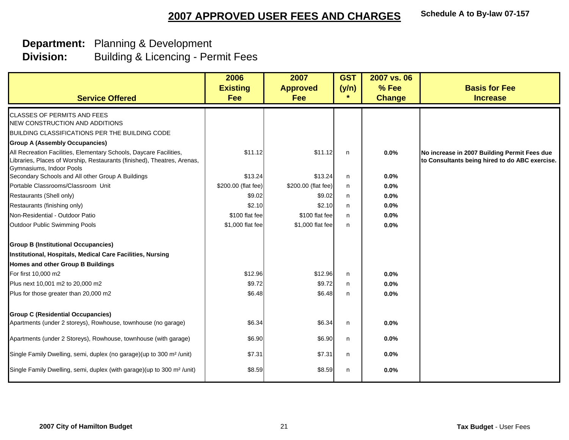| <b>Service Offered</b>                                                                                                                                                    | 2006<br><b>Existing</b><br><b>Fee</b> | 2007<br><b>Approved</b><br>Fee | <b>GST</b><br>(y/n)<br>$\star$ | 2007 vs. 06<br>% Fee<br><b>Change</b> | <b>Basis for Fee</b><br><b>Increase</b>                                                        |
|---------------------------------------------------------------------------------------------------------------------------------------------------------------------------|---------------------------------------|--------------------------------|--------------------------------|---------------------------------------|------------------------------------------------------------------------------------------------|
| <b>CLASSES OF PERMITS AND FEES</b>                                                                                                                                        |                                       |                                |                                |                                       |                                                                                                |
| NEW CONSTRUCTION AND ADDITIONS                                                                                                                                            |                                       |                                |                                |                                       |                                                                                                |
| BUILDING CLASSIFICATIONS PER THE BUILDING CODE                                                                                                                            |                                       |                                |                                |                                       |                                                                                                |
| <b>Group A (Assembly Occupancies)</b>                                                                                                                                     |                                       |                                |                                |                                       |                                                                                                |
| All Recreation Facilities, Elementary Schools, Daycare Facilities,<br>Libraries, Places of Worship, Restaurants (finished), Theatres, Arenas,<br>Gymnasiums, Indoor Pools | \$11.12                               | \$11.12                        | n                              | 0.0%                                  | No increase in 2007 Building Permit Fees due<br>to Consultants being hired to do ABC exercise. |
| Secondary Schools and All other Group A Buildings                                                                                                                         | \$13.24                               | \$13.24                        | n                              | 0.0%                                  |                                                                                                |
| Portable Classrooms/Classroom Unit                                                                                                                                        | \$200.00 (flat fee)                   | \$200.00 (flat fee)            | n                              | 0.0%                                  |                                                                                                |
| Restaurants (Shell only)                                                                                                                                                  | \$9.02                                | \$9.02                         | n                              | 0.0%                                  |                                                                                                |
| Restaurants (finishing only)                                                                                                                                              | \$2.10                                | \$2.10                         | n                              | 0.0%                                  |                                                                                                |
| Non-Residential - Outdoor Patio                                                                                                                                           | \$100 flat fee                        | \$100 flat fee                 | n                              | 0.0%                                  |                                                                                                |
| Outdoor Public Swimming Pools                                                                                                                                             | \$1,000 flat fee                      | \$1,000 flat fee               | n                              | 0.0%                                  |                                                                                                |
| <b>Group B (Institutional Occupancies)</b>                                                                                                                                |                                       |                                |                                |                                       |                                                                                                |
| Institutional, Hospitals, Medical Care Facilities, Nursing                                                                                                                |                                       |                                |                                |                                       |                                                                                                |
| Homes and other Group B Buildings                                                                                                                                         |                                       |                                |                                |                                       |                                                                                                |
| For first 10,000 m2                                                                                                                                                       | \$12.96                               | \$12.96                        | $\mathsf{n}$                   | 0.0%                                  |                                                                                                |
| Plus next 10,001 m2 to 20,000 m2                                                                                                                                          | \$9.72                                | \$9.72                         | $\mathsf{n}$                   | 0.0%                                  |                                                                                                |
| Plus for those greater than 20,000 m2                                                                                                                                     | \$6.48                                | \$6.48                         | n                              | 0.0%                                  |                                                                                                |
| <b>Group C (Residential Occupancies)</b>                                                                                                                                  |                                       |                                |                                |                                       |                                                                                                |
| Apartments (under 2 storeys), Rowhouse, townhouse (no garage)                                                                                                             | \$6.34                                | \$6.34                         | n                              | 0.0%                                  |                                                                                                |
| Apartments (under 2 Storeys), Rowhouse, townhouse (with garage)                                                                                                           | \$6.90                                | \$6.90                         | n                              | 0.0%                                  |                                                                                                |
| Single Family Dwelling, semi, duplex (no garage) (up to 300 m <sup>2</sup> /unit)                                                                                         | \$7.31                                | \$7.31                         | n                              | 0.0%                                  |                                                                                                |
| Single Family Dwelling, semi, duplex (with garage)(up to 300 m <sup>2</sup> /unit)                                                                                        | \$8.59                                | \$8.59                         | n                              | 0.0%                                  |                                                                                                |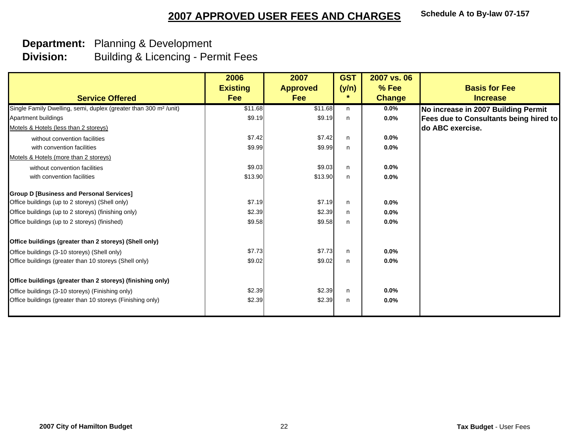|                                                                              | 2006            | 2007            | <b>GST</b> | 2007 vs. 06   |                                               |
|------------------------------------------------------------------------------|-----------------|-----------------|------------|---------------|-----------------------------------------------|
|                                                                              | <b>Existing</b> | <b>Approved</b> | (y/n)      | % Fee         | <b>Basis for Fee</b>                          |
| <b>Service Offered</b>                                                       | Fee             | Fee             | $\star$    | <b>Change</b> | <b>Increase</b>                               |
| Single Family Dwelling, semi, duplex (greater than 300 m <sup>2</sup> /unit) | \$11.68         | \$11.68         | n          | 0.0%          | No increase in 2007 Building Permit           |
| Apartment buildings                                                          | \$9.19          | \$9.19          | n          | 0.0%          | <b>Fees due to Consultants being hired to</b> |
| Motels & Hotels (less than 2 storeys)                                        |                 |                 |            |               | do ABC exercise.                              |
| without convention facilities                                                | \$7.42          | \$7.42          | n          | 0.0%          |                                               |
| with convention facilities                                                   | \$9.99          | \$9.99          | n          | 0.0%          |                                               |
| Motels & Hotels (more than 2 storeys)                                        |                 |                 |            |               |                                               |
| without convention facilities                                                | \$9.03          | \$9.03          | n.         | $0.0\%$       |                                               |
| with convention facilities                                                   | \$13.90         | \$13.90         | n          | 0.0%          |                                               |
| <b>Group D [Business and Personal Services]</b>                              |                 |                 |            |               |                                               |
| Office buildings (up to 2 storeys) (Shell only)                              | \$7.19          | \$7.19          | n.         | 0.0%          |                                               |
| Office buildings (up to 2 storeys) (finishing only)                          | \$2.39          | \$2.39          | n.         | 0.0%          |                                               |
| Office buildings (up to 2 storeys) (finished)                                | \$9.58          | \$9.58          | n          | 0.0%          |                                               |
| Office buildings (greater than 2 storeys) (Shell only)                       |                 |                 |            |               |                                               |
| Office buildings (3-10 storeys) (Shell only)                                 | \$7.73          | \$7.73          | n.         | 0.0%          |                                               |
| Office buildings (greater than 10 storeys (Shell only)                       | \$9.02          | \$9.02          | n          | 0.0%          |                                               |
| Office buildings (greater than 2 storeys) (finishing only)                   |                 |                 |            |               |                                               |
| Office buildings (3-10 storeys) (Finishing only)                             | \$2.39          | \$2.39          | n          | 0.0%          |                                               |
| Office buildings (greater than 10 storeys (Finishing only)                   | \$2.39          | \$2.39          | n          | 0.0%          |                                               |
|                                                                              |                 |                 |            |               |                                               |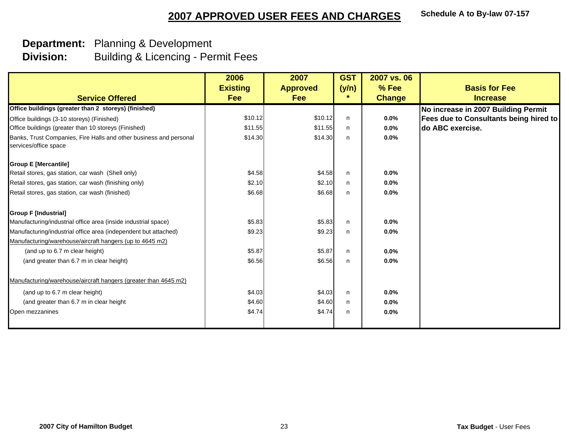|                                                                                             | 2006            | 2007            | <b>GST</b> | 2007 vs. 06   |                                               |
|---------------------------------------------------------------------------------------------|-----------------|-----------------|------------|---------------|-----------------------------------------------|
|                                                                                             | <b>Existing</b> | <b>Approved</b> | (y/n)      | % Fee         | <b>Basis for Fee</b>                          |
| <b>Service Offered</b>                                                                      | Fee             | Fee             | $\star$    | <b>Change</b> | <b>Increase</b>                               |
| Office buildings (greater than 2 storeys) (finished)                                        |                 |                 |            |               | No increase in 2007 Building Permit           |
| Office buildings (3-10 storeys) (Finished)                                                  | \$10.12         | \$10.12         | n          | $0.0\%$       | <b>Fees due to Consultants being hired to</b> |
| Office buildings (greater than 10 storeys (Finished)                                        | \$11.55         | \$11.55         | n.         | 0.0%          | ldo ABC exercise.                             |
| Banks, Trust Companies, Fire Halls and other business and personal<br>services/office space | \$14.30         | \$14.30         | n.         | 0.0%          |                                               |
| <b>Group E [Mercantile]</b>                                                                 |                 |                 |            |               |                                               |
| Retail stores, gas station, car wash (Shell only)                                           | \$4.58          | \$4.58          | n          | 0.0%          |                                               |
| Retail stores, gas station, car wash (finishing only)                                       | \$2.10          | \$2.10          | n.         | 0.0%          |                                               |
| Retail stores, gas station, car wash (finished)                                             | \$6.68          | \$6.68          | n          | 0.0%          |                                               |
| <b>Group F [Industrial]</b>                                                                 |                 |                 |            |               |                                               |
| Manufacturing/industrial office area (inside industrial space)                              | \$5.83          | \$5.83          | n          | 0.0%          |                                               |
| Manufacturing/industrial office area (independent but attached)                             | \$9.23          | \$9.23          | n          | 0.0%          |                                               |
| Manufacturing/warehouse/aircraft hangers (up to 4645 m2)                                    |                 |                 |            |               |                                               |
| (and up to 6.7 m clear height)                                                              | \$5.87          | \$5.87          | n.         | $0.0\%$       |                                               |
| (and greater than 6.7 m in clear height)                                                    | \$6.56          | \$6.56          | n          | 0.0%          |                                               |
| Manufacturing/warehouse/aircraft hangers (greater than 4645 m2)                             |                 |                 |            |               |                                               |
| (and up to 6.7 m clear height)                                                              | \$4.03          | \$4.03          | n.         | 0.0%          |                                               |
| (and greater than 6.7 m in clear height                                                     | \$4.60          | \$4.60          | n          | $0.0\%$       |                                               |
| Open mezzanines                                                                             | \$4.74          | \$4.74          | n.         | 0.0%          |                                               |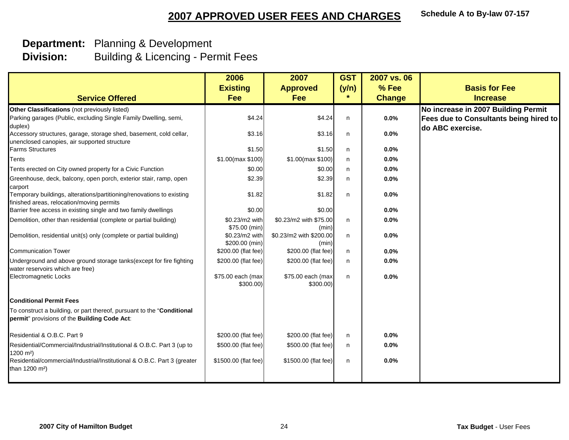|                                                                                                                        | 2006                             | 2007                             | <b>GST</b> | 2007 vs. 06   |                                        |
|------------------------------------------------------------------------------------------------------------------------|----------------------------------|----------------------------------|------------|---------------|----------------------------------------|
|                                                                                                                        | <b>Existing</b>                  | <b>Approved</b>                  | (y/n)      | % Fee         | <b>Basis for Fee</b>                   |
| <b>Service Offered</b>                                                                                                 | Fee                              | <b>Fee</b>                       | $\star$    | <b>Change</b> | <b>Increase</b>                        |
| Other Classifications (not previously listed)                                                                          |                                  |                                  |            |               | No increase in 2007 Building Permit    |
| Parking garages (Public, excluding Single Family Dwelling, semi,                                                       | \$4.24                           | \$4.24                           | n.         | 0.0%          | Fees due to Consultants being hired to |
| duplex)                                                                                                                |                                  |                                  |            |               | do ABC exercise.                       |
| Accessory structures, garage, storage shed, basement, cold cellar,<br>unenclosed canopies, air supported structure     | \$3.16                           | \$3.16                           | n.         | 0.0%          |                                        |
| <b>Farms Structures</b>                                                                                                | \$1.50                           | \$1.50                           | n.         | 0.0%          |                                        |
| Tents                                                                                                                  | $$1.00$ (max $$100$ )            | $$1.00$ (max $$100$ )            | n.         | 0.0%          |                                        |
| Tents erected on City owned property for a Civic Function                                                              | \$0.00                           | \$0.00                           | n.         | 0.0%          |                                        |
| Greenhouse, deck, balcony, open porch, exterior stair, ramp, open                                                      | \$2.39                           | \$2.39                           | n          | 0.0%          |                                        |
| carport                                                                                                                |                                  |                                  |            |               |                                        |
| Temporary buildings, alterations/partitioning/renovations to existing<br>finished areas, relocation/moving permits     | \$1.82                           | \$1.82                           | n          | 0.0%          |                                        |
| Barrier free access in existing single and two family dwellings                                                        | \$0.00                           | \$0.00                           |            | $0.0\%$       |                                        |
| Demolition, other than residential (complete or partial building)                                                      | \$0.23/m2 with                   | \$0.23/m2 with \$75.00           | n          | 0.0%          |                                        |
|                                                                                                                        | \$75.00 (min)                    | (min)                            |            |               |                                        |
| Demolition, residential unit(s) only (complete or partial building)                                                    | \$0.23/m2 with<br>\$200.00 (min) | \$0.23/m2 with \$200.00<br>(min) | n          | 0.0%          |                                        |
| <b>Communication Tower</b>                                                                                             | \$200.00 (flat fee)              | \$200.00 (flat fee)              | n          | 0.0%          |                                        |
| Underground and above ground storage tanks(except for fire fighting<br>water reservoirs which are free)                | \$200.00 (flat fee)              | \$200.00 (flat fee)              | n          | 0.0%          |                                        |
| Electromagnetic Locks                                                                                                  | \$75.00 each (max                | \$75.00 each (max                | n          | 0.0%          |                                        |
|                                                                                                                        | $$300.00$ )                      | $$300.00$ )                      |            |               |                                        |
| <b>Conditional Permit Fees</b>                                                                                         |                                  |                                  |            |               |                                        |
| To construct a building, or part thereof, pursuant to the "Conditional<br>permit" provisions of the Building Code Act: |                                  |                                  |            |               |                                        |
| Residential & O.B.C. Part 9                                                                                            | \$200.00 (flat fee)              | \$200.00 (flat fee)              | n.         | 0.0%          |                                        |
| Residential/Commercial/Industrial/Institutional & O.B.C. Part 3 (up to<br>1200 m <sup>2</sup> )                        | \$500.00 (flat fee)              | \$500.00 (flat fee)              | n          | 0.0%          |                                        |
| Residential/commercial/Industrial/Institutional & O.B.C. Part 3 (greater<br>than 1200 m <sup>2</sup> )                 | \$1500.00 (flat fee)             | \$1500.00 (flat fee)             | n          | 0.0%          |                                        |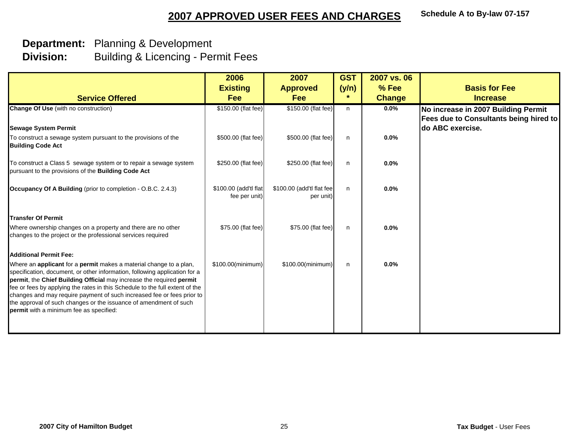| 2006                                   | 2007               | <b>GST</b>                | 2007 vs. 06                                                                                    |                                               |
|----------------------------------------|--------------------|---------------------------|------------------------------------------------------------------------------------------------|-----------------------------------------------|
| <b>Existing</b>                        | <b>Approved</b>    | (y/n)                     | % Fee                                                                                          | <b>Basis for Fee</b>                          |
| Fee                                    | <b>Fee</b>         | $\star$                   | <b>Change</b>                                                                                  | <b>Increase</b>                               |
| \$150.00 (flat fee)                    |                    | n                         | 0.0%                                                                                           | No increase in 2007 Building Permit           |
|                                        |                    |                           |                                                                                                | <b>Fees due to Consultants being hired to</b> |
|                                        |                    |                           |                                                                                                | do ABC exercise.                              |
|                                        |                    | n                         | 0.0%                                                                                           |                                               |
| \$250.00 (flat fee)                    |                    | n                         | 0.0%                                                                                           |                                               |
| \$100.00 (add'tl flat<br>fee per unit) | per unit)          | n                         | 0.0%                                                                                           |                                               |
|                                        |                    |                           |                                                                                                |                                               |
| \$75.00 (flat fee)                     | \$75.00 (flat fee) | n                         | 0.0%                                                                                           |                                               |
|                                        |                    |                           |                                                                                                |                                               |
| \$100.00(minimum)                      | \$100.00(minimum)  | n                         | 0.0%                                                                                           |                                               |
|                                        |                    |                           |                                                                                                | Tax Budget - User Fees                        |
|                                        |                    | \$500.00 (flat fee)<br>25 | \$150.00 (flat fee)<br>\$500.00 (flat fee)<br>\$250.00 (flat fee)<br>\$100.00 (add'tl flat fee |                                               |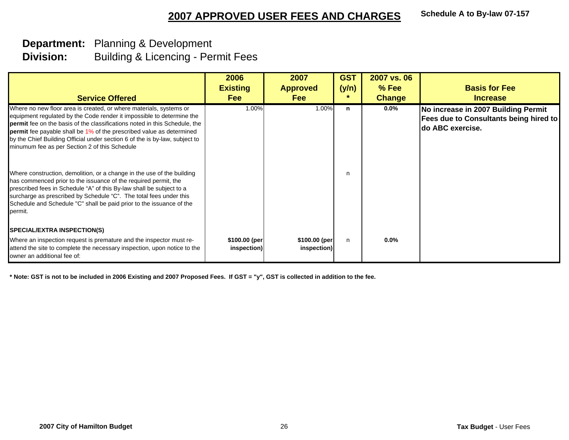#### **Department:** Planning & Development **Division:**Building & Licencing - Permit Fees

| <b>Service Offered</b>                                                                                                                                                                                                                                                                                                                                                                                                                   | 2006<br><b>Existing</b><br><b>Fee</b> | 2007<br><b>Approved</b><br><b>Fee</b> | <b>GST</b><br>(y/n) | 2007 vs. 06<br>$%$ Fee<br><b>Change</b> | <b>Basis for Fee</b><br><b>Increase</b>                                                                          |
|------------------------------------------------------------------------------------------------------------------------------------------------------------------------------------------------------------------------------------------------------------------------------------------------------------------------------------------------------------------------------------------------------------------------------------------|---------------------------------------|---------------------------------------|---------------------|-----------------------------------------|------------------------------------------------------------------------------------------------------------------|
| Where no new floor area is created, or where materials, systems or<br>equipment regulated by the Code render it impossible to determine the<br>permit fee on the basis of the classifications noted in this Schedule, the<br><b>permit</b> fee payable shall be 1% of the prescribed value as determined<br>by the Chief Building Official under section 6 of the is by-law, subject to<br>minumum fee as per Section 2 of this Schedule | 1.00%                                 | 1.00%                                 | n                   | $0.0\%$                                 | No increase in 2007 Building Permit<br><b>Fees due to Consultants being hired to</b><br><b>Ido ABC exercise.</b> |
| Where construction, demolition, or a change in the use of the building<br>has commenced prior to the issuance of the required permit, the<br>prescribed fees in Schedule "A" of this By-law shall be subject to a<br>surcharge as prescribed by Schedule "C". The total fees under this<br>Schedule and Schedule "C" shall be paid prior to the issuance of the<br>permit.                                                               |                                       |                                       | n                   |                                         |                                                                                                                  |
| <b>SPECIAL/EXTRA INSPECTION(S)</b><br>Where an inspection request is premature and the inspector must re-<br>attend the site to complete the necessary inspection, upon notice to the<br>owner an additional fee of:                                                                                                                                                                                                                     | \$100.00 (per<br>inspection)          | \$100.00 (per<br>inspection)          | n.                  | 0.0%                                    |                                                                                                                  |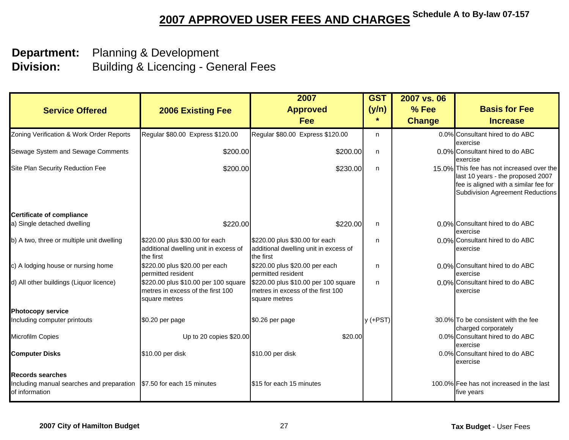| <b>Service Offered</b>                                                                                             | <b>2006 Existing Fee</b>                                                                   | 2007<br><b>Approved</b><br>Fee                                                             | <b>GST</b><br>(y/n)<br>$\star$ | 2007 vs. 06<br>% Fee<br><b>Change</b> | <b>Basis for Fee</b><br><b>Increase</b>                                                                                                                            |
|--------------------------------------------------------------------------------------------------------------------|--------------------------------------------------------------------------------------------|--------------------------------------------------------------------------------------------|--------------------------------|---------------------------------------|--------------------------------------------------------------------------------------------------------------------------------------------------------------------|
| Zoning Verification & Work Order Reports                                                                           | Regular \$80.00 Express \$120.00                                                           | Regular \$80.00 Express \$120.00                                                           | n                              |                                       | 0.0% Consultant hired to do ABC<br>exercise                                                                                                                        |
| Sewage System and Sewage Comments                                                                                  | \$200.00                                                                                   | \$200.00                                                                                   | n                              |                                       | 0.0% Consultant hired to do ABC<br>exercise                                                                                                                        |
| Site Plan Security Reduction Fee                                                                                   | \$200.00                                                                                   | \$230.00                                                                                   | n                              |                                       | 15.0% This fee has not increased over the<br>last 10 years - the proposed 2007<br>fee is aligned with a similar fee for<br><b>Subdivision Agreement Reductions</b> |
| <b>Certificate of compliance</b>                                                                                   |                                                                                            |                                                                                            |                                |                                       |                                                                                                                                                                    |
| a) Single detached dwelling                                                                                        | \$220.00                                                                                   | \$220.00                                                                                   | n                              |                                       | 0.0% Consultant hired to do ABC<br>exercise                                                                                                                        |
| b) A two, three or multiple unit dwelling                                                                          | \$220.00 plus \$30.00 for each<br>additional dwelling unit in excess of<br>the first       | \$220.00 plus \$30.00 for each<br>additional dwelling unit in excess of<br>the first       | n                              |                                       | 0.0% Consultant hired to do ABC<br>exercise                                                                                                                        |
| c) A lodging house or nursing home                                                                                 | \$220.00 plus \$20.00 per each<br>permitted resident                                       | \$220.00 plus \$20.00 per each<br>permitted resident                                       | n                              |                                       | 0.0% Consultant hired to do ABC<br>exercise                                                                                                                        |
| d) All other buildings (Liquor licence)                                                                            | \$220.00 plus \$10.00 per 100 square<br>metres in excess of the first 100<br>square metres | \$220.00 plus \$10.00 per 100 square<br>metres in excess of the first 100<br>square metres | n                              |                                       | 0.0% Consultant hired to do ABC<br>exercise                                                                                                                        |
| <b>Photocopy service</b>                                                                                           |                                                                                            |                                                                                            |                                |                                       |                                                                                                                                                                    |
| Including computer printouts                                                                                       | \$0.20 per page                                                                            | \$0.26 per page                                                                            | $y$ (+PST)                     |                                       | 30.0% To be consistent with the fee<br>charged corporately                                                                                                         |
| Microfilm Copies                                                                                                   | Up to 20 copies \$20.00                                                                    | \$20.00                                                                                    |                                |                                       | 0.0% Consultant hired to do ABC<br>exercise                                                                                                                        |
| <b>Computer Disks</b>                                                                                              | \$10.00 per disk                                                                           | \$10.00 per disk                                                                           |                                |                                       | 0.0% Consultant hired to do ABC<br>exercise                                                                                                                        |
| <b>Records searches</b><br>Including manual searches and preparation \\$7.50 for each 15 minutes<br>of information |                                                                                            | \$15 for each 15 minutes                                                                   |                                |                                       | 100.0% Fee has not increased in the last<br>five years                                                                                                             |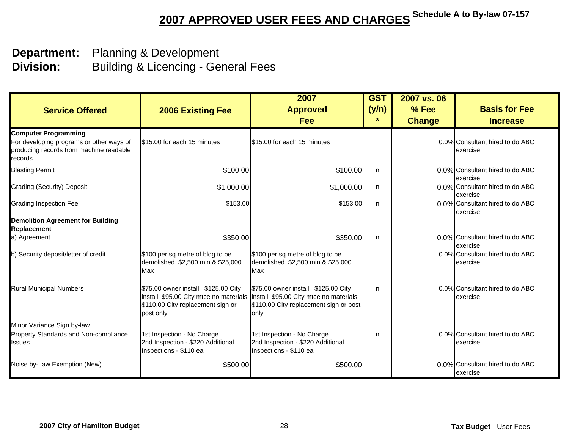| <b>Service Offered</b>                                                                                                        | <b>2006 Existing Fee</b>                                                                  | 2007<br><b>Approved</b><br>Fee                                                                                                                                              | <b>GST</b><br>(y/n)<br>$\ast$ | 2007 vs. 06<br>% Fee<br><b>Change</b> | <b>Basis for Fee</b><br><b>Increase</b>     |
|-------------------------------------------------------------------------------------------------------------------------------|-------------------------------------------------------------------------------------------|-----------------------------------------------------------------------------------------------------------------------------------------------------------------------------|-------------------------------|---------------------------------------|---------------------------------------------|
| <b>Computer Programming</b><br>For developing programs or other ways of<br>producing records from machine readable<br>records | S15.00 for each 15 minutes                                                                | \$15.00 for each 15 minutes                                                                                                                                                 |                               |                                       | 0.0% Consultant hired to do ABC<br>exercise |
| <b>Blasting Permit</b>                                                                                                        | \$100.00                                                                                  | \$100.00                                                                                                                                                                    | n                             |                                       | 0.0% Consultant hired to do ABC<br>exercise |
| <b>Grading (Security) Deposit</b>                                                                                             | \$1,000.00                                                                                | \$1,000.00                                                                                                                                                                  | n.                            |                                       | 0.0% Consultant hired to do ABC<br>exercise |
| <b>Grading Inspection Fee</b>                                                                                                 | \$153.00                                                                                  | \$153.00                                                                                                                                                                    | n                             |                                       | 0.0% Consultant hired to do ABC<br>exercise |
| <b>Demolition Agreement for Building</b><br>Replacement<br>a) Agreement                                                       | \$350.00                                                                                  | \$350.00                                                                                                                                                                    | n                             |                                       | 0.0% Consultant hired to do ABC<br>exercise |
| b) Security deposit/letter of credit                                                                                          | \$100 per sq metre of bldg to be<br>demolished. \$2,500 min & \$25,000<br>Max             | \$100 per sq metre of bldg to be<br>demolished. \$2,500 min & \$25,000<br>Max                                                                                               |                               |                                       | 0.0% Consultant hired to do ABC<br>exercise |
| <b>Rural Municipal Numbers</b>                                                                                                | \$75.00 owner install, \$125.00 City<br>\$110.00 City replacement sign or<br>post only    | \$75.00 owner install, \$125.00 City<br>install, \$95.00 City mtce no materials, install, \$95.00 City mtce no materials,<br>\$110.00 City replacement sign or post<br>only | n                             |                                       | 0.0% Consultant hired to do ABC<br>exercise |
| Minor Variance Sign by-law<br>Property Standards and Non-compliance<br><b>Issues</b>                                          | 1st Inspection - No Charge<br>2nd Inspection - \$220 Additional<br>Inspections - \$110 ea | 1st Inspection - No Charge<br>2nd Inspection - \$220 Additional<br>Inspections - \$110 ea                                                                                   | n                             |                                       | 0.0% Consultant hired to do ABC<br>exercise |
| Noise by-Law Exemption (New)                                                                                                  | \$500.00                                                                                  | \$500.00                                                                                                                                                                    |                               |                                       | 0.0% Consultant hired to do ABC<br>exercise |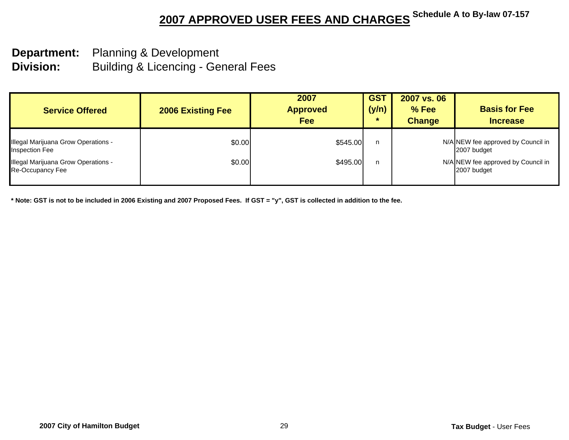# **Department:** Planning & Development

**Division:** Building & Licencing - General Fees

| <b>Service Offered</b>                                       | <b>2006 Existing Fee</b> | 2007<br><b>Approved</b><br><b>Fee</b> | <b>GST</b><br>(y/n)<br>∗ | 2007 vs. 06<br>% Fee<br><b>Change</b> | <b>Basis for Fee</b><br><b>Increase</b>           |
|--------------------------------------------------------------|--------------------------|---------------------------------------|--------------------------|---------------------------------------|---------------------------------------------------|
| Illegal Marijuana Grow Operations -<br><b>Inspection Fee</b> | \$0.00                   | \$545.00                              | n                        |                                       | N/A NEW fee approved by Council in<br>2007 budget |
| Illegal Marijuana Grow Operations -<br>Re-Occupancy Fee      | \$0.00                   | \$495.00                              | n                        |                                       | N/A NEW fee approved by Council in<br>2007 budget |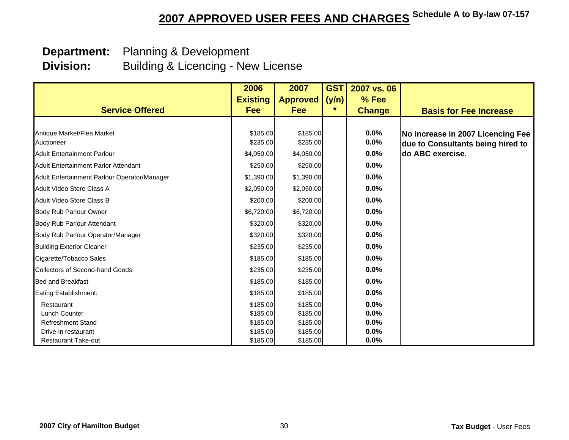## **Department:** Planning & Development

 **Division:** Building & Licencing - New License

|                                              | 2006            | 2007            | <b>GST</b> | 2007 vs. 06   |                                   |
|----------------------------------------------|-----------------|-----------------|------------|---------------|-----------------------------------|
|                                              | <b>Existing</b> | <b>Approved</b> | (y/n)      | % Fee         |                                   |
| <b>Service Offered</b>                       | Fee             | Fee             | $\star$    | <b>Change</b> | <b>Basis for Fee Increase</b>     |
|                                              |                 |                 |            |               |                                   |
| Antique Market/Flea Market                   | \$185.00        | \$185.00        |            | 0.0%          | No increase in 2007 Licencing Fee |
| Auctioneer                                   | \$235.00        | \$235.00        |            | $0.0\%$       | due to Consultants being hired to |
| <b>Adult Entertainment Parlour</b>           | \$4,050.00      | \$4,050.00      |            | 0.0%          | do ABC exercise.                  |
| <b>Adult Entertainment Parlor Attendant</b>  | \$250.00        | \$250.00        |            | 0.0%          |                                   |
| Adult Entertainment Parlour Operator/Manager | \$1,390.00      | \$1,390.00      |            | $0.0\%$       |                                   |
| Adult Video Store Class A                    | \$2,050.00      | \$2,050.00      |            | 0.0%          |                                   |
| Adult Video Store Class B                    | \$200.00        | \$200.00        |            | $0.0\%$       |                                   |
| <b>Body Rub Parlour Owner</b>                | \$6,720.00      | \$6,720.00      |            | 0.0%          |                                   |
| Body Rub Parlour Attendant                   | \$320.00        | \$320.00        |            | 0.0%          |                                   |
| Body Rub Parlour Operator/Manager            | \$320.00        | \$320.00        |            | 0.0%          |                                   |
| <b>Building Exterior Cleaner</b>             | \$235.00        | \$235.00        |            | 0.0%          |                                   |
| Cigarette/Tobacco Sales                      | \$185.00        | \$185.00        |            | 0.0%          |                                   |
| <b>Collectors of Second-hand Goods</b>       | \$235.00        | \$235.00        |            | 0.0%          |                                   |
| <b>Bed and Breakfast</b>                     | \$185.00        | \$185.00        |            | 0.0%          |                                   |
| Eating Establishment:                        | \$185.00        | \$185.00        |            | $0.0\%$       |                                   |
| Restaurant                                   | \$185.00        | \$185.00        |            | 0.0%          |                                   |
| <b>Lunch Counter</b>                         | \$185.00        | \$185.00        |            | 0.0%          |                                   |
| <b>Refreshment Stand</b>                     | \$185.00        | \$185.00        |            | 0.0%          |                                   |
| Drive-in restaurant                          | \$185.00        | \$185.00        |            | 0.0%          |                                   |
| <b>Restaurant Take-out</b>                   | \$185.00        | \$185.00        |            | 0.0%          |                                   |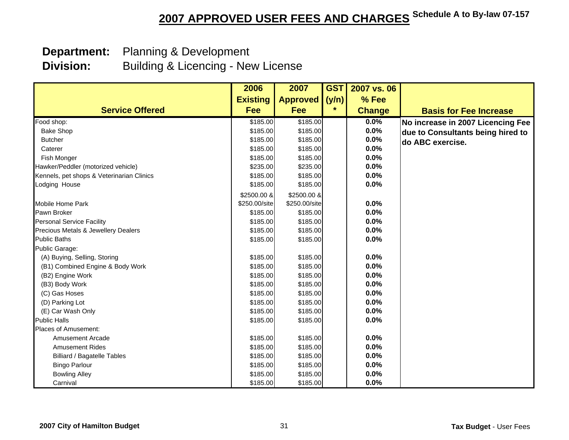## **Department:** Planning & Development

 **Division:** Building & Licencing - New License

|                                           | 2006            | 2007            | <b>GST</b> | 2007 vs. 06   |                                   |
|-------------------------------------------|-----------------|-----------------|------------|---------------|-----------------------------------|
|                                           | <b>Existing</b> | <b>Approved</b> | (y/n)      | % Fee         |                                   |
| <b>Service Offered</b>                    | <b>Fee</b>      | <b>Fee</b>      | $\star$    | <b>Change</b> | <b>Basis for Fee Increase</b>     |
| Food shop:                                | \$185.00        | \$185.00        |            | 0.0%          | No increase in 2007 Licencing Fee |
| <b>Bake Shop</b>                          | \$185.00        | \$185.00        |            | 0.0%          | due to Consultants being hired to |
| <b>Butcher</b>                            | \$185.00        | \$185.00        |            | 0.0%          | do ABC exercise.                  |
| Caterer                                   | \$185.00        | \$185.00        |            | 0.0%          |                                   |
| Fish Monger                               | \$185.00        | \$185.00        |            | 0.0%          |                                   |
| Hawker/Peddler (motorized vehicle)        | \$235.00        | \$235.00        |            | 0.0%          |                                   |
| Kennels, pet shops & Veterinarian Clinics | \$185.00        | \$185.00        |            | 0.0%          |                                   |
| Lodging House                             | \$185.00        | \$185.00        |            | 0.0%          |                                   |
|                                           | \$2500.00 &     | \$2500.00 &     |            |               |                                   |
| Mobile Home Park                          | \$250.00/site   | \$250.00/site   |            | 0.0%          |                                   |
| Pawn Broker                               | \$185.00        | \$185.00        |            | 0.0%          |                                   |
| <b>Personal Service Facility</b>          | \$185.00        | \$185.00        |            | 0.0%          |                                   |
| Precious Metals & Jewellery Dealers       | \$185.00        | \$185.00        |            | 0.0%          |                                   |
| <b>Public Baths</b>                       | \$185.00        | \$185.00        |            | 0.0%          |                                   |
| Public Garage:                            |                 |                 |            |               |                                   |
| (A) Buying, Selling, Storing              | \$185.00        | \$185.00        |            | 0.0%          |                                   |
| (B1) Combined Engine & Body Work          | \$185.00        | \$185.00        |            | 0.0%          |                                   |
| (B2) Engine Work                          | \$185.00        | \$185.00        |            | 0.0%          |                                   |
| (B3) Body Work                            | \$185.00        | \$185.00        |            | 0.0%          |                                   |
| (C) Gas Hoses                             | \$185.00        | \$185.00        |            | 0.0%          |                                   |
| (D) Parking Lot                           | \$185.00        | \$185.00        |            | 0.0%          |                                   |
| (E) Car Wash Only                         | \$185.00        | \$185.00        |            | 0.0%          |                                   |
| <b>Public Halls</b>                       | \$185.00        | \$185.00        |            | 0.0%          |                                   |
| Places of Amusement:                      |                 |                 |            |               |                                   |
| <b>Amusement Arcade</b>                   | \$185.00        | \$185.00        |            | 0.0%          |                                   |
| <b>Amusement Rides</b>                    | \$185.00        | \$185.00        |            | 0.0%          |                                   |
| <b>Billiard / Bagatelle Tables</b>        | \$185.00        | \$185.00        |            | 0.0%          |                                   |
| <b>Bingo Parlour</b>                      | \$185.00        | \$185.00        |            | 0.0%          |                                   |
| <b>Bowling Alley</b>                      | \$185.00        | \$185.00        |            | 0.0%          |                                   |
| Carnival                                  | \$185.00        | \$185.00        |            | 0.0%          |                                   |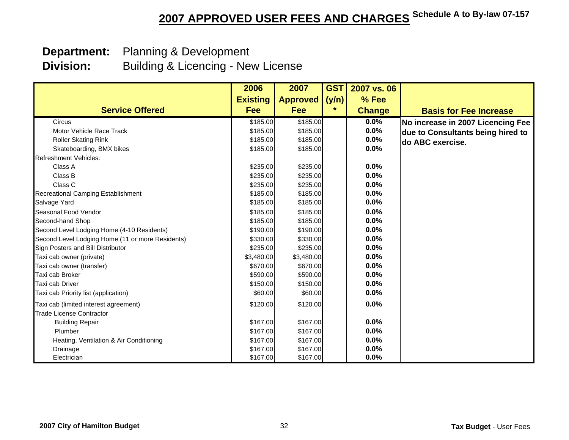## **Department:** Planning & Development

 **Division:** Building & Licencing - New License

|                                                  | 2006            | 2007            | <b>GST</b> | 2007 vs. 06   |                                   |
|--------------------------------------------------|-----------------|-----------------|------------|---------------|-----------------------------------|
|                                                  | <b>Existing</b> | <b>Approved</b> | (y/n)      | % Fee         |                                   |
| <b>Service Offered</b>                           | <b>Fee</b>      | Fee             | $\star$    | <b>Change</b> | <b>Basis for Fee Increase</b>     |
| Circus                                           | \$185.00        | \$185.00        |            | 0.0%          | No increase in 2007 Licencing Fee |
| Motor Vehicle Race Track                         | \$185.00        | \$185.00        |            | 0.0%          | due to Consultants being hired to |
| Roller Skating Rink                              | \$185.00        | \$185.00        |            | 0.0%          | do ABC exercise.                  |
| Skateboarding, BMX bikes                         | \$185.00        | \$185.00        |            | 0.0%          |                                   |
| <b>Refreshment Vehicles:</b>                     |                 |                 |            |               |                                   |
| Class A                                          | \$235.00        | \$235.00        |            | 0.0%          |                                   |
| Class B                                          | \$235.00        | \$235.00        |            | 0.0%          |                                   |
| Class C                                          | \$235.00        | \$235.00        |            | 0.0%          |                                   |
| Recreational Camping Establishment               | \$185.00        | \$185.00        |            | 0.0%          |                                   |
| Salvage Yard                                     | \$185.00        | \$185.00        |            | 0.0%          |                                   |
| Seasonal Food Vendor                             | \$185.00        | \$185.00        |            | 0.0%          |                                   |
| Second-hand Shop                                 | \$185.00        | \$185.00        |            | 0.0%          |                                   |
| Second Level Lodging Home (4-10 Residents)       | \$190.00        | \$190.00        |            | 0.0%          |                                   |
| Second Level Lodging Home (11 or more Residents) | \$330.00        | \$330.00        |            | 0.0%          |                                   |
| Sign Posters and Bill Distributor                | \$235.00        | \$235.00        |            | 0.0%          |                                   |
| Taxi cab owner (private)                         | \$3,480.00      | \$3,480.00      |            | 0.0%          |                                   |
| Taxi cab owner (transfer)                        | \$670.00        | \$670.00        |            | 0.0%          |                                   |
| Taxi cab Broker                                  | \$590.00        | \$590.00        |            | 0.0%          |                                   |
| Taxi cab Driver                                  | \$150.00        | \$150.00        |            | 0.0%          |                                   |
| Taxi cab Priority list (application)             | \$60.00         | \$60.00         |            | 0.0%          |                                   |
| Taxi cab (limited interest agreement)            | \$120.00        | \$120.00        |            | 0.0%          |                                   |
| <b>Trade License Contractor</b>                  |                 |                 |            |               |                                   |
| <b>Building Repair</b>                           | \$167.00        | \$167.00        |            | 0.0%          |                                   |
| Plumber                                          | \$167.00        | \$167.00        |            | 0.0%          |                                   |
| Heating, Ventilation & Air Conditioning          | \$167.00        | \$167.00        |            | 0.0%          |                                   |
| Drainage                                         | \$167.00        | \$167.00        |            | 0.0%          |                                   |
| Electrician                                      | \$167.00        | \$167.00        |            | 0.0%          |                                   |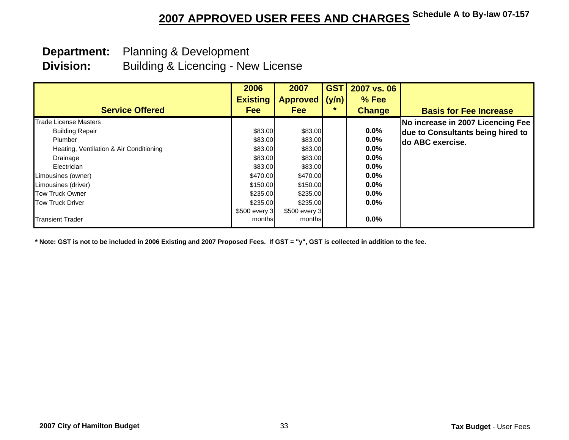## **Department:** Planning & Development

 **Division:** Building & Licencing - New License

|                                         | 2006<br><b>Existing</b> | 2007<br><b>Approved</b> | <b>GST</b><br>(y/n) | 2007 vs. 06<br>% Fee |                                   |
|-----------------------------------------|-------------------------|-------------------------|---------------------|----------------------|-----------------------------------|
| <b>Service Offered</b>                  | <b>Fee</b>              | <b>Fee</b>              | *.                  | <b>Change</b>        | <b>Basis for Fee Increase</b>     |
| <b>Trade License Masters</b>            |                         |                         |                     |                      | No increase in 2007 Licencing Fee |
| <b>Building Repair</b>                  | \$83.00                 | \$83.00                 |                     | $0.0\%$              | due to Consultants being hired to |
| Plumber                                 | \$83.00                 | \$83.00                 |                     | $0.0\%$              | <b>do ABC exercise.</b>           |
| Heating, Ventilation & Air Conditioning | \$83.00                 | \$83.00                 |                     | $0.0\%$              |                                   |
| Drainage                                | \$83.00                 | \$83.00                 |                     | $0.0\%$              |                                   |
| Electrician                             | \$83.00                 | \$83.00                 |                     | $0.0\%$              |                                   |
| Limousines (owner)                      | \$470.00                | \$470.00                |                     | $0.0\%$              |                                   |
| Limousines (driver)                     | \$150.00                | \$150.00                |                     | $0.0\%$              |                                   |
| <b>Tow Truck Owner</b>                  | \$235.00                | \$235.00                |                     | $0.0\%$              |                                   |
| <b>Tow Truck Driver</b>                 | \$235.00                | \$235.00                |                     | $0.0\%$              |                                   |
|                                         | \$500 every 3           | \$500 every 3           |                     |                      |                                   |
| <b>Transient Trader</b>                 | months                  | months                  |                     | $0.0\%$              |                                   |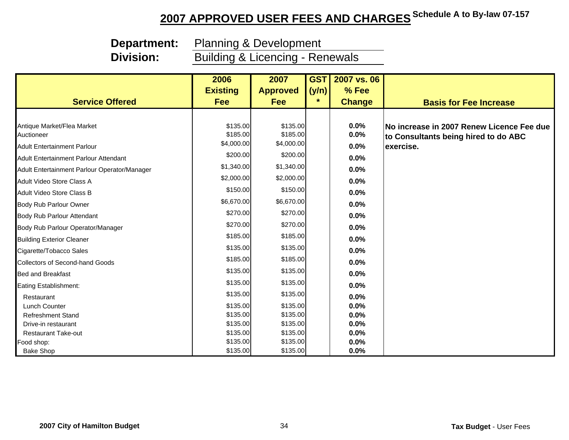**Division:**

 **Department:** Planning & Development

Building & Licencing - Renewals

|                                              | 2006            | 2007            | <b>GST</b> | 2007 vs. 06   |                                           |
|----------------------------------------------|-----------------|-----------------|------------|---------------|-------------------------------------------|
|                                              | <b>Existing</b> | <b>Approved</b> | (y/n)      | % Fee         |                                           |
| <b>Service Offered</b>                       | Fee             | <b>Fee</b>      | $\star$    | <b>Change</b> | <b>Basis for Fee Increase</b>             |
|                                              |                 |                 |            |               |                                           |
| Antique Market/Flea Market                   | \$135.00        | \$135.00        |            | 0.0%          | No increase in 2007 Renew Licence Fee due |
| Auctioneer                                   | \$185.00        | \$185.00        |            | 0.0%          | to Consultants being hired to do ABC      |
| <b>Adult Entertainment Parlour</b>           | \$4,000.00      | \$4,000.00      |            | 0.0%          | exercise.                                 |
| Adult Entertainment Parlour Attendant        | \$200.00        | \$200.00        |            | 0.0%          |                                           |
| Adult Entertainment Parlour Operator/Manager | \$1,340.00      | \$1,340.00      |            | 0.0%          |                                           |
| Adult Video Store Class A                    | \$2,000.00      | \$2,000.00      |            | 0.0%          |                                           |
| Adult Video Store Class B                    | \$150.00        | \$150.00        |            | 0.0%          |                                           |
| <b>Body Rub Parlour Owner</b>                | \$6,670.00      | \$6,670.00      |            | 0.0%          |                                           |
| Body Rub Parlour Attendant                   | \$270.00        | \$270.00        |            | 0.0%          |                                           |
| Body Rub Parlour Operator/Manager            | \$270.00        | \$270.00        |            | 0.0%          |                                           |
| <b>Building Exterior Cleaner</b>             | \$185.00        | \$185.00        |            | 0.0%          |                                           |
| Cigarette/Tobacco Sales                      | \$135.00        | \$135.00        |            | 0.0%          |                                           |
| <b>Collectors of Second-hand Goods</b>       | \$185.00        | \$185.00        |            | 0.0%          |                                           |
| <b>Bed and Breakfast</b>                     | \$135.00        | \$135.00        |            | 0.0%          |                                           |
| Eating Establishment:                        | \$135.00        | \$135.00        |            | 0.0%          |                                           |
| Restaurant                                   | \$135.00        | \$135.00        |            | 0.0%          |                                           |
| Lunch Counter                                | \$135.00        | \$135.00        |            | 0.0%          |                                           |
| <b>Refreshment Stand</b>                     | \$135.00        | \$135.00        |            | 0.0%          |                                           |
| Drive-in restaurant                          | \$135.00        | \$135.00        |            | 0.0%          |                                           |
| <b>Restaurant Take-out</b>                   | \$135.00        | \$135.00        |            | 0.0%          |                                           |
| Food shop:                                   | \$135.00        | \$135.00        |            | 0.0%          |                                           |
| <b>Bake Shop</b>                             | \$135.00        | \$135.00        |            | 0.0%          |                                           |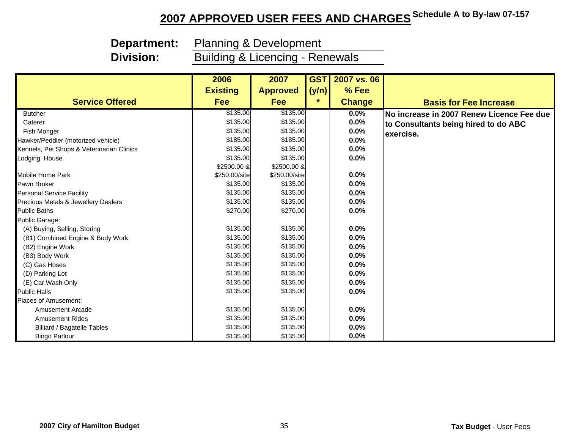**Division:**

 **Department:** Planning & Development

Building & Licencing - Renewals

|                                           | 2006            | 2007            | <b>GST</b> | 2007 vs. 06   |                                           |
|-------------------------------------------|-----------------|-----------------|------------|---------------|-------------------------------------------|
|                                           | <b>Existing</b> | <b>Approved</b> | (y/n)      | % Fee         |                                           |
| <b>Service Offered</b>                    | <b>Fee</b>      | Fee             | $\star$    | <b>Change</b> | <b>Basis for Fee Increase</b>             |
| <b>Butcher</b>                            | \$135.00        | \$135.00        |            | $0.0\%$       | No increase in 2007 Renew Licence Fee due |
| Caterer                                   | \$135.00        | \$135.00        |            | 0.0%          | to Consultants being hired to do ABC      |
| Fish Monger                               | \$135.00        | \$135.00        |            | 0.0%          | exercise.                                 |
| Hawker/Peddler (motorized vehicle)        | \$185.00        | \$185.00        |            | 0.0%          |                                           |
| Kennels, Pet Shops & Veterinarian Clinics | \$135.00        | \$135.00        |            | 0.0%          |                                           |
| Lodging House                             | \$135.00        | \$135.00        |            | 0.0%          |                                           |
|                                           | \$2500.00 &     | \$2500.00 &     |            |               |                                           |
| <b>Mobile Home Park</b>                   | \$250.00/site   | \$250.00/site   |            | 0.0%          |                                           |
| Pawn Broker                               | \$135.00        | \$135.00        |            | 0.0%          |                                           |
| <b>Personal Service Facility</b>          | \$135.00        | \$135.00        |            | 0.0%          |                                           |
| Precious Metals & Jewellery Dealers       | \$135.00        | \$135.00        |            | 0.0%          |                                           |
| <b>Public Baths</b>                       | \$270.00        | \$270.00        |            | 0.0%          |                                           |
| Public Garage:                            |                 |                 |            |               |                                           |
| (A) Buying, Selling, Storing              | \$135.00        | \$135.00        |            | 0.0%          |                                           |
| (B1) Combined Engine & Body Work          | \$135.00        | \$135.00        |            | 0.0%          |                                           |
| (B2) Engine Work                          | \$135.00        | \$135.00        |            | 0.0%          |                                           |
| (B3) Body Work                            | \$135.00        | \$135.00        |            | 0.0%          |                                           |
| (C) Gas Hoses                             | \$135.00        | \$135.00        |            | 0.0%          |                                           |
| (D) Parking Lot                           | \$135.00        | \$135.00        |            | 0.0%          |                                           |
| (E) Car Wash Only                         | \$135.00        | \$135.00        |            | 0.0%          |                                           |
| <b>Public Halls</b>                       | \$135.00        | \$135.00        |            | 0.0%          |                                           |
| Places of Amusement:                      |                 |                 |            |               |                                           |
| <b>Amusement Arcade</b>                   | \$135.00        | \$135.00        |            | 0.0%          |                                           |
| <b>Amusement Rides</b>                    | \$135.00        | \$135.00        |            | 0.0%          |                                           |
| <b>Billiard / Bagatelle Tables</b>        | \$135.00        | \$135.00        |            | 0.0%          |                                           |
| <b>Bingo Parlour</b>                      | \$135.00        | \$135.00        |            | 0.0%          |                                           |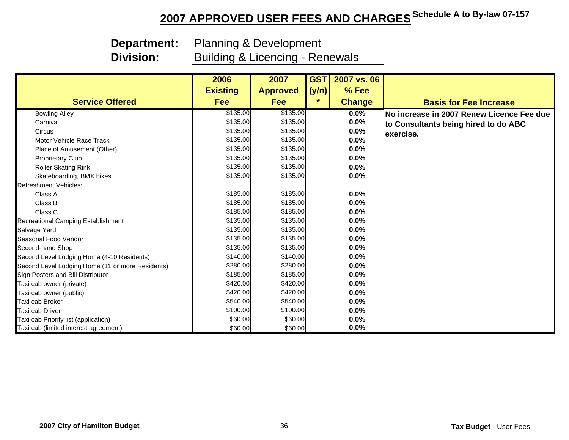**Division:**

**Department:** Planning & Development

Building & Licencing - Renewals

|                                                  | 2006            | 2007            | <b>GSTI</b> | 2007 vs. 06   |                                                  |
|--------------------------------------------------|-----------------|-----------------|-------------|---------------|--------------------------------------------------|
|                                                  | <b>Existing</b> | <b>Approved</b> | (y/n)       | % Fee         |                                                  |
| <b>Service Offered</b>                           | <b>Fee</b>      | <b>Fee</b>      | $\star$     | <b>Change</b> | <b>Basis for Fee Increase</b>                    |
| <b>Bowling Alley</b>                             | \$135.00        | \$135.00        |             | 0.0%          | <b>No increase in 2007 Renew Licence Fee due</b> |
| Carnival                                         | \$135.00        | \$135.00        |             | 0.0%          | to Consultants being hired to do ABC             |
| Circus                                           | \$135.00        | \$135.00        |             | 0.0%          | exercise.                                        |
| Motor Vehicle Race Track                         | \$135.00        | \$135.00        |             | 0.0%          |                                                  |
| Place of Amusement (Other)                       | \$135.00        | \$135.00        |             | 0.0%          |                                                  |
| <b>Proprietary Club</b>                          | \$135.00        | \$135.00        |             | 0.0%          |                                                  |
| <b>Roller Skating Rink</b>                       | \$135.00        | \$135.00        |             | 0.0%          |                                                  |
| Skateboarding, BMX bikes                         | \$135.00        | \$135.00        |             | 0.0%          |                                                  |
| <b>Refreshment Vehicles:</b>                     |                 |                 |             |               |                                                  |
| Class A                                          | \$185.00        | \$185.00        |             | 0.0%          |                                                  |
| Class B                                          | \$185.00        | \$185.00        |             | 0.0%          |                                                  |
| Class C                                          | \$185.00        | \$185.00        |             | 0.0%          |                                                  |
| Recreational Camping Establishment               | \$135.00        | \$135.00        |             | 0.0%          |                                                  |
| Salvage Yard                                     | \$135.00        | \$135.00        |             | 0.0%          |                                                  |
| Seasonal Food Vendor                             | \$135.00        | \$135.00        |             | 0.0%          |                                                  |
| Second-hand Shop                                 | \$135.00        | \$135.00        |             | 0.0%          |                                                  |
| Second Level Lodging Home (4-10 Residents)       | \$140.00        | \$140.00        |             | 0.0%          |                                                  |
| Second Level Lodging Home (11 or more Residents) | \$280.00        | \$280.00        |             | 0.0%          |                                                  |
| Sign Posters and Bill Distributor                | \$185.00        | \$185.00        |             | 0.0%          |                                                  |
| Taxi cab owner (private)                         | \$420.00        | \$420.00        |             | 0.0%          |                                                  |
| Taxi cab owner (public)                          | \$420.00        | \$420.00        |             | 0.0%          |                                                  |
| Taxi cab Broker                                  | \$540.00        | \$540.00        |             | 0.0%          |                                                  |
| Taxi cab Driver                                  | \$100.00        | \$100.00        |             | 0.0%          |                                                  |
| Taxi cab Priority list (application)             | \$60.00         | \$60.00         |             | 0.0%          |                                                  |
| Taxi cab (limited interest agreement)            | \$60.00         | \$60.00         |             | 0.0%          |                                                  |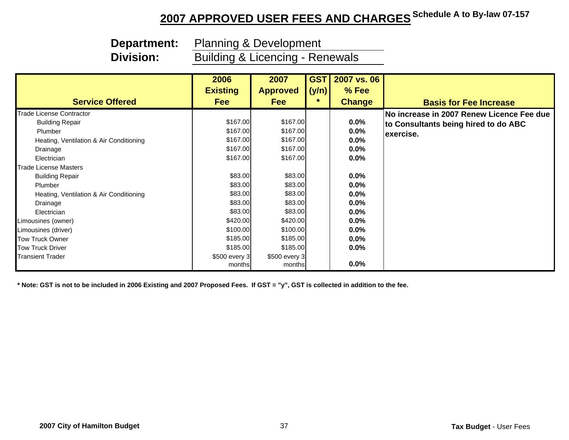**Division:**

 **Department:** Planning & Development

Building & Licencing - Renewals

|                                         | 2006            | 2007            | <b>GST</b> | 2007 vs. 06   |                                                  |
|-----------------------------------------|-----------------|-----------------|------------|---------------|--------------------------------------------------|
|                                         | <b>Existing</b> | <b>Approved</b> | (y/n)      | $%$ Fee       |                                                  |
| <b>Service Offered</b>                  | <b>Fee</b>      | <b>Fee</b>      | $\star$    | <b>Change</b> | <b>Basis for Fee Increase</b>                    |
| <b>Trade License Contractor</b>         |                 |                 |            |               | <b>No increase in 2007 Renew Licence Fee due</b> |
| <b>Building Repair</b>                  | \$167.00        | \$167.00        |            | $0.0\%$       | to Consultants being hired to do ABC             |
| Plumber                                 | \$167.00        | \$167.00        |            | $0.0\%$       | exercise.                                        |
| Heating, Ventilation & Air Conditioning | \$167.00        | \$167.00        |            | $0.0\%$       |                                                  |
| Drainage                                | \$167.00        | \$167.00        |            | 0.0%          |                                                  |
| Electrician                             | \$167.00        | \$167.00        |            | $0.0\%$       |                                                  |
| <b>Trade License Masters</b>            |                 |                 |            |               |                                                  |
| <b>Building Repair</b>                  | \$83.00         | \$83.00         |            | $0.0\%$       |                                                  |
| Plumber                                 | \$83.00         | \$83.00         |            | $0.0\%$       |                                                  |
| Heating, Ventilation & Air Conditioning | \$83.00         | \$83.00         |            | $0.0\%$       |                                                  |
| Drainage                                | \$83.00         | \$83.00         |            | 0.0%          |                                                  |
| Electrician                             | \$83.00         | \$83.00         |            | $0.0\%$       |                                                  |
| Limousines (owner)                      | \$420.00        | \$420.00        |            | $0.0\%$       |                                                  |
| Limousines (driver)                     | \$100.00        | \$100.00        |            | $0.0\%$       |                                                  |
| <b>Tow Truck Owner</b>                  | \$185.00        | \$185.00        |            | $0.0\%$       |                                                  |
| <b>Tow Truck Driver</b>                 | \$185.00        | \$185.00        |            | $0.0\%$       |                                                  |
| <b>Transient Trader</b>                 | \$500 every 3   | \$500 every 3   |            |               |                                                  |
|                                         | months          | months          |            | $0.0\%$       |                                                  |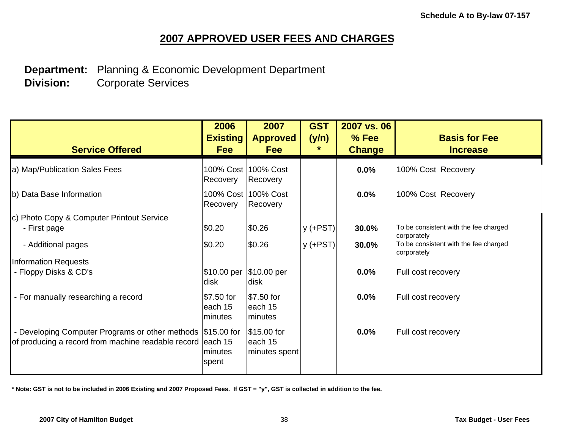**Department:** Planning & Economic Development Department  **Division:** Corporate Services

| <b>Service Offered</b>                                                                                                     | 2006<br><b>Existing</b><br><b>Fee</b> | 2007<br><b>Approved</b><br><b>Fee</b>   | <b>GST</b><br>(y/n)<br>$\star$ | 2007 vs. 06<br>% Fee<br><b>Change</b> | <b>Basis for Fee</b><br><b>Increase</b>              |
|----------------------------------------------------------------------------------------------------------------------------|---------------------------------------|-----------------------------------------|--------------------------------|---------------------------------------|------------------------------------------------------|
| a) Map/Publication Sales Fees                                                                                              | Recovery                              | 100% Cost 100% Cost<br>Recovery         |                                | 0.0%                                  | 100% Cost Recovery                                   |
| b) Data Base Information                                                                                                   | Recovery                              | 100% Cost 100% Cost<br>Recovery         |                                | 0.0%                                  | 100% Cost Recovery                                   |
| c) Photo Copy & Computer Printout Service<br>- First page                                                                  | \$0.20                                | \$0.26                                  | $y$ (+PST)                     | 30.0%                                 | To be consistent with the fee charged<br>corporately |
| - Additional pages                                                                                                         | \$0.20                                | \$0.26                                  | $y$ (+PST)                     | 30.0%                                 | To be consistent with the fee charged<br>corporately |
| <b>Information Requests</b>                                                                                                |                                       |                                         |                                |                                       |                                                      |
| - Floppy Disks & CD's                                                                                                      | \$10.00 per  \$10.00 per<br>disk      | <b>disk</b>                             |                                | 0.0%                                  | Full cost recovery                                   |
| - For manually researching a record                                                                                        | \$7.50 for<br>each 15<br>minutes      | \$7.50 for<br>each 15<br>minutes        |                                | 0.0%                                  | Full cost recovery                                   |
| - Developing Computer Programs or other methods (\$15.00 for<br>of producing a record from machine readable record each 15 | minutes<br>spent                      | \$15.00 for<br>each 15<br>minutes spent |                                | 0.0%                                  | Full cost recovery                                   |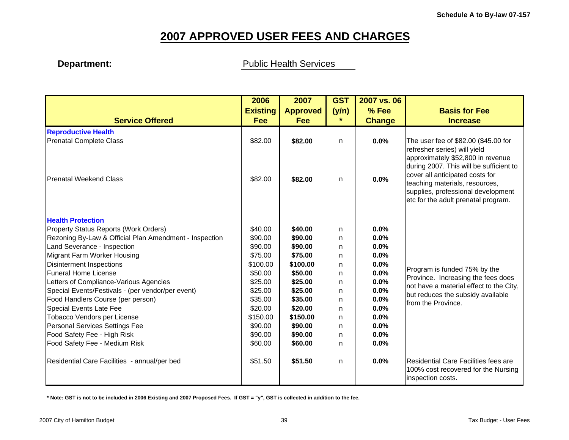### **Department: Department:** Public Health Services

|                                                        | 2006            | 2007            | <b>GST</b> | 2007 vs. 06   |                                                                                                                                                                                                                                                                |
|--------------------------------------------------------|-----------------|-----------------|------------|---------------|----------------------------------------------------------------------------------------------------------------------------------------------------------------------------------------------------------------------------------------------------------------|
|                                                        | <b>Existing</b> | <b>Approved</b> | (y/n)      | % Fee         | <b>Basis for Fee</b>                                                                                                                                                                                                                                           |
| <b>Service Offered</b>                                 | <b>Fee</b>      | <b>Fee</b>      | *          | <b>Change</b> | <b>Increase</b>                                                                                                                                                                                                                                                |
| <b>Reproductive Health</b>                             |                 |                 |            |               |                                                                                                                                                                                                                                                                |
| <b>Prenatal Complete Class</b>                         | \$82.00         | \$82.00         | n          | 0.0%          | The user fee of \$82.00 (\$45.00 for                                                                                                                                                                                                                           |
| Prenatal Weekend Class                                 | \$82.00         | \$82.00         | n          | 0.0%          | refresher series) will yield<br>approximately \$52,800 in revenue<br>during 2007. This will be sufficient to<br>cover all anticipated costs for<br>teaching materials, resources,<br>supplies, professional development<br>etc for the adult prenatal program. |
| <b>Health Protection</b>                               |                 |                 |            |               |                                                                                                                                                                                                                                                                |
| Property Status Reports (Work Orders)                  | \$40.00         | \$40.00         | n          | 0.0%          |                                                                                                                                                                                                                                                                |
| Rezoning By-Law & Official Plan Amendment - Inspection | \$90.00         | \$90.00         | n          | 0.0%          |                                                                                                                                                                                                                                                                |
| Land Severance - Inspection                            | \$90.00         | \$90.00         | n          | 0.0%          |                                                                                                                                                                                                                                                                |
| Migrant Farm Worker Housing                            | \$75.00         | \$75.00         | n          | 0.0%          |                                                                                                                                                                                                                                                                |
| Disinterment Inspections                               | \$100.00        | \$100.00        | n          | 0.0%          | Program is funded 75% by the                                                                                                                                                                                                                                   |
| Funeral Home License                                   | \$50.00         | \$50.00         | n.         | 0.0%          | Province. Increasing the fees does                                                                                                                                                                                                                             |
| Letters of Compliance-Various Agencies                 | \$25.00         | \$25.00         | n          | 0.0%          | not have a material effect to the City,                                                                                                                                                                                                                        |
| Special Events/Festivals - (per vendor/per event)      | \$25.00         | \$25.00         | n          | 0.0%          | but reduces the subsidy available                                                                                                                                                                                                                              |
| Food Handlers Course (per person)                      | \$35.00         | \$35.00         | n.         | 0.0%          | from the Province.                                                                                                                                                                                                                                             |
| Special Events Late Fee                                | \$20.00         | \$20.00         | n          | 0.0%          |                                                                                                                                                                                                                                                                |
| Tobacco Vendors per License                            | \$150.00        | \$150.00        | n.         | 0.0%          |                                                                                                                                                                                                                                                                |
| Personal Services Settings Fee                         | \$90.00         | \$90.00         | n.         | 0.0%          |                                                                                                                                                                                                                                                                |
| Food Safety Fee - High Risk                            | \$90.00         | \$90.00         | n          | 0.0%          |                                                                                                                                                                                                                                                                |
| Food Safety Fee - Medium Risk                          | \$60.00         | \$60.00         | n          | 0.0%          |                                                                                                                                                                                                                                                                |
| Residential Care Facilities - annual/per bed           | \$51.50         | \$51.50         | n          | 0.0%          | Residential Care Facilities fees are<br>100% cost recovered for the Nursing<br>inspection costs.                                                                                                                                                               |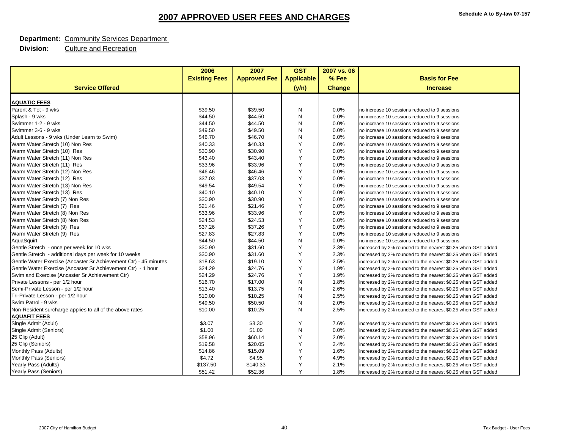#### **Department:** Community Services Department

|                                                                  | 2006                 | 2007                | <b>GST</b>        | 2007 vs. 06   |                                                              |
|------------------------------------------------------------------|----------------------|---------------------|-------------------|---------------|--------------------------------------------------------------|
|                                                                  | <b>Existing Fees</b> | <b>Approved Fee</b> | <b>Applicable</b> | % Fee         | <b>Basis for Fee</b>                                         |
| <b>Service Offered</b>                                           |                      |                     | (y/n)             | <b>Change</b> | <b>Increase</b>                                              |
| <b>AQUATIC FEES</b>                                              |                      |                     |                   |               |                                                              |
| Parent & Tot - 9 wks                                             | \$39.50              | \$39.50             | N                 | 0.0%          | no increase 10 sessions reduced to 9 sessions                |
| Splash - 9 wks                                                   | \$44.50              | \$44.50             | N                 | 0.0%          | no increase 10 sessions reduced to 9 sessions                |
| Swimmer 1-2 - 9 wks                                              | \$44.50              | \$44.50             | N                 | 0.0%          | no increase 10 sessions reduced to 9 sessions                |
| Swimmer 3-6 - 9 wks                                              | \$49.50              | \$49.50             | N                 | 0.0%          | no increase 10 sessions reduced to 9 sessions                |
| Adult Lessons - 9 wks (Under Learn to Swim)                      | \$46.70              | \$46.70             | N                 | 0.0%          | no increase 10 sessions reduced to 9 sessions                |
| Warm Water Stretch (10) Non Res                                  | \$40.33              | \$40.33             | Y                 | 0.0%          | no increase 10 sessions reduced to 9 sessions                |
| Warm Water Stretch (10) Res                                      | \$30.90              | \$30.90             | Y                 | 0.0%          | no increase 10 sessions reduced to 9 sessions                |
| Warm Water Stretch (11) Non Res                                  | \$43.40              | \$43.40             | Y                 | 0.0%          | no increase 10 sessions reduced to 9 sessions                |
| Warm Water Stretch (11) Res                                      | \$33.96              | \$33.96             | Y                 | 0.0%          | no increase 10 sessions reduced to 9 sessions                |
| Warm Water Stretch (12) Non Res                                  | \$46.46              | \$46.46             | Y                 | 0.0%          | no increase 10 sessions reduced to 9 sessions                |
| Warm Water Stretch (12) Res                                      | \$37.03              | \$37.03             | Υ                 | 0.0%          | no increase 10 sessions reduced to 9 sessions                |
| Warm Water Stretch (13) Non Res                                  | \$49.54              | \$49.54             | Y                 | 0.0%          | no increase 10 sessions reduced to 9 sessions                |
| Warm Water Stretch (13) Res                                      | \$40.10              | \$40.10             | Y                 | 0.0%          | no increase 10 sessions reduced to 9 sessions                |
| Warm Water Stretch (7) Non Res                                   | \$30.90              | \$30.90             | Y                 | 0.0%          | no increase 10 sessions reduced to 9 sessions                |
| Warm Water Stretch (7) Res                                       | \$21.46              | \$21.46             | Y                 | 0.0%          | no increase 10 sessions reduced to 9 sessions                |
| Warm Water Stretch (8) Non Res                                   | \$33.96              | \$33.96             | Y                 | 0.0%          | no increase 10 sessions reduced to 9 sessions                |
| Warm Water Stretch (8) Non Res                                   | \$24.53              | \$24.53             | Υ                 | 0.0%          | no increase 10 sessions reduced to 9 sessions                |
| Warm Water Stretch (9) Res                                       | \$37.26              | \$37.26             | Y                 | 0.0%          | no increase 10 sessions reduced to 9 sessions                |
| Warm Water Stretch (9) Res                                       | \$27.83              | \$27.83             | Y                 | 0.0%          | no increase 10 sessions reduced to 9 sessions                |
| AquaSquirt                                                       | \$44.50              | \$44.50             | N                 | 0.0%          | no increase 10 sessions reduced to 9 sessions                |
| Gentle Stretch - once per week for 10 wks                        | \$30.90              | \$31.60             | Y                 | 2.3%          | increased by 2% rounded to the nearest \$0.25 when GST added |
| Gentle Stretch - additional days per week for 10 weeks           | \$30.90              | \$31.60             | Y                 | 2.3%          | increased by 2% rounded to the nearest \$0.25 when GST added |
| Gentle Water Exercise (Ancaster Sr Achievement Ctr) - 45 minutes | \$18.63              | \$19.10             | Υ                 | 2.5%          | increased by 2% rounded to the nearest \$0.25 when GST added |
| Gentle Water Exercise (Ancaster Sr Achievement Ctr) - 1 hour     | \$24.29              | \$24.76             | Y                 | 1.9%          | increased by 2% rounded to the nearest \$0.25 when GST added |
| Swim and Exercise (Ancaster Sr Achievement Ctr)                  | \$24.29              | \$24.76             | Y                 | 1.9%          | increased by 2% rounded to the nearest \$0.25 when GST added |
| Private Lessons - per 1/2 hour                                   | \$16.70              | \$17.00             | N                 | 1.8%          | increased by 2% rounded to the nearest \$0.25 when GST added |
| Semi-Private Lesson - per 1/2 hour                               | \$13.40              | \$13.75             | N                 | 2.6%          | increased by 2% rounded to the nearest \$0.25 when GST added |
| Tri-Private Lesson - per 1/2 hour                                | \$10.00              | \$10.25             | N                 | 2.5%          | increased by 2% rounded to the nearest \$0.25 when GST added |
| Swim Patrol - 9 wks                                              | \$49.50              | \$50.50             | N                 | 2.0%          | increased by 2% rounded to the nearest \$0.25 when GST added |
| Non-Resident surcharge applies to all of the above rates         | \$10.00              | \$10.25             | N                 | 2.5%          | increased by 2% rounded to the nearest \$0.25 when GST added |
| <b>AQUAFIT FEES</b>                                              |                      |                     |                   |               |                                                              |
| Single Admit (Adult)                                             | \$3.07               | \$3.30              | Y                 | 7.6%          | increased by 2% rounded to the nearest \$0.25 when GST added |
| Single Admit (Seniors)                                           | \$1.00               | \$1.00              | N                 | 0.0%          | increased by 2% rounded to the nearest \$0.25 when GST added |
| 25 Clip (Adult)                                                  | \$58.96              | \$60.14             | Y                 | 2.0%          | increased by 2% rounded to the nearest \$0.25 when GST added |
| 25 Clip (Seniors)                                                | \$19.58              | \$20.05             | Y                 | 2.4%          | increased by 2% rounded to the nearest \$0.25 when GST added |
| Monthly Pass (Adults)                                            | \$14.86              | \$15.09             | Y                 | 1.6%          | increased by 2% rounded to the nearest \$0.25 when GST added |
| Monthly Pass (Seniors)                                           | \$4.72               | \$4.95              | Y                 | 4.9%          | increased by 2% rounded to the nearest \$0.25 when GST added |
| Yearly Pass (Adults)                                             | \$137.50             | \$140.33            | Υ                 | 2.1%          | increased by 2% rounded to the nearest \$0.25 when GST added |
| Yearly Pass (Seniors)                                            | \$51.42              | \$52.36             | Y                 | 1.8%          | increased by 2% rounded to the nearest \$0.25 when GST added |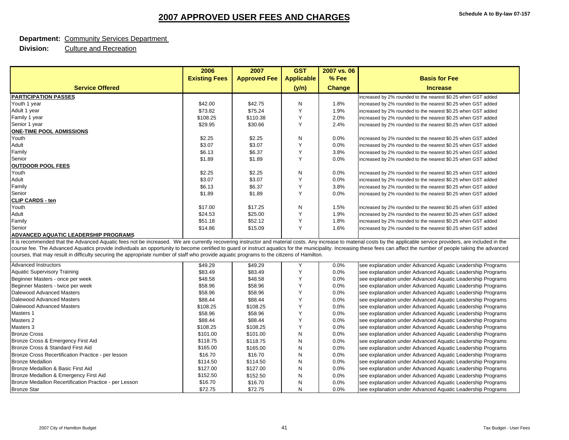#### **Department:** Community Services Department

|                                                                                                                                                                                                                        | 2006                 | 2007                | <b>GST</b>        | 2007 vs. 06   |                                                              |
|------------------------------------------------------------------------------------------------------------------------------------------------------------------------------------------------------------------------|----------------------|---------------------|-------------------|---------------|--------------------------------------------------------------|
|                                                                                                                                                                                                                        | <b>Existing Fees</b> | <b>Approved Fee</b> | <b>Applicable</b> | % Fee         | <b>Basis for Fee</b>                                         |
| <b>Service Offered</b>                                                                                                                                                                                                 |                      |                     | (y/n)             | <b>Change</b> | <b>Increase</b>                                              |
| <b>PARTICIPATION PASSES</b>                                                                                                                                                                                            |                      |                     |                   |               | increased by 2% rounded to the nearest \$0.25 when GST added |
| Youth 1 year                                                                                                                                                                                                           | \$42.00              | \$42.75             | N                 | 1.8%          | increased by 2% rounded to the nearest \$0.25 when GST added |
| Adult 1 year                                                                                                                                                                                                           | \$73.82              | \$75.24             | Y                 | 1.9%          | increased by 2% rounded to the nearest \$0.25 when GST added |
| Family 1 year                                                                                                                                                                                                          | \$108.25             | \$110.38            | Y                 | 2.0%          | increased by 2% rounded to the nearest \$0.25 when GST added |
| Senior 1 year                                                                                                                                                                                                          | \$29.95              | \$30.66             | Y                 | 2.4%          | increased by 2% rounded to the nearest \$0.25 when GST added |
| <b>ONE-TIME POOL ADMISSIONS</b>                                                                                                                                                                                        |                      |                     |                   |               |                                                              |
| Youth                                                                                                                                                                                                                  | \$2.25               | \$2.25              | N                 | 0.0%          | increased by 2% rounded to the nearest \$0.25 when GST added |
| Adult                                                                                                                                                                                                                  | \$3.07               | \$3.07              | Y                 | 0.0%          | increased by 2% rounded to the nearest \$0.25 when GST added |
| Family                                                                                                                                                                                                                 | \$6.13               | \$6.37              | Y                 | 3.8%          | increased by 2% rounded to the nearest \$0.25 when GST added |
| Senior                                                                                                                                                                                                                 | \$1.89               | \$1.89              | Y                 | 0.0%          | increased by 2% rounded to the nearest \$0.25 when GST added |
| <b>OUTDOOR POOL FEES</b>                                                                                                                                                                                               |                      |                     |                   |               |                                                              |
| Youth                                                                                                                                                                                                                  | \$2.25               | \$2.25              | N                 | 0.0%          | increased by 2% rounded to the nearest \$0.25 when GST added |
| Adult                                                                                                                                                                                                                  | \$3.07               | \$3.07              | Y                 | 0.0%          | increased by 2% rounded to the nearest \$0.25 when GST added |
| Family                                                                                                                                                                                                                 | \$6.13               | \$6.37              | Y                 | 3.8%          | increased by 2% rounded to the nearest \$0.25 when GST added |
| Senior                                                                                                                                                                                                                 | \$1.89               | \$1.89              | Y                 | 0.0%          | increased by 2% rounded to the nearest \$0.25 when GST added |
| <b>CLIP CARDS - ten</b>                                                                                                                                                                                                |                      |                     |                   |               |                                                              |
| Youth                                                                                                                                                                                                                  | \$17.00              | \$17.25             | N                 | 1.5%          | increased by 2% rounded to the nearest \$0.25 when GST added |
| Adult                                                                                                                                                                                                                  | \$24.53              | \$25.00             | Y                 | 1.9%          | increased by 2% rounded to the nearest \$0.25 when GST added |
| Family                                                                                                                                                                                                                 | \$51.18              | \$52.12             | Y                 | 1.8%          | increased by 2% rounded to the nearest \$0.25 when GST added |
| Senior                                                                                                                                                                                                                 | \$14.86              | \$15.09             | Y                 | 1.6%          | increased by 2% rounded to the nearest \$0.25 when GST added |
| ADVANCED AQUATIC LEADERSHIP PROGRAMS                                                                                                                                                                                   |                      |                     |                   |               |                                                              |
| It is recommended that the Advanced Aquatic fees not be increased. We are currently recovering instructor and material costs. Any increase to material costs by the applicable service providers, are included in the  |                      |                     |                   |               |                                                              |
| course fee. The Advanced Aquatics provide individuals an opportunity to become certified to guard or instruct aquatics for the municipality. Increasing these fees can affect the number of people taking the advanced |                      |                     |                   |               |                                                              |
| courses, that may result in difficulty securing the appropriate number of staff who provide aquatic programs to the citizens of Hamilton.                                                                              |                      |                     |                   |               |                                                              |
| <b>Advanced Instructors</b>                                                                                                                                                                                            | \$49.29              | \$49.29             | Y                 | 0.0%          | see explanation under Advanced Aquatic Leadership Programs   |
| <b>Aquatic Supervisory Training</b>                                                                                                                                                                                    | \$83.49              | \$83.49             | Y                 | 0.0%          | see explanation under Advanced Aquatic Leadership Programs   |
| Beginner Masters - once per week                                                                                                                                                                                       | \$48.58              | \$48.58             | Y                 | 0.0%          | see explanation under Advanced Aquatic Leadership Programs   |
| Beginner Masters - twice per week                                                                                                                                                                                      | \$58.96              | \$58.96             | Y                 | 0.0%          | see explanation under Advanced Aquatic Leadership Programs   |
| Dalewood Advanced Masters                                                                                                                                                                                              | \$58.96              | \$58.96             | Y                 | 0.0%          | see explanation under Advanced Aquatic Leadership Programs   |
| Dalewood Advanced Masters                                                                                                                                                                                              | \$88.44              | \$88.44             | Y                 | 0.0%          | see explanation under Advanced Aquatic Leadership Programs   |
| Dalewood Advanced Masters                                                                                                                                                                                              | \$108.25             | \$108.25            | Y                 | 0.0%          | see explanation under Advanced Aquatic Leadership Programs   |
| Masters 1                                                                                                                                                                                                              | \$58.96              | \$58.96             | Y                 | 0.0%          | see explanation under Advanced Aquatic Leadership Programs   |
| Masters 2                                                                                                                                                                                                              | \$88.44              | \$88.44             | Y                 | 0.0%          | see explanation under Advanced Aquatic Leadership Programs   |
| Masters 3                                                                                                                                                                                                              | \$108.25             | \$108.25            | Y                 | 0.0%          | see explanation under Advanced Aquatic Leadership Programs   |
| <b>Bronze Cross</b>                                                                                                                                                                                                    | \$101.00             | \$101.00            | N                 | 0.0%          | see explanation under Advanced Aquatic Leadership Programs   |
| Bronze Cross & Emergency First Aid                                                                                                                                                                                     | \$118.75             | \$118.75            | N                 | 0.0%          | see explanation under Advanced Aquatic Leadership Programs   |
| Bronze Cross & Standard First Aid                                                                                                                                                                                      | \$165.00             | \$165.00            | N                 | 0.0%          | see explanation under Advanced Aquatic Leadership Programs   |
| Bronze Cross Recertification Practice - per lesson                                                                                                                                                                     | \$16.70              | \$16.70             | N                 | $0.0\%$       | see explanation under Advanced Aquatic Leadership Programs   |
| <b>Bronze Medallion</b>                                                                                                                                                                                                | \$114.50             | \$114.50            | N                 | 0.0%          | see explanation under Advanced Aquatic Leadership Programs   |
| Bronze Medallion & Basic First Aid                                                                                                                                                                                     | \$127.00             | \$127.00            | N                 | 0.0%          | see explanation under Advanced Aquatic Leadership Programs   |
| Bronze Medallion & Emergency First Aid                                                                                                                                                                                 | \$152.50             | \$152.50            | N                 | 0.0%          | see explanation under Advanced Aquatic Leadership Programs   |
| Bronze Medallion Recertification Practice - per Lesson                                                                                                                                                                 | \$16.70              | \$16.70             | N                 | 0.0%          | see explanation under Advanced Aquatic Leadership Programs   |
| <b>Bronze Star</b>                                                                                                                                                                                                     | \$72.75              | \$72.75             | N                 | 0.0%          | see explanation under Advanced Aquatic Leadership Programs   |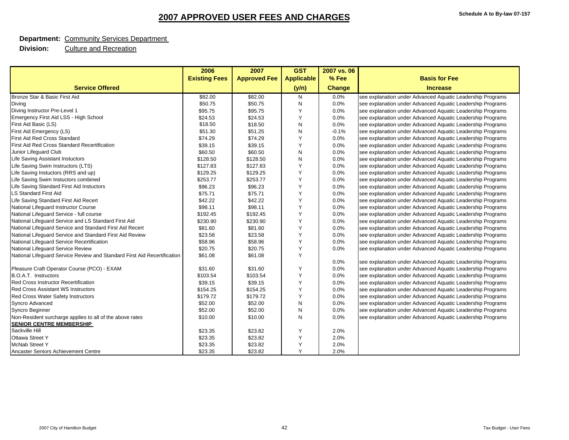#### **Department:** Community Services Department

|                                                                          | 2006                 | 2007                | <b>GST</b>        | 2007 vs. 06 |                                                            |
|--------------------------------------------------------------------------|----------------------|---------------------|-------------------|-------------|------------------------------------------------------------|
|                                                                          | <b>Existing Fees</b> | <b>Approved Fee</b> | <b>Applicable</b> | % Fee       | <b>Basis for Fee</b>                                       |
| <b>Service Offered</b>                                                   |                      |                     | (y/n)             | Change      | <b>Increase</b>                                            |
| Bronze Star & Basic First Aid                                            | \$82.00              | \$82.00             | N                 | 0.0%        | see explanation under Advanced Aquatic Leadership Programs |
| Diving                                                                   | \$50.75              | \$50.75             | N                 | 0.0%        | see explanation under Advanced Aquatic Leadership Programs |
| Diving Instructor Pre-Level 1                                            | \$95.75              | \$95.75             | Y                 | 0.0%        | see explanation under Advanced Aquatic Leadership Programs |
| Emergency First Aid LSS - High School                                    | \$24.53              | \$24.53             | Y                 | 0.0%        | see explanation under Advanced Aquatic Leadership Programs |
| First Aid Basic (LS)                                                     | \$18.50              | \$18.50             | N                 | 0.0%        | see explanation under Advanced Aquatic Leadership Programs |
| First Aid Emergency (LS)                                                 | \$51.30              | \$51.25             | N                 | $-0.1%$     | see explanation under Advanced Aquatic Leadership Programs |
| First Aid Red Cross Standard                                             | \$74.29              | \$74.29             | Y                 | 0.0%        | see explanation under Advanced Aquatic Leadership Programs |
| First Aid Red Cross Standard Recertification                             | \$39.15              | \$39.15             | Y                 | 0.0%        | see explanation under Advanced Aquatic Leadership Programs |
| Junior Lifeguard Club                                                    | \$60.50              | \$60.50             | N                 | 0.0%        | see explanation under Advanced Aquatic Leadership Programs |
| Life Saving Assistant Instuctors                                         | \$128.50             | \$128.50            | N                 | 0.0%        | see explanation under Advanced Aquatic Leadership Programs |
| Life Saving Swim Instructors (LTS)                                       | \$127.83             | \$127.83            | Y                 | 0.0%        | see explanation under Advanced Aquatic Leadership Programs |
| Life Saving Instuctors (RRS and up)                                      | \$129.25             | \$129.25            | Y                 | 0.0%        | see explanation under Advanced Aquatic Leadership Programs |
| Life Saving Swim Instuctors combined                                     | \$253.77             | \$253.77            | Y                 | 0.0%        | see explanation under Advanced Aquatic Leadership Programs |
| Life Saving Standard First Aid Instuctors                                | \$96.23              | \$96.23             | Y                 | 0.0%        | see explanation under Advanced Aquatic Leadership Programs |
| <b>LS Standard First Aid</b>                                             | \$75.71              | \$75.71             | Y                 | 0.0%        | see explanation under Advanced Aquatic Leadership Programs |
| Life Saving Standard First Aid Recert                                    | \$42.22              | \$42.22             | Y                 | 0.0%        | see explanation under Advanced Aquatic Leadership Programs |
| National Lifeguard Instructor Course                                     | \$98.11              | \$98.11             | Y                 | 0.0%        | see explanation under Advanced Aquatic Leadership Programs |
| National Lifeguard Service - full course                                 | \$192.45             | \$192.45            | Y                 | 0.0%        | see explanation under Advanced Aquatic Leadership Programs |
| National Lifeguard Service and LS Standard First Aid                     | \$230.90             | \$230.90            | Y                 | 0.0%        | see explanation under Advanced Aquatic Leadership Programs |
| National Lifeguard Service and Standard First Aid Recert                 | \$81.60              | \$81.60             | Y                 | 0.0%        | see explanation under Advanced Aquatic Leadership Programs |
| National Lifeguard Service and Standard First Aid Review                 | \$23.58              | \$23.58             | Y                 | 0.0%        | see explanation under Advanced Aquatic Leadership Programs |
| National Lifeguard Service Recertification                               | \$58.96              | \$58.96             | Y                 | 0.0%        | see explanation under Advanced Aquatic Leadership Programs |
| National Lifeguard Service Review                                        | \$20.75              | \$20.75             | Y                 | 0.0%        | see explanation under Advanced Aquatic Leadership Programs |
| National Lifeguard Service Review and Standard First Aid Recertification | \$61.08              | \$61.08             | Y                 |             |                                                            |
|                                                                          |                      |                     |                   | 0.0%        | see explanation under Advanced Aquatic Leadership Programs |
| Pleasure Craft Operator Course (PCO) - EXAM                              | \$31.60              | \$31.60             | Y                 | 0.0%        | see explanation under Advanced Aquatic Leadership Programs |
| B.O.A.T. Instructors                                                     | \$103.54             | \$103.54            | Y                 | 0.0%        | see explanation under Advanced Aquatic Leadership Programs |
| <b>Red Cross Instructor Recertification</b>                              | \$39.15              | \$39.15             | Y                 | 0.0%        | see explanation under Advanced Aquatic Leadership Programs |
| <b>Red Cross Assistant WS Instructors</b>                                | \$154.25             | \$154.25            | Y                 | 0.0%        | see explanation under Advanced Aquatic Leadership Programs |
| Red Cross Water Safety Instructors                                       | \$179.72             | \$179.72            | Y                 | 0.0%        | see explanation under Advanced Aquatic Leadership Programs |
| <b>Syncro Advanced</b>                                                   | \$52.00              | \$52.00             | N                 | 0.0%        | see explanation under Advanced Aquatic Leadership Programs |
| Syncro Beginner                                                          | \$52.00              | \$52.00             | N                 | 0.0%        | see explanation under Advanced Aquatic Leadership Programs |
| Non-Resident surcharge applies to all of the above rates                 | \$10.00              | \$10.00             | N                 | 0.0%        | see explanation under Advanced Aquatic Leadership Programs |
| <b>SENIOR CENTRE MEMBERSHIP</b>                                          |                      |                     |                   |             |                                                            |
| Sackville Hill                                                           | \$23.35              | \$23.82             | Y                 | 2.0%        |                                                            |
| <b>Ottawa Street Y</b>                                                   | \$23.35              | \$23.82             | Y                 | 2.0%        |                                                            |
| <b>McNab Street Y</b>                                                    | \$23.35              | \$23.82             | Y                 | 2.0%        |                                                            |
| Ancaster Seniors Achievement Centre                                      | \$23.35              | \$23.82             | Y                 | 2.0%        |                                                            |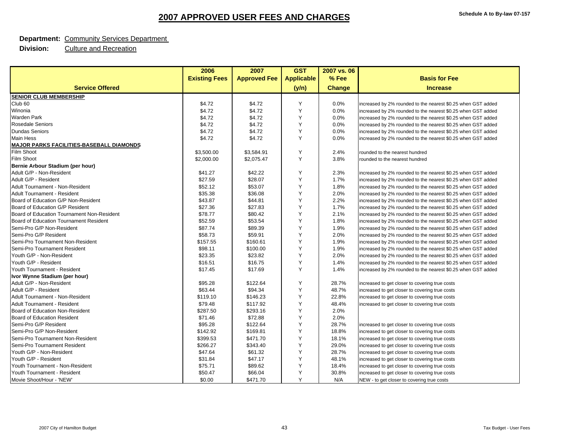#### **Department:** Community Services Department

|                                                 | 2006                 | 2007                | <b>GST</b>        | 2007 vs. 06   |                                                              |
|-------------------------------------------------|----------------------|---------------------|-------------------|---------------|--------------------------------------------------------------|
|                                                 | <b>Existing Fees</b> | <b>Approved Fee</b> | <b>Applicable</b> | % Fee         | <b>Basis for Fee</b>                                         |
| <b>Service Offered</b>                          |                      |                     | (y/n)             | <b>Change</b> | <b>Increase</b>                                              |
| <b>SENIOR CLUB MEMBERSHIP</b>                   |                      |                     |                   |               |                                                              |
| Club <sub>60</sub>                              | \$4.72               | \$4.72              | Y                 | 0.0%          | increased by 2% rounded to the nearest \$0.25 when GST added |
| Winonia                                         | \$4.72               | \$4.72              | Y                 | 0.0%          | increased by 2% rounded to the nearest \$0.25 when GST added |
| <b>Warden Park</b>                              | \$4.72               | \$4.72              | Y                 | 0.0%          | increased by 2% rounded to the nearest \$0.25 when GST added |
| <b>Rosedale Seniors</b>                         | \$4.72               | \$4.72              | Y                 | 0.0%          | increased by 2% rounded to the nearest \$0.25 when GST added |
| <b>Dundas Seniors</b>                           | \$4.72               | \$4.72              | Y                 | 0.0%          | increased by 2% rounded to the nearest \$0.25 when GST added |
| <b>Main Hess</b>                                | \$4.72               | \$4.72              | Y                 | 0.0%          | increased by 2% rounded to the nearest \$0.25 when GST added |
| <b>MAJOR PARKS FACILITIES-BASEBALL DIAMONDS</b> |                      |                     |                   |               |                                                              |
| Film Shoot                                      | \$3,500.00           | \$3,584.91          | Y                 | 2.4%          | rounded to the nearest hundred                               |
| Film Shoot                                      | \$2,000.00           | \$2,075.47          | Y                 | 3.8%          | rounded to the nearest hundred                               |
| Bernie Arbour Stadium (per hour)                |                      |                     |                   |               |                                                              |
| Adult G/P - Non-Resident                        | \$41.27              | \$42.22             | Y                 | 2.3%          | increased by 2% rounded to the nearest \$0.25 when GST added |
| Adult G/P - Resident                            | \$27.59              | \$28.07             | Y                 | 1.7%          | increased by 2% rounded to the nearest \$0.25 when GST added |
| Adult Tournament - Non-Resident                 | \$52.12              | \$53.07             | Y                 | 1.8%          | increased by 2% rounded to the nearest \$0.25 when GST added |
| <b>Adult Tournament - Resident</b>              | \$35.38              | \$36.08             | Y                 | 2.0%          | increased by 2% rounded to the nearest \$0.25 when GST added |
| Board of Education G/P Non-Resident             | \$43.87              | \$44.81             | Y                 | 2.2%          | increased by 2% rounded to the nearest \$0.25 when GST added |
| Board of Education G/P Resident                 | \$27.36              | \$27.83             | Y                 | 1.7%          | increased by 2% rounded to the nearest \$0.25 when GST added |
| Board of Education Tournament Non-Resident      | \$78.77              | \$80.42             | Y                 | 2.1%          | increased by 2% rounded to the nearest \$0.25 when GST added |
| Board of Education Tournament Resident          | \$52.59              | \$53.54             | Y                 | 1.8%          | increased by 2% rounded to the nearest \$0.25 when GST added |
| Semi-Pro G/P Non-Resident                       | \$87.74              | \$89.39             | Y                 | 1.9%          | increased by 2% rounded to the nearest \$0.25 when GST added |
| Semi-Pro G/P Resident                           | \$58.73              | \$59.91             | Y                 | 2.0%          | increased by 2% rounded to the nearest \$0.25 when GST added |
| Semi-Pro Tournament Non-Resident                | \$157.55             | \$160.61            | Y                 | 1.9%          | increased by 2% rounded to the nearest \$0.25 when GST added |
| Semi-Pro Tournament Resident                    | \$98.11              | \$100.00            | Y                 | 1.9%          | increased by 2% rounded to the nearest \$0.25 when GST added |
| Youth G/P - Non-Resident                        | \$23.35              | \$23.82             | Y                 | 2.0%          | increased by 2% rounded to the nearest \$0.25 when GST added |
| Youth G/P - Resident                            | \$16.51              | \$16.75             | Y                 | 1.4%          | increased by 2% rounded to the nearest \$0.25 when GST added |
| Youth Tournament - Resident                     | \$17.45              | \$17.69             | Y                 | 1.4%          | increased by 2% rounded to the nearest \$0.25 when GST added |
| Ivor Wynne Stadium (per hour)                   |                      |                     |                   |               |                                                              |
| Adult G/P - Non-Resident                        | \$95.28              | \$122.64            | Υ                 | 28.7%         | increased to get closer to covering true costs               |
| Adult G/P - Resident                            | \$63.44              | \$94.34             | Y                 | 48.7%         | increased to get closer to covering true costs               |
| Adult Tournament - Non-Resident                 | \$119.10             | \$146.23            | Υ                 | 22.8%         | increased to get closer to covering true costs               |
| <b>Adult Tournament - Resident</b>              | \$79.48              | \$117.92            | Y                 | 48.4%         | increased to get closer to covering true costs               |
| Board of Education Non-Resident                 | \$287.50             | \$293.16            | Y                 | 2.0%          |                                                              |
| Board of Education Resident                     | \$71.46              | \$72.88             | Y                 | 2.0%          |                                                              |
| Semi-Pro G/P Resident                           | \$95.28              | \$122.64            | Y                 | 28.7%         | increased to get closer to covering true costs               |
| Semi-Pro G/P Non-Resident                       | \$142.92             | \$169.81            | Y                 | 18.8%         | increased to get closer to covering true costs               |
| Semi-Pro Tournament Non-Resident                | \$399.53             | \$471.70            | Y                 | 18.1%         | increased to get closer to covering true costs               |
| Semi-Pro Tournament Resident                    | \$266.27             | \$343.40            | Y                 | 29.0%         | increased to get closer to covering true costs               |
| Youth G/P - Non-Resident                        | \$47.64              | \$61.32             | Y                 | 28.7%         | increased to get closer to covering true costs               |
| Youth G/P - Resident                            | \$31.84              | \$47.17             | Y                 | 48.1%         | increased to get closer to covering true costs               |
| Youth Tournament - Non-Resident                 | \$75.71              | \$89.62             | Y                 | 18.4%         | increased to get closer to covering true costs               |
| Youth Tournament - Resident                     | \$50.47              | \$66.04             | Υ                 | 30.8%         | increased to get closer to covering true costs               |
| Movie Shoot/Hour - 'NEW'                        | \$0.00               | \$471.70            | Y                 | N/A           | NEW - to get closer to covering true costs                   |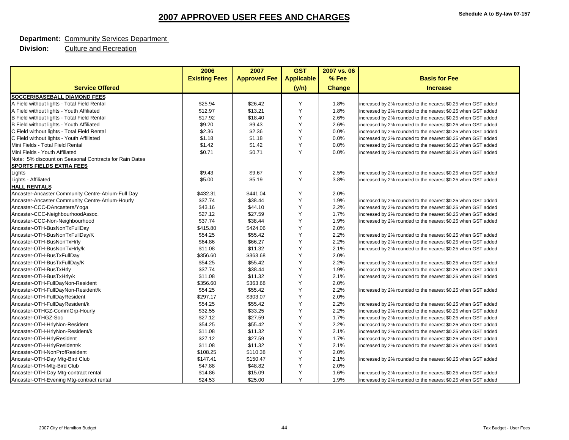#### **Department:** Community Services Department

|                                                        | 2006                 | 2007                | <b>GST</b>        | 2007 vs. 06   |                                                              |
|--------------------------------------------------------|----------------------|---------------------|-------------------|---------------|--------------------------------------------------------------|
|                                                        | <b>Existing Fees</b> | <b>Approved Fee</b> | <b>Applicable</b> | % Fee         | <b>Basis for Fee</b>                                         |
| <b>Service Offered</b>                                 |                      |                     | (y/n)             | <b>Change</b> | <b>Increase</b>                                              |
| SOCCER\BASEBALL DIAMOND FEES                           |                      |                     |                   |               |                                                              |
| A Field without lights - Total Field Rental            | \$25.94              | \$26.42             | Y                 | 1.8%          | increased by 2% rounded to the nearest \$0.25 when GST added |
| A Field without lights - Youth Affiliated              | \$12.97              | \$13.21             | Y                 | 1.8%          | increased by 2% rounded to the nearest \$0.25 when GST added |
| B Field without lights - Total Field Rental            | \$17.92              | \$18.40             | Y                 | 2.6%          | increased by 2% rounded to the nearest \$0.25 when GST added |
| B Field without lights - Youth Affiliated              | \$9.20               | \$9.43              | Y                 | 2.6%          | increased by 2% rounded to the nearest \$0.25 when GST added |
| C Field without lights - Total Field Rental            | \$2.36               | \$2.36              | Y                 | 0.0%          | increased by 2% rounded to the nearest \$0.25 when GST added |
| C Field without lights - Youth Affiliated              | \$1.18               | \$1.18              | Y                 | 0.0%          | increased by 2% rounded to the nearest \$0.25 when GST added |
| Mini Fields - Total Field Rental                       | \$1.42               | \$1.42              | Y                 | 0.0%          | increased by 2% rounded to the nearest \$0.25 when GST added |
| Mini Fields - Youth Affiliated                         | \$0.71               | \$0.71              | Y                 | 0.0%          | increased by 2% rounded to the nearest \$0.25 when GST added |
| Note: 5% discount on Seasonal Contracts for Rain Dates |                      |                     |                   |               |                                                              |
| <b>SPORTS FIELDS EXTRA FEES</b>                        |                      |                     |                   |               |                                                              |
| Lights                                                 | \$9.43               | \$9.67              | Y                 | 2.5%          | increased by 2% rounded to the nearest \$0.25 when GST added |
| Lights - Affiliated                                    | \$5.00               | \$5.19              | Y                 | 3.8%          | increased by 2% rounded to the nearest \$0.25 when GST added |
| <b>HALL RENTALS</b>                                    |                      |                     |                   |               |                                                              |
| Ancaster-Ancaster Community Centre-Atrium-Full Day     | \$432.31             | \$441.04            | Y                 | 2.0%          |                                                              |
| Ancaster-Ancaster Community Centre-Atrium-Hourly       | \$37.74              | \$38.44             | Y                 | 1.9%          | increased by 2% rounded to the nearest \$0.25 when GST added |
| Ancaster-CCC-DAncastere/Yoga                           | \$43.16              | \$44.10             | Y                 | 2.2%          | increased by 2% rounded to the nearest \$0.25 when GST added |
| Ancaster-CCC-NeighbourhoodAssoc.                       | \$27.12              | \$27.59             | Y                 | 1.7%          | increased by 2% rounded to the nearest \$0.25 when GST added |
| Ancaster-CCC-Non-Neighbourhood                         | \$37.74              | \$38.44             | Y                 | 1.9%          | increased by 2% rounded to the nearest \$0.25 when GST added |
| Ancaster-OTH-BusNonTxFullDay                           | \$415.80             | \$424.06            | Y                 | 2.0%          |                                                              |
| Ancaster-OTH-BusNonTxFullDay/K                         | \$54.25              | \$55.42             | Y                 | 2.2%          | increased by 2% rounded to the nearest \$0.25 when GST added |
| Ancaster-OTH-BusNonTxHrly                              | \$64.86              | \$66.27             | Y                 | 2.2%          | increased by 2% rounded to the nearest \$0.25 when GST added |
| Ancaster-OTH-BusNonTxHrly/k                            | \$11.08              | \$11.32             | Y                 | 2.1%          | increased by 2% rounded to the nearest \$0.25 when GST added |
| Ancaster-OTH-BusTxFullDay                              | \$356.60             | \$363.68            | Y                 | 2.0%          |                                                              |
| Ancaster-OTH-BusTxFullDay/K                            | \$54.25              | \$55.42             | Y                 | 2.2%          | increased by 2% rounded to the nearest \$0.25 when GST added |
| Ancaster-OTH-BusTxHrly                                 | \$37.74              | \$38.44             | Y                 | 1.9%          | increased by 2% rounded to the nearest \$0.25 when GST added |
| Ancaster-OTH-BusTxHrly/k                               | \$11.08              | \$11.32             | Y                 | 2.1%          | increased by 2% rounded to the nearest \$0.25 when GST added |
| Ancaster-OTH-FullDayNon-Resident                       | \$356.60             | \$363.68            | Y                 | 2.0%          |                                                              |
| Ancaster-OTH-FullDayNon-Resident/k                     | \$54.25              | \$55.42             | Y                 | 2.2%          | increased by 2% rounded to the nearest \$0.25 when GST added |
| Ancaster-OTH-FullDayResident                           | \$297.17             | \$303.07            | Y                 | 2.0%          |                                                              |
| Ancaster-OTH-FullDayResident/k                         | \$54.25              | \$55.42             | Y                 | 2.2%          | increased by 2% rounded to the nearest \$0.25 when GST added |
| Ancaster-OTHGZ-CommGrp-Hourly                          | \$32.55              | \$33.25             | Y                 | 2.2%          | increased by 2% rounded to the nearest \$0.25 when GST added |
| Ancaster-OTHGZ-Soc                                     | \$27.12              | \$27.59             | Y                 | 1.7%          | increased by 2% rounded to the nearest \$0.25 when GST added |
| Ancaster-OTH-HrlyNon-Resident                          | \$54.25              | \$55.42             | Y                 | 2.2%          | increased by 2% rounded to the nearest \$0.25 when GST added |
| Ancaster-OTH-HrlyNon-Resident/k                        | \$11.08              | \$11.32             | Y                 | 2.1%          | increased by 2% rounded to the nearest \$0.25 when GST added |
| Ancaster-OTH-HrlyResident                              | \$27.12              | \$27.59             | Y                 | 1.7%          | increased by 2% rounded to the nearest \$0.25 when GST added |
| Ancaster-OTH-HrlyResident/k                            | \$11.08              | \$11.32             | Y                 | 2.1%          | increased by 2% rounded to the nearest \$0.25 when GST added |
| Ancaster-OTH-NonProfResident                           | \$108.25             | \$110.38            | Y                 | 2.0%          |                                                              |
| Ancaster-OTH-Day Mtg-Bird Club                         | \$147.41             | \$150.47            | Y                 | 2.1%          | increased by 2% rounded to the nearest \$0.25 when GST added |
| Ancaster-OTH-Mtg-Bird Club                             | \$47.88              | \$48.82             | Y                 | 2.0%          |                                                              |
| Ancaster-OTH-Day Mtg-contract rental                   | \$14.86              | \$15.09             | Y                 | 1.6%          | increased by 2% rounded to the nearest \$0.25 when GST added |
| Ancaster-OTH-Evening Mtg-contract rental               | \$24.53              | \$25.00             | Y                 | 1.9%          | increased by 2% rounded to the nearest \$0.25 when GST added |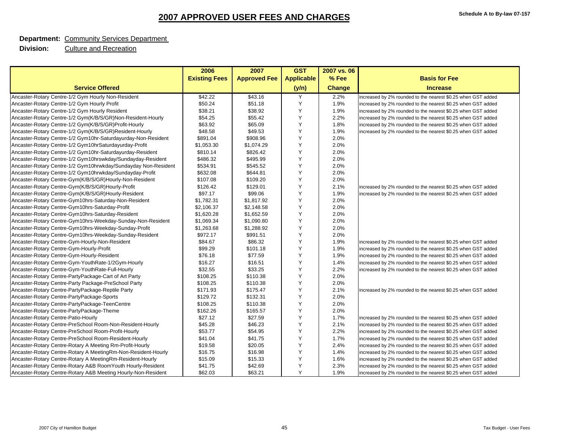#### **Department:** Community Services Department

|                                                                | 2006                 | 2007                | <b>GST</b>        | 2007 vs. 06 |                                                              |
|----------------------------------------------------------------|----------------------|---------------------|-------------------|-------------|--------------------------------------------------------------|
|                                                                | <b>Existing Fees</b> | <b>Approved Fee</b> | <b>Applicable</b> | % Fee       | <b>Basis for Fee</b>                                         |
| <b>Service Offered</b>                                         |                      |                     | (y/n)             | Change      | <b>Increase</b>                                              |
| Ancaster-Rotary Centre-1/2 Gym Hourly Non-Resident             | \$42.22              | \$43.16             | Y                 | 2.2%        | increased by 2% rounded to the nearest \$0.25 when GST added |
| Ancaster-Rotary Centre-1/2 Gym Hourly Profit                   | \$50.24              | \$51.18             | Y                 | 1.9%        | increased by 2% rounded to the nearest \$0.25 when GST added |
| Ancaster-Rotary Centre-1/2 Gym Hourly Resident                 | \$38.21              | \$38.92             | Y                 | 1.9%        | increased by 2% rounded to the nearest \$0.25 when GST added |
| Ancaster-Rotary Centre-1/2 Gym(K/B/S/GR)Non-Resident-Hourly    | \$54.25              | \$55.42             | Y                 | 2.2%        | increased by 2% rounded to the nearest \$0.25 when GST added |
| Ancaster-Rotary Centre-1/2 Gym(K/B/S/GR)Profit-Hourly          | \$63.92              | \$65.09             | Y                 | 1.8%        | increased by 2% rounded to the nearest \$0.25 when GST added |
| Ancaster-Rotary Centre-1/2 Gym(K/B/S/GR)Resident-Hourly        | \$48.58              | \$49.53             | Y                 | 1.9%        | increased by 2% rounded to the nearest \$0.25 when GST added |
| Ancaster-Rotary Centre-1/2 Gym10hr-Saturdayurday-Non-Resident  | \$891.04             | \$908.96            | Y                 | 2.0%        |                                                              |
| Ancaster-Rotary Centre-1/2 Gym10hrSaturdayurday-Profit         | \$1,053.30           | \$1,074.29          | Y                 | 2.0%        |                                                              |
| Ancaster-Rotary Centre-1/2 Gym10hr-Saturdayurday-Resident      | \$810.14             | \$826.42            | Y                 | 2.0%        |                                                              |
| Ancaster-Rotary Centre-1/2 Gym10hrswkday/Sundayday-Resident    | \$486.32             | \$495.99            | Y                 | 2.0%        |                                                              |
| Ancaster-Rotary Centre-1/2 Gym10hrwkday/Sundayday Non-Resident | \$534.91             | \$545.52            | Y                 | 2.0%        |                                                              |
| Ancaster-Rotary Centre-1/2 Gym10hrwkday/Sundayday-Profit       | \$632.08             | \$644.81            | Y                 | 2.0%        |                                                              |
| Ancaster-Rotary Centre-Gym(K/B/S/GR)Hourly-Non-Resident        | \$107.08             | \$109.20            | Y                 | 2.0%        |                                                              |
| Ancaster-Rotary Centre-Gym(K/B/S/GR)Hourly-Profit              | \$126.42             | \$129.01            | Y                 | 2.1%        | increased by 2% rounded to the nearest \$0.25 when GST added |
| Ancaster-Rotary Centre-Gym(K/B/S/GR)Hourly-Resident            | \$97.17              | \$99.06             | Y                 | 1.9%        | increased by 2% rounded to the nearest \$0.25 when GST added |
| Ancaster-Rotary Centre-Gym10hrs-Saturday-Non-Resident          | \$1,782.31           | \$1,817.92          | Y                 | 2.0%        |                                                              |
| Ancaster-Rotary Centre-Gym10hrs-Saturday-Profit                | \$2,106.37           | \$2,148.58          | Y                 | 2.0%        |                                                              |
| Ancaster-Rotary Centre-Gym10hrs-Saturday-Resident              | \$1,620.28           | \$1,652.59          | Y                 | 2.0%        |                                                              |
| Ancaster-Rotary Centre-Gym10hrs-Weekday-Sunday-Non-Resident    | \$1,069.34           | \$1,090.80          | Y                 | 2.0%        |                                                              |
| Ancaster-Rotary Centre-Gym10hrs-Weekday-Sunday-Profit          | \$1,263.68           | \$1,288.92          | Y                 | 2.0%        |                                                              |
| Ancaster-Rotary Centre-Gym10hrs-Weekday-Sunday-Resident        | \$972.17             | \$991.51            | Y                 | 2.0%        |                                                              |
| Ancaster-Rotary Centre-Gym-Hourly-Non-Resident                 | \$84.67              | \$86.32             | Y                 | 1.9%        | increased by 2% rounded to the nearest \$0.25 when GST added |
| Ancaster-Rotary Centre-Gym-Hourly-Profit                       | \$99.29              | \$101.18            | Y                 | 1.9%        | increased by 2% rounded to the nearest \$0.25 when GST added |
| Ancaster-Rotary Centre-Gym-Hourly-Resident                     | \$76.18              | \$77.59             | Y                 | 1.9%        | increased by 2% rounded to the nearest \$0.25 when GST added |
| Ancaster-Rotary Centre-Gym-YouthRate-1/2Gym-Hourly             | \$16.27              | \$16.51             | Y                 | 1.4%        | increased by 2% rounded to the nearest \$0.25 when GST added |
| Ancaster-Rotary Centre-Gym-YouthRate-Full-Hourly               | \$32.55              | \$33.25             | Y                 | 2.2%        | increased by 2% rounded to the nearest \$0.25 when GST added |
| Ancaster-Rotary Centre-PartyPackage-Cart of Art Party          | \$108.25             | \$110.38            | Y                 | 2.0%        |                                                              |
| Ancaster-Rotary Centre-Party Package-PreSchool Party           | \$108.25             | \$110.38            | Y                 | 2.0%        |                                                              |
| Ancaster-Rotary Centre-PartyPackage-Reptile Party              | \$171.93             | \$175.47            | Y                 | 2.1%        | increased by 2% rounded to the nearest \$0.25 when GST added |
| Ancaster-Rotary Centre-PartyPackage-Sports                     | \$129.72             | \$132.31            | Y                 | 2.0%        |                                                              |
| Ancaster-Rotary Centre-PartyPackage-TeenCentre                 | \$108.25             | \$110.38            | Y                 | 2.0%        |                                                              |
| Ancaster-Rotary Centre-PartyPackage-Theme                      | \$162.26             | \$165.57            | Y                 | 2.0%        |                                                              |
| Ancaster-Rotary Centre-Patio-Hourly                            | \$27.12              | \$27.59             | Y                 | 1.7%        | increased by 2% rounded to the nearest \$0.25 when GST added |
| Ancaster-Rotary Centre-PreSchool Room-Non-Resident-Hourly      | \$45.28              | \$46.23             | Y                 | 2.1%        | increased by 2% rounded to the nearest \$0.25 when GST added |
| Ancaster-Rotary Centre-PreSchool Room-Profit-Hourly            | \$53.77              | \$54.95             | Y                 | 2.2%        | increased by 2% rounded to the nearest \$0.25 when GST added |
| Ancaster-Rotary Centre-PreSchool Room-Resident-Hourly          | \$41.04              | \$41.75             | Y                 | 1.7%        | increased by 2% rounded to the nearest \$0.25 when GST added |
| Ancaster-Rotary Centre-Rotary A Meeting Rm-Profit-Hourly       | \$19.58              | \$20.05             | Y                 | 2.4%        | increased by 2% rounded to the nearest \$0.25 when GST added |
| Ancaster-Rotary Centre-Rotary A MeetingRm-Non-Resident-Hourly  | \$16.75              | \$16.98             | Y                 | 1.4%        | increased by 2% rounded to the nearest \$0.25 when GST added |
| Ancaster-Rotary Centre-Rotary A MeetingRm-Resident-Hourly      | \$15.09              | \$15.33             | Y                 | 1.6%        | increased by 2% rounded to the nearest \$0.25 when GST added |
| Ancaster-Rotary Centre-Rotary A&B RoomYouth Hourly-Resident    | \$41.75              | \$42.69             | Y                 | 2.3%        | increased by 2% rounded to the nearest \$0.25 when GST added |
| Ancaster-Rotary Centre-Rotary A&B Meeting Hourly-Non-Resident  | \$62.03              | \$63.21             | Y                 | 1.9%        | increased by 2% rounded to the nearest \$0.25 when GST added |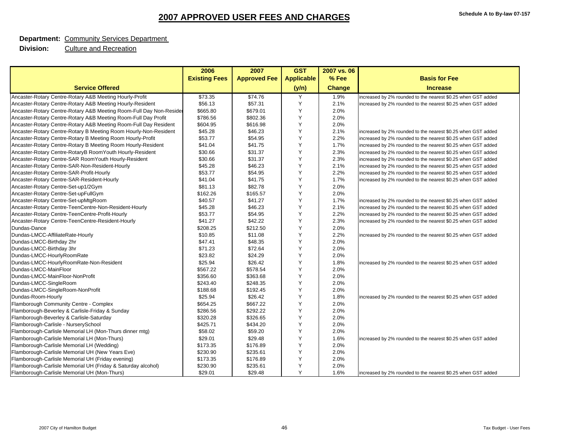#### **Department:** Community Services Department

|                                                                    | 2006                 | 2007                | <b>GST</b>        | 2007 vs. 06   |                                                              |
|--------------------------------------------------------------------|----------------------|---------------------|-------------------|---------------|--------------------------------------------------------------|
|                                                                    | <b>Existing Fees</b> | <b>Approved Fee</b> | <b>Applicable</b> | % Fee         | <b>Basis for Fee</b>                                         |
| <b>Service Offered</b>                                             |                      |                     | (y/n)             | <b>Change</b> | <b>Increase</b>                                              |
| Ancaster-Rotary Centre-Rotary A&B Meeting Hourly-Profit            | \$73.35              | \$74.76             | Υ                 | 1.9%          | increased by 2% rounded to the nearest \$0.25 when GST added |
| Ancaster-Rotary Centre-Rotary A&B Meeting Hourly-Resident          | \$56.13              | \$57.31             | Y                 | 2.1%          | increased by 2% rounded to the nearest \$0.25 when GST added |
| Ancaster-Rotary Centre-Rotary A&B Meeting Room-Full Day Non-Reside | \$665.80             | \$679.01            | Y                 | 2.0%          |                                                              |
| Ancaster-Rotary Centre-Rotary A&B Meeting Room-Full Day Profit     | \$786.56             | \$802.36            | Y                 | 2.0%          |                                                              |
| Ancaster-Rotary Centre-Rotary A&B Meeting Room-Full Day Resident   | \$604.95             | \$616.98            | Y                 | 2.0%          |                                                              |
| Ancaster-Rotary Centre-Rotary B Meeting Room Hourly-Non-Resident   | \$45.28              | \$46.23             | Y                 | 2.1%          | increased by 2% rounded to the nearest \$0.25 when GST added |
| Ancaster-Rotary Centre-Rotary B Meeting Room Hourly-Profit         | \$53.77              | \$54.95             | Y                 | 2.2%          | increased by 2% rounded to the nearest \$0.25 when GST added |
| Ancaster-Rotary Centre-Rotary B Meeting Room Hourly-Resident       | \$41.04              | \$41.75             | Y                 | 1.7%          | increased by 2% rounded to the nearest \$0.25 when GST added |
| Ancaster-Rotary Centre-RotaryB RoomYouth Hourly-Resident           | \$30.66              | \$31.37             | Y                 | 2.3%          | increased by 2% rounded to the nearest \$0.25 when GST added |
| Ancaster-Rotary Centre-SAR RoomYouth Hourly-Resident               | \$30.66              | \$31.37             | Y                 | 2.3%          | increased by 2% rounded to the nearest \$0.25 when GST added |
| Ancaster-Rotary Centre-SAR-Non-Resident-Hourly                     | \$45.28              | \$46.23             | Y                 | 2.1%          | increased by 2% rounded to the nearest \$0.25 when GST added |
| Ancaster-Rotary Centre-SAR-Profit-Hourly                           | \$53.77              | \$54.95             | Y                 | 2.2%          | increased by 2% rounded to the nearest \$0.25 when GST added |
| Ancaster-Rotary Centre-SAR-Resident-Hourly                         | \$41.04              | \$41.75             | Y                 | 1.7%          | increased by 2% rounded to the nearest \$0.25 when GST added |
| Ancaster-Rotary Centre-Set-up1/2Gym                                | \$81.13              | \$82.78             | Y                 | 2.0%          |                                                              |
| Ancaster-Rotary Centre-Set-upFullGym                               | \$162.26             | \$165.57            | Y                 | 2.0%          |                                                              |
| Ancaster-Rotary Centre-Set-upMtgRoom                               | \$40.57              | \$41.27             | Y                 | 1.7%          | increased by 2% rounded to the nearest \$0.25 when GST added |
| Ancaster-Rotary Centre-TeenCentre-Non-Resident-Hourly              | \$45.28              | \$46.23             | Y                 | 2.1%          | increased by 2% rounded to the nearest \$0.25 when GST added |
| Ancaster-Rotary Centre-TeenCentre-Profit-Hourly                    | \$53.77              | \$54.95             | Y                 | 2.2%          | increased by 2% rounded to the nearest \$0.25 when GST added |
| Ancaster-Rotary Centre-TeenCentre-Resident-Hourly                  | \$41.27              | \$42.22             | Y                 | 2.3%          | increased by 2% rounded to the nearest \$0.25 when GST added |
| Dundas-Dance                                                       | \$208.25             | \$212.50            | Y                 | 2.0%          |                                                              |
| Dundas-LMCC-AffiliateRate-Hourly                                   | \$10.85              | \$11.08             | Y                 | 2.2%          | increased by 2% rounded to the nearest \$0.25 when GST added |
| Dundas-LMCC-Birthday 2hr                                           | \$47.41              | \$48.35             | Y                 | 2.0%          |                                                              |
| Dundas-LMCC-Birthday 3hr                                           | \$71.23              | \$72.64             | Y                 | 2.0%          |                                                              |
| Dundas-LMCC-HourlyRoomRate                                         | \$23.82              | \$24.29             | Y                 | 2.0%          |                                                              |
| Dundas-LMCC-HourlyRoomRate-Non-Resident                            | \$25.94              | \$26.42             | Y                 | 1.8%          | increased by 2% rounded to the nearest \$0.25 when GST added |
| Dundas-LMCC-MainFloor                                              | \$567.22             | \$578.54            | Y                 | 2.0%          |                                                              |
| Dundas-LMCC-MainFloor-NonProfit                                    | \$356.60             | \$363.68            | Y                 | 2.0%          |                                                              |
| Dundas-LMCC-SingleRoom                                             | \$243.40             | \$248.35            | Y                 | 2.0%          |                                                              |
| Dundas-LMCC-SingleRoom-NonProfit                                   | \$188.68             | \$192.45            | Y                 | 2.0%          |                                                              |
| Dundas-Room-Hourly                                                 | \$25.94              | \$26.42             | Y                 | 1.8%          | increased by 2% rounded to the nearest \$0.25 when GST added |
| Flamborough Community Centre - Complex                             | \$654.25             | \$667.22            | Y                 | 2.0%          |                                                              |
| Flamborough-Beverley & Carlisle-Friday & Sunday                    | \$286.56             | \$292.22            | Y                 | 2.0%          |                                                              |
| Flamborough-Beverley & Carlisle-Saturday                           | \$320.28             | \$326.65            | Y                 | 2.0%          |                                                              |
| Flamborough-Carlisle - NurserySchool                               | \$425.71             | \$434.20            | Y                 | 2.0%          |                                                              |
| Flamborough-Carlisle Memorial LH (Mon-Thurs dinner mtg)            | \$58.02              | \$59.20             | Y                 | 2.0%          |                                                              |
| Flamborough-Carlisle Memorial LH (Mon-Thurs)                       | \$29.01              | \$29.48             | Y                 | 1.6%          | increased by 2% rounded to the nearest \$0.25 when GST added |
| Flamborough-Carlisle Memorial LH (Wedding)                         | \$173.35             | \$176.89            | Y                 | 2.0%          |                                                              |
| Flamborough-Carlisle Memorial UH (New Years Eve)                   | \$230.90             | \$235.61            | Y                 | 2.0%          |                                                              |
| Flamborough-Carlisle Memorial UH (Friday evening)                  | \$173.35             | \$176.89            | Y                 | 2.0%          |                                                              |
| Flamborough-Carlisle Memorial UH (Friday & Saturday alcohol)       | \$230.90             | \$235.61            | Y                 | 2.0%          |                                                              |
| Flamborough-Carlisle Memorial UH (Mon-Thurs)                       | \$29.01              | \$29.48             | Y                 | 1.6%          | increased by 2% rounded to the nearest \$0.25 when GST added |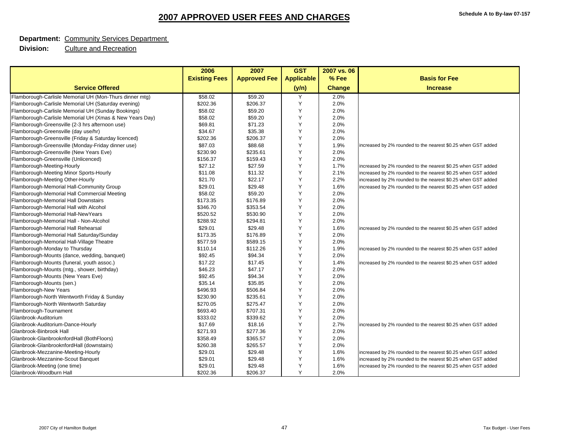#### **Department:** Community Services Department

|                                                         | 2006                 | 2007                | <b>GST</b>        | 2007 vs. 06 |                                                              |
|---------------------------------------------------------|----------------------|---------------------|-------------------|-------------|--------------------------------------------------------------|
|                                                         | <b>Existing Fees</b> | <b>Approved Fee</b> | <b>Applicable</b> | % Fee       | <b>Basis for Fee</b>                                         |
| <b>Service Offered</b>                                  |                      |                     | (y/n)             | Change      | <b>Increase</b>                                              |
| Flamborough-Carlisle Memorial UH (Mon-Thurs dinner mtg) | \$58.02              | \$59.20             | Y                 | 2.0%        |                                                              |
| Flamborough-Carlisle Memorial UH (Saturday evening)     | \$202.36             | \$206.37            | Y                 | 2.0%        |                                                              |
| Flamborough-Carlisle Memorial UH (Sunday Bookings)      | \$58.02              | \$59.20             | Y                 | 2.0%        |                                                              |
| Flamborough-Carlisle Memorial UH (Xmas & New Years Day) | \$58.02              | \$59.20             | Y                 | 2.0%        |                                                              |
| Flamborough-Greensville (2-3 hrs afternoon use)         | \$69.81              | \$71.23             | Y                 | 2.0%        |                                                              |
| Flamborough-Greensville (day use/hr)                    | \$34.67              | \$35.38             | Y                 | 2.0%        |                                                              |
| Flamborough-Greensville (Friday & Saturday licenced)    | \$202.36             | \$206.37            | Y                 | 2.0%        |                                                              |
| Flamborough-Greensville (Monday-Friday dinner use)      | \$87.03              | \$88.68             | Y                 | 1.9%        | increased by 2% rounded to the nearest \$0.25 when GST added |
| Flamborough-Greensville (New Years Eve)                 | \$230.90             | \$235.61            | Y                 | 2.0%        |                                                              |
| Flamborough-Greensville (Unlicenced)                    | \$156.37             | \$159.43            | Y                 | 2.0%        |                                                              |
| Flamborough-Meeting-Hourly                              | \$27.12              | \$27.59             | Y                 | 1.7%        | increased by 2% rounded to the nearest \$0.25 when GST added |
| Flamborough-Meeting Minor Sports-Hourly                 | \$11.08              | \$11.32             | Y                 | 2.1%        | increased by 2% rounded to the nearest \$0.25 when GST added |
| Flamborough-Meeting Other-Hourly                        | \$21.70              | \$22.17             | Y                 | 2.2%        | increased by 2% rounded to the nearest \$0.25 when GST added |
| Flamborough-Memorial Hall-Community Group               | \$29.01              | \$29.48             | Y                 | 1.6%        | increased by 2% rounded to the nearest \$0.25 when GST added |
| Flamborough-Memorial Hall Commercial Meeting            | \$58.02              | \$59.20             | Y                 | 2.0%        |                                                              |
| Flamborough-Memorial Hall Downstairs                    | \$173.35             | \$176.89            | Y                 | 2.0%        |                                                              |
| Flamborough-Memorial Hall with Alcohol                  | \$346.70             | \$353.54            | Y                 | 2.0%        |                                                              |
| Flamborough-Memorial Hall-NewYears                      | \$520.52             | \$530.90            | Y                 | 2.0%        |                                                              |
| Flamborough-Memorial Hall - Non-Alcohol                 | \$288.92             | \$294.81            | Y                 | 2.0%        |                                                              |
| Flamborough-Memorial Hall Rehearsal                     | \$29.01              | \$29.48             | Y                 | 1.6%        | increased by 2% rounded to the nearest \$0.25 when GST added |
| Flamborough-Memorial Hall Saturday/Sunday               | \$173.35             | \$176.89            | Y                 | 2.0%        |                                                              |
| Flamborough-Memorial Hall-Village Theatre               | \$577.59             | \$589.15            | Y                 | 2.0%        |                                                              |
| Flamborough-Monday to Thursday                          | \$110.14             | \$112.26            | Y                 | 1.9%        | increased by 2% rounded to the nearest \$0.25 when GST added |
| Flamborough-Mounts (dance, wedding, banquet)            | \$92.45              | \$94.34             | Y                 | 2.0%        |                                                              |
| Flamborough-Mounts (funeral, youth assoc.)              | \$17.22              | \$17.45             | Y                 | 1.4%        | increased by 2% rounded to the nearest \$0.25 when GST added |
| Flamborough-Mounts (mtg., shower, birthday)             | \$46.23              | \$47.17             | Y                 | 2.0%        |                                                              |
| Flamborough-Mounts (New Years Eve)                      | \$92.45              | \$94.34             | Y                 | 2.0%        |                                                              |
| Flamborough-Mounts (sen.)                               | \$35.14              | \$35.85             | Y                 | 2.0%        |                                                              |
| Flamborough-New Years                                   | \$496.93             | \$506.84            | Y                 | 2.0%        |                                                              |
| Flamborough-North Wentworth Friday & Sunday             | \$230.90             | \$235.61            | Y                 | 2.0%        |                                                              |
| Flamborough-North Wentworth Saturday                    | \$270.05             | \$275.47            | Y                 | 2.0%        |                                                              |
| Flamborough-Tournament                                  | \$693.40             | \$707.31            | Y                 | 2.0%        |                                                              |
| Glanbrook-Auditorium                                    | \$333.02             | \$339.62            | Y                 | 2.0%        |                                                              |
| Glanbrook-Auditorium-Dance-Hourly                       | \$17.69              | \$18.16             | Y                 | 2.7%        | increased by 2% rounded to the nearest \$0.25 when GST added |
| Glanbrook-Binbrook Hall                                 | \$271.93             | \$277.36            | Y                 | 2.0%        |                                                              |
| Glanbrook-GlanbrooknfordHall (BothFloors)               | \$358.49             | \$365.57            | Y                 | 2.0%        |                                                              |
| Glanbrook-GlanbrooknfordHall (downstairs)               | \$260.38             | \$265.57            | Y                 | 2.0%        |                                                              |
| Glanbrook-Mezzanine-Meeting-Hourly                      | \$29.01              | \$29.48             | Y                 | 1.6%        | increased by 2% rounded to the nearest \$0.25 when GST added |
| Glanbrook-Mezzanine-Scout Banquet                       | \$29.01              | \$29.48             | Y                 | 1.6%        | increased by 2% rounded to the nearest \$0.25 when GST added |
| Glanbrook-Meeting (one time)                            | \$29.01              | \$29.48             | Y                 | 1.6%        | increased by 2% rounded to the nearest \$0.25 when GST added |
| Glanbrook-Woodburn Hall                                 | \$202.36             | \$206.37            | Y                 | 2.0%        |                                                              |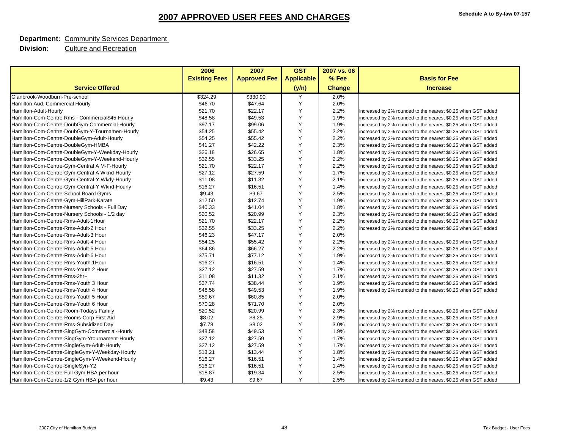#### **Department:** Community Services Department

|                                                 | 2006                 | 2007                | <b>GST</b>        | 2007 vs. 06   |                                                              |
|-------------------------------------------------|----------------------|---------------------|-------------------|---------------|--------------------------------------------------------------|
|                                                 | <b>Existing Fees</b> | <b>Approved Fee</b> | <b>Applicable</b> | % Fee         | <b>Basis for Fee</b>                                         |
| <b>Service Offered</b>                          |                      |                     | (y/n)             | <b>Change</b> | <b>Increase</b>                                              |
| Glanbrook-Woodburn-Pre-school                   | \$324.29             | \$330.90            | Y                 | 2.0%          |                                                              |
| Hamilton Aud. Commercial Hourly                 | \$46.70              | \$47.64             | Y                 | 2.0%          |                                                              |
| Hamilton-Adult-Hourly                           | \$21.70              | \$22.17             | Y                 | 2.2%          | increased by 2% rounded to the nearest \$0.25 when GST added |
| Hamilton-Com-Centre Rms - Commercial\$45-Hourly | \$48.58              | \$49.53             | Y                 | 1.9%          | increased by 2% rounded to the nearest \$0.25 when GST added |
| Hamilton-Com-Centre-DoubGym-Commercial-Hourly   | \$97.17              | \$99.06             | Y                 | 1.9%          | increased by 2% rounded to the nearest \$0.25 when GST added |
| Hamilton-Com-Centre-DoubGym-Y-Tournamen-Hourly  | \$54.25              | \$55.42             | Y                 | 2.2%          | increased by 2% rounded to the nearest \$0.25 when GST added |
| Hamilton-Com-Centre-DoubleGym-Adult-Hourly      | \$54.25              | \$55.42             | Y                 | 2.2%          | increased by 2% rounded to the nearest \$0.25 when GST added |
| Hamilton-Com-Centre-DoubleGym-HMBA              | \$41.27              | \$42.22             | Y                 | 2.3%          | increased by 2% rounded to the nearest \$0.25 when GST added |
| Hamilton-Com-Centre-DoubleGym-Y-Weekday-Hourly  | \$26.18              | \$26.65             | Y                 | 1.8%          | increased by 2% rounded to the nearest \$0.25 when GST added |
| Hamilton-Com-Centre-DoubleGym-Y-Weekend-Hourly  | \$32.55              | \$33.25             | Y                 | 2.2%          | increased by 2% rounded to the nearest \$0.25 when GST added |
| Hamilton-Com-Centre-Gym-Central A M-F-Hourly    | \$21.70              | \$22.17             | Y                 | 2.2%          | increased by 2% rounded to the nearest \$0.25 when GST added |
| Hamilton-Com-Centre-Gym-Central A Wknd-Hourly   | \$27.12              | \$27.59             | Y                 | 1.7%          | increased by 2% rounded to the nearest \$0.25 when GST added |
| Hamilton-Com-Centre-Gym-Central-Y Wkdy-Hourly   | \$11.08              | \$11.32             | Y                 | 2.1%          | increased by 2% rounded to the nearest \$0.25 when GST added |
| Hamilton-Com-Centre-Gym-Central-Y Wknd-Hourly   | \$16.27              | \$16.51             | Y                 | 1.4%          | increased by 2% rounded to the nearest \$0.25 when GST added |
| Hamilton-Com-Centre-School Board Gyms           | \$9.43               | \$9.67              | Y                 | 2.5%          | increased by 2% rounded to the nearest \$0.25 when GST added |
| Hamilton-Com-Centre-Gym-HillPark-Karate         | \$12.50              | \$12.74             | Y                 | 1.9%          | increased by 2% rounded to the nearest \$0.25 when GST added |
| Hamilton-Com-Centre-Nursery Schools - Full Day  | \$40.33              | \$41.04             | Y                 | 1.8%          | increased by 2% rounded to the nearest \$0.25 when GST added |
| Hamilton-Com-Centre-Nursery Schools - 1/2 day   | \$20.52              | \$20.99             | Y                 | 2.3%          | increased by 2% rounded to the nearest \$0.25 when GST added |
| Hamilton-Com-Centre-Rms-Adult-1Hour             | \$21.70              | \$22.17             | Y                 | 2.2%          | increased by 2% rounded to the nearest \$0.25 when GST added |
| Hamilton-Com-Centre-Rms-Adult-2 Hour            | \$32.55              | \$33.25             | Y                 | 2.2%          | increased by 2% rounded to the nearest \$0.25 when GST added |
| Hamilton-Com-Centre-Rms-Adult-3 Hour            | \$46.23              | \$47.17             | Y                 | 2.0%          |                                                              |
| Hamilton-Com-Centre-Rms-Adult-4 Hour            | \$54.25              | \$55.42             | Y                 | 2.2%          | increased by 2% rounded to the nearest \$0.25 when GST added |
| Hamilton-Com-Centre-Rms-Adult-5 Hour            | \$64.86              | \$66.27             | Y                 | 2.2%          | increased by 2% rounded to the nearest \$0.25 when GST added |
| Hamilton-Com-Centre-Rms-Adult-6 Hour            | \$75.71              | \$77.12             | Y                 | 1.9%          | increased by 2% rounded to the nearest \$0.25 when GST added |
| Hamilton-Com-Centre-Rms-Youth 1Hour             | \$16.27              | \$16.51             | Y                 | 1.4%          | increased by 2% rounded to the nearest \$0.25 when GST added |
| Hamilton-Com-Centre-Rms-Youth 2 Hour            | \$27.12              | \$27.59             | Y                 | 1.7%          | increased by 2% rounded to the nearest \$0.25 when GST added |
| Hamilton-Com-Centre-Rms-2hr+                    | \$11.08              | \$11.32             | Y                 | 2.1%          | increased by 2% rounded to the nearest \$0.25 when GST added |
| Hamilton-Com-Centre-Rms-Youth 3 Hour            | \$37.74              | \$38.44             | Y                 | 1.9%          | increased by 2% rounded to the nearest \$0.25 when GST added |
| Hamilton-Com-Centre-Rms-Youth 4 Hour            | \$48.58              | \$49.53             | Y                 | 1.9%          | increased by 2% rounded to the nearest \$0.25 when GST added |
| Hamilton-Com-Centre-Rms-Youth 5 Hour            | \$59.67              | \$60.85             | Y                 | 2.0%          |                                                              |
| Hamilton-Com-Centre-Rms-Youth 6 Hour            | \$70.28              | \$71.70             | Y                 | 2.0%          |                                                              |
| Hamilton-Com-Centre-Room-Todays Family          | \$20.52              | \$20.99             | Y                 | 2.3%          | increased by 2% rounded to the nearest \$0.25 when GST added |
| Hamilton-Com-Centre-Rooms-Corp First Aid        | \$8.02               | \$8.25              | Y                 | 2.9%          | increased by 2% rounded to the nearest \$0.25 when GST added |
| Hamilton-Com-Centre-Rms-Subsidized Day          | \$7.78               | \$8.02              | Y                 | 3.0%          | increased by 2% rounded to the nearest \$0.25 when GST added |
| Hamilton-Com-Centre-SingGym-Commercial-Hourly   | \$48.58              | \$49.53             | Y                 | 1.9%          | increased by 2% rounded to the nearest \$0.25 when GST added |
| Hamilton-Com-Centre-SingGym-Ytournament-Hourly  | \$27.12              | \$27.59             | Y                 | 1.7%          | increased by 2% rounded to the nearest \$0.25 when GST added |
| Hamilton-Com-Centre-SingleGym-Adult-Hourly      | \$27.12              | \$27.59             | Y                 | 1.7%          | increased by 2% rounded to the nearest \$0.25 when GST added |
| Hamilton-Com-Centre-SingleGym-Y-Weekday-Hourly  | \$13.21              | \$13.44             | Y                 | 1.8%          | increased by 2% rounded to the nearest \$0.25 when GST added |
| Hamilton-Com-Centre-SingleGym-Y-Weekend-Hourly  | \$16.27              | \$16.51             | Y                 | 1.4%          | increased by 2% rounded to the nearest \$0.25 when GST added |
| Hamilton-Com-Centre-SingleSyn-Y2                | \$16.27              | \$16.51             | Y                 | 1.4%          | increased by 2% rounded to the nearest \$0.25 when GST added |
| Hamilton-Com-Centre-Full Gym HBA per hour       | \$18.87              | \$19.34             | Y                 | 2.5%          | increased by 2% rounded to the nearest \$0.25 when GST added |
| Hamilton-Com-Centre-1/2 Gym HBA per hour        | \$9.43               | \$9.67              | Y                 | 2.5%          | increased by 2% rounded to the nearest \$0.25 when GST added |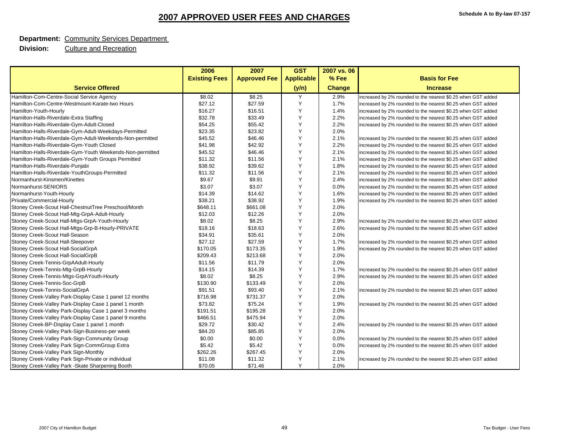#### **Department:** Community Services Department

|                                                           | 2006                 | 2007                | <b>GST</b>        | 2007 vs. 06   |                                                              |
|-----------------------------------------------------------|----------------------|---------------------|-------------------|---------------|--------------------------------------------------------------|
|                                                           | <b>Existing Fees</b> | <b>Approved Fee</b> | <b>Applicable</b> | % Fee         | <b>Basis for Fee</b>                                         |
| <b>Service Offered</b>                                    |                      |                     | (y/n)             | <b>Change</b> | <b>Increase</b>                                              |
| Hamilton-Com-Centre-Social Service Agency                 | \$8.02               | \$8.25              | Y                 | 2.9%          | increased by 2% rounded to the nearest \$0.25 when GST added |
| Hamilton-Com-Centre-Westmount-Karate-two Hours            | \$27.12              | \$27.59             | Y                 | 1.7%          | increased by 2% rounded to the nearest \$0.25 when GST added |
| Hamilton-Youth-Hourly                                     | \$16.27              | \$16.51             | Y                 | 1.4%          | increased by 2% rounded to the nearest \$0.25 when GST added |
| Hamilton-Halls-Riverdale-Extra Staffing                   | \$32.78              | \$33.49             | Y                 | 2.2%          | increased by 2% rounded to the nearest \$0.25 when GST added |
| Hamilton-Halls-Riverdale-Gym-Adult-Closed                 | \$54.25              | \$55.42             | Y                 | 2.2%          | increased by 2% rounded to the nearest \$0.25 when GST added |
| Hamilton-Halls-Riverdale-Gym-Adult-Weekdays-Permitted     | \$23.35              | \$23.82             | Y                 | 2.0%          |                                                              |
| Hamilton-Halls-Riverdale-Gym-Adult-Weekends-Non-permitted | \$45.52              | \$46.46             | Y                 | 2.1%          | increased by 2% rounded to the nearest \$0.25 when GST added |
| Hamilton-Halls-Riverdale-Gym-Youth Closed                 | \$41.98              | \$42.92             | Y                 | 2.2%          | increased by 2% rounded to the nearest \$0.25 when GST added |
| Hamilton-Halls-Riverdale-Gym-Youth Weekends-Non-permitted | \$45.52              | \$46.46             | Y                 | 2.1%          | increased by 2% rounded to the nearest \$0.25 when GST added |
| Hamilton-Halls-Riverdale-Gym-Youth Groups Permitted       | \$11.32              | \$11.56             | Y                 | 2.1%          | increased by 2% rounded to the nearest \$0.25 when GST added |
| Hamilton-Halls-Riverdale-Punjabi                          | \$38.92              | \$39.62             | Y                 | 1.8%          | increased by 2% rounded to the nearest \$0.25 when GST added |
| Hamilton-Halls-Riverdale-YouthGroups-Permitted            | \$11.32              | \$11.56             | Y                 | 2.1%          | increased by 2% rounded to the nearest \$0.25 when GST added |
| Normanhurst-Kinsmen/Kinettes                              | \$9.67               | \$9.91              | Y                 | 2.4%          | increased by 2% rounded to the nearest \$0.25 when GST added |
| Normanhurst-SENIORS                                       | \$3.07               | \$3.07              | Y                 | 0.0%          | increased by 2% rounded to the nearest \$0.25 when GST added |
| Normanhurst-Youth-Hourly                                  | \$14.39              | \$14.62             | Y                 | 1.6%          | increased by 2% rounded to the nearest \$0.25 when GST added |
| Private/Commercial-Hourly                                 | \$38.21              | \$38.92             | Y                 | 1.9%          | increased by 2% rounded to the nearest \$0.25 when GST added |
| Stoney Creek-Scout Hall-ChestnutTree Preschool/Month      | \$648.11             | \$661.08            | Y                 | 2.0%          |                                                              |
| Stoney Creek-Scout Hall-Mtg-GrpA-Adult-Hourly             | \$12.03              | \$12.26             | Y                 | 2.0%          |                                                              |
| Stoney Creek-Scout Hall-Mtgs-GrpA-Youth-Hourly            | \$8.02               | \$8.25              | Y                 | 2.9%          | increased by 2% rounded to the nearest \$0.25 when GST added |
| Stoney Creek-Scout Hall-Mtgs-Grp-B-Hourly-PRIVATE         | \$18.16              | \$18.63             | Y                 | 2.6%          | increased by 2% rounded to the nearest \$0.25 when GST added |
| Stoney Creek-Scout Hall-Season                            | \$34.91              | \$35.61             | Y                 | 2.0%          |                                                              |
| Stoney Creek-Scout Hall-Sleepover                         | \$27.12              | \$27.59             | Y                 | 1.7%          | increased by 2% rounded to the nearest \$0.25 when GST added |
| Stoney Creek-Scout Hall-SocialGrpA                        | \$170.05             | \$173.35            | Y                 | 1.9%          | increased by 2% rounded to the nearest \$0.25 when GST added |
| Stoney Creek-Scout Hall-SocialGrpB                        | \$209.43             | \$213.68            | Y                 | 2.0%          |                                                              |
| Stoney Creek-Tennis-GrpAAdult-Hourly                      | \$11.56              | \$11.79             | Y                 | 2.0%          |                                                              |
| Stoney Creek-Tennis-Mtg-GrpB-Hourly                       | \$14.15              | \$14.39             | Y                 | 1.7%          | increased by 2% rounded to the nearest \$0.25 when GST added |
| Stoney Creek-Tennis-Mtgs-GrpAYouth-Hourly                 | \$8.02               | \$8.25              | Y                 | 2.9%          | increased by 2% rounded to the nearest \$0.25 when GST added |
| Stoney Creek-Tennis-Soc-GrpB                              | \$130.90             | \$133.49            | Y                 | 2.0%          |                                                              |
| Stoney Creek-Tennis-SocialGrpA                            | \$91.51              | \$93.40             | Y                 | 2.1%          | increased by 2% rounded to the nearest \$0.25 when GST added |
| Stoney Creek-Valley Park-Display Case 1 panel 12 months   | \$716.98             | \$731.37            | Y                 | 2.0%          |                                                              |
| Stoney Creek-Valley Park-Display Case 1 panel 1 month     | \$73.82              | \$75.24             | Y                 | 1.9%          | increased by 2% rounded to the nearest \$0.25 when GST added |
| Stoney Creek-Valley Park-Display Case 1 panel 3 months    | \$191.51             | \$195.28            | Y                 | 2.0%          |                                                              |
| Stoney Creek-Valley Park-Display Case 1 panel 9 months    | \$466.51             | \$475.94            | Y                 | 2.0%          |                                                              |
| Stoney Creek-BP-Display Case 1 panel 1 month              | \$29.72              | \$30.42             | Y                 | 2.4%          | increased by 2% rounded to the nearest \$0.25 when GST added |
| Stoney Creek-Valley Park-Sign-Business-per week           | \$84.20              | \$85.85             | Y                 | 2.0%          |                                                              |
| Stoney Creek-Valley Park-Sign-Community Group             | \$0.00               | \$0.00              | Y                 | 0.0%          | increased by 2% rounded to the nearest \$0.25 when GST added |
| Stoney Creek-Valley Park Sign-CommGroup Extra             | \$5.42               | \$5.42              | Y                 | 0.0%          | increased by 2% rounded to the nearest \$0.25 when GST added |
| Stoney Creek-Valley Park Sign-Monthly                     | \$262.26             | \$267.45            | Y                 | 2.0%          |                                                              |
| Stoney Creek-Valley Park Sign-Private or individual       | \$11.08              | \$11.32             | Y                 | 2.1%          | increased by 2% rounded to the nearest \$0.25 when GST added |
| Stoney Creek-Valley Park -Skate Sharpening Booth          | \$70.05              | \$71.46             | Y                 | 2.0%          |                                                              |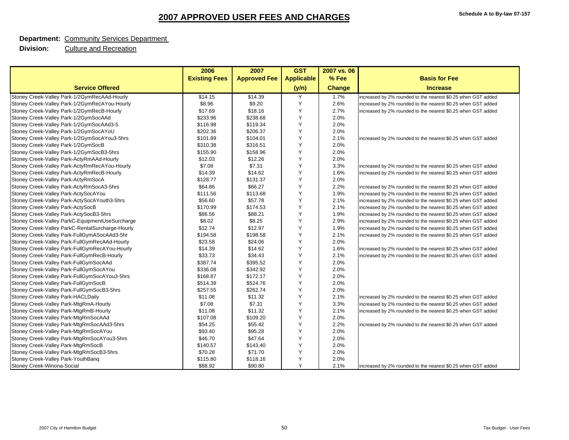#### **Department:** Community Services Department

|                                                  | 2006                 | 2007                | <b>GST</b>        | 2007 vs. 06   |                                                              |
|--------------------------------------------------|----------------------|---------------------|-------------------|---------------|--------------------------------------------------------------|
|                                                  | <b>Existing Fees</b> | <b>Approved Fee</b> | <b>Applicable</b> | % Fee         | <b>Basis for Fee</b>                                         |
| <b>Service Offered</b>                           |                      |                     | (y/n)             | <b>Change</b> | <b>Increase</b>                                              |
| Stoney Creek-Valley Park-1/2GymRecAAd-Hourly     | \$14.15              | \$14.39             | Y                 | 1.7%          | increased by 2% rounded to the nearest \$0.25 when GST added |
| Stoney Creek-Valley Park-1/2GymRecAYou-Hourly    | \$8.96               | \$9.20              | Y                 | 2.6%          | increased by 2% rounded to the nearest \$0.25 when GST added |
| Stoney Creek-Valley Park-1/2GymRecB-Hourly       | \$17.69              | \$18.16             | Y                 | 2.7%          | increased by 2% rounded to the nearest \$0.25 when GST added |
| Stoney Creek-Valley Park-1/2GymSocAAd            | \$233.96             | \$238.68            | Y                 | 2.0%          |                                                              |
| Stoney Creek-Valley Park-1/2GymSocAAd3-5         | \$116.98             | \$119.34            | Y                 | 2.0%          |                                                              |
| Stoney Creek-Valley Park-1/2GymSocAYoU           | \$202.36             | \$206.37            | Y                 | 2.0%          |                                                              |
| Stoney Creek-Valley Park-1/2GymSocAYou3-5hrs     | \$101.89             | \$104.01            | Y                 | 2.1%          | increased by 2% rounded to the nearest \$0.25 when GST added |
| Stoney Creek-Valley Park-1/2GymSocB              | \$310.38             | \$316.51            | Y                 | 2.0%          |                                                              |
| Stoney Creek-Valley Park-1/2GymSocB3-5hrs        | \$155.90             | \$158.96            | Y                 | 2.0%          |                                                              |
| Stoney Creek-Valley Park-ActyRmAAd-Hourly        | \$12.03              | \$12.26             | Y                 | 2.0%          |                                                              |
| Stoney Creek-Valley Park-ActyRmRecAYou-Hourly    | \$7.08               | \$7.31              | Y                 | 3.3%          | increased by 2% rounded to the nearest \$0.25 when GST added |
| Stoney Creek-Valley Park-ActyRmRecB-Hourly       | \$14.39              | \$14.62             | Y                 | 1.6%          | increased by 2% rounded to the nearest \$0.25 when GST added |
| Stoney Creek-Valley Park-ActyRmSocA              | \$128.77             | \$131.37            | Υ                 | 2.0%          |                                                              |
| Stoney Creek-Valley Park-ActyRmSocA3-5hrs        | \$64.86              | \$66.27             | Y                 | 2.2%          | increased by 2% rounded to the nearest \$0.25 when GST added |
| Stoney Creek-Valley Park-ActySocAYou             | \$111.56             | \$113.68            | Y                 | 1.9%          | increased by 2% rounded to the nearest \$0.25 when GST added |
| Stoney Creek-Valley Park-ActySocAYouth3-5hrs     | \$56.60              | \$57.78             | Y                 | 2.1%          | increased by 2% rounded to the nearest \$0.25 when GST added |
| Stoney Creek-Valley Park-ActySocB                | \$170.99             | \$174.53            | Y                 | 2.1%          | increased by 2% rounded to the nearest \$0.25 when GST added |
| Stoney Creek-Valley Park-ActySocB3-5hrs          | \$86.56              | \$88.21             | Y                 | 1.9%          | increased by 2% rounded to the nearest \$0.25 when GST added |
| Stoney Creek-Valley ParkC-EquipmentUseSurcharge  | \$8.02               | \$8.25              | Y                 | 2.9%          | increased by 2% rounded to the nearest \$0.25 when GST added |
| Stoney Creek-Valley ParkC-RentalSurcharge-Hourly | \$12.74              | \$12.97             | Y                 | 1.9%          | increased by 2% rounded to the nearest \$0.25 when GST added |
| Stoney Creek-Valley Park-FullGymASocAAd3-5hr     | \$194.58             | \$198.58            | Y                 | 2.1%          | increased by 2% rounded to the nearest \$0.25 when GST added |
| Stoney Creek-Valley Park-FullGymRecAAd-Hourly    | \$23.58              | \$24.06             | Y                 | 2.0%          |                                                              |
| Stoney Creek-Valley Park-FullGymRecAYou-Hourly   | \$14.39              | \$14.62             | Y                 | 1.6%          | increased by 2% rounded to the nearest \$0.25 when GST added |
| Stoney Creek-Valley Park-FullGymRecB-Hourly      | \$33.73              | \$34.43             | Y                 | 2.1%          | increased by 2% rounded to the nearest \$0.25 when GST added |
| Stoney Creek-Valley Park-FullGymSocAAd           | \$387.74             | \$395.52            | Y                 | 2.0%          |                                                              |
| Stoney Creek-Valley Park-FullGymSocAYou          | \$336.08             | \$342.92            | Y                 | 2.0%          |                                                              |
| Stoney Creek-Valley Park-FullGymSocAYou3-5hrs    | \$168.87             | \$172.17            | Y                 | 2.0%          |                                                              |
| Stoney Creek-Valley Park-FullGymSocB             | \$514.39             | \$524.76            | Y                 | 2.0%          |                                                              |
| Stoney Creek-Valley Park-FullGymSocB3-5hrs       | \$257.55             | \$262.74            | Υ                 | 2.0%          |                                                              |
| Stoney Creek-Valley Park-HACLDaily               | \$11.08              | \$11.32             | Y                 | 2.1%          | increased by 2% rounded to the nearest \$0.25 when GST added |
| Stoney Creek-Valley Park-MtgRmA-Hourly           | \$7.08               | \$7.31              | Y                 | 3.3%          | increased by 2% rounded to the nearest \$0.25 when GST added |
| Stoney Creek-Valley Park-MtgRmB-Hourly           | \$11.08              | \$11.32             | Y                 | 2.1%          | increased by 2% rounded to the nearest \$0.25 when GST added |
| Stoney Creek-Valley Park-MtgRmSocAAd             | \$107.08             | \$109.20            | Y                 | 2.0%          |                                                              |
| Stoney Creek-Valley Park-MtgRmSocAAd3-5hrs       | \$54.25              | \$55.42             | Y                 | 2.2%          | increased by 2% rounded to the nearest \$0.25 when GST added |
| Stoney Creek-Valley Park-MtgRmSocAYou            | \$93.40              | \$95.28             | Y                 | 2.0%          |                                                              |
| Stoney Creek-Valley Park-MtgRmSocAYou3-5hrs      | \$46.70              | \$47.64             | Υ                 | 2.0%          |                                                              |
| Stoney Creek-Valley Park-MtgRmSocB               | \$140.57             | \$143.40            | Y                 | 2.0%          |                                                              |
| Stoney Creek-Valley Park-MtgRmSocB3-5hrs         | \$70.28              | \$71.70             | Y                 | 2.0%          |                                                              |
| Stoney Creek-Valley Park-YouthBang               | \$115.80             | \$118.16            | Υ                 | 2.0%          |                                                              |
| Stoney Creek-Winona-Social                       | \$88.92              | \$90.80             | Y                 | 2.1%          | increased by 2% rounded to the nearest \$0.25 when GST added |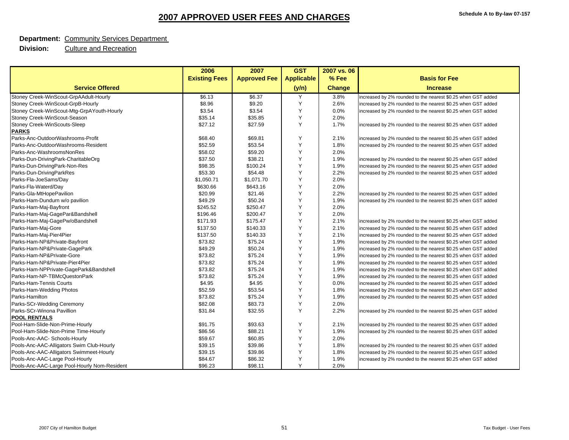#### **Department:** Community Services Department

|                                              | 2006                 | 2007                | <b>GST</b>        | 2007 vs. 06   |                                                              |
|----------------------------------------------|----------------------|---------------------|-------------------|---------------|--------------------------------------------------------------|
|                                              | <b>Existing Fees</b> | <b>Approved Fee</b> | <b>Applicable</b> | % Fee         | <b>Basis for Fee</b>                                         |
| <b>Service Offered</b>                       |                      |                     | (y/n)             | <b>Change</b> | <b>Increase</b>                                              |
| Stoney Creek-WinScout-GrpAAdult-Hourly       | \$6.13               | \$6.37              | Y                 | 3.8%          | increased by 2% rounded to the nearest \$0.25 when GST added |
| Stoney Creek-WinScout-GrpB-Hourly            | \$8.96               | \$9.20              | Y                 | 2.6%          | increased by 2% rounded to the nearest \$0.25 when GST added |
| Stoney Creek-WinScout-Mtg-GrpAYouth-Hourly   | \$3.54               | \$3.54              | Y                 | 0.0%          | increased by 2% rounded to the nearest \$0.25 when GST added |
| Stoney Creek-WinScout-Season                 | \$35.14              | \$35.85             | Y                 | 2.0%          |                                                              |
| Stoney Creek-WinScouts-Sleep                 | \$27.12              | \$27.59             | Y                 | 1.7%          | increased by 2% rounded to the nearest \$0.25 when GST added |
| <b>PARKS</b>                                 |                      |                     |                   |               |                                                              |
| Parks-Anc-OutdoorWashrooms-Profit            | \$68.40              | \$69.81             | Y                 | 2.1%          | increased by 2% rounded to the nearest \$0.25 when GST added |
| Parks-Anc-OutdoorWashrooms-Resident          | \$52.59              | \$53.54             | Y                 | 1.8%          | increased by 2% rounded to the nearest \$0.25 when GST added |
| Parks-Anc-WashroomsNonRes                    | \$58.02              | \$59.20             | Y                 | 2.0%          |                                                              |
| Parks-Dun-DrivingPark-CharitableOrg          | \$37.50              | \$38.21             | Y                 | 1.9%          | increased by 2% rounded to the nearest \$0.25 when GST added |
| Parks-Dun-DrivingPark-Non-Res                | \$98.35              | \$100.24            | Y                 | 1.9%          | increased by 2% rounded to the nearest \$0.25 when GST added |
| Parks-Dun-DrivingParkRes                     | \$53.30              | \$54.48             | Y                 | 2.2%          | increased by 2% rounded to the nearest \$0.25 when GST added |
| Parks-Fla-JoeSams/Day                        | \$1,050.71           | \$1,071.70          | Y                 | 2.0%          |                                                              |
| Parks-Fla-Waterd/Day                         | \$630.66             | \$643.16            | Y                 | 2.0%          |                                                              |
| Parks-Gla-MtHopePavilion                     | \$20.99              | \$21.46             | Y                 | 2.2%          | increased by 2% rounded to the nearest \$0.25 when GST added |
| Parks-Ham-Dundurn w/o pavilion               | \$49.29              | \$50.24             | Y                 | 1.9%          | increased by 2% rounded to the nearest \$0.25 when GST added |
| Parks-Ham-Maj-Bayfront                       | \$245.52             | \$250.47            | Y                 | 2.0%          |                                                              |
| Parks-Ham-Maj-GagePar&Bandshell              | \$196.46             | \$200.47            | Y                 | 2.0%          |                                                              |
| Parks-Ham-Maj-GagePw/oBandshell              | \$171.93             | \$175.47            | Y                 | 2.1%          | increased by 2% rounded to the nearest \$0.25 when GST added |
| Parks-Ham-Maj-Gore                           | \$137.50             | \$140.33            | Y                 | 2.1%          | increased by 2% rounded to the nearest \$0.25 when GST added |
| Parks-Ham-Maj-Pier4Pier                      | \$137.50             | \$140.33            | Y                 | 2.1%          | increased by 2% rounded to the nearest \$0.25 when GST added |
| Parks-Ham-NP&Private-Bayfront                | \$73.82              | \$75.24             | Y                 | 1.9%          | increased by 2% rounded to the nearest \$0.25 when GST added |
| Parks-Ham-NP&Private-GagePark                | \$49.29              | \$50.24             | Y                 | 1.9%          | increased by 2% rounded to the nearest \$0.25 when GST added |
| Parks-Ham-NP&Private-Gore                    | \$73.82              | \$75.24             | Y                 | 1.9%          | increased by 2% rounded to the nearest \$0.25 when GST added |
| Parks-Ham-NP&Private-Pier4Pier               | \$73.82              | \$75.24             | Y                 | 1.9%          | increased by 2% rounded to the nearest \$0.25 when GST added |
| Parks-Ham-NPPrivate-GagePark&Bandshell       | \$73.82              | \$75.24             | Y                 | 1.9%          | increased by 2% rounded to the nearest \$0.25 when GST added |
| Parks-Ham-NP-TBMcQuestonPark                 | \$73.82              | \$75.24             | Y                 | 1.9%          | increased by 2% rounded to the nearest \$0.25 when GST added |
| Parks-Ham-Tennis Courts                      | \$4.95               | \$4.95              | Y                 | 0.0%          | increased by 2% rounded to the nearest \$0.25 when GST added |
| Parks-Ham-Wedding Photos                     | \$52.59              | \$53.54             | Y                 | 1.8%          | increased by 2% rounded to the nearest \$0.25 when GST added |
| Parks-Hamilton                               | \$73.82              | \$75.24             | Y                 | 1.9%          | increased by 2% rounded to the nearest \$0.25 when GST added |
| Parks-SCr-Wedding Ceremony                   | \$82.08              | \$83.73             | Y                 | 2.0%          |                                                              |
| Parks-SCr-Winona Pavillion                   | \$31.84              | \$32.55             | Y                 | 2.2%          | increased by 2% rounded to the nearest \$0.25 when GST added |
| <b>POOL RENTALS</b>                          |                      |                     |                   |               |                                                              |
| Pool-Ham-Slide-Non-Prime-Hourly              | \$91.75              | \$93.63             | Y                 | 2.1%          | increased by 2% rounded to the nearest \$0.25 when GST added |
| Pool-Ham-Slide-Non-Prime Time-Hourly         | \$86.56              | \$88.21             | Y                 | 1.9%          | increased by 2% rounded to the nearest \$0.25 when GST added |
| Pools-Anc-AAC- Schools-Hourly                | \$59.67              | \$60.85             | Y                 | 2.0%          |                                                              |
| Pools-Anc-AAC-Alligators Swim Club-Hourly    | \$39.15              | \$39.86             | Y                 | 1.8%          | increased by 2% rounded to the nearest \$0.25 when GST added |
| Pools-Anc-AAC-Alligators Swimmeet-Hourly     | \$39.15              | \$39.86             | Y                 | 1.8%          | increased by 2% rounded to the nearest \$0.25 when GST added |
| Pools-Anc-AAC-Large Pool-Hourly              | \$84.67              | \$86.32             | Y                 | 1.9%          | increased by 2% rounded to the nearest \$0.25 when GST added |
| Pools-Anc-AAC-Large Pool-Hourly Nom-Resident | \$96.23              | \$98.11             | Y                 | 2.0%          |                                                              |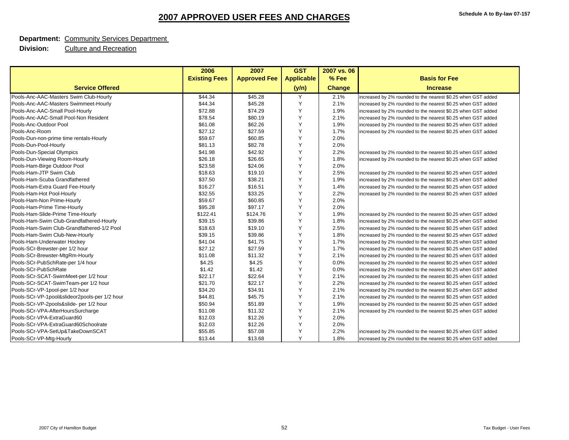#### **Department:** Community Services Department

|                                               | 2006                 | 2007                | <b>GST</b>        | 2007 vs. 06   |                                                              |
|-----------------------------------------------|----------------------|---------------------|-------------------|---------------|--------------------------------------------------------------|
|                                               | <b>Existing Fees</b> | <b>Approved Fee</b> | <b>Applicable</b> | % Fee         | <b>Basis for Fee</b>                                         |
| <b>Service Offered</b>                        |                      |                     | (y/n)             | <b>Change</b> | <b>Increase</b>                                              |
| Pools-Anc-AAC-Masters Swim Club-Hourly        | \$44.34              | \$45.28             | Y                 | 2.1%          | increased by 2% rounded to the nearest \$0.25 when GST added |
| Pools-Anc-AAC-Masters Swimmeet-Hourly         | \$44.34              | \$45.28             | Y                 | 2.1%          | increased by 2% rounded to the nearest \$0.25 when GST added |
| Pools-Anc-AAC-Small Pool-Hourly               | \$72.88              | \$74.29             | Y                 | 1.9%          | increased by 2% rounded to the nearest \$0.25 when GST added |
| Pools-Anc-AAC-Small Pool-Non Resident         | \$78.54              | \$80.19             | Y                 | 2.1%          | increased by 2% rounded to the nearest \$0.25 when GST added |
| Pools-Anc-Outdoor Pool                        | \$61.08              | \$62.26             | Y                 | 1.9%          | increased by 2% rounded to the nearest \$0.25 when GST added |
| Pools-Anc-Room                                | \$27.12              | \$27.59             | Y                 | 1.7%          | increased by 2% rounded to the nearest \$0.25 when GST added |
| Pools-Dun-non-prime time rentals-Hourly       | \$59.67              | \$60.85             | Y                 | 2.0%          |                                                              |
| Pools-Dun-Pool-Hourly                         | \$81.13              | \$82.78             | Y                 | 2.0%          |                                                              |
| Pools-Dun-Special Olympics                    | \$41.98              | \$42.92             | Y                 | 2.2%          | increased by 2% rounded to the nearest \$0.25 when GST added |
| Pools-Dun-Viewing Room-Hourly                 | \$26.18              | \$26.65             | Y                 | 1.8%          | increased by 2% rounded to the nearest \$0.25 when GST added |
| Pools-Ham-Birge Outdoor Pool                  | \$23.58              | \$24.06             | Y                 | 2.0%          |                                                              |
| Pools-Ham-JTP Swim Club                       | \$18.63              | \$19.10             | Y                 | 2.5%          | increased by 2% rounded to the nearest \$0.25 when GST added |
| Pools-Ham-Scuba Grandfathered                 | \$37.50              | \$38.21             | Y                 | 1.9%          | increased by 2% rounded to the nearest \$0.25 when GST added |
| Pools-Ham-Extra Guard Fee-Hourly              | \$16.27              | \$16.51             | Y                 | 1.4%          | increased by 2% rounded to the nearest \$0.25 when GST added |
| Pools-Ham-Hot Pool-Hourly                     | \$32.55              | \$33.25             | Y                 | 2.2%          | increased by 2% rounded to the nearest \$0.25 when GST added |
| Pools-Ham-Non Prime-Hourly                    | \$59.67              | \$60.85             | Y                 | 2.0%          |                                                              |
| Pools-Ham-Prime Time-Hourly                   | \$95.28              | \$97.17             | Y                 | 2.0%          |                                                              |
| Pools-Ham-Slide-Prime Time-Hourly             | \$122.41             | \$124.76            | Y                 | 1.9%          | increased by 2% rounded to the nearest \$0.25 when GST added |
| Pools-Ham-Swim Club-Grandfathered-Hourly      | \$39.15              | \$39.86             | Y                 | 1.8%          | increased by 2% rounded to the nearest \$0.25 when GST added |
| Pools-Ham-Swim Club-Grandfathered-1/2 Pool    | \$18.63              | \$19.10             | Y                 | 2.5%          | increased by 2% rounded to the nearest \$0.25 when GST added |
| Pools-Ham-Swim Club-New-Hourly                | \$39.15              | \$39.86             | Y                 | 1.8%          | increased by 2% rounded to the nearest \$0.25 when GST added |
| Pools-Ham-Underwater Hockey                   | \$41.04              | \$41.75             | Y                 | 1.7%          | increased by 2% rounded to the nearest \$0.25 when GST added |
| Pools-SCr-Brewster-per 1/2 hour               | \$27.12              | \$27.59             | Y                 | 1.7%          | increased by 2% rounded to the nearest \$0.25 when GST added |
| Pools-SCr-Brewster-MtgRm-Hourly               | \$11.08              | \$11.32             | Y                 | 2.1%          | increased by 2% rounded to the nearest \$0.25 when GST added |
| Pools-SCr-PubSchRate-per 1/4 hour             | \$4.25               | \$4.25              | Y                 | 0.0%          | increased by 2% rounded to the nearest \$0.25 when GST added |
| Pools-SCr-PubSchRate                          | \$1.42               | \$1.42              | Y                 | 0.0%          | increased by 2% rounded to the nearest \$0.25 when GST added |
| Pools-SCr-SCAT-SwimMeet-per 1/2 hour          | \$22.17              | \$22.64             | Y                 | 2.1%          | increased by 2% rounded to the nearest \$0.25 when GST added |
| Pools-SCr-SCAT-SwimTeam-per 1/2 hour          | \$21.70              | \$22.17             | Y                 | 2.2%          | increased by 2% rounded to the nearest \$0.25 when GST added |
| Pools-SCr-VP-1pool-per 1/2 hour               | \$34.20              | \$34.91             | Y                 | 2.1%          | increased by 2% rounded to the nearest \$0.25 when GST added |
| Pools-SCr-VP-1pool&slideor2pools-per 1/2 hour | \$44.81              | \$45.75             | Y                 | 2.1%          | increased by 2% rounded to the nearest \$0.25 when GST added |
| Pools-SCr-VP-2pools&slide- per 1/2 hour       | \$50.94              | \$51.89             | Y                 | 1.9%          | increased by 2% rounded to the nearest \$0.25 when GST added |
| Pools-SCr-VPA-AfterHoursSurcharge             | \$11.08              | \$11.32             | Y                 | 2.1%          | increased by 2% rounded to the nearest \$0.25 when GST added |
| Pools-SCr-VPA-ExtraGuard60                    | \$12.03              | \$12.26             | Y                 | 2.0%          |                                                              |
| Pools-SCr-VPA-ExtraGuard60Schoolrate          | \$12.03              | \$12.26             | Y                 | 2.0%          |                                                              |
| Pools-SCr-VPA-SetUp&TakeDownSCAT              | \$55.85              | \$57.08             | Y                 | 2.2%          | increased by 2% rounded to the nearest \$0.25 when GST added |
| Pools-SCr-VP-Mtg-Hourly                       | \$13.44              | \$13.68             | Y                 | 1.8%          | increased by 2% rounded to the nearest \$0.25 when GST added |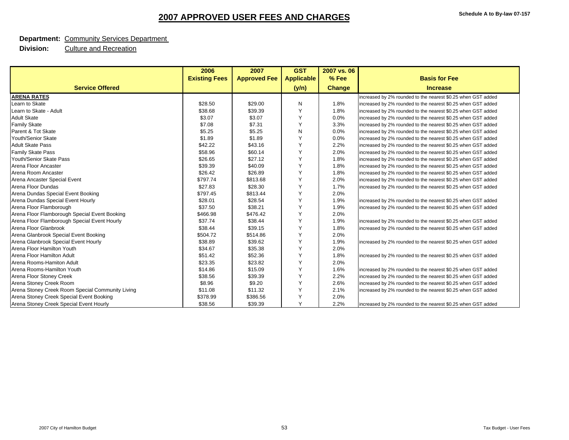#### **Department:** Community Services Department

|                                                  | 2006                 | 2007                | <b>GST</b>        | 2007 vs. 06   |                                                              |
|--------------------------------------------------|----------------------|---------------------|-------------------|---------------|--------------------------------------------------------------|
|                                                  | <b>Existing Fees</b> | <b>Approved Fee</b> | <b>Applicable</b> | % Fee         | <b>Basis for Fee</b>                                         |
| <b>Service Offered</b>                           |                      |                     | (y/n)             | <b>Change</b> | <b>Increase</b>                                              |
| <b>ARENA RATES</b>                               |                      |                     |                   |               | increased by 2% rounded to the nearest \$0.25 when GST added |
| Learn to Skate                                   | \$28.50              | \$29.00             | N                 | 1.8%          | increased by 2% rounded to the nearest \$0.25 when GST added |
| Learn to Skate - Adult                           | \$38.68              | \$39.39             | Y                 | 1.8%          | increased by 2% rounded to the nearest \$0.25 when GST added |
| <b>Adult Skate</b>                               | \$3.07               | \$3.07              | Y                 | 0.0%          | increased by 2% rounded to the nearest \$0.25 when GST added |
| <b>Family Skate</b>                              | \$7.08               | \$7.31              | Y                 | 3.3%          | increased by 2% rounded to the nearest \$0.25 when GST added |
| Parent & Tot Skate                               | \$5.25               | \$5.25              | N                 | 0.0%          | increased by 2% rounded to the nearest \$0.25 when GST added |
| Youth/Senior Skate                               | \$1.89               | \$1.89              | Y                 | 0.0%          | increased by 2% rounded to the nearest \$0.25 when GST added |
| <b>Adult Skate Pass</b>                          | \$42.22              | \$43.16             | Y                 | 2.2%          | increased by 2% rounded to the nearest \$0.25 when GST added |
| <b>Family Skate Pass</b>                         | \$58.96              | \$60.14             | Y                 | 2.0%          | increased by 2% rounded to the nearest \$0.25 when GST added |
| Youth/Senior Skate Pass                          | \$26.65              | \$27.12             | Y                 | 1.8%          | increased by 2% rounded to the nearest \$0.25 when GST added |
| Arena Floor Ancaster                             | \$39.39              | \$40.09             | Y                 | 1.8%          | increased by 2% rounded to the nearest \$0.25 when GST added |
| Arena Room Ancaster                              | \$26.42              | \$26.89             | Y                 | 1.8%          | increased by 2% rounded to the nearest \$0.25 when GST added |
| Arena Ancaster Special Event                     | \$797.74             | \$813.68            | Y                 | 2.0%          | increased by 2% rounded to the nearest \$0.25 when GST added |
| Arena Floor Dundas                               | \$27.83              | \$28.30             | Y                 | 1.7%          | increased by 2% rounded to the nearest \$0.25 when GST added |
| Arena Dundas Special Event Booking               | \$797.45             | \$813.44            | Y                 | 2.0%          |                                                              |
| Arena Dundas Special Event Hourly                | \$28.01              | \$28.54             | Y                 | 1.9%          | increased by 2% rounded to the nearest \$0.25 when GST added |
| Arena Floor Flamborough                          | \$37.50              | \$38.21             | Y                 | 1.9%          | increased by 2% rounded to the nearest \$0.25 when GST added |
| Arena Floor Flamborough Special Event Booking    | \$466.98             | \$476.42            | Y                 | 2.0%          |                                                              |
| Arena Floor Flamborough Special Event Hourly     | \$37.74              | \$38.44             | Y                 | 1.9%          | increased by 2% rounded to the nearest \$0.25 when GST added |
| Arena Floor Glanbrook                            | \$38.44              | \$39.15             | Y                 | 1.8%          | increased by 2% rounded to the nearest \$0.25 when GST added |
| Arena Glanbrook Special Event Booking            | \$504.72             | \$514.86            | Y                 | 2.0%          |                                                              |
| Arena Glanbrook Special Event Hourly             | \$38.89              | \$39.62             | Y                 | 1.9%          | increased by 2% rounded to the nearest \$0.25 when GST added |
| Arena Floor Hamilton Youth                       | \$34.67              | \$35.38             | Y                 | 2.0%          |                                                              |
| Arena Floor Hamilton Adult                       | \$51.42              | \$52.36             | Y                 | 1.8%          | increased by 2% rounded to the nearest \$0.25 when GST added |
| Arena Rooms-Hamiton Adult                        | \$23.35              | \$23.82             | Y                 | 2.0%          |                                                              |
| Arena Rooms-Hamilton Youth                       | \$14.86              | \$15.09             | Y                 | 1.6%          | increased by 2% rounded to the nearest \$0.25 when GST added |
| Arena Floor Stoney Creek                         | \$38.56              | \$39.39             | Y                 | 2.2%          | increased by 2% rounded to the nearest \$0.25 when GST added |
| Arena Stoney Creek Room                          | \$8.96               | \$9.20              | Y                 | 2.6%          | increased by 2% rounded to the nearest \$0.25 when GST added |
| Arena Stoney Creek Room Special Community Living | \$11.08              | \$11.32             | Y                 | 2.1%          | increased by 2% rounded to the nearest \$0.25 when GST added |
| Arena Stoney Creek Special Event Booking         | \$378.99             | \$386.56            | Y                 | 2.0%          |                                                              |
| Arena Stoney Creek Special Event Hourly          | \$38.56              | \$39.39             | Y                 | 2.2%          | increased by 2% rounded to the nearest \$0.25 when GST added |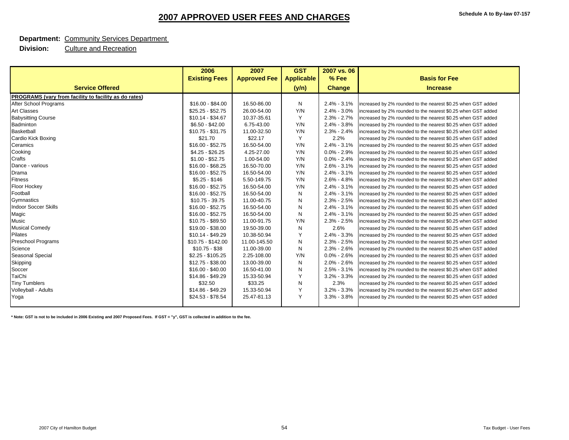#### **Department:** Community Services Department

 **Division:** Culture and Recreation

| <b>Existing Fees</b><br><b>Approved Fee</b><br><b>Applicable</b><br>% Fee<br><b>Basis for Fee</b><br><b>Service Offered</b><br>(y/n)<br><b>Change</b><br><b>Increase</b><br>PROGRAMS (vary from facility to facility as do rates)<br>After School Programs<br>\$16.00 - \$84.00<br>16.50-86.00<br>Ν<br>$2.4\% - 3.1\%$<br>increased by 2% rounded to the nearest \$0.25 when GST added<br><b>Art Classes</b><br>26.00-54.00<br>$2.4\% - 3.0\%$<br>$$25.25 - $52.75$<br>Y/N<br>increased by 2% rounded to the nearest \$0.25 when GST added<br><b>Babysitting Course</b><br>$$10.14 - $34.67$<br>10.37-35.61<br>Y<br>$2.3\% - 2.7\%$<br>increased by 2% rounded to the nearest \$0.25 when GST added<br>$$6.50 - $42.00$<br>6.75-43.00<br>Y/N<br>$2.4\% - 3.8\%$<br>Badminton<br>increased by 2% rounded to the nearest \$0.25 when GST added<br><b>Basketball</b><br>$$10.75 - $31.75$<br>11.00-32.50<br>$2.3\% - 2.4\%$<br>Y/N<br>increased by 2% rounded to the nearest \$0.25 when GST added<br>Cardio Kick Boxing<br>Y<br>2.2%<br>\$21.70<br>\$22.17<br>increased by 2% rounded to the nearest \$0.25 when GST added<br>Ceramics<br>$$16.00 - $52.75$<br>16.50-54.00<br>Y/N<br>$2.4\% - 3.1\%$<br>increased by 2% rounded to the nearest \$0.25 when GST added<br>Cooking<br>$0.0\% - 2.9\%$<br>$$4.25 - $26.25$<br>4.25-27.00<br>Y/N<br>increased by 2% rounded to the nearest \$0.25 when GST added<br>Crafts<br>1.00-54.00<br>$0.0\% - 2.4\%$<br>$$1.00 - $52.75$<br>Y/N<br>increased by 2% rounded to the nearest \$0.25 when GST added<br>$2.6\% - 3.1\%$<br>Dance - various<br>$$16.00 - $68.25$<br>16.50-70.00<br>Y/N<br>increased by 2% rounded to the nearest \$0.25 when GST added<br>$$16.00 - $52.75$<br>16.50-54.00<br>$2.4\% - 3.1\%$<br>Drama<br>Y/N<br>increased by 2% rounded to the nearest \$0.25 when GST added<br><b>Fitness</b><br>$$5.25 - $146$<br>5.50-149.75<br>Y/N<br>$2.6\% - 4.8\%$<br>increased by 2% rounded to the nearest \$0.25 when GST added<br><b>Floor Hockey</b><br>$2.4\% - 3.1\%$<br>$$16.00 - $52.75$<br>16.50-54.00<br>Y/N<br>increased by 2% rounded to the nearest \$0.25 when GST added<br>Football<br>$$16.00 - $52.75$<br>16.50-54.00<br>$2.4\% - 3.1\%$<br>Ν<br>increased by 2% rounded to the nearest \$0.25 when GST added<br>Gymnastics<br>$$10.75 - 39.75$<br>11.00-40.75<br>$2.3\% - 2.5\%$<br>N<br>increased by 2% rounded to the nearest \$0.25 when GST added<br><b>Indoor Soccer Skills</b><br>$$16.00 - $52.75$<br>16.50-54.00<br>$2.4\% - 3.1\%$<br>Ν<br>increased by 2% rounded to the nearest \$0.25 when GST added<br>Magic<br>$$16.00 - $52.75$<br>16.50-54.00<br>N<br>$2.4\% - 3.1\%$<br>increased by 2% rounded to the nearest \$0.25 when GST added<br><b>Music</b><br>\$10.75 - \$89.50<br>11.00-91.75<br>Y/N<br>$2.3\% - 2.5\%$<br>increased by 2% rounded to the nearest \$0.25 when GST added<br><b>Musical Comedy</b><br>2.6%<br>\$19.00 - \$38.00<br>19.50-39.00<br>Ν<br>increased by 2% rounded to the nearest \$0.25 when GST added<br>Pilates<br>Y<br>$$10.14 - $49.29$<br>10.38-50.94<br>$2.4\% - 3.3\%$<br>increased by 2% rounded to the nearest \$0.25 when GST added<br><b>Preschool Programs</b><br>$$10.75 - $142.00$<br>11.00-145.50<br>N<br>$2.3\% - 2.5\%$<br>increased by 2% rounded to the nearest \$0.25 when GST added<br>N<br>Science<br>$$10.75 - $38$<br>11.00-39.00<br>$2.3\% - 2.6\%$<br>increased by 2% rounded to the nearest \$0.25 when GST added<br>Seasonal Special<br>$0.0\% - 2.6\%$<br>$$2.25 - $105.25$<br>2.25-108.00<br>Y/N<br>increased by 2% rounded to the nearest \$0.25 when GST added<br>Skipping<br>$$12.75 - $38.00$<br>13.00-39.00<br>$2.0\% - 2.6\%$<br>Ν<br>increased by 2% rounded to the nearest \$0.25 when GST added<br>16.50-41.00<br>$2.5\% - 3.1\%$<br>Soccer<br>$$16.00 - $40.00$<br>Ν<br>increased by 2% rounded to the nearest \$0.25 when GST added<br>TaiChi<br>Y<br>\$14.86 - \$49.29<br>$3.2\% - 3.3\%$<br>15.33-50.94<br>increased by 2% rounded to the nearest \$0.25 when GST added<br>N<br>2.3%<br><b>Tiny Tumblers</b><br>\$32.50<br>\$33.25<br>increased by 2% rounded to the nearest \$0.25 when GST added<br>Y<br>Volleyball - Adults<br>\$14.86 - \$49.29<br>15.33-50.94<br>$3.2\% - 3.3\%$<br>increased by 2% rounded to the nearest \$0.25 when GST added<br>Y<br>25.47-81.13<br>\$24.53 - \$78.54<br>$3.3\% - 3.8\%$<br>increased by 2% rounded to the nearest \$0.25 when GST added<br>Yoga | 2006 | 2007 | <b>GST</b> | 2007 vs. 06 |  |
|--------------------------------------------------------------------------------------------------------------------------------------------------------------------------------------------------------------------------------------------------------------------------------------------------------------------------------------------------------------------------------------------------------------------------------------------------------------------------------------------------------------------------------------------------------------------------------------------------------------------------------------------------------------------------------------------------------------------------------------------------------------------------------------------------------------------------------------------------------------------------------------------------------------------------------------------------------------------------------------------------------------------------------------------------------------------------------------------------------------------------------------------------------------------------------------------------------------------------------------------------------------------------------------------------------------------------------------------------------------------------------------------------------------------------------------------------------------------------------------------------------------------------------------------------------------------------------------------------------------------------------------------------------------------------------------------------------------------------------------------------------------------------------------------------------------------------------------------------------------------------------------------------------------------------------------------------------------------------------------------------------------------------------------------------------------------------------------------------------------------------------------------------------------------------------------------------------------------------------------------------------------------------------------------------------------------------------------------------------------------------------------------------------------------------------------------------------------------------------------------------------------------------------------------------------------------------------------------------------------------------------------------------------------------------------------------------------------------------------------------------------------------------------------------------------------------------------------------------------------------------------------------------------------------------------------------------------------------------------------------------------------------------------------------------------------------------------------------------------------------------------------------------------------------------------------------------------------------------------------------------------------------------------------------------------------------------------------------------------------------------------------------------------------------------------------------------------------------------------------------------------------------------------------------------------------------------------------------------------------------------------------------------------------------------------------------------------------------------------------------------------------------------------------------------------------------------------------------------------------------------------------------------------------------------------------------------------------------------------------------------------------------------------------------------------------------------------------------------------------------------------------------------------------------------------------------------------------------------------------------------------------------------------------------------------------------------------------------------------------------------------------------------------------------------------------------------|------|------|------------|-------------|--|
|                                                                                                                                                                                                                                                                                                                                                                                                                                                                                                                                                                                                                                                                                                                                                                                                                                                                                                                                                                                                                                                                                                                                                                                                                                                                                                                                                                                                                                                                                                                                                                                                                                                                                                                                                                                                                                                                                                                                                                                                                                                                                                                                                                                                                                                                                                                                                                                                                                                                                                                                                                                                                                                                                                                                                                                                                                                                                                                                                                                                                                                                                                                                                                                                                                                                                                                                                                                                                                                                                                                                                                                                                                                                                                                                                                                                                                                                                                                                                                                                                                                                                                                                                                                                                                                                                                                                                                                                                                                  |      |      |            |             |  |
|                                                                                                                                                                                                                                                                                                                                                                                                                                                                                                                                                                                                                                                                                                                                                                                                                                                                                                                                                                                                                                                                                                                                                                                                                                                                                                                                                                                                                                                                                                                                                                                                                                                                                                                                                                                                                                                                                                                                                                                                                                                                                                                                                                                                                                                                                                                                                                                                                                                                                                                                                                                                                                                                                                                                                                                                                                                                                                                                                                                                                                                                                                                                                                                                                                                                                                                                                                                                                                                                                                                                                                                                                                                                                                                                                                                                                                                                                                                                                                                                                                                                                                                                                                                                                                                                                                                                                                                                                                                  |      |      |            |             |  |
|                                                                                                                                                                                                                                                                                                                                                                                                                                                                                                                                                                                                                                                                                                                                                                                                                                                                                                                                                                                                                                                                                                                                                                                                                                                                                                                                                                                                                                                                                                                                                                                                                                                                                                                                                                                                                                                                                                                                                                                                                                                                                                                                                                                                                                                                                                                                                                                                                                                                                                                                                                                                                                                                                                                                                                                                                                                                                                                                                                                                                                                                                                                                                                                                                                                                                                                                                                                                                                                                                                                                                                                                                                                                                                                                                                                                                                                                                                                                                                                                                                                                                                                                                                                                                                                                                                                                                                                                                                                  |      |      |            |             |  |
|                                                                                                                                                                                                                                                                                                                                                                                                                                                                                                                                                                                                                                                                                                                                                                                                                                                                                                                                                                                                                                                                                                                                                                                                                                                                                                                                                                                                                                                                                                                                                                                                                                                                                                                                                                                                                                                                                                                                                                                                                                                                                                                                                                                                                                                                                                                                                                                                                                                                                                                                                                                                                                                                                                                                                                                                                                                                                                                                                                                                                                                                                                                                                                                                                                                                                                                                                                                                                                                                                                                                                                                                                                                                                                                                                                                                                                                                                                                                                                                                                                                                                                                                                                                                                                                                                                                                                                                                                                                  |      |      |            |             |  |
|                                                                                                                                                                                                                                                                                                                                                                                                                                                                                                                                                                                                                                                                                                                                                                                                                                                                                                                                                                                                                                                                                                                                                                                                                                                                                                                                                                                                                                                                                                                                                                                                                                                                                                                                                                                                                                                                                                                                                                                                                                                                                                                                                                                                                                                                                                                                                                                                                                                                                                                                                                                                                                                                                                                                                                                                                                                                                                                                                                                                                                                                                                                                                                                                                                                                                                                                                                                                                                                                                                                                                                                                                                                                                                                                                                                                                                                                                                                                                                                                                                                                                                                                                                                                                                                                                                                                                                                                                                                  |      |      |            |             |  |
|                                                                                                                                                                                                                                                                                                                                                                                                                                                                                                                                                                                                                                                                                                                                                                                                                                                                                                                                                                                                                                                                                                                                                                                                                                                                                                                                                                                                                                                                                                                                                                                                                                                                                                                                                                                                                                                                                                                                                                                                                                                                                                                                                                                                                                                                                                                                                                                                                                                                                                                                                                                                                                                                                                                                                                                                                                                                                                                                                                                                                                                                                                                                                                                                                                                                                                                                                                                                                                                                                                                                                                                                                                                                                                                                                                                                                                                                                                                                                                                                                                                                                                                                                                                                                                                                                                                                                                                                                                                  |      |      |            |             |  |
|                                                                                                                                                                                                                                                                                                                                                                                                                                                                                                                                                                                                                                                                                                                                                                                                                                                                                                                                                                                                                                                                                                                                                                                                                                                                                                                                                                                                                                                                                                                                                                                                                                                                                                                                                                                                                                                                                                                                                                                                                                                                                                                                                                                                                                                                                                                                                                                                                                                                                                                                                                                                                                                                                                                                                                                                                                                                                                                                                                                                                                                                                                                                                                                                                                                                                                                                                                                                                                                                                                                                                                                                                                                                                                                                                                                                                                                                                                                                                                                                                                                                                                                                                                                                                                                                                                                                                                                                                                                  |      |      |            |             |  |
|                                                                                                                                                                                                                                                                                                                                                                                                                                                                                                                                                                                                                                                                                                                                                                                                                                                                                                                                                                                                                                                                                                                                                                                                                                                                                                                                                                                                                                                                                                                                                                                                                                                                                                                                                                                                                                                                                                                                                                                                                                                                                                                                                                                                                                                                                                                                                                                                                                                                                                                                                                                                                                                                                                                                                                                                                                                                                                                                                                                                                                                                                                                                                                                                                                                                                                                                                                                                                                                                                                                                                                                                                                                                                                                                                                                                                                                                                                                                                                                                                                                                                                                                                                                                                                                                                                                                                                                                                                                  |      |      |            |             |  |
|                                                                                                                                                                                                                                                                                                                                                                                                                                                                                                                                                                                                                                                                                                                                                                                                                                                                                                                                                                                                                                                                                                                                                                                                                                                                                                                                                                                                                                                                                                                                                                                                                                                                                                                                                                                                                                                                                                                                                                                                                                                                                                                                                                                                                                                                                                                                                                                                                                                                                                                                                                                                                                                                                                                                                                                                                                                                                                                                                                                                                                                                                                                                                                                                                                                                                                                                                                                                                                                                                                                                                                                                                                                                                                                                                                                                                                                                                                                                                                                                                                                                                                                                                                                                                                                                                                                                                                                                                                                  |      |      |            |             |  |
|                                                                                                                                                                                                                                                                                                                                                                                                                                                                                                                                                                                                                                                                                                                                                                                                                                                                                                                                                                                                                                                                                                                                                                                                                                                                                                                                                                                                                                                                                                                                                                                                                                                                                                                                                                                                                                                                                                                                                                                                                                                                                                                                                                                                                                                                                                                                                                                                                                                                                                                                                                                                                                                                                                                                                                                                                                                                                                                                                                                                                                                                                                                                                                                                                                                                                                                                                                                                                                                                                                                                                                                                                                                                                                                                                                                                                                                                                                                                                                                                                                                                                                                                                                                                                                                                                                                                                                                                                                                  |      |      |            |             |  |
|                                                                                                                                                                                                                                                                                                                                                                                                                                                                                                                                                                                                                                                                                                                                                                                                                                                                                                                                                                                                                                                                                                                                                                                                                                                                                                                                                                                                                                                                                                                                                                                                                                                                                                                                                                                                                                                                                                                                                                                                                                                                                                                                                                                                                                                                                                                                                                                                                                                                                                                                                                                                                                                                                                                                                                                                                                                                                                                                                                                                                                                                                                                                                                                                                                                                                                                                                                                                                                                                                                                                                                                                                                                                                                                                                                                                                                                                                                                                                                                                                                                                                                                                                                                                                                                                                                                                                                                                                                                  |      |      |            |             |  |
|                                                                                                                                                                                                                                                                                                                                                                                                                                                                                                                                                                                                                                                                                                                                                                                                                                                                                                                                                                                                                                                                                                                                                                                                                                                                                                                                                                                                                                                                                                                                                                                                                                                                                                                                                                                                                                                                                                                                                                                                                                                                                                                                                                                                                                                                                                                                                                                                                                                                                                                                                                                                                                                                                                                                                                                                                                                                                                                                                                                                                                                                                                                                                                                                                                                                                                                                                                                                                                                                                                                                                                                                                                                                                                                                                                                                                                                                                                                                                                                                                                                                                                                                                                                                                                                                                                                                                                                                                                                  |      |      |            |             |  |
|                                                                                                                                                                                                                                                                                                                                                                                                                                                                                                                                                                                                                                                                                                                                                                                                                                                                                                                                                                                                                                                                                                                                                                                                                                                                                                                                                                                                                                                                                                                                                                                                                                                                                                                                                                                                                                                                                                                                                                                                                                                                                                                                                                                                                                                                                                                                                                                                                                                                                                                                                                                                                                                                                                                                                                                                                                                                                                                                                                                                                                                                                                                                                                                                                                                                                                                                                                                                                                                                                                                                                                                                                                                                                                                                                                                                                                                                                                                                                                                                                                                                                                                                                                                                                                                                                                                                                                                                                                                  |      |      |            |             |  |
|                                                                                                                                                                                                                                                                                                                                                                                                                                                                                                                                                                                                                                                                                                                                                                                                                                                                                                                                                                                                                                                                                                                                                                                                                                                                                                                                                                                                                                                                                                                                                                                                                                                                                                                                                                                                                                                                                                                                                                                                                                                                                                                                                                                                                                                                                                                                                                                                                                                                                                                                                                                                                                                                                                                                                                                                                                                                                                                                                                                                                                                                                                                                                                                                                                                                                                                                                                                                                                                                                                                                                                                                                                                                                                                                                                                                                                                                                                                                                                                                                                                                                                                                                                                                                                                                                                                                                                                                                                                  |      |      |            |             |  |
|                                                                                                                                                                                                                                                                                                                                                                                                                                                                                                                                                                                                                                                                                                                                                                                                                                                                                                                                                                                                                                                                                                                                                                                                                                                                                                                                                                                                                                                                                                                                                                                                                                                                                                                                                                                                                                                                                                                                                                                                                                                                                                                                                                                                                                                                                                                                                                                                                                                                                                                                                                                                                                                                                                                                                                                                                                                                                                                                                                                                                                                                                                                                                                                                                                                                                                                                                                                                                                                                                                                                                                                                                                                                                                                                                                                                                                                                                                                                                                                                                                                                                                                                                                                                                                                                                                                                                                                                                                                  |      |      |            |             |  |
|                                                                                                                                                                                                                                                                                                                                                                                                                                                                                                                                                                                                                                                                                                                                                                                                                                                                                                                                                                                                                                                                                                                                                                                                                                                                                                                                                                                                                                                                                                                                                                                                                                                                                                                                                                                                                                                                                                                                                                                                                                                                                                                                                                                                                                                                                                                                                                                                                                                                                                                                                                                                                                                                                                                                                                                                                                                                                                                                                                                                                                                                                                                                                                                                                                                                                                                                                                                                                                                                                                                                                                                                                                                                                                                                                                                                                                                                                                                                                                                                                                                                                                                                                                                                                                                                                                                                                                                                                                                  |      |      |            |             |  |
|                                                                                                                                                                                                                                                                                                                                                                                                                                                                                                                                                                                                                                                                                                                                                                                                                                                                                                                                                                                                                                                                                                                                                                                                                                                                                                                                                                                                                                                                                                                                                                                                                                                                                                                                                                                                                                                                                                                                                                                                                                                                                                                                                                                                                                                                                                                                                                                                                                                                                                                                                                                                                                                                                                                                                                                                                                                                                                                                                                                                                                                                                                                                                                                                                                                                                                                                                                                                                                                                                                                                                                                                                                                                                                                                                                                                                                                                                                                                                                                                                                                                                                                                                                                                                                                                                                                                                                                                                                                  |      |      |            |             |  |
|                                                                                                                                                                                                                                                                                                                                                                                                                                                                                                                                                                                                                                                                                                                                                                                                                                                                                                                                                                                                                                                                                                                                                                                                                                                                                                                                                                                                                                                                                                                                                                                                                                                                                                                                                                                                                                                                                                                                                                                                                                                                                                                                                                                                                                                                                                                                                                                                                                                                                                                                                                                                                                                                                                                                                                                                                                                                                                                                                                                                                                                                                                                                                                                                                                                                                                                                                                                                                                                                                                                                                                                                                                                                                                                                                                                                                                                                                                                                                                                                                                                                                                                                                                                                                                                                                                                                                                                                                                                  |      |      |            |             |  |
|                                                                                                                                                                                                                                                                                                                                                                                                                                                                                                                                                                                                                                                                                                                                                                                                                                                                                                                                                                                                                                                                                                                                                                                                                                                                                                                                                                                                                                                                                                                                                                                                                                                                                                                                                                                                                                                                                                                                                                                                                                                                                                                                                                                                                                                                                                                                                                                                                                                                                                                                                                                                                                                                                                                                                                                                                                                                                                                                                                                                                                                                                                                                                                                                                                                                                                                                                                                                                                                                                                                                                                                                                                                                                                                                                                                                                                                                                                                                                                                                                                                                                                                                                                                                                                                                                                                                                                                                                                                  |      |      |            |             |  |
|                                                                                                                                                                                                                                                                                                                                                                                                                                                                                                                                                                                                                                                                                                                                                                                                                                                                                                                                                                                                                                                                                                                                                                                                                                                                                                                                                                                                                                                                                                                                                                                                                                                                                                                                                                                                                                                                                                                                                                                                                                                                                                                                                                                                                                                                                                                                                                                                                                                                                                                                                                                                                                                                                                                                                                                                                                                                                                                                                                                                                                                                                                                                                                                                                                                                                                                                                                                                                                                                                                                                                                                                                                                                                                                                                                                                                                                                                                                                                                                                                                                                                                                                                                                                                                                                                                                                                                                                                                                  |      |      |            |             |  |
|                                                                                                                                                                                                                                                                                                                                                                                                                                                                                                                                                                                                                                                                                                                                                                                                                                                                                                                                                                                                                                                                                                                                                                                                                                                                                                                                                                                                                                                                                                                                                                                                                                                                                                                                                                                                                                                                                                                                                                                                                                                                                                                                                                                                                                                                                                                                                                                                                                                                                                                                                                                                                                                                                                                                                                                                                                                                                                                                                                                                                                                                                                                                                                                                                                                                                                                                                                                                                                                                                                                                                                                                                                                                                                                                                                                                                                                                                                                                                                                                                                                                                                                                                                                                                                                                                                                                                                                                                                                  |      |      |            |             |  |
|                                                                                                                                                                                                                                                                                                                                                                                                                                                                                                                                                                                                                                                                                                                                                                                                                                                                                                                                                                                                                                                                                                                                                                                                                                                                                                                                                                                                                                                                                                                                                                                                                                                                                                                                                                                                                                                                                                                                                                                                                                                                                                                                                                                                                                                                                                                                                                                                                                                                                                                                                                                                                                                                                                                                                                                                                                                                                                                                                                                                                                                                                                                                                                                                                                                                                                                                                                                                                                                                                                                                                                                                                                                                                                                                                                                                                                                                                                                                                                                                                                                                                                                                                                                                                                                                                                                                                                                                                                                  |      |      |            |             |  |
|                                                                                                                                                                                                                                                                                                                                                                                                                                                                                                                                                                                                                                                                                                                                                                                                                                                                                                                                                                                                                                                                                                                                                                                                                                                                                                                                                                                                                                                                                                                                                                                                                                                                                                                                                                                                                                                                                                                                                                                                                                                                                                                                                                                                                                                                                                                                                                                                                                                                                                                                                                                                                                                                                                                                                                                                                                                                                                                                                                                                                                                                                                                                                                                                                                                                                                                                                                                                                                                                                                                                                                                                                                                                                                                                                                                                                                                                                                                                                                                                                                                                                                                                                                                                                                                                                                                                                                                                                                                  |      |      |            |             |  |
|                                                                                                                                                                                                                                                                                                                                                                                                                                                                                                                                                                                                                                                                                                                                                                                                                                                                                                                                                                                                                                                                                                                                                                                                                                                                                                                                                                                                                                                                                                                                                                                                                                                                                                                                                                                                                                                                                                                                                                                                                                                                                                                                                                                                                                                                                                                                                                                                                                                                                                                                                                                                                                                                                                                                                                                                                                                                                                                                                                                                                                                                                                                                                                                                                                                                                                                                                                                                                                                                                                                                                                                                                                                                                                                                                                                                                                                                                                                                                                                                                                                                                                                                                                                                                                                                                                                                                                                                                                                  |      |      |            |             |  |
|                                                                                                                                                                                                                                                                                                                                                                                                                                                                                                                                                                                                                                                                                                                                                                                                                                                                                                                                                                                                                                                                                                                                                                                                                                                                                                                                                                                                                                                                                                                                                                                                                                                                                                                                                                                                                                                                                                                                                                                                                                                                                                                                                                                                                                                                                                                                                                                                                                                                                                                                                                                                                                                                                                                                                                                                                                                                                                                                                                                                                                                                                                                                                                                                                                                                                                                                                                                                                                                                                                                                                                                                                                                                                                                                                                                                                                                                                                                                                                                                                                                                                                                                                                                                                                                                                                                                                                                                                                                  |      |      |            |             |  |
|                                                                                                                                                                                                                                                                                                                                                                                                                                                                                                                                                                                                                                                                                                                                                                                                                                                                                                                                                                                                                                                                                                                                                                                                                                                                                                                                                                                                                                                                                                                                                                                                                                                                                                                                                                                                                                                                                                                                                                                                                                                                                                                                                                                                                                                                                                                                                                                                                                                                                                                                                                                                                                                                                                                                                                                                                                                                                                                                                                                                                                                                                                                                                                                                                                                                                                                                                                                                                                                                                                                                                                                                                                                                                                                                                                                                                                                                                                                                                                                                                                                                                                                                                                                                                                                                                                                                                                                                                                                  |      |      |            |             |  |
|                                                                                                                                                                                                                                                                                                                                                                                                                                                                                                                                                                                                                                                                                                                                                                                                                                                                                                                                                                                                                                                                                                                                                                                                                                                                                                                                                                                                                                                                                                                                                                                                                                                                                                                                                                                                                                                                                                                                                                                                                                                                                                                                                                                                                                                                                                                                                                                                                                                                                                                                                                                                                                                                                                                                                                                                                                                                                                                                                                                                                                                                                                                                                                                                                                                                                                                                                                                                                                                                                                                                                                                                                                                                                                                                                                                                                                                                                                                                                                                                                                                                                                                                                                                                                                                                                                                                                                                                                                                  |      |      |            |             |  |
|                                                                                                                                                                                                                                                                                                                                                                                                                                                                                                                                                                                                                                                                                                                                                                                                                                                                                                                                                                                                                                                                                                                                                                                                                                                                                                                                                                                                                                                                                                                                                                                                                                                                                                                                                                                                                                                                                                                                                                                                                                                                                                                                                                                                                                                                                                                                                                                                                                                                                                                                                                                                                                                                                                                                                                                                                                                                                                                                                                                                                                                                                                                                                                                                                                                                                                                                                                                                                                                                                                                                                                                                                                                                                                                                                                                                                                                                                                                                                                                                                                                                                                                                                                                                                                                                                                                                                                                                                                                  |      |      |            |             |  |
|                                                                                                                                                                                                                                                                                                                                                                                                                                                                                                                                                                                                                                                                                                                                                                                                                                                                                                                                                                                                                                                                                                                                                                                                                                                                                                                                                                                                                                                                                                                                                                                                                                                                                                                                                                                                                                                                                                                                                                                                                                                                                                                                                                                                                                                                                                                                                                                                                                                                                                                                                                                                                                                                                                                                                                                                                                                                                                                                                                                                                                                                                                                                                                                                                                                                                                                                                                                                                                                                                                                                                                                                                                                                                                                                                                                                                                                                                                                                                                                                                                                                                                                                                                                                                                                                                                                                                                                                                                                  |      |      |            |             |  |
|                                                                                                                                                                                                                                                                                                                                                                                                                                                                                                                                                                                                                                                                                                                                                                                                                                                                                                                                                                                                                                                                                                                                                                                                                                                                                                                                                                                                                                                                                                                                                                                                                                                                                                                                                                                                                                                                                                                                                                                                                                                                                                                                                                                                                                                                                                                                                                                                                                                                                                                                                                                                                                                                                                                                                                                                                                                                                                                                                                                                                                                                                                                                                                                                                                                                                                                                                                                                                                                                                                                                                                                                                                                                                                                                                                                                                                                                                                                                                                                                                                                                                                                                                                                                                                                                                                                                                                                                                                                  |      |      |            |             |  |
|                                                                                                                                                                                                                                                                                                                                                                                                                                                                                                                                                                                                                                                                                                                                                                                                                                                                                                                                                                                                                                                                                                                                                                                                                                                                                                                                                                                                                                                                                                                                                                                                                                                                                                                                                                                                                                                                                                                                                                                                                                                                                                                                                                                                                                                                                                                                                                                                                                                                                                                                                                                                                                                                                                                                                                                                                                                                                                                                                                                                                                                                                                                                                                                                                                                                                                                                                                                                                                                                                                                                                                                                                                                                                                                                                                                                                                                                                                                                                                                                                                                                                                                                                                                                                                                                                                                                                                                                                                                  |      |      |            |             |  |
|                                                                                                                                                                                                                                                                                                                                                                                                                                                                                                                                                                                                                                                                                                                                                                                                                                                                                                                                                                                                                                                                                                                                                                                                                                                                                                                                                                                                                                                                                                                                                                                                                                                                                                                                                                                                                                                                                                                                                                                                                                                                                                                                                                                                                                                                                                                                                                                                                                                                                                                                                                                                                                                                                                                                                                                                                                                                                                                                                                                                                                                                                                                                                                                                                                                                                                                                                                                                                                                                                                                                                                                                                                                                                                                                                                                                                                                                                                                                                                                                                                                                                                                                                                                                                                                                                                                                                                                                                                                  |      |      |            |             |  |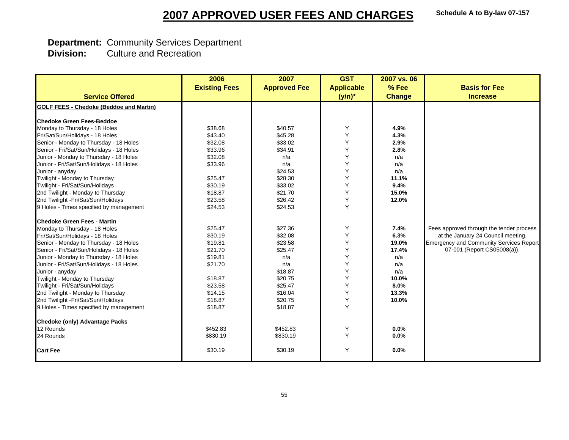#### **Schedule A to By-law 07-157**

## **2007 APPROVED USER FEES AND CHARGES**

# **Department: Community Services Department<br>
<b>Division:** Culture and Recreation

|                                                | 2006                 | 2007                | <b>GST</b>        | 2007 vs. 06   |                                                |
|------------------------------------------------|----------------------|---------------------|-------------------|---------------|------------------------------------------------|
|                                                | <b>Existing Fees</b> | <b>Approved Fee</b> | <b>Applicable</b> | % Fee         | <b>Basis for Fee</b>                           |
| <b>Service Offered</b>                         |                      |                     | $(y/n)^*$         | <b>Change</b> | <b>Increase</b>                                |
| <b>GOLF FEES - Chedoke (Beddoe and Martin)</b> |                      |                     |                   |               |                                                |
|                                                |                      |                     |                   |               |                                                |
| <b>Chedoke Green Fees-Beddoe</b>               |                      |                     |                   |               |                                                |
| Monday to Thursday - 18 Holes                  | \$38.68              | \$40.57             | Υ                 | 4.9%          |                                                |
| Fri/Sat/Sun/Holidays - 18 Holes                | \$43.40              | \$45.28             | Y                 | 4.3%          |                                                |
| Senior - Monday to Thursday - 18 Holes         | \$32.08              | \$33.02             | Υ                 | 2.9%          |                                                |
| Senior - Fri/Sat/Sun/Holidays - 18 Holes       | \$33.96              | \$34.91             | Y                 | 2.8%          |                                                |
| Junior - Monday to Thursday - 18 Holes         | \$32.08              | n/a                 | Y                 | n/a           |                                                |
| Junior - Fri/Sat/Sun/Holidays - 18 Holes       | \$33.96              | n/a                 | Y                 | n/a           |                                                |
| Junior - anyday                                |                      | \$24.53             | Y                 | n/a           |                                                |
| Twilight - Monday to Thursday                  | \$25.47              | \$28.30             | Y                 | 11.1%         |                                                |
| Twilight - Fri/Sat/Sun/Holidays                | \$30.19              | \$33.02             | Y                 | 9.4%          |                                                |
| 2nd Twilight - Monday to Thursday              | \$18.87              | \$21.70             | Y                 | 15.0%         |                                                |
| 2nd Twilight -Fri/Sat/Sun/Holidays             | \$23.58              | \$26.42             | Y                 | 12.0%         |                                                |
| 9 Holes - Times specified by management        | \$24.53              | \$24.53             | Y                 |               |                                                |
| <b>Chedoke Green Fees - Martin</b>             |                      |                     |                   |               |                                                |
| Monday to Thursday - 18 Holes                  | \$25.47              | \$27.36             | Υ                 | 7.4%          | Fees approved through the tender process       |
| Fri/Sat/Sun/Holidays - 18 Holes                | \$30.19              | \$32.08             | Y                 | 6.3%          | at the January 24 Council meeting.             |
| Senior - Monday to Thursday - 18 Holes         | \$19.81              | \$23.58             | Υ                 | 19.0%         | <b>Emergency and Community Services Report</b> |
| Senior - Fri/Sat/Sun/Holidays - 18 Holes       | \$21.70              | \$25.47             | Y                 | 17.4%         | 07-001 (Report CS05008(a)).                    |
| Junior - Monday to Thursday - 18 Holes         | \$19.81              | n/a                 | Υ                 | n/a           |                                                |
| Junior - Fri/Sat/Sun/Holidays - 18 Holes       | \$21.70              | n/a                 | Y                 | n/a           |                                                |
| Junior - anyday                                |                      | \$18.87             | Y                 | n/a           |                                                |
| Twilight - Monday to Thursday                  | \$18.87              | \$20.75             | Y                 | 10.0%         |                                                |
| Twilight - Fri/Sat/Sun/Holidays                | \$23.58              | \$25.47             | Y                 | 8.0%          |                                                |
| 2nd Twilight - Monday to Thursday              | \$14.15              | \$16.04             | Y                 | 13.3%         |                                                |
| 2nd Twilight -Fri/Sat/Sun/Holidays             | \$18.87              | \$20.75             | Y                 | 10.0%         |                                                |
| 9 Holes - Times specified by management        | \$18.87              | \$18.87             | Y                 |               |                                                |
| <b>Chedoke (only) Advantage Packs</b>          |                      |                     |                   |               |                                                |
| 12 Rounds                                      | \$452.83             | \$452.83            | Υ                 | 0.0%          |                                                |
| 24 Rounds                                      | \$830.19             | \$830.19            | Y                 | 0.0%          |                                                |
| <b>Cart Fee</b>                                | \$30.19              | \$30.19             | Y                 | 0.0%          |                                                |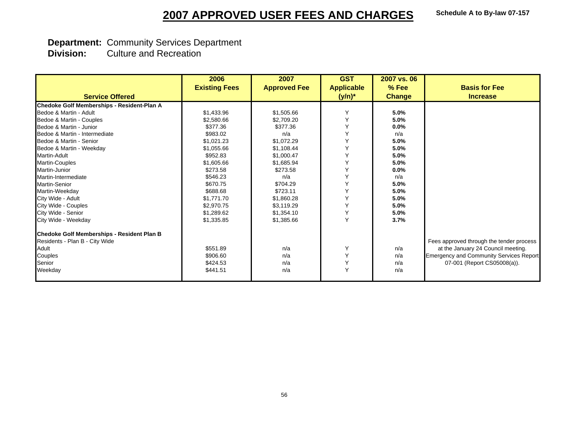# **Department: Community Services Department<br>
<b>Division:** Culture and Recreation

|                                            | 2006                 | 2007                | <b>GST</b>        | 2007 vs. 06   |                                                |
|--------------------------------------------|----------------------|---------------------|-------------------|---------------|------------------------------------------------|
|                                            | <b>Existing Fees</b> | <b>Approved Fee</b> | <b>Applicable</b> | $%$ Fee       | <b>Basis for Fee</b>                           |
| <b>Service Offered</b>                     |                      |                     | $(y/n)^*$         | <b>Change</b> | <b>Increase</b>                                |
| Chedoke Golf Memberships - Resident-Plan A |                      |                     |                   |               |                                                |
| Bedoe & Martin - Adult                     | \$1,433.96           | \$1,505.66          | Y                 | 5.0%          |                                                |
| Bedoe & Martin - Couples                   | \$2,580.66           | \$2,709.20          | Y                 | 5.0%          |                                                |
| Bedoe & Martin - Junior                    | \$377.36             | \$377.36            | Y                 | 0.0%          |                                                |
| Bedoe & Martin - Intermediate              | \$983.02             | n/a                 | Υ                 | n/a           |                                                |
| Bedoe & Martin - Senior                    | \$1,021.23           | \$1.072.29          | Y                 | 5.0%          |                                                |
| Bedoe & Martin - Weekday                   | \$1,055.66           | \$1,108.44          | Υ                 | 5.0%          |                                                |
| <b>Martin-Adult</b>                        | \$952.83             | \$1,000.47          | Y                 | 5.0%          |                                                |
| <b>Martin-Couples</b>                      | \$1,605.66           | \$1,685.94          | Υ                 | 5.0%          |                                                |
| Martin-Junior                              | \$273.58             | \$273.58            | Y                 | 0.0%          |                                                |
| Martin-Intermediate                        | \$546.23             | n/a                 | Υ                 | n/a           |                                                |
| <b>Martin-Senior</b>                       | \$670.75             | \$704.29            | Υ                 | 5.0%          |                                                |
| Martin-Weekday                             | \$688.68             | \$723.11            | Y                 | 5.0%          |                                                |
| City Wide - Adult                          | \$1,771,70           | \$1,860.28          | Υ                 | 5.0%          |                                                |
| City Wide - Couples                        | \$2,970.75           | \$3.119.29          | Υ                 | 5.0%          |                                                |
| City Wide - Senior                         | \$1,289.62           | \$1,354.10          | Υ                 | 5.0%          |                                                |
| City Wide - Weekday                        | \$1,335.85           | \$1,385.66          | Y                 | 3.7%          |                                                |
| Chedoke Golf Memberships - Resident Plan B |                      |                     |                   |               |                                                |
| Residents - Plan B - City Wide             |                      |                     |                   |               | Fees approved through the tender process       |
| Adult                                      | \$551.89             | n/a                 | Y                 | n/a           | at the January 24 Council meeting.             |
| Couples                                    | \$906.60             | n/a                 | Υ                 | n/a           | <b>Emergency and Community Services Report</b> |
| Senior                                     | \$424.53             | n/a                 | Υ                 | n/a           | 07-001 (Report CS05008(a)).                    |
| Weekday                                    | \$441.51             | n/a                 | Y                 | n/a           |                                                |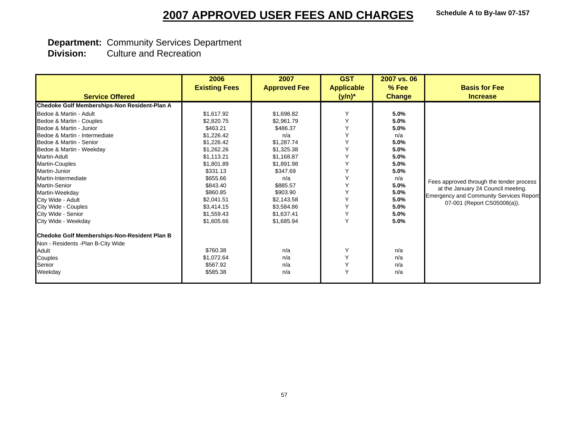# **Department: Community Services Department<br>
<b>Division:** Culture and Recreation

|                                              | 2006                 | 2007                | <b>GST</b>        | 2007 vs. 06   |                                                |
|----------------------------------------------|----------------------|---------------------|-------------------|---------------|------------------------------------------------|
|                                              | <b>Existing Fees</b> | <b>Approved Fee</b> | <b>Applicable</b> | $%$ Fee       | <b>Basis for Fee</b>                           |
| <b>Service Offered</b>                       |                      |                     | $(y/n)^*$         | <b>Change</b> | <b>Increase</b>                                |
| Chedoke Golf Memberships-Non Resident-Plan A |                      |                     |                   |               |                                                |
| Bedoe & Martin - Adult                       | \$1,617.92           | \$1,698.82          | Υ                 | 5.0%          |                                                |
| Bedoe & Martin - Couples                     | \$2,820.75           | \$2,961.79          | Υ                 | 5.0%          |                                                |
| Bedoe & Martin - Junior                      | \$463.21             | \$486.37            | Y                 | 5.0%          |                                                |
| Bedoe & Martin - Intermediate                | \$1,226.42           | n/a                 | Y                 | n/a           |                                                |
| Bedoe & Martin - Senior                      | \$1,226.42           | \$1,287.74          | Y                 | 5.0%          |                                                |
| Bedoe & Martin - Weekday                     | \$1,262.26           | \$1,325.38          | Y                 | 5.0%          |                                                |
| <b>Martin-Adult</b>                          | \$1,113.21           | \$1,168.87          | Υ                 | 5.0%          |                                                |
| Martin-Couples                               | \$1,801.89           | \$1,891.98          | Y                 | 5.0%          |                                                |
| Martin-Junior                                | \$331.13             | \$347.69            | Υ                 | 5.0%          |                                                |
| Martin-Intermediate                          | \$655.66             | n/a                 | Υ                 | n/a           | Fees approved through the tender process       |
| <b>Martin-Senior</b>                         | \$843.40             | \$885.57            | Υ                 | 5.0%          | at the January 24 Council meeting.             |
| Martin-Weekdav                               | \$860.85             | \$903.90            | Y                 | 5.0%          | <b>Emergency and Community Services Report</b> |
| City Wide - Adult                            | \$2,041.51           | \$2,143.58          | Υ                 | 5.0%          | 07-001 (Report CS05008(a)).                    |
| City Wide - Couples                          | \$3,414.15           | \$3,584.86          | Υ                 | 5.0%          |                                                |
| City Wide - Senior                           | \$1,559.43           | \$1,637.41          | Υ                 | 5.0%          |                                                |
| City Wide - Weekday                          | \$1,605.66           | \$1,685.94          | Ý                 | 5.0%          |                                                |
| Chedoke Golf Memberships-Non-Resident Plan B |                      |                     |                   |               |                                                |
| Non - Residents - Plan B-City Wide           |                      |                     |                   |               |                                                |
| Adult                                        | \$760.38             | n/a                 | Υ                 | n/a           |                                                |
| Couples                                      | \$1,072.64           | n/a                 | Υ                 | n/a           |                                                |
| Senior                                       | \$567.92             | n/a                 | Υ                 | n/a           |                                                |
| Weekday                                      | \$585.38             | n/a                 | Υ                 | n/a           |                                                |
|                                              |                      |                     |                   |               |                                                |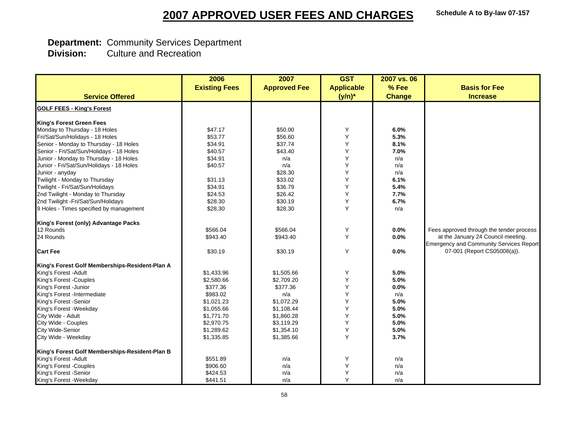# **Department: Community Services Department<br>
<b>Division:** Culture and Recreation

|                                                | 2006                 | 2007                | <b>GST</b>        | 2007 vs. 06   |                                                |
|------------------------------------------------|----------------------|---------------------|-------------------|---------------|------------------------------------------------|
|                                                | <b>Existing Fees</b> | <b>Approved Fee</b> | <b>Applicable</b> | % Fee         | <b>Basis for Fee</b>                           |
| <b>Service Offered</b>                         |                      |                     | $(y/n)^*$         | <b>Change</b> | <b>Increase</b>                                |
|                                                |                      |                     |                   |               |                                                |
| <b>GOLF FEES - King's Forest</b>               |                      |                     |                   |               |                                                |
| <b>King's Forest Green Fees</b>                |                      |                     |                   |               |                                                |
| Monday to Thursday - 18 Holes                  | \$47.17              | \$50.00             | Υ                 | 6.0%          |                                                |
| Fri/Sat/Sun/Holidays - 18 Holes                | \$53.77              | \$56.60             | Υ                 | 5.3%          |                                                |
| Senior - Monday to Thursday - 18 Holes         | \$34.91              | \$37.74             | Υ                 | 8.1%          |                                                |
| Senior - Fri/Sat/Sun/Holidays - 18 Holes       | \$40.57              | \$43.40             | Υ                 | 7.0%          |                                                |
| Junior - Monday to Thursday - 18 Holes         | \$34.91              | n/a                 | Υ                 | n/a           |                                                |
| Junior - Fri/Sat/Sun/Holidays - 18 Holes       | \$40.57              | n/a                 | Υ                 | n/a           |                                                |
| Junior - anyday                                |                      | \$28.30             | Υ                 | n/a           |                                                |
| Twilight - Monday to Thursday                  | \$31.13              | \$33.02             | Y                 | 6.1%          |                                                |
| Twilight - Fri/Sat/Sun/Holidays                | \$34.91              | \$36.79             | Υ                 | 5.4%          |                                                |
| 2nd Twilight - Monday to Thursday              | \$24.53              | \$26.42             | Υ                 | 7.7%          |                                                |
| 2nd Twilight -Fri/Sat/Sun/Holidays             | \$28.30              | \$30.19             | Υ                 | 6.7%          |                                                |
| 9 Holes - Times specified by management        | \$28.30              | \$28.30             | Y                 | n/a           |                                                |
| King's Forest (only) Advantage Packs           |                      |                     |                   |               |                                                |
| 12 Rounds                                      | \$566.04             | \$566.04            | Υ                 | 0.0%          | Fees approved through the tender process       |
| 24 Rounds                                      | \$943.40             | \$943.40            | Y                 | 0.0%          | at the January 24 Council meeting.             |
|                                                |                      |                     |                   |               | <b>Emergency and Community Services Report</b> |
| <b>Cart Fee</b>                                | \$30.19              | \$30.19             | Y                 | 0.0%          | 07-001 (Report CS05008(a)).                    |
| King's Forest Golf Memberships-Resident-Plan A |                      |                     |                   |               |                                                |
| King's Forest - Adult                          | \$1,433.96           | \$1,505.66          | Υ                 | 5.0%          |                                                |
| King's Forest -Couples                         | \$2,580.66           | \$2,709.20          | Y                 | 5.0%          |                                                |
| King's Forest - Junior                         | \$377.36             | \$377.36            | Y                 | 0.0%          |                                                |
| King's Forest -Intermediate                    | \$983.02             | n/a                 | Y                 | n/a           |                                                |
| King's Forest -Senior                          | \$1,021.23           | \$1.072.29          | Υ                 | 5.0%          |                                                |
| King's Forest - Weekday                        | \$1,055.66           | \$1,108.44          | Y                 | 5.0%          |                                                |
| City Wide - Adult                              | \$1,771.70           | \$1,860.28          | Υ                 | 5.0%          |                                                |
| City Wide - Couples                            | \$2,970.75           | \$3,119.29          | Υ                 | 5.0%          |                                                |
| <b>City Wide-Senior</b>                        | \$1,289.62           | \$1,354.10          | Υ                 | 5.0%          |                                                |
| City Wide - Weekday                            | \$1,335.85           | \$1,385.66          | Y                 | 3.7%          |                                                |
| King's Forest Golf Memberships-Resident-Plan B |                      |                     |                   |               |                                                |
| King's Forest - Adult                          | \$551.89             | n/a                 | Υ                 | n/a           |                                                |
| King's Forest -Couples                         | \$906.60             | n/a                 | Υ                 | n/a           |                                                |
| King's Forest -Senior                          | \$424.53             | n/a                 | Υ                 | n/a           |                                                |
| King's Forest - Weekday                        | \$441.51             | n/a                 | Y                 | n/a           |                                                |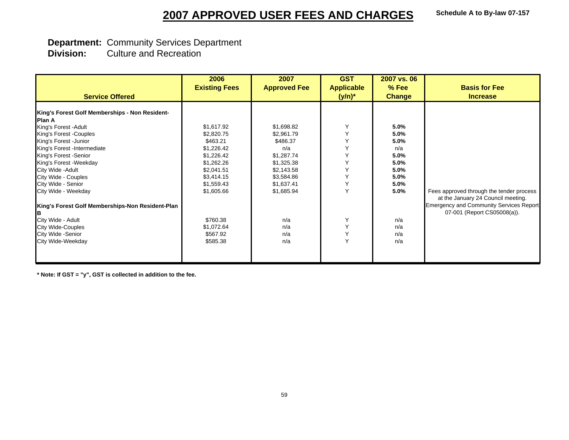#### **Schedule A to By-law 07-157**

## **2007 APPROVED USER FEES AND CHARGES**

## **Department:** Community Services Department

 **Division:** Culture and Recreation

|                                                  | 2006                 | 2007                | <b>GST</b>        | 2007 vs. 06   |                                                                                |
|--------------------------------------------------|----------------------|---------------------|-------------------|---------------|--------------------------------------------------------------------------------|
|                                                  | <b>Existing Fees</b> | <b>Approved Fee</b> | <b>Applicable</b> | $%$ Fee       | <b>Basis for Fee</b>                                                           |
| <b>Service Offered</b>                           |                      |                     | $(y/n)^*$         | <b>Change</b> | <b>Increase</b>                                                                |
| King's Forest Golf Memberships - Non Resident-   |                      |                     |                   |               |                                                                                |
| <b>Plan A</b>                                    |                      |                     |                   |               |                                                                                |
| King's Forest - Adult                            | \$1,617.92           | \$1,698.82          | Y                 | 5.0%          |                                                                                |
| King's Forest -Couples                           | \$2,820.75           | \$2,961.79          | Υ                 | 5.0%          |                                                                                |
| King's Forest - Junior                           | \$463.21             | \$486.37            | Y                 | 5.0%          |                                                                                |
| King's Forest -Intermediate                      | \$1,226.42           | n/a                 | Y                 | n/a           |                                                                                |
| King's Forest - Senior                           | \$1,226.42           | \$1,287.74          | Y                 | 5.0%          |                                                                                |
| King's Forest - Weekday                          | \$1,262.26           | \$1,325.38          | Y                 | 5.0%          |                                                                                |
| City Wide - Adult                                | \$2,041.51           | \$2,143.58          | Y                 | 5.0%          |                                                                                |
| City Wide - Couples                              | \$3,414.15           | \$3,584.86          | Y                 | 5.0%          |                                                                                |
| City Wide - Senior                               | \$1,559.43           | \$1,637.41          | Υ                 | 5.0%          |                                                                                |
| City Wide - Weekday                              | \$1,605.66           | \$1,685.94          | Y                 | 5.0%          | Fees approved through the tender process<br>at the January 24 Council meeting. |
| King's Forest Golf Memberships-Non Resident-Plan |                      |                     |                   |               | <b>Emergency and Community Services Report</b><br>07-001 (Report CS05008(a)).  |
| City Wide - Adult                                | \$760.38             | n/a                 | Υ                 | n/a           |                                                                                |
| <b>City Wide-Couples</b>                         | \$1,072.64           | n/a                 | Υ                 | n/a           |                                                                                |
| City Wide - Senior                               | \$567.92             | n/a                 | Υ                 | n/a           |                                                                                |
| City Wide-Weekday                                | \$585.38             | n/a                 | Y                 | n/a           |                                                                                |
|                                                  |                      |                     |                   |               |                                                                                |

**\* Note: If GST = "y", GST is collected in addition to the fee.**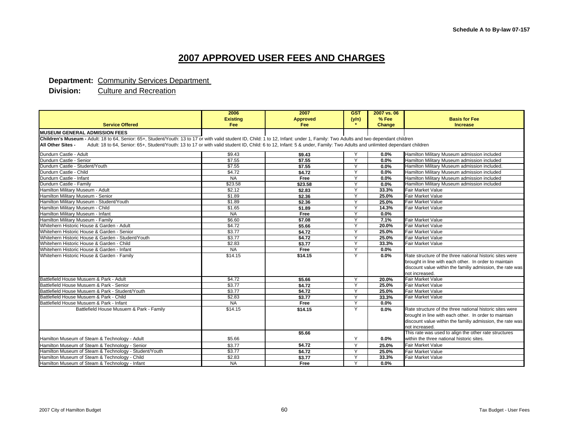#### **Department: Community Services Department**

|                                                                                                                                                                                             | 2006            | 2007            | <b>GST</b>   | 2007 vs. 06 |                                                           |
|---------------------------------------------------------------------------------------------------------------------------------------------------------------------------------------------|-----------------|-----------------|--------------|-------------|-----------------------------------------------------------|
|                                                                                                                                                                                             | <b>Existing</b> | <b>Approved</b> | (y/n)        | % Fee       | <b>Basis for Fee</b>                                      |
| <b>Service Offered</b>                                                                                                                                                                      | Fee             | <b>Fee</b>      |              | Change      | <b>Increase</b>                                           |
| <b>MUSEUM GENERAL ADMISSION FEES</b>                                                                                                                                                        |                 |                 |              |             |                                                           |
| Children's Museum - Adult: 18 to 64, Senior: 65+, Student/Youth: 13 to 17 or with valid student ID, Child: 1 to 12, Infant: under 1, Family: Two Adults and two dependant children          |                 |                 |              |             |                                                           |
| Adult: 18 to 64, Senior: 65+, Student/Youth: 13 to 17 or with valid student ID, Child: 6 to 12, Infant: 5 & under, Family: Two Adults and unlimited dependant children<br>All Other Sites - |                 |                 |              |             |                                                           |
| Dundurn Castle - Adult                                                                                                                                                                      | \$9.43          | \$9.43          |              | 0.0%        | Hamilton Military Museum admission included               |
| Dundurn Castle - Senior                                                                                                                                                                     | \$7.55          | \$7.55          | Y            | 0.0%        | Hamilton Military Museum admission included               |
| Dundurn Castle - Student/Youth                                                                                                                                                              | \$7.55          | \$7.55          | Y            | $0.0\%$     | Hamilton Military Museum admission included.              |
| Dundurn Castle - Child                                                                                                                                                                      | \$4.72          | \$4.72          | Y            | 0.0%        | Hamilton Military Museum admission included               |
| Dundurn Castle - Infant                                                                                                                                                                     | <b>NA</b>       | Free            | Y            | $0.0\%$     | Hamilton Military Museum admission included               |
| Dundurn Castle - Family                                                                                                                                                                     | \$23.58         | \$23.58         | $\vee$       | $0.0\%$     | Hamilton Military Museum admission included               |
| Hamilton Military Museum - Adult                                                                                                                                                            | \$2.12          | \$2.83          | Y            | 33.3%       | Fair Market Value                                         |
| Hamilton Military Museum - Senior                                                                                                                                                           | \$1.89          | \$2.36          | $\checkmark$ | 25.0%       | <b>Fair Market Value</b>                                  |
| Hamilton Military Museum - Student/Youth                                                                                                                                                    | \$1.89          | \$2.36          | Y            | 25.0%       | Fair Market Value                                         |
| Hamilton Military Museum - Child                                                                                                                                                            | \$1.65          | \$1.89          | Y            | 14.3%       | Fair Market Value                                         |
| Hamilton Military Museum - Infant                                                                                                                                                           | <b>NA</b>       | Free            | Y            | 0.0%        |                                                           |
| Hamilton Military Museum - Family                                                                                                                                                           | \$6.60          | \$7.08          | Y            | 7.1%        | <b>Fair Market Value</b>                                  |
| Whitehern Historic House & Garden - Adult                                                                                                                                                   | \$4.72          | \$5.66          | Y            | 20.0%       | Fair Market Value                                         |
| Whitehern Historic House & Garden - Senior                                                                                                                                                  | \$3.77          | \$4.72          | Y            | 25.0%       | <b>Fair Market Value</b>                                  |
| Whitehern Historic House & Garden - Student/Youth                                                                                                                                           | \$3.77          | \$4.72          | $\vee$       | 25.0%       | <b>Fair Market Value</b>                                  |
| Whitehern Historic House & Garden - Child                                                                                                                                                   | \$2.83          | \$3.77          | Y            | 33.3%       | <b>Fair Market Value</b>                                  |
| Whitehern Historic House & Garden - Infant                                                                                                                                                  | <b>NA</b>       | Free            | $\vee$       | 0.0%        |                                                           |
| Whitehern Historic House & Garden - Family                                                                                                                                                  | \$14.15         | \$14.15         | Y            | 0.0%        | Rate structure of the three national historic sites were  |
|                                                                                                                                                                                             |                 |                 |              |             | brought in line with each other. In order to maintain     |
|                                                                                                                                                                                             |                 |                 |              |             | discount value within the familiy admission, the rate was |
|                                                                                                                                                                                             |                 |                 |              |             | not increased.                                            |
| Battlefield House Musuem & Park - Adult                                                                                                                                                     | \$4.72          | \$5.66          | Υ            | 20.0%       | <b>Fair Market Value</b>                                  |
| Battlefield House Musuem & Park - Senior                                                                                                                                                    | \$3.77          | \$4.72          | Y            | 25.0%       | <b>Fair Market Value</b>                                  |
| Battlefield House Musuem & Park - Student/Youth                                                                                                                                             | \$3.77          | \$4.72          | Y            | 25.0%       | <b>Fair Market Value</b>                                  |
| Battlefield House Musuem & Park - Child                                                                                                                                                     | \$2.83          | \$3.77          | Y            | 33.3%       | <b>Fair Market Value</b>                                  |
| Battlefield House Musuem & Park - Infant                                                                                                                                                    | <b>NA</b>       | Free            | $\vee$       | 0.0%        |                                                           |
| Battlefield House Musuem & Park - Family                                                                                                                                                    | \$14.15         | \$14.15         | Y            | $0.0\%$     | Rate structure of the three national historic sites were  |
|                                                                                                                                                                                             |                 |                 |              |             | brought in line with each other. In order to maintain     |
|                                                                                                                                                                                             |                 |                 |              |             | discount value within the familiy admission, the rate was |
|                                                                                                                                                                                             |                 |                 |              |             | not increased.                                            |
|                                                                                                                                                                                             |                 | \$5.66          |              |             | This rate was used to align the other rate structures     |
| Hamilton Museum of Steam & Technology - Adult                                                                                                                                               | \$5.66          |                 | Y            | 0.0%        | within the three national historic sites.                 |
| Hamilton Museum of Steam & Technology - Senior                                                                                                                                              | \$3.77          | \$4.72          | Y            | 25.0%       | <b>Fair Market Value</b>                                  |
| Hamilton Museum of Steam & Technology - Student/Youth                                                                                                                                       | \$3.77          | \$4.72          | v            | 25.0%       | <b>Fair Market Value</b>                                  |
| Hamilton Museum of Steam & Technology - Child                                                                                                                                               | \$2.83          | \$3.77          | Y            | 33.3%       | Fair Market Value                                         |
| Hamilton Museum of Steam & Technology - Infant                                                                                                                                              | <b>NA</b>       | Free            | $\checkmark$ | 0.0%        |                                                           |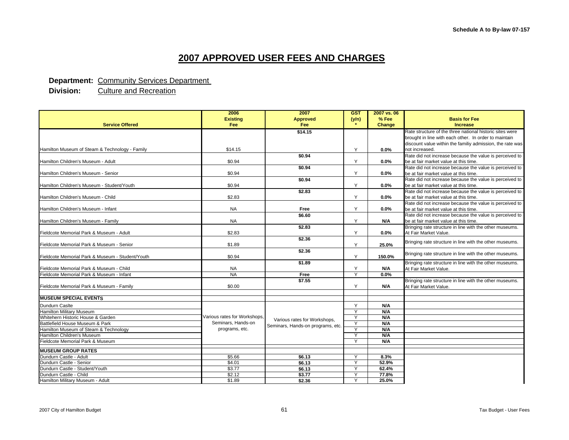#### **Department: Community Services Department**

|                                                  | 2006                         | 2007                              | <b>GST</b> | 2007 vs. 06 |                                                           |
|--------------------------------------------------|------------------------------|-----------------------------------|------------|-------------|-----------------------------------------------------------|
|                                                  | <b>Existing</b>              | <b>Approved</b>                   | (y/n)      | % Fee       | <b>Basis for Fee</b>                                      |
| <b>Service Offered</b>                           | <b>Fee</b>                   | Fee                               |            | Change      | <b>Increase</b>                                           |
|                                                  |                              | \$14.15                           |            |             | Rate structure of the three national historic sites were  |
|                                                  |                              |                                   |            |             | brought in line with each other. In order to maintain     |
|                                                  |                              |                                   |            |             | discount value within the familiy admission, the rate was |
| Hamilton Museum of Steam & Technology - Family   | \$14.15                      |                                   | Y          | 0.0%        | not increased.                                            |
|                                                  |                              | \$0.94                            |            |             | Rate did not increase because the value is perceived to   |
| Hamilton Children's Museum - Adult               | \$0.94                       |                                   | Y          | $0.0\%$     | be at fair market value at this time.                     |
|                                                  |                              | \$0.94                            |            |             | Rate did not increase because the value is perceived to   |
| Hamilton Children's Museum - Senior              | \$0.94                       |                                   | Y          | $0.0\%$     | be at fair market value at this time.                     |
|                                                  |                              | \$0.94                            |            |             | Rate did not increase because the value is perceived to   |
| Hamilton Children's Museum - Student/Youth       | \$0.94                       |                                   | Y          | 0.0%        | be at fair market value at this time.                     |
|                                                  |                              | \$2.83                            |            |             | Rate did not increase because the value is perceived to   |
| Hamilton Children's Museum - Child               | \$2.83                       |                                   | Y          | $0.0\%$     | be at fair market value at this time.                     |
|                                                  |                              |                                   |            |             | Rate did not increase because the value is perceived to   |
| Hamilton Children's Museum - Infant              | <b>NA</b>                    | Free                              | Y          | $0.0\%$     | be at fair market value at this time.                     |
|                                                  |                              | \$6.60                            |            |             | Rate did not increase because the value is perceived to   |
| Hamilton Children's Museum - Family              | <b>NA</b>                    |                                   | Y          | N/A         | be at fair market value at this time.                     |
|                                                  |                              | \$2.83                            |            |             | Bringing rate structure in line with the other museums.   |
| Fieldcote Memorial Park & Museum - Adult         | \$2.83                       |                                   | Y          | 0.0%        | At Fair Market Value.                                     |
|                                                  |                              | \$2.36                            |            |             | Bringing rate structure in line with the other museums.   |
| Fieldcote Memorial Park & Museum - Senior        | \$1.89                       |                                   | Y          | 25.0%       |                                                           |
|                                                  |                              | \$2.36                            |            |             | Bringing rate structure in line with the other museums.   |
| Fieldcote Memorial Park & Museum - Student/Youth | \$0.94                       |                                   | Y          | 150.0%      |                                                           |
|                                                  |                              | \$1.89                            |            |             | Bringing rate structure in line with the other museums.   |
| Fieldcote Memorial Park & Museum - Child         | <b>NA</b>                    |                                   | Y          | N/A         | At Fair Market Value.                                     |
| Fieldcote Memorial Park & Museum - Infant        | <b>NA</b>                    | Free                              | Y          | 0.0%        |                                                           |
|                                                  |                              | \$7.55                            |            |             | Bringing rate structure in line with the other museums.   |
| Fieldcote Memorial Park & Museum - Family        | \$0.00                       |                                   | Y          | N/A         | At Fair Market Value.                                     |
|                                                  |                              |                                   |            |             |                                                           |
| <b>MUSEUM SPECIAL EVENTS</b>                     |                              |                                   |            |             |                                                           |
| Dundurn Caslte                                   |                              |                                   | Y          | N/A         |                                                           |
| <b>Hamilton Military Museum</b>                  |                              |                                   | Y          | N/A         |                                                           |
| Whitehern Historic House & Garden                | Various rates for Workshops, | Various rates for Workshops,      | Y          | N/A         |                                                           |
| Battlefield House Museum & Park                  | Seminars, Hands-on           | Seminars, Hands-on programs, etc. | Y          | N/A         |                                                           |
| Hamilton Museum of Steam & Technology            | programs, etc.               |                                   | Y          | N/A         |                                                           |
| Hamilton Children's Museum                       |                              |                                   | Y          | N/A         |                                                           |
| Fieldcote Memorial Park & Museum                 |                              |                                   | ν          | <b>N/A</b>  |                                                           |
| <b>MUSEUM GROUP RATES</b>                        |                              |                                   |            |             |                                                           |
| Dundurn Castle - Adult                           | \$5.66                       | \$6.13                            | Y          | 8.3%        |                                                           |
| Dundurn Castle - Senior                          | \$4.01                       | \$6.13                            | Y          | 52.9%       |                                                           |
| Dundurn Castle - Student/Youth                   | \$3.77                       | \$6.13                            | Y          | 62.4%       |                                                           |
| Dundurn Castle - Child                           | \$2.12                       | \$3.77                            |            | 77.8%       |                                                           |
| Hamilton Military Museum - Adult                 | \$1.89                       | \$2.36                            | Y          | 25.0%       |                                                           |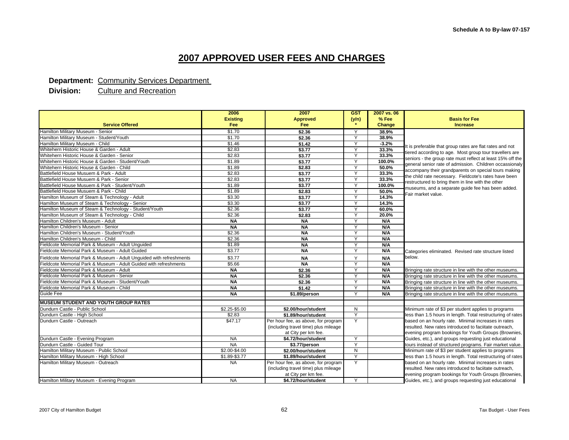#### **Department: Community Services Department**

|                                                                     | 2006            | 2007                                 | <b>GST</b>   | 2007 vs. 06 |                                                                                                                       |  |
|---------------------------------------------------------------------|-----------------|--------------------------------------|--------------|-------------|-----------------------------------------------------------------------------------------------------------------------|--|
|                                                                     | <b>Existing</b> | <b>Approved</b>                      | (y/n)        | % Fee       | <b>Basis for Fee</b>                                                                                                  |  |
| <b>Service Offered</b>                                              | Fee             | Fee                                  |              | Change      | <b>Increase</b>                                                                                                       |  |
| Hamilton Military Museum - Senior                                   | \$1.70          | \$2.36                               | Y            | 38.9%       |                                                                                                                       |  |
| Hamilton Military Museum - Student/Youth                            | \$1.70          | \$2.36                               | v            | 38.9%       |                                                                                                                       |  |
| Hamilton Military Museum - Child                                    | \$1.46          | \$1.42                               | Y            | $-3.2%$     |                                                                                                                       |  |
| Whitehern Historic House & Garden - Adult                           | \$2.83          | \$3.77                               | Y            | 33.3%       | It is preferable that group rates are flat rates and not                                                              |  |
| Whitehern Historic House & Garden - Senior                          | \$2.83          | \$3.77                               | Y            | 33.3%       | tiered according to age. Most group tour travellers are                                                               |  |
| Whitehern Historic House & Garden - Student/Youth                   | \$1.89          | \$3.77                               | Y            | 100.0%      | seniors - the group rate must reflect at least 15% off the<br>general senior rate of admission. Children occassionaly |  |
| Whitehern Historic House & Garden - Child                           | \$1.89          | \$2.83                               | Y            | 50.0%       | accompany their grandparents on special tours making                                                                  |  |
| Battlefield House Musuem & Park - Adult                             | \$2.83          | \$3.77                               | Y            | 33.3%       | the child rate necessary. Fieldcote's rates have been                                                                 |  |
| Battlefield House Musuem & Park - Senior                            | \$2.83          | \$3.77                               | Y            | 33.3%       | restructured to bring them in line with the other                                                                     |  |
| Battlefield House Musuem & Park - Student/Youth                     | \$1.89          | \$3.77                               | Y            | 100.0%      | museums, and a separate guide fee has been added.                                                                     |  |
| Battlefield House Musuem & Park - Child                             | \$1.89          | \$2.83                               | Y            | 50.0%       | Fair market value.                                                                                                    |  |
| Hamilton Museum of Steam & Technology - Adult                       | \$3.30          | \$3.77                               | Y            | 14.3%       |                                                                                                                       |  |
| Hamilton Museum of Steam & Technology - Senior                      | \$3.30          | \$3.77                               | Y            | 14.3%       |                                                                                                                       |  |
| Hamilton Museum of Steam & Technology - Student/Youth               | \$2.36          | \$3.77                               | $\checkmark$ | 60.0%       |                                                                                                                       |  |
| Hamilton Museum of Steam & Technology - Child                       | \$2.36          | \$2.83                               | Ÿ            | 20.0%       |                                                                                                                       |  |
| Hamilton Children's Museum - Adult                                  | <b>NA</b>       | <b>NA</b>                            | Υ            | N/A         |                                                                                                                       |  |
| Hamilton Children's Museum - Senior                                 | <b>NA</b>       | <b>NA</b>                            | Y            | N/A         |                                                                                                                       |  |
| Hamilton Children's Museum - Student/Youth                          | \$2.36          | <b>NA</b>                            | Y            | N/A         |                                                                                                                       |  |
| Hamilton Children's Museum - Child                                  | \$2.36          | <b>NA</b>                            | $\checkmark$ | N/A         |                                                                                                                       |  |
| Fieldcote Memorial Park & Museum - Adult Unguided                   | \$1.89          | <b>NA</b>                            | Y            | N/A         |                                                                                                                       |  |
| Fieldcote Memorial Park & Museum - Adult Guided                     | \$3.77          | <b>NA</b>                            | Y            | N/A         | Categories eliminated. Revised rate structure listed                                                                  |  |
| Fieldcote Memorial Park & Museum - Adult Unguided with refreshments | \$3.77          | <b>NA</b>                            | Y            | N/A         | below.                                                                                                                |  |
| Fieldcote Memorial Park & Museum - Adult Guided with refreshments   | \$5.66          | <b>NA</b>                            | Y            | N/A         |                                                                                                                       |  |
| Fieldcote Memorial Park & Museum - Adult                            | <b>NA</b>       | \$2.36                               | $\checkmark$ | N/A         | Bringing rate structure in line with the other museums.                                                               |  |
| Fieldcote Memorial Park & Museum - Senior                           | <b>NA</b>       | \$2.36                               | Y            | N/A         | Bringing rate structure in line with the other museums.                                                               |  |
| Fieldcote Memorial Park & Museum - Student/Youth                    | <b>NA</b>       | \$2.36                               | Y            | N/A         | Bringing rate structure in line with the other museums.                                                               |  |
| Fieldcote Memorial Park & Museum - Child                            | <b>NA</b>       | \$1.42                               | Y            | N/A         | Bringing rate structure in line with the other museums.                                                               |  |
| Guide Fee                                                           | <b>NA</b>       | \$1.89/person                        | Y            | N/A         | Bringing rate structure in line with the other museums.                                                               |  |
| <b>MUSEUM STUDENT AND YOUTH GROUP RATES</b>                         |                 |                                      |              |             |                                                                                                                       |  |
| Dundurn Castle - Public School                                      | \$2.25-\$5.00   | \$2.00/hour/student                  | N            |             | Minimum rate of \$3 per student applies to programs                                                                   |  |
| Dundurn Castle - High School                                        | \$2.83          | \$1.89/hour/student                  | Y            |             | less than 1.5 hours in length. Total restructuring of rates                                                           |  |
| Dundurn Castle - Outreach                                           | \$47.17         | Per hour fee, as above, for program  | Y            |             | based on an hourly rate. Minimal increases in rates                                                                   |  |
|                                                                     |                 | (including travel time) plus mileage |              |             | resulted. New rates introduced to faciitate outreach,                                                                 |  |
|                                                                     |                 | at City per km fee.                  |              |             | evening program bookings for Youth Groups (Brownies,                                                                  |  |
| Dundurn Castle - Evening Program                                    | <b>NA</b>       | \$4.72/hour/student                  | Y            |             | Guides, etc.), and groups requesting just educational                                                                 |  |
| Dundurn Castle - Guided Tour                                        | <b>NA</b>       | \$3.77/person                        | Y            |             | tours instead of structured programs. Fair market value.                                                              |  |
| Hamilton Military Museum - Public School                            | \$2.00-\$4.00   | \$2.00/hour/student                  | $\mathsf{N}$ |             | Minimum rate of \$3 per student applies to programs                                                                   |  |
| Hamilton Military Museum - High School                              | \$1.89-\$3.77   | \$1.89/hour/student                  | $\checkmark$ |             | less than 1.5 hours in length. Total restructuring of rates                                                           |  |
| Hamilton Military Museum - Outreach                                 | <b>NA</b>       | Per hour fee, as above, for program  | Y            |             | based on an hourly rate. Minimal increases in rates                                                                   |  |
|                                                                     |                 | (including travel time) plus mileage |              |             | resulted. New rates introduced to faciitate outreach,                                                                 |  |
|                                                                     |                 | at City per km fee.                  |              |             | evening program bookings for Youth Groups (Brownies,                                                                  |  |
| Hamilton Military Museum - Evening Program                          | <b>NA</b>       | \$4.72/hour/student                  | Υ            |             | Guides, etc.), and groups requesting just educational                                                                 |  |
|                                                                     |                 |                                      |              |             |                                                                                                                       |  |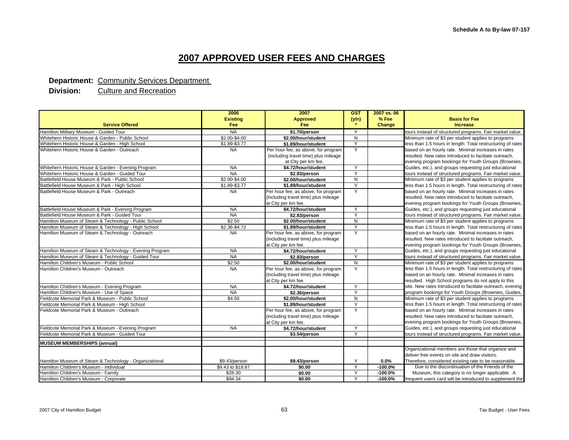#### **Department: Community Services Department**

|                                                         | 2006              | 2007                                 | <b>GST</b>              | 2007 vs. 06 |                                                             |
|---------------------------------------------------------|-------------------|--------------------------------------|-------------------------|-------------|-------------------------------------------------------------|
|                                                         | <b>Existing</b>   | <b>Approved</b>                      | (y/n)                   | % Fee       | <b>Basis for Fee</b>                                        |
| <b>Service Offered</b>                                  | <b>Fee</b>        | Fee                                  |                         | Change      | <b>Increase</b>                                             |
| Hamilton Military Museum - Guided Tour                  | <b>NA</b>         | \$1.70/person                        | Y                       |             | tours instead of structured programs. Fair market value.    |
| Whitehern Historic House & Garden - Public School       | \$2.00-\$4.00     | $\mathsf{N}$<br>\$2.00/hour/student  |                         |             | Minimum rate of \$3 per student applies to programs         |
| Whitehern Historic House & Garden - High School         | \$1.89-\$3.77     | \$1.89/hour/student                  | Y                       |             | less than 1.5 hours in length. Total restructuring of rates |
| Whitehern Historic House & Garden - Outreach            | <b>NA</b>         | Per hour fee, as above, for program  | Y                       |             | based on an hourly rate. Minimal increases in rates         |
|                                                         |                   | (including travel time) plus mileage |                         |             | resulted. New rates introduced to faciitate outreach,       |
|                                                         |                   | at City per km fee.                  |                         |             | evening program bookings for Youth Groups (Brownies,        |
| Whitehern Historic House & Garden - Evening Program     | <b>NA</b>         | \$4.72/hour/student                  | Y                       |             | Guides, etc.), and groups requesting just educational       |
| Whitehern Historic House & Garden - Guided Tour         | <b>NA</b>         | \$2.83/person                        | Y                       |             | tours instead of structured programs. Fair market value.    |
| Battlefield House Museum & Park - Public School         | \$2.00-\$4.00     | \$2.00/hour/student                  | N                       |             | Minimum rate of \$3 per student applies to programs         |
| Battlefield House Museum & Park - High School           | \$1.89-\$3.77     | \$1.89/hour/student                  | Y                       |             | less than 1.5 hours in length. Total restructuring of rates |
| Battlefield House Museum & Park - Outreach              | <b>NA</b>         | Per hour fee, as above, for program  | Y                       |             | based on an hourly rate. Minimal increases in rates         |
|                                                         |                   | (including travel time) plus mileage |                         |             | resulted. New rates introduced to faciitate outreach,       |
|                                                         |                   | at City per km fee.                  |                         |             | evening program bookings for Youth Groups (Brownies,        |
| Battlefield House Museum & Park - Evening Program       | <b>NA</b>         | \$4.72/hour/student                  | Y                       |             | Guides, etc.), and groups requesting just educational       |
| Battlefield House Museum & Park - Guided Tour           | <b>NA</b>         | \$2.83/person                        | Υ                       |             | tours instead of structured programs. Fair market value.    |
| Hamilton Museum of Steam & Technology - Public School   | \$2.50            | \$2.00/hour/student                  | $\mathsf{N}$            |             | Minimum rate of \$3 per student applies to programs         |
| Hamilton Museum of Steam & Technology - High School     | \$2.36-\$4.72     | \$1.89/hour/student                  | v                       |             | less than 1.5 hours in length. Total restructuring of rates |
| Hamilton Museum of Steam & Technology - Outreach        | <b>NA</b>         | Per hour fee, as above, for program  | Y                       |             | based on an hourly rate. Minimal increases in rates         |
|                                                         |                   | (including travel time) plus mileage |                         |             | resulted. New rates introduced to faciitate outreach,       |
|                                                         |                   | at City per km fee.                  |                         |             | evening program bookings for Youth Groups (Brownies,        |
| Hamilton Museum of Steam & Technology - Evening Program | <b>NA</b>         | \$4.72/hour/student                  | Y                       |             | Guides, etc.), and groups requesting just educational       |
| Hamilton Museum of Steam & Technology - Guided Tour     | <b>NA</b>         | \$2.83/person                        | Y                       |             | tours instead of structured programs. Fair market value.    |
| Hamilton Children's Museum - Public School              | \$2.50            | \$2.00/hour/student                  | $\mathsf{N}$            |             | Minimum rate of \$3 per student applies to programs         |
| Hamilton Children's Museum - Outreach                   | <b>NA</b>         | Per hour fee, as above, for program  | Y                       |             | less than 1.5 hours in length. Total restructuring of rates |
|                                                         |                   | (including travel time) plus mileage |                         |             | based on an hourly rate. Minimal increases in rates         |
|                                                         |                   | at City per km fee.                  |                         |             | resulted. High School programs do not apply to this         |
| Hamilton Children's Museum - Evening Program            | <b>NA</b>         | \$4.72/hour/student                  | $\checkmark$            |             | site. New rates introduced to faciitate outreach, evening   |
| Hamilton Children's Museum - Use of Space               | <b>NA</b>         | \$2.36/person                        | $\checkmark$            |             | program bookings for Youth Groups (Brownies, Guides,        |
| Fieldcote Memorial Park & Museum - Public School        | \$4.50            | \$2.00/hour/student                  | $\mathsf{N}$            |             | Minimum rate of \$3 per student applies to programs         |
| Fieldcote Memorial Park & Museum - High School          |                   | \$1.89/hour/student                  | Y                       |             | less than 1.5 hours in length. Total restructuring of rates |
| Fieldcote Memorial Park & Museum - Outreach             |                   | Per hour fee, as above, for program  | Y                       |             | based on an hourly rate. Minimal increases in rates         |
|                                                         |                   | (including travel time) plus mileage |                         |             | resulted. New rates introduced to faciitate outreach,       |
|                                                         |                   | at City per km fee.                  |                         |             | evening program bookings for Youth Groups (Brownies,        |
| Fieldcote Memorial Park & Museum - Evening Program      | <b>NA</b>         | \$4.72/hour/student                  | Y                       |             | Guides, etc.), and groups requesting just educational       |
| Fieldcote Memorial Park & Museum - Guided Tour          |                   | \$3.54/person                        | $\overline{\mathsf{v}}$ |             | tours instead of structured programs. Fair market value.    |
| <b>MUSEUM MEMBERSHIPS (annual)</b>                      |                   |                                      |                         |             |                                                             |
|                                                         |                   |                                      |                         |             | Organizational members are those that organize and          |
|                                                         |                   |                                      |                         |             | deliver free events on site and draw visitors.              |
| Hamilton Museum of Steam & Technology - Organizational  | \$9.43/person     | \$9.43/person                        | Y                       | 0.0%        | Therefore, considered existing rate to be reasonable.       |
| Hamilton Children's Museum - Individual                 | \$9.43 to \$18.87 | \$0.00                               | Y                       | $-100.0%$   | Due to the discontinuation of the Friends of the            |
| Hamilton Children's Museum - Family                     | \$28.30           | \$0.00                               | Υ                       | $-100.0%$   | Museum, this category is no longer applicable. A            |
| Hamilton Children's Museum - Corporate                  | \$94.34           | \$0.00                               | Υ                       | $-100.0%$   | frequent users card will be introduced to supplement the    |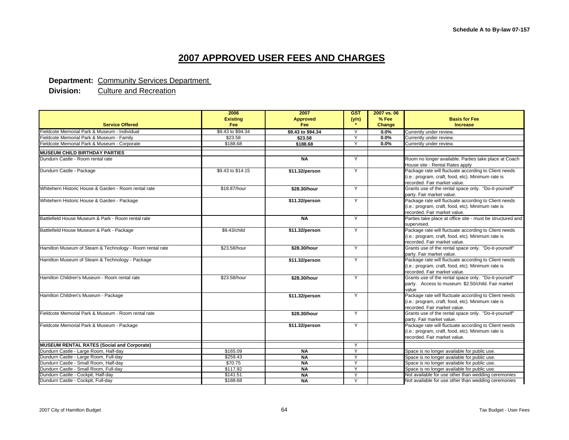#### **Department: Community Services Department**

|                                                          | 2006              | 2007              | <b>GST</b>   | 2007 vs. 06 |                                                                                                                                             |
|----------------------------------------------------------|-------------------|-------------------|--------------|-------------|---------------------------------------------------------------------------------------------------------------------------------------------|
|                                                          | <b>Existing</b>   | <b>Approved</b>   | (y/n)        | % Fee       | <b>Basis for Fee</b>                                                                                                                        |
| <b>Service Offered</b>                                   | Fee               | Fee               |              | Change      | <b>Increase</b>                                                                                                                             |
| Fieldcote Memorial Park & Museum - Individual            | \$9.43 to \$94.34 | \$9.43 to \$94.34 | Y            | $0.0\%$     | Currently under review.                                                                                                                     |
| Fieldcote Memorial Park & Museum - Family                | \$23.58           | \$23.58           | Y            | $0.0\%$     | Currently under review.                                                                                                                     |
| Fieldcote Memorial Park & Museum - Corporate             | \$188.68          | \$188.68          | Y            | 0.0%        | Currently under review.                                                                                                                     |
| <b>MUSEUM CHILD BIRTHDAY PARTIES</b>                     |                   |                   |              |             |                                                                                                                                             |
| Dundurn Castle - Room rental rate                        |                   | <b>NA</b>         | Y            |             | Room no longer available. Parties take place at Coach<br>House site - Rental Rates apply                                                    |
| Dundurn Castle - Package                                 | \$9.43 to \$14.15 | \$11.32/person    | Y            |             | Package rate will fluctuate according to Client needs<br>(i.e.: program, craft, food, etc). Minimum rate is<br>recorded. Fair market value. |
| Whitehern Historic House & Garden - Room rental rate     | \$18.87/hour      | \$28.30/hour      | Y            |             | Grants use of the rental space only. "Do-it-yourself"<br>party. Fair market value.                                                          |
| Whitehern Historic House & Garden - Package              |                   | \$11.32/person    | Y            |             | Package rate will fluctuate according to Client needs<br>(i.e.: program, craft, food, etc). Minimum rate is<br>recorded. Fair market value. |
| Battlefield House Museum & Park - Room rental rate       |                   | <b>NA</b>         | Y            |             | Parties take place at office site - must be structured and<br>supervised.                                                                   |
| Battlefield House Museum & Park - Package                | \$9.43/child      | \$11.32/person    | Y            |             | Package rate will fluctuate according to Client needs<br>(i.e.: program, craft, food, etc). Minimum rate is<br>recorded. Fair market value. |
| Hamilton Museum of Steam & Technology - Room rental rate | \$23.58/hour      | \$28.30/hour      | Y            |             | Grants use of the rental space only. "Do-it-yourself"<br>party. Fair market value.                                                          |
| Hamilton Museum of Steam & Technology - Package          |                   | \$11.32/person    | Y            |             | Package rate will fluctuate according to Client needs<br>(i.e.: program, craft, food, etc). Minimum rate is<br>recorded. Fair market value. |
| Hamilton Children's Museum - Room rental rate            | \$23.58/hour      | \$28.30/hour      | Y            |             | Grants use of the rental space only. "Do-it-yourself"<br>party. Access to museum: \$2.50/child. Fair market<br>value                        |
| Hamilton Children's Museum - Package                     |                   | \$11.32/person    | Y            |             | Package rate will fluctuate according to Client needs<br>(i.e.: program, craft, food, etc). Minimum rate is<br>recorded. Fair market value. |
| Fieldcote Memorial Park & Museum - Room rental rate      |                   | \$28.30/hour      | Y            |             | Grants use of the rental space only. "Do-it-yourself"<br>party. Fair market value.                                                          |
| Fieldcote Memorial Park & Museum - Package               |                   | \$11.32/person    | Y            |             | Package rate will fluctuate according to Client needs<br>(i.e.: program, craft, food, etc). Minimum rate is<br>recorded. Fair market value. |
| <b>MUSEUM RENTAL RATES (Social and Corporate)</b>        |                   |                   |              |             |                                                                                                                                             |
| Dundurn Castle - Large Room, Half-day                    | \$165.09          | <b>NA</b>         | Y            |             | Space is no longer available for public use.                                                                                                |
| Dundurn Castle - Large Room, Full-day                    | \$259.43          | <b>NA</b>         | Y            |             | Space is no longer available for public use.                                                                                                |
| Dundurn Castle - Small Room, Half-dav                    | \$70.75           | <b>NA</b>         | Y            |             | Space is no longer available for public use.                                                                                                |
| Dundurn Castle - Small Room, Full-day                    | \$117.92          | <b>NA</b>         | $\checkmark$ |             | Space is no longer available for public use.                                                                                                |
| Dundurn Castle - Cockpit, Half-day                       | \$141.51          | <b>NA</b>         | Y            |             | Not available for use other than wedding ceremonies                                                                                         |
| Dundurn Castle - Cockpit, Full-day                       | \$188.68          | <b>NA</b>         | Y            |             | Not available for use other than wedding ceremonies                                                                                         |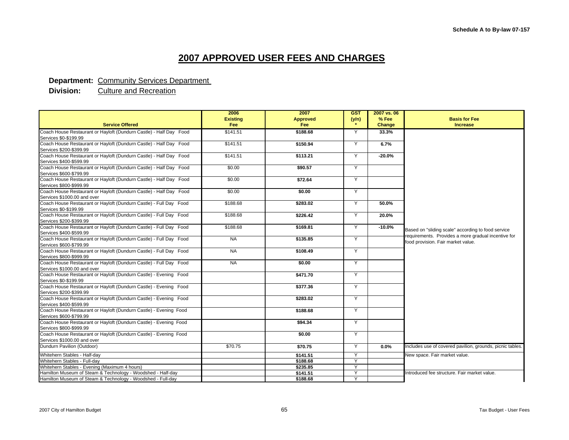#### **Department: Community Services Department**

|                                                                                               | 2006<br><b>Existing</b> | 2007<br><b>Approved</b> | <b>GST</b>   | 2007 vs. 06<br>% Fee | <b>Basis for Fee</b>                                                                      |
|-----------------------------------------------------------------------------------------------|-------------------------|-------------------------|--------------|----------------------|-------------------------------------------------------------------------------------------|
| <b>Service Offered</b>                                                                        | Fee                     | Fee                     | (y/n)        | Change               | <b>Increase</b>                                                                           |
| Coach House Restaurant or Hayloft (Dundurn Castle) - Half Day Food                            | \$141.51                | \$188.68                | Y            | 33.3%                |                                                                                           |
| Services \$0-\$199.99                                                                         |                         |                         |              |                      |                                                                                           |
| Coach House Restaurant or Hayloft (Dundurn Castle) - Half Day Food                            | \$141.51                | \$150.94                | Y            | 6.7%                 |                                                                                           |
| Services \$200-\$399.99                                                                       |                         |                         |              |                      |                                                                                           |
| Coach House Restaurant or Hayloft (Dundurn Castle) - Half Day Food                            | \$141.51                | \$113.21                | Y            | $-20.0%$             |                                                                                           |
| Services \$400-\$599.99                                                                       |                         |                         |              |                      |                                                                                           |
| Coach House Restaurant or Hayloft (Dundurn Castle) - Half Day Food                            | \$0.00                  | \$90.57                 | Y            |                      |                                                                                           |
| Services \$600-\$799.99                                                                       |                         |                         |              |                      |                                                                                           |
| Coach House Restaurant or Hayloft (Dundurn Castle) - Half Day Food                            | \$0.00                  | \$72.64                 | Y            |                      |                                                                                           |
| Services \$800-\$999.99<br>Coach House Restaurant or Hayloft (Dundurn Castle) - Half Day Food | \$0.00                  | \$0.00                  |              |                      |                                                                                           |
| Services \$1000.00 and over                                                                   |                         |                         | Y            |                      |                                                                                           |
| Coach House Restaurant or Hayloft (Dundurn Castle) - Full Day Food                            | \$188.68                | \$283.02                | Y            | 50.0%                |                                                                                           |
| Services \$0-\$199.99                                                                         |                         |                         |              |                      |                                                                                           |
| Coach House Restaurant or Hayloft (Dundurn Castle) - Full Day Food                            | \$188.68                | \$226.42                | Y            | 20.0%                |                                                                                           |
| Services \$200-\$399.99                                                                       |                         |                         |              |                      |                                                                                           |
| Coach House Restaurant or Hayloft (Dundurn Castle) - Full Day Food                            | \$188.68                | \$169.81                | Y            | $-10.0%$             |                                                                                           |
| Services \$400-\$599.99                                                                       |                         |                         |              |                      | Based on "sliding scale" according to food service                                        |
| Coach House Restaurant or Hayloft (Dundurn Castle) - Full Day Food                            | <b>NA</b>               | \$135.85                | Y            |                      | requirements. Provides a more gradual incentive for<br>food provision. Fair market value. |
| Services \$600-\$799.99                                                                       |                         |                         |              |                      |                                                                                           |
| Coach House Restaurant or Hayloft (Dundurn Castle) - Full Day Food                            | <b>NA</b>               | \$108.49                | Y            |                      |                                                                                           |
| Services \$800-\$999.99                                                                       |                         |                         |              |                      |                                                                                           |
| Coach House Restaurant or Hayloft (Dundurn Castle) - Full Day Food                            | <b>NA</b>               | \$0.00                  | Y            |                      |                                                                                           |
| Services \$1000.00 and over                                                                   |                         |                         |              |                      |                                                                                           |
| Coach House Restaurant or Hayloft (Dundurn Castle) - Evening Food<br>Services \$0-\$199.99    |                         | \$471.70                | Y            |                      |                                                                                           |
| Coach House Restaurant or Hayloft (Dundurn Castle) - Evening Food                             |                         | \$377.36                | Y            |                      |                                                                                           |
| Services \$200-\$399.99                                                                       |                         |                         |              |                      |                                                                                           |
| Coach House Restaurant or Hayloft (Dundurn Castle) - Evening Food                             |                         | \$283.02                | Y            |                      |                                                                                           |
| Services \$400-\$599.99                                                                       |                         |                         |              |                      |                                                                                           |
| Coach House Restaurant or Hayloft (Dundurn Castle) - Evening Food                             |                         | \$188.68                | Y            |                      |                                                                                           |
| Services \$600-\$799.99                                                                       |                         |                         |              |                      |                                                                                           |
| Coach House Restaurant or Hayloft (Dundurn Castle) - Evening Food                             |                         | \$94.34                 | Y            |                      |                                                                                           |
| Services \$800-\$999.99                                                                       |                         |                         |              |                      |                                                                                           |
| Coach House Restaurant or Hayloft (Dundurn Castle) - Evening Food                             |                         | \$0.00                  | Y            |                      |                                                                                           |
| Services \$1000.00 and over                                                                   |                         |                         |              |                      |                                                                                           |
| Dundurn Pavilion (Outdoor)                                                                    | \$70.75                 | \$70.75                 | Y            | 0.0%                 | Includes use of covered pavilion, grounds, picnic tables.                                 |
| Whitehern Stables - Half-day                                                                  |                         | \$141.51                | Y            |                      | New space. Fair market value.                                                             |
| Whitehern Stables - Full-day                                                                  |                         | \$188.68                | $\checkmark$ |                      |                                                                                           |
| Whitehern Stables - Evening (Maximum 4 hours)                                                 |                         | \$235.85                | Y            |                      |                                                                                           |
| Hamilton Museum of Steam & Technology - Woodshed - Half-day                                   |                         | \$141.51                | Υ            |                      | Introduced fee structure. Fair market value.                                              |
| Hamilton Museum of Steam & Technology - Woodshed - Full-day                                   |                         | \$188.68                | Y            |                      |                                                                                           |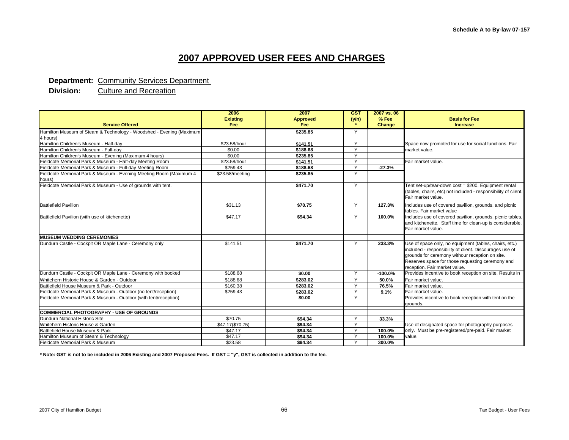#### **Department: Community Services Department**

**Division:** Culture and Recreation

|                                                                              | 2006                          | 2007                   | <b>GST</b>   | 2007 vs. 06            |                                                                                                                                                                                                                                                           |
|------------------------------------------------------------------------------|-------------------------------|------------------------|--------------|------------------------|-----------------------------------------------------------------------------------------------------------------------------------------------------------------------------------------------------------------------------------------------------------|
| <b>Service Offered</b>                                                       | <b>Existing</b><br><b>Fee</b> | <b>Approved</b><br>Fee | (y/n)        | % Fee<br><b>Change</b> | <b>Basis for Fee</b><br><b>Increase</b>                                                                                                                                                                                                                   |
| Hamilton Museum of Steam & Technology - Woodshed - Evening (Maximum          |                               | \$235.85               | Y            |                        |                                                                                                                                                                                                                                                           |
| 4 hours)                                                                     |                               |                        |              |                        |                                                                                                                                                                                                                                                           |
| Hamilton Children's Museum - Half-day                                        | \$23.58/hour                  | \$141.51               | Y            |                        | Space now promoted for use for social functions. Fair                                                                                                                                                                                                     |
| Hamilton Children's Museum - Full-day                                        | \$0.00                        | \$188.68               | $\checkmark$ |                        | market value.                                                                                                                                                                                                                                             |
| Hamilton Children's Museum - Evening (Maximum 4 hours)                       | \$0.00                        | \$235.85               | $\checkmark$ |                        |                                                                                                                                                                                                                                                           |
| Fieldcote Memorial Park & Museum - Half-day Meeting Room                     | \$23.58/hour                  | \$141.51               | $\vee$       |                        | Fair market value.                                                                                                                                                                                                                                        |
| Fieldcote Memorial Park & Museum - Full-day Meeting Room                     | \$259.43                      | \$188.68               | $\checkmark$ | $-27.3%$               |                                                                                                                                                                                                                                                           |
| Fieldcote Memorial Park & Museum - Evening Meeting Room (Maximum 4<br>hours) | \$23.58/meeting               | \$235.85               | Y            |                        |                                                                                                                                                                                                                                                           |
| Fieldcote Memorial Park & Museum - Use of grounds with tent.                 |                               | \$471.70               | Y            |                        | Tent set-up/tear-down cost = \$200. Equipment rental<br>(tables, chairs, etc) not included - responsibility of client.<br>Fair market value.                                                                                                              |
| <b>Battlefield Pavilion</b>                                                  | \$31.13                       | \$70.75                | Y            | 127.3%                 | Includes use of covered pavilion, grounds, and picnic<br>tables. Fair market value                                                                                                                                                                        |
| Battlefield Pavilion (with use of kitchenette)                               | \$47.17                       | \$94.34                | Y            | 100.0%                 | Includes use of covered pavilion, grounds, picnic tables,<br>and kitchenette. Staff time for clean-up is considerable.<br>Fair market value.                                                                                                              |
| <b>MUSEUM WEDDING CEREMONIES</b>                                             |                               |                        |              |                        |                                                                                                                                                                                                                                                           |
| Dundurn Castle - Cockpit OR Maple Lane - Ceremony only                       | \$141.51                      | \$471.70               | Y            | 233.3%                 | Use of space only, no equipment (tables, chairs, etc.)<br>included - responsibility of client. Discourages use of<br>grounds for ceremony withour reception on site.<br>Reserves space for those requesting ceremony and<br>reception. Fair market value. |
| Dundurn Castle - Cockpit OR Maple Lane - Ceremony with booked                | \$188.68                      | \$0.00                 | Y            | $-100.0%$              | Provides incentive to book reception on site. Results in                                                                                                                                                                                                  |
| Whitehern Historic House & Garden - Outdoor                                  | \$188.68                      | \$283.02               | Y            | 50.0%                  | Fair market value.                                                                                                                                                                                                                                        |
| Battlefield House Museum & Park - Outdoor                                    | \$160.38                      | \$283.02               | $\checkmark$ | 76.5%                  | Fair market value.                                                                                                                                                                                                                                        |
| Fieldcote Memorial Park & Museum - Outdoor (no tent/reception)               | \$259.43                      | \$283.02               | $\checkmark$ | 9.1%                   | Fair market value.                                                                                                                                                                                                                                        |
| Fieldcote Memorial Park & Museum - Outdoor (with tent/reception)             |                               | \$0.00                 | Y            |                        | Provides incentive to book reception with tent on the<br>arounds.                                                                                                                                                                                         |
| <b>COMMERCIAL PHOTOGRAPHY - USE OF GROUNDS</b>                               |                               |                        |              |                        |                                                                                                                                                                                                                                                           |
| Dundurn National Historic Site                                               | \$70.75                       | \$94.34                | $\checkmark$ | 33.3%                  |                                                                                                                                                                                                                                                           |
| Whitehern Historic House & Garden                                            | \$47.17(\$70.75)              | \$94.34                | Y            |                        | Use of designated space for photography purposes                                                                                                                                                                                                          |
| Battlefield House Museum & Park                                              | \$47.17                       | \$94.34                | Y            | 100.0%                 | only. Must be pre-registered/pre-paid. Fair market                                                                                                                                                                                                        |
| Hamilton Museum of Steam & Technology                                        | \$47.17                       | \$94.34                | Y            | 100.0%                 | value.                                                                                                                                                                                                                                                    |
| Fieldcote Memorial Park & Museum                                             | \$23.58                       | \$94.34                | $\checkmark$ | 300.0%                 |                                                                                                                                                                                                                                                           |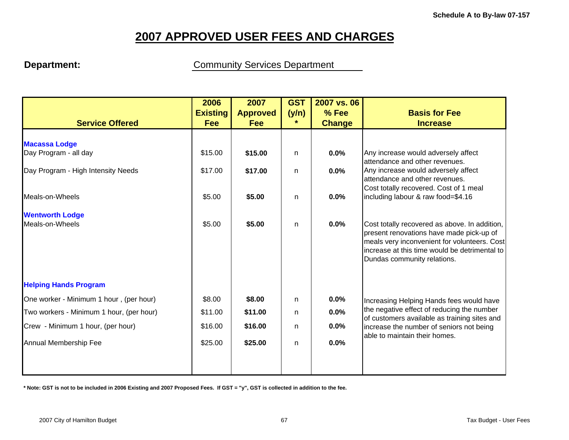**Department: Community Services Department** 

|                                          | 2006            | 2007            | <b>GST</b> | 2007 vs. 06   |                                                                                            |
|------------------------------------------|-----------------|-----------------|------------|---------------|--------------------------------------------------------------------------------------------|
|                                          | <b>Existing</b> | <b>Approved</b> | (y/n)      | % Fee         | <b>Basis for Fee</b>                                                                       |
| <b>Service Offered</b>                   | Fee             | <b>Fee</b>      | $\star$    | <b>Change</b> | <b>Increase</b>                                                                            |
|                                          |                 |                 |            |               |                                                                                            |
| <b>Macassa Lodge</b>                     |                 |                 |            |               |                                                                                            |
| Day Program - all day                    | \$15.00         | \$15.00         | n.         | 0.0%          | Any increase would adversely affect<br>attendance and other revenues.                      |
| Day Program - High Intensity Needs       | \$17.00         | \$17.00         | n.         | 0.0%          | Any increase would adversely affect                                                        |
|                                          |                 |                 |            |               | attendance and other revenues.                                                             |
|                                          |                 |                 |            |               | Cost totally recovered. Cost of 1 meal                                                     |
| Meals-on-Wheels                          | \$5.00          | \$5.00          | n          | 0.0%          | including labour & raw food=\$4.16                                                         |
| <b>Wentworth Lodge</b>                   |                 |                 |            |               |                                                                                            |
| Meals-on-Wheels                          | \$5.00          | \$5.00          | n          | 0.0%          | Cost totally recovered as above. In addition,                                              |
|                                          |                 |                 |            |               | present renovations have made pick-up of                                                   |
|                                          |                 |                 |            |               | meals very inconvenient for volunteers. Cost                                               |
|                                          |                 |                 |            |               | increase at this time would be detrimental to<br>Dundas community relations.               |
|                                          |                 |                 |            |               |                                                                                            |
| <b>Helping Hands Program</b>             |                 |                 |            |               |                                                                                            |
| One worker - Minimum 1 hour, (per hour)  | \$8.00          | \$8.00          | n.         | 0.0%          | Increasing Helping Hands fees would have                                                   |
| Two workers - Minimum 1 hour, (per hour) | \$11.00         | \$11.00         | n.         | 0.0%          | the negative effect of reducing the number<br>of customers available as training sites and |
| Crew - Minimum 1 hour, (per hour)        | \$16.00         | \$16.00         | n          | 0.0%          | increase the number of seniors not being                                                   |
|                                          |                 |                 |            |               | able to maintain their homes.                                                              |
| Annual Membership Fee                    | \$25.00         | \$25.00         | n          | 0.0%          |                                                                                            |
|                                          |                 |                 |            |               |                                                                                            |
|                                          |                 |                 |            |               |                                                                                            |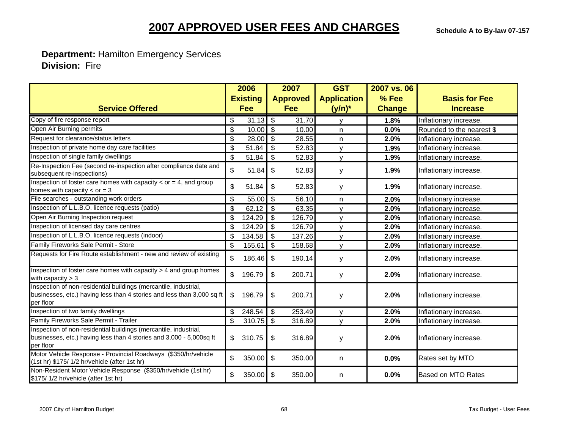**Department:** Hamilton Emergency Services  **Division:** Fire

| <b>Service Offered</b>                                                                                                                                  |                           | 2006<br><b>Existing</b> |                           | 2007<br><b>Approved</b> | <b>GST</b><br><b>Application</b> | 2007 vs. 06<br>% Fee | <b>Basis for Fee</b>      |
|---------------------------------------------------------------------------------------------------------------------------------------------------------|---------------------------|-------------------------|---------------------------|-------------------------|----------------------------------|----------------------|---------------------------|
|                                                                                                                                                         |                           | <b>Fee</b>              |                           | <b>Fee</b>              | $(y/n)^*$                        | <b>Change</b>        | <b>Increase</b>           |
| Copy of fire response report                                                                                                                            | \$                        | $31.13$ \$              |                           | 31.70                   | $\mathsf{v}$                     | 1.8%                 | Inflationary increase.    |
| Open Air Burning permits                                                                                                                                | \$                        | 10.00                   | $\sqrt[6]{\frac{1}{2}}$   | $\overline{10.00}$      | n.                               | 0.0%                 | Rounded to the nearest \$ |
| Request for clearance/status letters                                                                                                                    | \$                        | 28.00                   | $\boldsymbol{\mathsf{S}}$ | 28.55                   | n.                               | 2.0%                 | Inflationary increase.    |
| Inspection of private home day care facilities                                                                                                          | \$                        | 51.84                   | \$                        | 52.83                   | $\mathsf{v}$                     | 1.9%                 | Inflationary increase.    |
| Inspection of single family dwellings                                                                                                                   | \$                        | 51.84                   | $\sqrt[6]{\frac{1}{2}}$   | 52.83                   | $\mathbf{v}$                     | 1.9%                 | Inflationary increase.    |
| Re-Inspection Fee (second re-inspection after compliance date and<br>subsequent re-inspections)                                                         | \$                        | 51.84                   | \$                        | 52.83                   | y                                | 1.9%                 | Inflationary increase.    |
| Inspection of foster care homes with capacity $<$ or = 4, and group<br>homes with capacity $<$ or = 3                                                   | \$                        | 51.84                   | \$                        | 52.83                   | y                                | 1.9%                 | Inflationary increase.    |
| File searches - outstanding work orders                                                                                                                 | \$                        | 55.00                   | $\sqrt[6]{\frac{1}{2}}$   | 56.10                   | n                                | 2.0%                 | Inflationary increase.    |
| Inspection of L.L.B.O. licence requests (patio)                                                                                                         | $\boldsymbol{\mathsf{S}}$ | 62.12                   | $\sqrt[6]{\frac{1}{2}}$   | 63.35                   | $\mathsf{v}$                     | 2.0%                 | Inflationary increase.    |
| Open Air Burning Inspection request                                                                                                                     | \$                        | 124.29                  | \$                        | 126.79                  | $\mathsf{v}$                     | 2.0%                 | Inflationary increase.    |
| Inspection of licensed day care centres                                                                                                                 | \$                        | 124.29                  | \$                        | 126.79                  | v                                | 2.0%                 | Inflationary increase.    |
| Inspection of L.L.B.O. licence requests (indoor)                                                                                                        | \$                        | 134.58                  | \$                        | 137.26                  | $\mathsf{v}$                     | 2.0%                 | Inflationary increase.    |
| Family Fireworks Sale Permit - Store                                                                                                                    | \$                        | 155.61                  | \$                        | 158.68                  | $\mathsf{v}$                     | 2.0%                 | Inflationary increase.    |
| Requests for Fire Route establishment - new and review of existing                                                                                      | \$                        | 186.46                  | $\boldsymbol{\mathsf{S}}$ | 190.14                  | y                                | 2.0%                 | Inflationary increase.    |
| Inspection of foster care homes with capacity > 4 and group homes<br>with capacity $>$ 3                                                                | \$                        | 196.79                  | \$                        | 200.71                  | y                                | 2.0%                 | Inflationary increase.    |
| Inspection of non-residential buildings (mercantile, industrial,<br>businesses, etc.) having less than 4 stories and less than 3,000 sq ft<br>per floor | \$                        | 196.79                  | \$                        | 200.71                  | у                                | 2.0%                 | Inflationary increase.    |
| Inspection of two family dwellings                                                                                                                      | \$                        | 248.54                  | \$                        | 253.49                  | $\mathsf{v}$                     | 2.0%                 | Inflationary increase.    |
| Family Fireworks Sale Permit - Trailer                                                                                                                  | \$                        | 310.75                  | \$                        | 316.89                  | $\mathsf{v}$                     | 2.0%                 | Inflationary increase.    |
| Inspection of non-residential buildings (mercantile, industrial,<br>businesses, etc.) having less than 4 stories and 3,000 - 5,000sq ft<br>per floor    | \$                        | 310.75                  | \$                        | 316.89                  | У                                | 2.0%                 | Inflationary increase.    |
| Motor Vehicle Response - Provincial Roadways (\$350/hr/vehicle<br>(1st hr) \$175/ 1/2 hr/vehicle (after 1st hr)                                         | \$                        | 350.00                  | \$                        | 350.00                  | n                                | 0.0%                 | Rates set by MTO          |
| Non-Resident Motor Vehicle Response (\$350/hr/vehicle (1st hr)<br>\$175/1/2 hr/vehicle (after 1st hr)                                                   | \$                        | 350.00                  | $\boldsymbol{\mathsf{S}}$ | 350.00                  | n                                | 0.0%                 | <b>Based on MTO Rates</b> |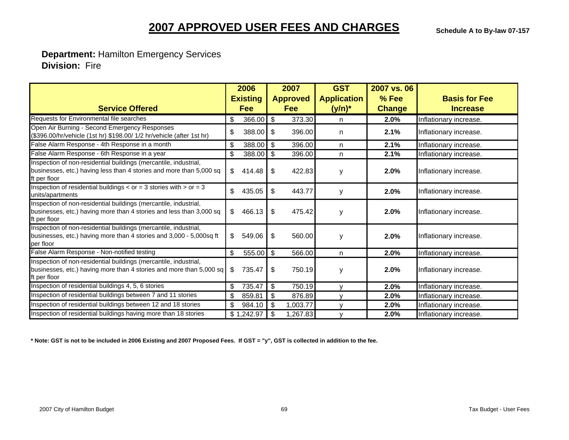**Department:** Hamilton Emergency Services  **Division:** Fire

|                                                                                                                                                         | 2006 |                 |                | 2007            | <b>GST</b>         | 2007 vs. 06   |                        |
|---------------------------------------------------------------------------------------------------------------------------------------------------------|------|-----------------|----------------|-----------------|--------------------|---------------|------------------------|
|                                                                                                                                                         |      | <b>Existing</b> |                | <b>Approved</b> | <b>Application</b> | % Fee         | <b>Basis for Fee</b>   |
| <b>Service Offered</b>                                                                                                                                  |      | Fee             |                | Fee             | $(y/n)^*$          | <b>Change</b> | <b>Increase</b>        |
| Requests for Environmental file searches                                                                                                                | \$   | 366.00          | \$             | 373.30          | n                  | 2.0%          | Inflationary increase. |
| Open Air Burning - Second Emergency Responses<br>(\$396.00/hr/vehicle (1st hr) \$198.00/ 1/2 hr/vehicle (after 1st hr)                                  | \$   | 388.00          | \$             | 396.00          | n                  | 2.1%          | Inflationary increase. |
| False Alarm Response - 4th Response in a month                                                                                                          | \$   | 388.00          | \$             | 396.00          | n                  | 2.1%          | Inflationary increase. |
| False Alarm Response - 6th Response in a year                                                                                                           | \$   | 388.00          | \$             | 396.00          | n                  | 2.1%          | Inflationary increase. |
| Inspection of non-residential buildings (mercantile, industrial,<br>businesses, etc.) having less than 4 stories and more than 5,000 sq<br>ft per floor | \$   | 414.48          | \$             | 422.83          | y                  | 2.0%          | Inflationary increase. |
| Inspection of residential buildings $<$ or = 3 stories with $>$ or = 3<br>units/apartments                                                              | \$   | 435.05          | \$             | 443.77          | y                  | 2.0%          | Inflationary increase. |
| Inspection of non-residential buildings (mercantile, industrial,<br>businesses, etc.) having more than 4 stories and less than 3,000 sq<br>ft per floor | \$   | 466.13          | \$             | 475.42          | y                  | 2.0%          | Inflationary increase. |
| Inspection of non-residential buildings (mercantile, industrial,<br>businesses, etc.) having more than 4 stories and 3,000 - 5,000sq ft<br>per floor    | \$   | 549.06          | \$             | 560.00          | y                  | 2.0%          | Inflationary increase. |
| False Alarm Response - Non-notified testing                                                                                                             | \$   | 555.00          | \$             | 566.00          | n                  | 2.0%          | Inflationary increase. |
| Inspection of non-residential buildings (mercantile, industrial,<br>businesses, etc.) having more than 4 stories and more than 5,000 sq<br>ft per floor | \$   | 735.47          | \$             | 750.19          | У                  | 2.0%          | Inflationary increase. |
| Inspection of residential buildings 4, 5, 6 stories                                                                                                     | \$   | 735.47          | $\mathfrak{S}$ | 750.19          |                    | 2.0%          | Inflationary increase. |
| Inspection of residential buildings between 7 and 11 stories                                                                                            | \$   | 859.81          | \$             | 876.89          |                    | 2.0%          | Inflationary increase. |
| Inspection of residential buildings between 12 and 18 stories                                                                                           | \$   | 984.10          | \$             | 1,003.77        |                    | 2.0%          | Inflationary increase. |
| Inspection of residential buildings having more than 18 stories                                                                                         |      | \$1,242.97      | \$             | 1,267.83        |                    | 2.0%          | Inflationary increase. |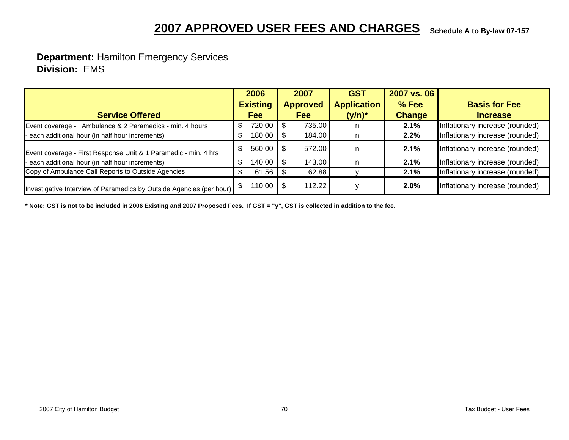# **Schedule A to By-law 07-157 2007 APPROVED USER FEES AND CHARGES**

### **Department:** Hamilton Emergency Services  **Division:** EMS

|                                                                      | 2006 |                       | 2007 |                 | <b>GST</b>         | 2007 vs. 06   |                                 |
|----------------------------------------------------------------------|------|-----------------------|------|-----------------|--------------------|---------------|---------------------------------|
|                                                                      |      | <b>Existing</b>       |      | <b>Approved</b> | <b>Application</b> | $%$ Fee       | <b>Basis for Fee</b>            |
| <b>Service Offered</b>                                               |      | <b>Fee</b>            |      | <b>Fee</b>      | $(y/n)^*$          | <b>Change</b> | <b>Increase</b>                 |
| Event coverage - I Ambulance & 2 Paramedics - min. 4 hours           |      | 720.00                |      | 735.00          | n                  | 2.1%          | Inflationary increase.(rounded) |
| each additional hour (in half hour increments)                       |      | 180.00                |      | 184.00          | n                  | 2.2%          | Inflationary increase.(rounded) |
| Event coverage - First Response Unit & 1 Paramedic - min. 4 hrs      |      | 560.00                |      | 572.00          | n                  | 2.1%          | Inflationary increase.(rounded) |
| each additional hour (in half hour increments)                       |      | 140.00                |      | 143.00          | n                  | 2.1%          | Inflationary increase.(rounded) |
| Copy of Ambulance Call Reports to Outside Agencies                   | \$.  | $61.56$ \$            |      | 62.88           |                    | 2.1%          | Inflationary increase.(rounded) |
| Investigative Interview of Paramedics by Outside Agencies (per hour) |      | 110.00 $\blacksquare$ |      | 112.22          |                    | 2.0%          | Inflationary increase.(rounded) |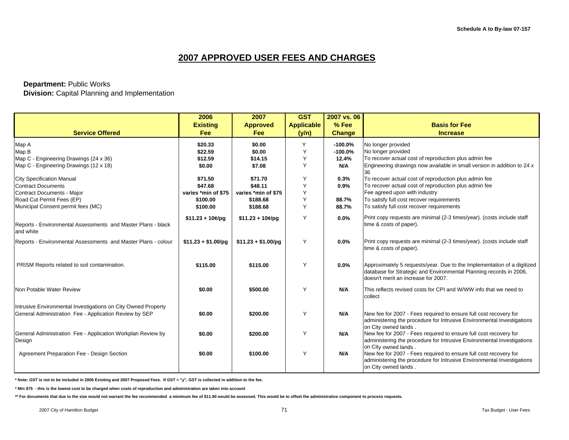#### **Department:** Public Works

 **Division:** Capital Planning and Implementation

|                                                                           | 2006                 | 2007                 | <b>GST</b>        | 2007 vs. 06   |                                                                                                                                                                                       |
|---------------------------------------------------------------------------|----------------------|----------------------|-------------------|---------------|---------------------------------------------------------------------------------------------------------------------------------------------------------------------------------------|
|                                                                           | <b>Existing</b>      | <b>Approved</b>      | <b>Applicable</b> | % Fee         | <b>Basis for Fee</b>                                                                                                                                                                  |
| <b>Service Offered</b>                                                    | Fee                  | Fee                  | (y/n)             | <b>Change</b> | <b>Increase</b>                                                                                                                                                                       |
| Map A                                                                     | \$20.33              | \$0.00               | Υ                 | $-100.0\%$    | No longer provided                                                                                                                                                                    |
| Map B                                                                     | \$22.59              | \$0.00               |                   | $-100.0%$     | No longer provided                                                                                                                                                                    |
| Map C - Engineering Drawings (24 x 36)                                    | \$12.59              | \$14.15              |                   | 12.4%         | To recover actual cost of reproduction plus admin fee                                                                                                                                 |
| Map C - Engineering Drawings (12 x 18)                                    | \$0.00               | \$7.08               | Y                 | N/A           | Engineering drawings now available in small version in addition to 24 x                                                                                                               |
|                                                                           |                      |                      |                   |               |                                                                                                                                                                                       |
| <b>City Specification Manual</b>                                          | \$71.50              | \$71.70              |                   | 0.3%          | To recover actual cost of reproduction plus admin fee                                                                                                                                 |
| <b>Contract Documents</b>                                                 | \$47.68              | \$48.11              |                   | 0.9%          | To recover actual cost of reproduction plus admin fee                                                                                                                                 |
| Contract Documents - Major                                                | varies *min of \$75  | varies *min of \$75  |                   |               | Fee agreed upon with industry                                                                                                                                                         |
| Road Cut Permit Fees (EP)                                                 | \$100.00             | \$188.68             |                   | 88.7%         | To satisfy full cost recover requirements                                                                                                                                             |
| Municipal Consent permit fees (MC)                                        | \$100.00             | \$188.68             | Υ                 | 88.7%         | To satisfy full cost recover requirements                                                                                                                                             |
|                                                                           | $$11.23 + 10$ ¢/pg   | $$11.23 + 10$ ¢/pg   | Υ                 | 0.0%          | Print copy requests are minimal (2-3 times/year). (costs include staff                                                                                                                |
| Reports - Environmental Assessments and Master Plans - black<br>and white |                      |                      |                   |               | time & costs of paper).                                                                                                                                                               |
| Reports - Environmental Assessments and Master Plans - colour             | $$11.23 + $1.00$ /pg | $$11.23 + $1.00$ /pg | Y                 | $0.0\%$       | Print copy requests are minimal (2-3 times/year). (costs include staff<br>time & costs of paper).                                                                                     |
| PRISM Reports related to soil contamination.                              | \$115.00             | \$115.00             | Υ                 | 0.0%          | Approximately 5 requests/year. Due to the Implementation of a digitized<br>database for Strategic and Environmental Planning records in 2006,<br>Idoesn't merit an increase for 2007. |
| Non Potable Water Review                                                  | \$0.00               | \$500.00             | Υ                 | N/A           | This reflects revised costs for CPI and W/WW info that we need to<br>collect                                                                                                          |
| Intrusive Environmental Investigations on City Owned Property             |                      |                      |                   |               |                                                                                                                                                                                       |
| General Administration Fee - Application Review by SEP                    | \$0.00               | \$200.00             | Υ                 | N/A           | New fee for 2007 - Fees required to ensure full cost recovery for<br>administering the procedure for Intrusive Environmental Investigations<br>on City owned lands.                   |
| General Administration Fee - Application Workplan Review by               | \$0.00               | \$200.00             | Υ                 | N/A           | New fee for 2007 - Fees required to ensure full cost recovery for                                                                                                                     |
| Design                                                                    |                      |                      |                   |               | administering the procedure for Intrusive Environmental Investigations<br>on City owned lands.                                                                                        |
| Agreement Preparation Fee - Design Section                                | \$0.00               | \$100.00             | Υ                 | N/A           | New fee for 2007 - Fees required to ensure full cost recovery for<br>administering the procedure for Intrusive Environmental Investigations<br>on City owned lands.                   |

**\* Note: GST is not to be included in 2006 Existing and 2007 Proposed Fees. If GST = "y", GST is collected in addition to the fee.**

**\* Min \$75 - this is the lowest cost to be charged when costs of reproduction and administration are taken into account**

**\*\* For documents that due to the size would not warrant the fee recommended a minimum fee of \$11.90 would be assessed. This would be to offset the administrative component to process requests.**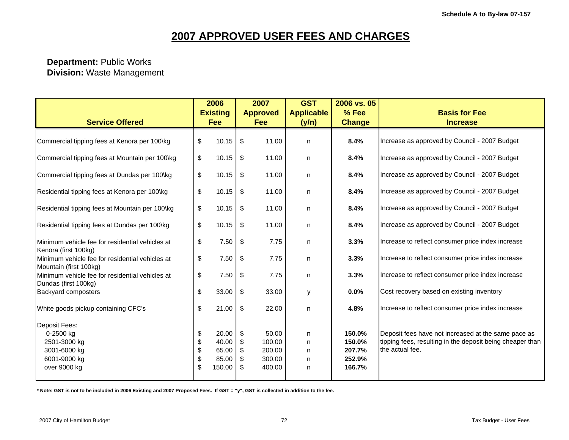#### **Department:** Public Works  **Division:** Waste Management

| <b>Service Offered</b>                                                                            |                            | 2006<br><b>Existing</b><br>Fee             |                     | 2007<br><b>Approved</b><br>Fee                | <b>GST</b><br><b>Applicable</b><br>(y/n) | 2006 vs. 05<br>% Fee<br><b>Change</b>          | <b>Basis for Fee</b><br><b>Increase</b>                                                                                             |
|---------------------------------------------------------------------------------------------------|----------------------------|--------------------------------------------|---------------------|-----------------------------------------------|------------------------------------------|------------------------------------------------|-------------------------------------------------------------------------------------------------------------------------------------|
| Commercial tipping fees at Kenora per 100\kg                                                      | \$                         | 10.15                                      | \$                  | 11.00                                         | n                                        | 8.4%                                           | Increase as approved by Council - 2007 Budget                                                                                       |
| Commercial tipping fees at Mountain per 100\kg                                                    | \$                         | 10.15                                      | \$                  | 11.00                                         | n                                        | 8.4%                                           | Increase as approved by Council - 2007 Budget                                                                                       |
| Commercial tipping fees at Dundas per 100\kg                                                      | \$                         | 10.15                                      | \$                  | 11.00                                         | n                                        | 8.4%                                           | Increase as approved by Council - 2007 Budget                                                                                       |
| Residential tipping fees at Kenora per 100\kg                                                     | \$                         | 10.15                                      | \$                  | 11.00                                         | n                                        | 8.4%                                           | Increase as approved by Council - 2007 Budget                                                                                       |
| Residential tipping fees at Mountain per 100\kg                                                   | $\boldsymbol{\mathsf{S}}$  | 10.15                                      | \$                  | 11.00                                         | n                                        | 8.4%                                           | Increase as approved by Council - 2007 Budget                                                                                       |
| Residential tipping fees at Dundas per 100\kg                                                     | \$                         | 10.15                                      | \$                  | 11.00                                         | n                                        | 8.4%                                           | Increase as approved by Council - 2007 Budget                                                                                       |
| Minimum vehicle fee for residential vehicles at                                                   | \$                         | 7.50                                       | \$                  | 7.75                                          | n                                        | 3.3%                                           | Increase to reflect consumer price index increase                                                                                   |
| Kenora (first 100kg)<br>Minimum vehicle fee for residential vehicles at                           | \$                         | 7.50                                       | \$                  | 7.75                                          | n                                        | 3.3%                                           | Increase to reflect consumer price index increase                                                                                   |
| Mountain (first 100kg)<br>Minimum vehicle fee for residential vehicles at<br>Dundas (first 100kg) | \$                         | 7.50                                       | \$                  | 7.75                                          | n                                        | 3.3%                                           | Increase to reflect consumer price index increase                                                                                   |
| Backyard composters                                                                               | \$                         | 33.00                                      | \$                  | 33.00                                         | у                                        | 0.0%                                           | Cost recovery based on existing inventory                                                                                           |
| White goods pickup containing CFC's                                                               | \$                         | 21.00                                      | \$                  | 22.00                                         | n                                        | 4.8%                                           | Increase to reflect consumer price index increase                                                                                   |
| Deposit Fees:<br>0-2500 kg<br>2501-3000 kg<br>3001-6000 kg<br>6001-9000 kg<br>over 9000 kg        | \$<br>\$<br>\$<br>\$<br>\$ | 20.00<br>40.00<br>65.00<br>85.00<br>150.00 | \$<br>S.<br>S.<br>S | 50.00<br>100.00<br>200.00<br>300.00<br>400.00 | n<br>n<br>n<br>n<br>n                    | 150.0%<br>150.0%<br>207.7%<br>252.9%<br>166.7% | Deposit fees have not increased at the same pace as<br>tipping fees, resulting in the deposit being cheaper than<br>the actual fee. |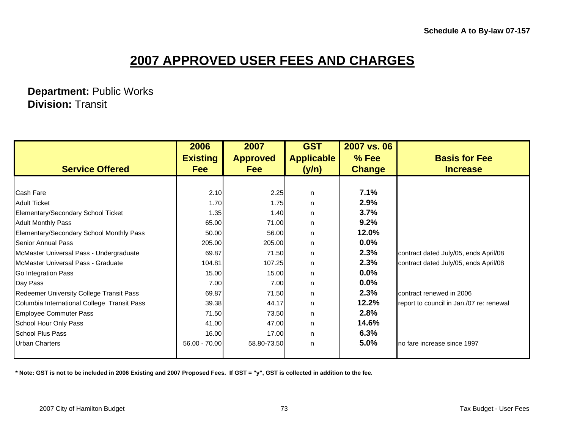**Department:** Public Works  **Division:** Transit

|                                             | 2006            | 2007            | <b>GST</b>        | 2007 vs. 06   |                                          |
|---------------------------------------------|-----------------|-----------------|-------------------|---------------|------------------------------------------|
|                                             | <b>Existing</b> | <b>Approved</b> | <b>Applicable</b> | $%$ Fee       | <b>Basis for Fee</b>                     |
| <b>Service Offered</b>                      | <b>Fee</b>      | <b>Fee</b>      | (y/n)             | <b>Change</b> | <b>Increase</b>                          |
|                                             |                 |                 |                   |               |                                          |
| <b>Cash Fare</b>                            | 2.10            | 2.25            | n                 | 7.1%          |                                          |
| <b>Adult Ticket</b>                         | 1.70            | 1.75            | n.                | 2.9%          |                                          |
| Elementary/Secondary School Ticket          | 1.35            | 1.40            | n                 | 3.7%          |                                          |
| <b>Adult Monthly Pass</b>                   | 65.00           | 71.00           | n.                | 9.2%          |                                          |
| Elementary/Secondary School Monthly Pass    | 50.00           | 56.00           | n.                | 12.0%         |                                          |
| Senior Annual Pass                          | 205.00          | 205.00          | n.                | $0.0\%$       |                                          |
| McMaster Universal Pass - Undergraduate     | 69.87           | 71.50           | n.                | 2.3%          | contract dated July/05, ends April/08    |
| McMaster Universal Pass - Graduate          | 104.81          | 107.25          | n.                | 2.3%          | contract dated July/05, ends April/08    |
| Go Integration Pass                         | 15.00           | 15.00           | n.                | $0.0\%$       |                                          |
| Day Pass                                    | 7.00            | 7.00            | n.                | 0.0%          |                                          |
| Redeemer University College Transit Pass    | 69.87           | 71.50           | n                 | 2.3%          | contract renewed in 2006                 |
| Columbia International College Transit Pass | 39.38           | 44.17           | n.                | 12.2%         | report to council in Jan./07 re: renewal |
| <b>Employee Commuter Pass</b>               | 71.50           | 73.50           | n.                | 2.8%          |                                          |
| School Hour Only Pass                       | 41.00           | 47.00           | n.                | 14.6%         |                                          |
| <b>School Plus Pass</b>                     | 16.00           | 17.00           | n.                | 6.3%          |                                          |
| <b>Urban Charters</b>                       | 56.00 - 70.00   | 58.80-73.50     | n                 | 5.0%          | no fare increase since 1997              |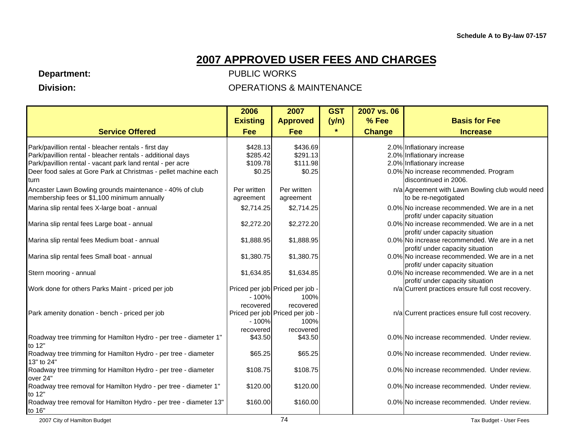**Department:** 

 **Division:** 

|                                                                             | 2006            | 2007                            | <b>GST</b> | 2007 vs. 06   |                                                                                      |
|-----------------------------------------------------------------------------|-----------------|---------------------------------|------------|---------------|--------------------------------------------------------------------------------------|
|                                                                             | <b>Existing</b> | <b>Approved</b>                 | (y/n)      | % Fee         | <b>Basis for Fee</b>                                                                 |
| <b>Service Offered</b>                                                      | Fee             | <b>Fee</b>                      | $\star$    | <b>Change</b> | <b>Increase</b>                                                                      |
| Park/pavillion rental - bleacher rentals - first day                        | \$428.13        | \$436.69                        |            |               | 2.0% Inflationary increase                                                           |
| Park/pavillion rental - bleacher rentals - additional days                  | \$285.42        | \$291.13                        |            |               | 2.0% Inflationary increase                                                           |
| Park/pavillion rental - vacant park land rental - per acre                  | \$109.78        | \$111.98                        |            |               | 2.0% Inflationary increase                                                           |
| Deer food sales at Gore Park at Christmas - pellet machine each             | \$0.25          | \$0.25                          |            |               | 0.0% No increase recommended. Program                                                |
| turn                                                                        |                 |                                 |            |               | ldiscontinued in 2006.                                                               |
| Ancaster Lawn Bowling grounds maintenance - 40% of club                     | Per written     | Per written                     |            |               | n/a Agreement with Lawn Bowling club would need                                      |
| membership fees or \$1,100 minimum annually                                 | agreement       | agreement                       |            |               | to be re-negotigated                                                                 |
| Marina slip rental fees X-large boat - annual                               | \$2,714.25      | \$2,714.25                      |            |               | 0.0% No increase recommended. We are in a net                                        |
|                                                                             |                 |                                 |            |               | profit/ under capacity situation                                                     |
| Marina slip rental fees Large boat - annual                                 | \$2,272.20      | \$2,272.20                      |            |               | 0.0% No increase recommended. We are in a net                                        |
|                                                                             |                 |                                 |            |               | profit/ under capacity situation                                                     |
| Marina slip rental fees Medium boat - annual                                | \$1,888.95      | \$1,888.95                      |            |               | 0.0% No increase recommended. We are in a net                                        |
|                                                                             |                 |                                 |            |               | profit/ under capacity situation                                                     |
| Marina slip rental fees Small boat - annual                                 | \$1,380.75      | \$1,380.75                      |            |               | 0.0% No increase recommended. We are in a net                                        |
|                                                                             |                 |                                 |            |               | profit/ under capacity situation                                                     |
| Stern mooring - annual                                                      | \$1,634.85      | \$1,634.85                      |            |               | 0.0% No increase recommended. We are in a net                                        |
| Work done for others Parks Maint - priced per job                           |                 | Priced per job Priced per job - |            |               | profit/ under capacity situation<br>n/a Current practices ensure full cost recovery. |
|                                                                             | $-100%$         | 100%                            |            |               |                                                                                      |
|                                                                             | recovered       | recovered                       |            |               |                                                                                      |
| Park amenity donation - bench - priced per job                              |                 | Priced per job Priced per job - |            |               | n/a Current practices ensure full cost recovery.                                     |
|                                                                             | $-100%$         | 100%                            |            |               |                                                                                      |
|                                                                             | recovered       | recovered                       |            |               |                                                                                      |
| Roadway tree trimming for Hamilton Hydro - per tree - diameter 1"           | \$43.50         | \$43.50                         |            |               | 0.0% No increase recommended. Under review.                                          |
| to 12"                                                                      |                 |                                 |            |               |                                                                                      |
| Roadway tree trimming for Hamilton Hydro - per tree - diameter              | \$65.25         | \$65.25                         |            |               | 0.0% No increase recommended. Under review.                                          |
| 13" to 24"                                                                  |                 |                                 |            |               |                                                                                      |
| Roadway tree trimming for Hamilton Hydro - per tree - diameter              | \$108.75        | \$108.75                        |            |               | 0.0% No increase recommended. Under review.                                          |
| over 24"                                                                    |                 |                                 |            |               |                                                                                      |
| Roadway tree removal for Hamilton Hydro - per tree - diameter 1"            | \$120.00        | \$120.00                        |            |               | 0.0% No increase recommended. Under review.                                          |
| to 12"<br>Roadway tree removal for Hamilton Hydro - per tree - diameter 13" | \$160.00        | \$160.00                        |            |               | 0.0% No increase recommended. Under review.                                          |
| to 16"                                                                      |                 |                                 |            |               |                                                                                      |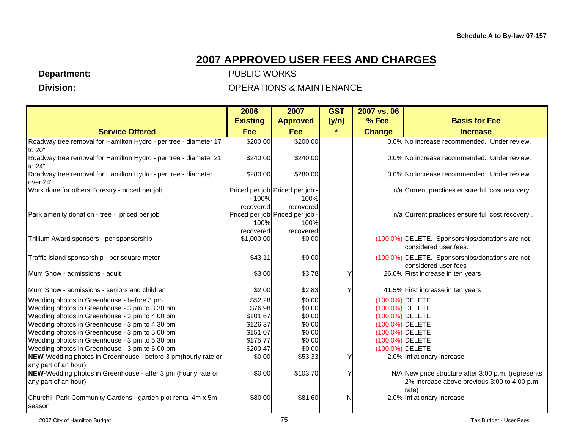**Department:** 

 **Division:** 

|                                                                             | 2006            | 2007                            | <b>GST</b> | 2007 vs. 06     |                                                                          |
|-----------------------------------------------------------------------------|-----------------|---------------------------------|------------|-----------------|--------------------------------------------------------------------------|
|                                                                             | <b>Existing</b> | <b>Approved</b>                 | (y/n)      | % Fee           | <b>Basis for Fee</b>                                                     |
| <b>Service Offered</b>                                                      | <b>Fee</b>      | Fee                             | $\star$    | <b>Change</b>   | <b>Increase</b>                                                          |
| Roadway tree removal for Hamilton Hydro - per tree - diameter 17"           | \$200.00        | \$200.00                        |            |                 | 0.0% No increase recommended. Under review.                              |
| to 20"                                                                      |                 |                                 |            |                 |                                                                          |
| Roadway tree removal for Hamilton Hydro - per tree - diameter 21"<br>to 24" | \$240.00        | \$240.00                        |            |                 | 0.0% No increase recommended. Under review.                              |
| Roadway tree removal for Hamilton Hydro - per tree - diameter<br>over 24"   | \$280.00        | \$280.00                        |            |                 | 0.0% No increase recommended. Under review.                              |
| Work done for others Forestry - priced per job                              |                 | Priced per job Priced per job - |            |                 | n/a Current practices ensure full cost recovery.                         |
|                                                                             | $-100%$         | 100%                            |            |                 |                                                                          |
|                                                                             | recovered       | recovered                       |            |                 |                                                                          |
| Park amenity donation - tree - priced per job                               |                 | Priced per job Priced per job - |            |                 | n/a Current practices ensure full cost recovery.                         |
|                                                                             | $-100%$         | 100%                            |            |                 |                                                                          |
|                                                                             | recovered       | recovered                       |            |                 |                                                                          |
| Trillium Award sponsors - per sponsorship                                   | \$1,000.00      | \$0.00                          |            |                 | (100.0%) DELETE. Sponsorships/donations are not<br>considered user fees. |
| Traffic island sponsorship - per square meter                               | \$43.11         | \$0.00                          |            |                 | (100.0%) DELETE. Sponsorships/donations are not                          |
|                                                                             |                 |                                 |            |                 | considered user fees                                                     |
| Mum Show - admissions - adult                                               | \$3.00          | \$3.78                          |            |                 | 26.0% First increase in ten years                                        |
| Mum Show - admissions - seniors and children                                | \$2.00          | \$2.83                          |            |                 | 41.5% First increase in ten years                                        |
| Wedding photos in Greenhouse - before 3 pm                                  | \$52.28         | \$0.00                          |            | (100.0%) DELETE |                                                                          |
| Wedding photos in Greenhouse - 3 pm to 3:30 pm                              | \$76.98         | \$0.00                          |            | (100.0%) DELETE |                                                                          |
| Wedding photos in Greenhouse - 3 pm to 4:00 pm                              | \$101.67        | \$0.00                          |            | (100.0%) DELETE |                                                                          |
| Wedding photos in Greenhouse - 3 pm to 4:30 pm                              | \$126.37        | \$0.00                          |            | (100.0%) DELETE |                                                                          |
| Wedding photos in Greenhouse - 3 pm to 5:00 pm                              | \$151.07        | \$0.00                          |            | (100.0%) DELETE |                                                                          |
| Wedding photos in Greenhouse - 3 pm to 5:30 pm                              | \$175.77        | \$0.00                          |            | (100.0%) DELETE |                                                                          |
| Wedding photos in Greenhouse - 3 pm to 6:00 pm                              | \$200.47        | \$0.00                          |            | (100.0%) DELETE |                                                                          |
| NEW-Wedding photos in Greenhouse - before 3 pm (hourly rate or              | \$0.00          | \$53.33                         |            |                 | 2.0% Inflationary increase                                               |
| any part of an hour)                                                        |                 |                                 |            |                 |                                                                          |
| <b>NEW-</b> Wedding photos in Greenhouse - after 3 pm (hourly rate or       | \$0.00          | \$103.70                        |            |                 | N/A New price structure after 3:00 p.m. (represents                      |
| any part of an hour)                                                        |                 |                                 |            |                 | 2% increase above previous 3:00 to 4:00 p.m.                             |
|                                                                             |                 |                                 |            |                 | rate)                                                                    |
| Churchill Park Community Gardens - garden plot rental 4m x 5m -             | \$80.00         | \$81.60                         | N          |                 | 2.0% Inflationary increase                                               |
| season                                                                      |                 |                                 |            |                 |                                                                          |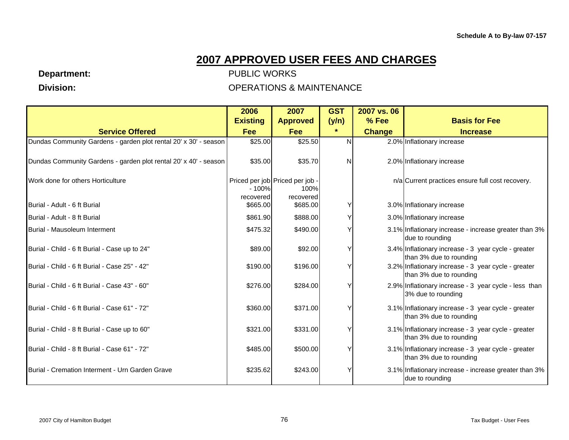**Department:** 

 **Division:** 

|                                                                  | 2006                 | 2007                                                 | <b>GST</b> | 2007 vs. 06   |                                                                                |
|------------------------------------------------------------------|----------------------|------------------------------------------------------|------------|---------------|--------------------------------------------------------------------------------|
|                                                                  | <b>Existing</b>      | <b>Approved</b>                                      | (y/n)      | % Fee         | <b>Basis for Fee</b>                                                           |
| <b>Service Offered</b>                                           | Fee                  | <b>Fee</b>                                           | $\star$    | <b>Change</b> | <b>Increase</b>                                                                |
| Dundas Community Gardens - garden plot rental 20' x 30' - season | \$25.00              | \$25.50                                              | N          |               | 2.0% Inflationary increase                                                     |
| Dundas Community Gardens - garden plot rental 20' x 40' - season | \$35.00              | \$35.70                                              | N          |               | 2.0% Inflationary increase                                                     |
| Work done for others Horticulture                                | $-100%$<br>recovered | Priced per job Priced per job -<br>100%<br>recovered |            |               | n/a Current practices ensure full cost recovery.                               |
| Burial - Adult - 6 ft Burial                                     | \$665.00             | \$685.00                                             |            |               | 3.0% Inflationary increase                                                     |
| Burial - Adult - 8 ft Burial                                     | \$861.90             | \$888.00                                             |            |               | 3.0% Inflationary increase                                                     |
| Burial - Mausoleum Interment                                     | \$475.32             | \$490.00                                             |            |               | 3.1% Inflationary increase - increase greater than 3%<br>due to rounding       |
| Burial - Child - 6 ft Burial - Case up to 24"                    | \$89.00              | \$92.00                                              |            |               | 3.4% Inflationary increase - 3 year cycle - greater<br>than 3% due to rounding |
| Burial - Child - 6 ft Burial - Case 25" - 42"                    | \$190.00             | \$196.00                                             |            |               | 3.2% Inflationary increase - 3 year cycle - greater<br>than 3% due to rounding |
| Burial - Child - 6 ft Burial - Case 43" - 60"                    | \$276.00             | \$284.00                                             |            |               | 2.9% Inflationary increase - 3 year cycle - less than<br>3% due to rounding    |
| Burial - Child - 6 ft Burial - Case 61" - 72"                    | \$360.00             | \$371.00                                             |            |               | 3.1% Inflationary increase - 3 year cycle - greater<br>than 3% due to rounding |
| Burial - Child - 8 ft Burial - Case up to 60"                    | \$321.00             | \$331.00                                             |            |               | 3.1% Inflationary increase - 3 year cycle - greater<br>than 3% due to rounding |
| Burial - Child - 8 ft Burial - Case 61" - 72"                    | \$485.00             | \$500.00                                             |            |               | 3.1% Inflationary increase - 3 year cycle - greater<br>than 3% due to rounding |
| Burial - Cremation Interment - Urn Garden Grave                  | \$235.62             | \$243.00                                             |            |               | 3.1% Inflationary increase - increase greater than 3%<br>due to rounding       |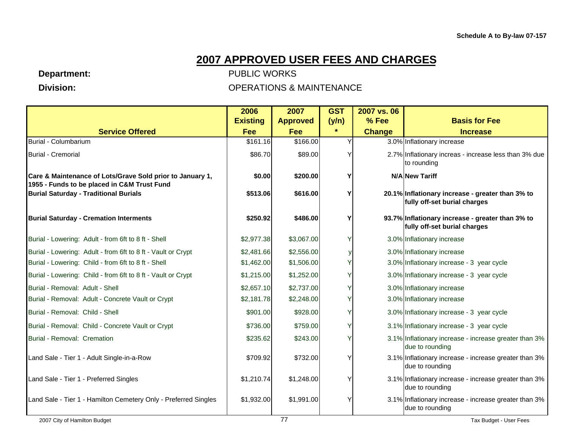**Department:** 

 **Division:** 

|                                                                                                          | 2006            | 2007            | <b>GST</b> | 2007 vs. 06   |                                                                                  |
|----------------------------------------------------------------------------------------------------------|-----------------|-----------------|------------|---------------|----------------------------------------------------------------------------------|
|                                                                                                          | <b>Existing</b> | <b>Approved</b> | (y/n)      | $%$ Fee       | <b>Basis for Fee</b>                                                             |
| <b>Service Offered</b>                                                                                   | Fee             | Fee             | $\star$    | <b>Change</b> | <b>Increase</b>                                                                  |
| Burial - Columbarium                                                                                     | \$161.16        | \$166.00        |            |               | 3.0% Inflationary increase                                                       |
| <b>Burial - Cremorial</b>                                                                                | \$86.70         | \$89.00         |            |               | 2.7% Inflationary increas - increase less than 3% due<br>to rounding             |
| Care & Maintenance of Lots/Grave Sold prior to January 1,<br>1955 - Funds to be placed in C&M Trust Fund | \$0.00          | \$200.00        |            |               | N/A New Tariff                                                                   |
| <b>Burial Saturday - Traditional Burials</b>                                                             | \$513.06        | \$616.00        | ν          |               | 20.1% Inflationary increase - greater than 3% to<br>fully off-set burial charges |
| <b>Burial Saturday - Cremation Interments</b>                                                            | \$250.92        | \$486.00        | ٧          |               | 93.7% Inflationary increase - greater than 3% to<br>fully off-set burial charges |
| Burial - Lowering: Adult - from 6ft to 8 ft - Shell                                                      | \$2,977.38      | \$3,067.00      |            |               | 3.0% Inflationary increase                                                       |
| Burial - Lowering: Adult - from 6ft to 8 ft - Vault or Crypt                                             | \$2,481.66      | \$2,556.00      |            |               | 3.0% Inflationary increase                                                       |
| Burial - Lowering: Child - from 6ft to 8 ft - Shell                                                      | \$1,462.00      | \$1,506.00      |            |               | 3.0% Inflationary increase - 3 year cycle                                        |
| Burial - Lowering: Child - from 6ft to 8 ft - Vault or Crypt                                             | \$1,215.00      | \$1,252.00      |            |               | 3.0% Inflationary increase - 3 year cycle                                        |
| Burial - Removal: Adult - Shell                                                                          | \$2,657.10      | \$2,737.00      |            |               | 3.0% Inflationary increase                                                       |
| Burial - Removal: Adult - Concrete Vault or Crypt                                                        | \$2,181.78      | \$2,248.00      |            |               | 3.0% Inflationary increase                                                       |
| Burial - Removal: Child - Shell                                                                          | \$901.00        | \$928.00        |            |               | 3.0% Inflationary increase - 3 year cycle                                        |
| Burial - Removal: Child - Concrete Vault or Crypt                                                        | \$736.00        | \$759.00        |            |               | 3.1% Inflationary increase - 3 year cycle                                        |
| Burial - Removal: Cremation                                                                              | \$235.62        | \$243.00        |            |               | 3.1% Inflationary increase - increase greater than 3%<br>due to rounding         |
| Land Sale - Tier 1 - Adult Single-in-a-Row                                                               | \$709.92        | \$732.00        |            |               | 3.1% Inflationary increase - increase greater than 3%<br>due to rounding         |
| Land Sale - Tier 1 - Preferred Singles                                                                   | \$1,210.74      | \$1,248.00      |            |               | 3.1% Inflationary increase - increase greater than 3%<br>due to rounding         |
| Land Sale - Tier 1 - Hamilton Cemetery Only - Preferred Singles                                          | \$1,932.00      | \$1,991.00      |            |               | 3.1% Inflationary increase - increase greater than 3%<br>due to rounding         |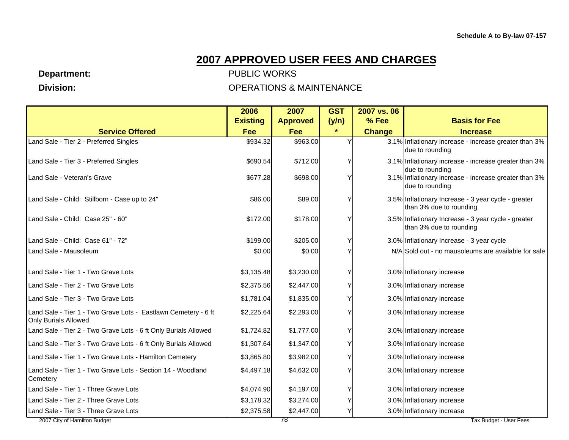**Department:** 

 **Division:** 

#### PUBLIC WORKS OPERATIONS & MAINTENANCE

|                                                                                               | 2006            | 2007            | <b>GST</b> | 2007 vs. 06   |                                                                                |
|-----------------------------------------------------------------------------------------------|-----------------|-----------------|------------|---------------|--------------------------------------------------------------------------------|
|                                                                                               | <b>Existing</b> | <b>Approved</b> | (y/n)      | % Fee         | <b>Basis for Fee</b>                                                           |
| <b>Service Offered</b>                                                                        | <b>Fee</b>      | Fee             | $\star$    | <b>Change</b> | <b>Increase</b>                                                                |
| Land Sale - Tier 2 - Preferred Singles                                                        | \$934.32        | \$963.00        | Υ          |               | 3.1% Inflationary increase - increase greater than 3%<br>due to rounding       |
| Land Sale - Tier 3 - Preferred Singles                                                        | \$690.54        | \$712.00        | Υ          |               | 3.1% Inflationary increase - increase greater than 3%<br>due to rounding       |
| Land Sale - Veteran's Grave                                                                   | \$677.28        | \$698.00        | Y          |               | 3.1% Inflationary increase - increase greater than 3%<br>due to rounding       |
| Land Sale - Child: Stillborn - Case up to 24"                                                 | \$86.00         | \$89.00         | Y          |               | 3.5% Inflationary Increase - 3 year cycle - greater<br>than 3% due to rounding |
| Land Sale - Child: Case 25" - 60"                                                             | \$172.00        | \$178.00        | Y          |               | 3.5% Inflationary Increase - 3 year cycle - greater<br>than 3% due to rounding |
| Land Sale - Child: Case 61" - 72"                                                             | \$199.00        | \$205.00        | Υ          |               | 3.0% Inflationary Increase - 3 year cycle                                      |
| Land Sale - Mausoleum                                                                         | \$0.00          | \$0.00          | Y          |               | N/A Sold out - no mausoleums are available for sale                            |
| Land Sale - Tier 1 - Two Grave Lots                                                           | \$3,135.48      | \$3,230.00      | Y          |               | 3.0% Inflationary increase                                                     |
| Land Sale - Tier 2 - Two Grave Lots                                                           | \$2,375.56      | \$2,447.00      | Y          |               | 3.0% Inflationary increase                                                     |
| Land Sale - Tier 3 - Two Grave Lots                                                           | \$1,781.04      | \$1,835.00      | Υ          |               | 3.0% Inflationary increase                                                     |
| Land Sale - Tier 1 - Two Grave Lots - Eastlawn Cemetery - 6 ft<br><b>Only Burials Allowed</b> | \$2,225.64      | \$2,293.00      | Υ          |               | 3.0% Inflationary increase                                                     |
| Land Sale - Tier 2 - Two Grave Lots - 6 ft Only Burials Allowed                               | \$1,724.82      | \$1,777.00      | Υ          |               | 3.0% Inflationary increase                                                     |
| Land Sale - Tier 3 - Two Grave Lots - 6 ft Only Burials Allowed                               | \$1,307.64      | \$1,347.00      | Υ          |               | 3.0% Inflationary increase                                                     |
| Land Sale - Tier 1 - Two Grave Lots - Hamilton Cemetery                                       | \$3,865.80      | \$3,982.00      | Υ          |               | 3.0% Inflationary increase                                                     |
| Land Sale - Tier 1 - Two Grave Lots - Section 14 - Woodland<br>Cemetery                       | \$4,497.18      | \$4,632.00      | Y          |               | 3.0% Inflationary increase                                                     |
| Land Sale - Tier 1 - Three Grave Lots                                                         | \$4,074.90      | \$4,197.00      | Y          |               | 3.0% Inflationary increase                                                     |
| Land Sale - Tier 2 - Three Grave Lots                                                         | \$3,178.32      | \$3,274.00      | Υ          |               | 3.0% Inflationary increase                                                     |
| Land Sale - Tier 3 - Three Grave Lots                                                         | \$2,375.58      | \$2,447.00      | Y          |               | 3.0% Inflationary increase                                                     |

2007 City of Hamilton Budget Tax Budget Tax Budget - User Fees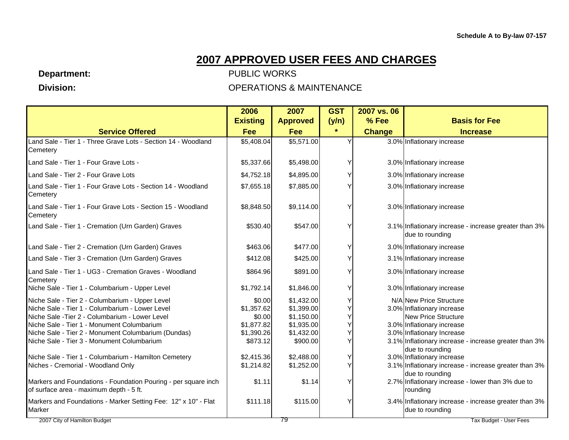**Department:** 

 **Division:** 

|                                                                          | 2006            | 2007            | <b>GST</b> | 2007 vs. 06   |                                                                          |
|--------------------------------------------------------------------------|-----------------|-----------------|------------|---------------|--------------------------------------------------------------------------|
|                                                                          | <b>Existing</b> | <b>Approved</b> | (y/n)      | % Fee         | <b>Basis for Fee</b>                                                     |
| <b>Service Offered</b>                                                   | <b>Fee</b>      | Fee             | $\star$    | <b>Change</b> | <b>Increase</b>                                                          |
| Land Sale - Tier 1 - Three Grave Lots - Section 14 - Woodland            | \$5,408.04      | \$5,571.00      |            |               | 3.0% Inflationary increase                                               |
| Cemetery                                                                 |                 |                 |            |               |                                                                          |
| Land Sale - Tier 1 - Four Grave Lots -                                   | \$5,337.66      | \$5,498.00      |            |               | 3.0% Inflationary increase                                               |
| Land Sale - Tier 2 - Four Grave Lots                                     | \$4,752.18      | \$4,895.00      |            |               | 3.0% Inflationary increase                                               |
| Land Sale - Tier 1 - Four Grave Lots - Section 14 - Woodland<br>Cemetery | \$7,655.18      | \$7,885.00      |            |               | 3.0% Inflationary increase                                               |
| Land Sale - Tier 1 - Four Grave Lots - Section 15 - Woodland<br>Cemetery | \$8,848.50      | \$9,114.00      |            |               | 3.0% Inflationary increase                                               |
| Land Sale - Tier 1 - Cremation (Urn Garden) Graves                       | \$530.40        | \$547.00        |            |               | 3.1% Inflationary increase - increase greater than 3%<br>due to rounding |
| Land Sale - Tier 2 - Cremation (Urn Garden) Graves                       | \$463.06        | \$477.00        |            |               | 3.0% Inflationary increase                                               |
| Land Sale - Tier 3 - Cremation (Urn Garden) Graves                       | \$412.08        | \$425.00        |            |               | 3.1% Inflationary increase                                               |
| Land Sale - Tier 1 - UG3 - Cremation Graves - Woodland<br>Cemetery       | \$864.96        | \$891.00        |            |               | 3.0% Inflationary increase                                               |
| Niche Sale - Tier 1 - Columbarium - Upper Level                          | \$1,792.14      | \$1,846.00      |            |               | 3.0% Inflationary increase                                               |
| Niche Sale - Tier 2 - Columbarium - Upper Level                          | \$0.00          | \$1,432.00      |            |               | N/A New Price Structure                                                  |
| Niche Sale - Tier 1 - Columbarium - Lower Level                          | \$1,357.62      | \$1,399.00      |            |               | 3.0% Inflationary increase                                               |
| Niche Sale - Tier 2 - Columbarium - Lower Level                          | \$0.00          | \$1,150.00      |            |               | New Price Structure                                                      |
| Niche Sale - Tier 1 - Monument Columbarium                               | \$1,877.82      | \$1,935.00      |            |               | 3.0% Inflationary increase                                               |
| Niche Sale - Tier 2 - Monument Columbarium (Dundas)                      | \$1,390.26      | \$1,432.00      |            |               | 3.0% Inflationary Increase                                               |
| Niche Sale - Tier 3 - Monument Columbarium                               | \$873.12        | \$900.00        |            |               | 3.1% Inflationary increase - increase greater than 3%<br>due to rounding |
| Niche Sale - Tier 1 - Columbarium - Hamilton Cemetery                    | \$2,415.36      | \$2,488.00      |            |               | 3.0% Inflationary increase                                               |
| Niches - Cremorial - Woodland Only                                       | \$1,214.82      | \$1,252.00      |            |               | 3.1% Inflationary increase - increase greater than 3%                    |
|                                                                          |                 |                 |            |               | due to rounding                                                          |
| Markers and Foundations - Foundation Pouring - per square inch           | \$1.11          | \$1.14          |            |               | 2.7% Inflationary increase - lower than 3% due to                        |
| of surface area - maximum depth - 5 ft.                                  |                 |                 |            |               | rounding                                                                 |
| Markers and Foundations - Marker Setting Fee: 12" x 10" - Flat<br>Marker | \$111.18        | \$115.00        |            |               | 3.4% Inflationary increase - increase greater than 3%<br>due to rounding |
| 2007 City of Hamilton Budget                                             |                 | 79              |            |               | Tax Budget - User Fees                                                   |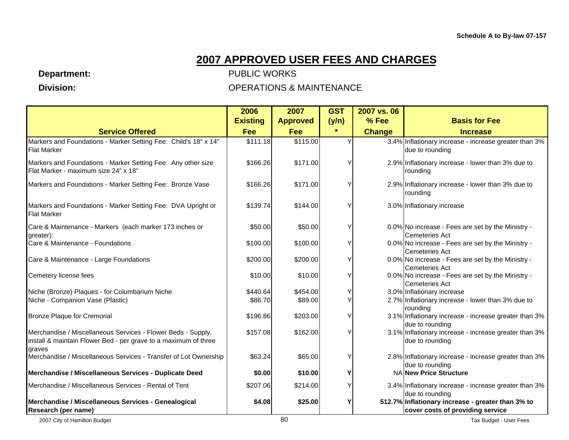**Department:** 

 **Division:** 

|                                                                                                                                           | 2006            | 2007            | <b>GST</b> | 2007 vs. 06   |                                                                                       |
|-------------------------------------------------------------------------------------------------------------------------------------------|-----------------|-----------------|------------|---------------|---------------------------------------------------------------------------------------|
|                                                                                                                                           | <b>Existing</b> | <b>Approved</b> | (y/n)      | % Fee         | <b>Basis for Fee</b>                                                                  |
| <b>Service Offered</b>                                                                                                                    | Fee             | Fee             | $\star$    | <b>Change</b> | <b>Increase</b>                                                                       |
| Markers and Foundations - Marker Setting Fee: Child's 18" x 14"<br><b>Flat Marker</b>                                                     | \$111.18        | \$115.00        |            |               | 3.4% Inflationary increase - increase greater than 3%<br>due to rounding              |
| Markers and Foundations - Marker Setting Fee: Any other size<br>Flat Marker - maximum size 24" x 18"                                      | \$166.26        | \$171.00        |            |               | 2.9% Inflationary increase - lower than 3% due to<br>rounding                         |
| Markers and Foundations - Marker Setting Fee: Bronze Vase                                                                                 | \$166.26        | \$171.00        |            |               | 2.9% Inflationary increase - lower than 3% due to<br>rounding                         |
| Markers and Foundations - Marker Setting Fee: DVA Upright or<br><b>Flat Marker</b>                                                        | \$139.74        | \$144.00        |            |               | 3.0% Inflationary increase                                                            |
| Care & Maintenance - Markers (each marker 173 inches or<br>greater):                                                                      | \$50.00         | \$50.00         |            |               | 0.0% No increase - Fees are set by the Ministry -<br><b>Cemeteries Act</b>            |
| Care & Maintenance - Foundations                                                                                                          | \$100.00        | \$100.00        |            |               | 0.0% No increase - Fees are set by the Ministry -<br><b>Cemeteries Act</b>            |
| Care & Maintenance - Large Foundations                                                                                                    | \$200.00        | \$200.00        |            |               | 0.0% No increase - Fees are set by the Ministry -<br><b>Cemeteries Act</b>            |
| Cemetery license fees                                                                                                                     | \$10.00         | \$10.00         |            |               | 0.0% No increase - Fees are set by the Ministry -<br><b>Cemeteries Act</b>            |
| Niche (Bronze) Plaques - for Columbarium Niche                                                                                            | \$440.64        | \$454.00        |            |               | 3.0% Inflationary increase                                                            |
| Niche - Companion Vase (Plastic)                                                                                                          | \$86.70         | \$89.00         |            |               | 2.7% Inflationary increase - lower than 3% due to<br>rounding                         |
| <b>Bronze Plaque for Cremorial</b>                                                                                                        | \$196.86        | \$203.00        |            |               | 3.1% Inflationary increase - increase greater than 3%<br>due to rounding              |
| Merchandise / Miscellaneous Services - Flower Beds - Supply,<br>install & maintain Flower Bed - per grave to a maximum of three<br>graves | \$157.08        | \$162.00        |            |               | 3.1% Inflationary increase - increase greater than 3%<br>due to rounding              |
| Merchandise / Miscellaneous Services - Transfer of Lot Ownership                                                                          | \$63.24         | \$65.00         |            |               | 2.8% Inflationary increase - increase greater than 3%<br>due to rounding              |
| Merchandise / Miscellaneous Services - Duplicate Deed                                                                                     | \$0.00          | \$10.00         |            |               | NA New Price Structure                                                                |
| Merchandise / Miscellaneous Services - Rental of Tent                                                                                     | \$207.06        | \$214.00        |            |               | 3.4% Inflationary increase - increase greater than 3%<br>due to rounding              |
| Merchandise / Miscellaneous Services - Genealogical<br>Research (per name)                                                                | \$4.08          | \$25.00         |            |               | 512.7% Inflationary increase - greater than 3% to<br>cover costs of providing service |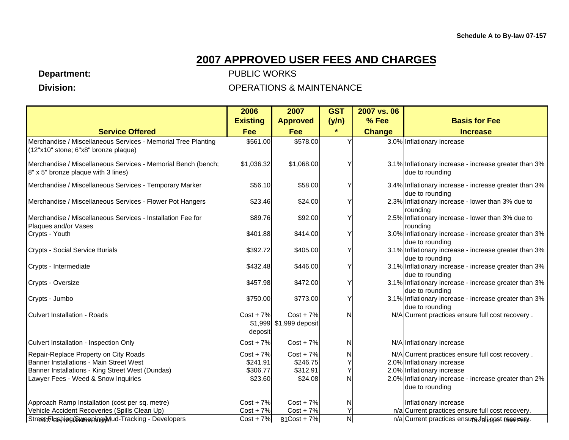**Department:** 

 **Division:** 

|                                                                                                                                                                             | 2006                                           | 2007                                            | <b>GST</b>          | 2007 vs. 06   |                                                                                                                                                                                          |
|-----------------------------------------------------------------------------------------------------------------------------------------------------------------------------|------------------------------------------------|-------------------------------------------------|---------------------|---------------|------------------------------------------------------------------------------------------------------------------------------------------------------------------------------------------|
|                                                                                                                                                                             | <b>Existing</b>                                | <b>Approved</b>                                 | (y/n)               | % Fee         | <b>Basis for Fee</b>                                                                                                                                                                     |
| <b>Service Offered</b>                                                                                                                                                      | <b>Fee</b>                                     | Fee                                             | $\star$             | <b>Change</b> | <b>Increase</b>                                                                                                                                                                          |
| Merchandise / Miscellaneous Services - Memorial Tree Planting<br>(12"x10" stone; 6"x8" bronze plaque)                                                                       | \$561.00                                       | \$578.00                                        |                     |               | 3.0% Inflationary increase                                                                                                                                                               |
| Merchandise / Miscellaneous Services - Memorial Bench (bench;<br>8" x 5" bronze plaque with 3 lines)                                                                        | \$1,036.32                                     | \$1,068.00                                      | Υ                   |               | 3.1% Inflationary increase - increase greater than 3%<br>due to rounding                                                                                                                 |
| Merchandise / Miscellaneous Services - Temporary Marker                                                                                                                     | \$56.10                                        | \$58.00                                         | Υ                   |               | 3.4% Inflationary increase - increase greater than 3%<br>due to rounding                                                                                                                 |
| Merchandise / Miscellaneous Services - Flower Pot Hangers                                                                                                                   | \$23.46                                        | \$24.00                                         | Υ                   |               | 2.3% Inflationary increase - lower than 3% due to<br>roundina                                                                                                                            |
| Merchandise / Miscellaneous Services - Installation Fee for<br>Plaques and/or Vases                                                                                         | \$89.76                                        | \$92.00                                         | Y                   |               | 2.5% Inflationary increase - lower than 3% due to<br>rounding                                                                                                                            |
| Crypts - Youth                                                                                                                                                              | \$401.88                                       | \$414.00                                        | Υ                   |               | 3.0% Inflationary increase - increase greater than 3%<br>due to rounding                                                                                                                 |
| <b>Crypts - Social Service Burials</b>                                                                                                                                      | \$392.72                                       | \$405.00                                        | Υ                   |               | 3.1% Inflationary increase - increase greater than 3%<br>due to rounding                                                                                                                 |
| Crypts - Intermediate                                                                                                                                                       | \$432.48                                       | \$446.00                                        | Υ                   |               | 3.1% Inflationary increase - increase greater than 3%<br>due to rounding                                                                                                                 |
| Crypts - Oversize                                                                                                                                                           | \$457.98                                       | \$472.00                                        | Y                   |               | 3.1% Inflationary increase - increase greater than 3%<br>due to rounding                                                                                                                 |
| Crypts - Jumbo                                                                                                                                                              | \$750.00                                       | \$773.00                                        | Υ                   |               | 3.1% Inflationary increase - increase greater than 3%<br>due to rounding                                                                                                                 |
| <b>Culvert Installation - Roads</b>                                                                                                                                         | $Cost + 7\%$<br>deposit                        | $Cost + 7\%$<br>\$1,999 \$1,999 deposit         | N                   |               | N/A Current practices ensure full cost recovery.                                                                                                                                         |
| Culvert Installation - Inspection Only                                                                                                                                      | $Cost + 7\%$                                   | $Cost + 7\%$                                    | N                   |               | N/A Inflationary increase                                                                                                                                                                |
| Repair-Replace Property on City Roads<br>Banner Installations - Main Street West<br>Banner Installations - King Street West (Dundas)<br>Lawyer Fees - Weed & Snow Inquiries | $Cost + 7%$<br>\$241.91<br>\$306.77<br>\$23.60 | $Cost + 7\%$<br>\$246.75<br>\$312.91<br>\$24.08 | N<br>Υ<br>Y<br>Ν    |               | N/A Current practices ensure full cost recovery.<br>2.0% Inflationary increase<br>2.0% Inflationary increase<br>2.0% Inflationary increase - increase greater than 2%<br>due to rounding |
| Approach Ramp Installation (cost per sq. metre)                                                                                                                             | $Cost + 7\%$                                   | $Cost + 7\%$                                    | N                   |               | Inflationary increase                                                                                                                                                                    |
| Vehicle Accident Recoveries (Spills Clean Up)                                                                                                                               | $Cost + 7\%$                                   | $Cost + 7%$                                     | Y                   |               | n/a Current practices ensure full cost recovery.                                                                                                                                         |
| StreetoFlushing Swienping (Mud-Tracking - Developers                                                                                                                        | $Cost + 7\%$                                   | $81$ Cost + 7%                                  | $\mathsf{N}\xspace$ |               | n/a Current practices ensure full cost recovers.                                                                                                                                         |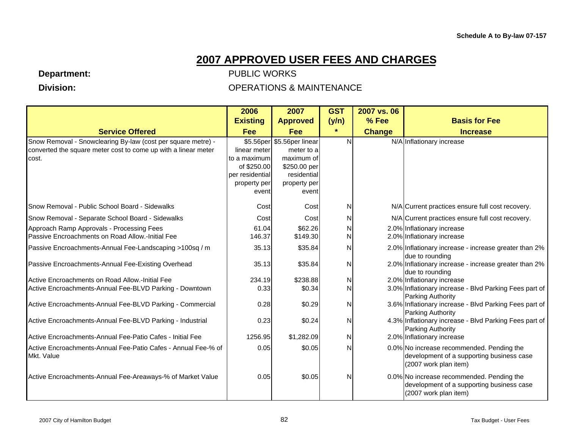**Department:** 

 **Division:** 

|                                                                | 2006                           | 2007                        | <b>GST</b> | 2007 vs. 06   |                                                                                    |
|----------------------------------------------------------------|--------------------------------|-----------------------------|------------|---------------|------------------------------------------------------------------------------------|
|                                                                | <b>Existing</b>                | <b>Approved</b>             | (y/n)      | % Fee         | <b>Basis for Fee</b>                                                               |
| <b>Service Offered</b>                                         | <b>Fee</b>                     | <b>Fee</b>                  | $\star$    | <b>Change</b> | <b>Increase</b>                                                                    |
| Snow Removal - Snowclearing By-law (cost per square metre) -   |                                | \$5.56per \$5.56per linear  | N          |               | N/A Inflationary increase                                                          |
| converted the square meter cost to come up with a linear meter | linear meter                   | meter to a                  |            |               |                                                                                    |
| cost.                                                          | to a maximum                   | maximum of                  |            |               |                                                                                    |
|                                                                | of \$250.00<br>per residential | \$250.00 per<br>residential |            |               |                                                                                    |
|                                                                | property per                   | property per                |            |               |                                                                                    |
|                                                                | event                          | event                       |            |               |                                                                                    |
| Snow Removal - Public School Board - Sidewalks                 | Cost                           | Cost                        | N          |               | N/A Current practices ensure full cost recovery.                                   |
| Snow Removal - Separate School Board - Sidewalks               | Cost                           | Cost                        | N          |               | N/A Current practices ensure full cost recovery.                                   |
| Approach Ramp Approvals - Processing Fees                      | 61.04                          | \$62.26                     | N          |               | 2.0% Inflationary increase                                                         |
| Passive Encroachments on Road Allow,-Initial Fee               | 146.37                         | \$149.30                    | N          |               | 2.0% Inflationary increase                                                         |
| Passive Encroachments-Annual Fee-Landscaping >100sq / m        | 35.13                          | \$35.84                     | N          |               | 2.0% Inflationary increase - increase greater than 2%                              |
|                                                                |                                |                             |            |               | due to rounding                                                                    |
| Passive Encroachments-Annual Fee-Existing Overhead             | 35.13                          | \$35.84                     | N          |               | 2.0% Inflationary increase - increase greater than 2%<br>due to rounding           |
| Active Encroachments on Road Allow.-Initial Fee                | 234.19                         | \$238.88                    | N          |               | 2.0% Inflationary increase                                                         |
| Active Encroachments-Annual Fee-BLVD Parking - Downtown        | 0.33                           | \$0.34                      | N          |               | 3.0% Inflationary increase - Blvd Parking Fees part of                             |
|                                                                |                                |                             |            |               | Parking Authority                                                                  |
| Active Encroachments-Annual Fee-BLVD Parking - Commercial      | 0.28                           | \$0.29                      | N          |               | 3.6% Inflationary increase - Blvd Parking Fees part of                             |
| Active Encroachments-Annual Fee-BLVD Parking - Industrial      | 0.23                           | \$0.24                      | N          |               | <b>Parking Authority</b><br>4.3% Inflationary increase - Blvd Parking Fees part of |
|                                                                |                                |                             |            |               | Parking Authority                                                                  |
| Active Encroachments-Annual Fee-Patio Cafes - Initial Fee      | 1256.95                        | \$1,282.09                  | N          |               | 2.0% Inflationary increase                                                         |
| Active Encroachments-Annual Fee-Patio Cafes - Annual Fee-% of  | 0.05                           | \$0.05                      | N          |               | 0.0% No increase recommended. Pending the                                          |
| Mkt. Value                                                     |                                |                             |            |               | development of a supporting business case                                          |
|                                                                |                                |                             |            |               | (2007 work plan item)                                                              |
| Active Encroachments-Annual Fee-Areaways-% of Market Value     | 0.05                           | \$0.05                      | N          |               | 0.0% No increase recommended. Pending the                                          |
|                                                                |                                |                             |            |               | development of a supporting business case                                          |
|                                                                |                                |                             |            |               | (2007 work plan item)                                                              |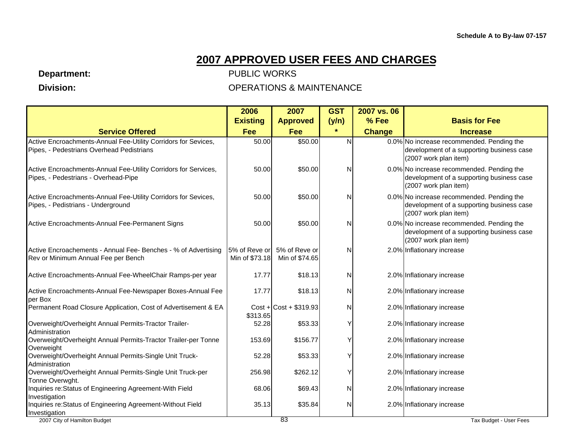**Department:** 

 **Division:** 

|                                                                                                              | 2006                            | 2007                            | <b>GST</b> | 2007 vs. 06   |                                                                                                                 |
|--------------------------------------------------------------------------------------------------------------|---------------------------------|---------------------------------|------------|---------------|-----------------------------------------------------------------------------------------------------------------|
|                                                                                                              | <b>Existing</b>                 | <b>Approved</b>                 | (y/n)      | % Fee         | <b>Basis for Fee</b>                                                                                            |
| <b>Service Offered</b>                                                                                       | Fee                             | <b>Fee</b>                      | $\star$    | <b>Change</b> | <b>Increase</b>                                                                                                 |
| Active Encroachments-Annual Fee-Utility Corridors for Sevices,<br>Pipes, - Pedestrians Overhead Pedistrians  | 50.00                           | \$50.00                         | N          |               | 0.0% No increase recommended. Pending the<br>development of a supporting business case<br>(2007 work plan item) |
| Active Encroachments-Annual Fee-Utility Corridors for Services,<br>Pipes, - Pedestrians - Overhead-Pipe      | 50.00                           | \$50.00                         | N          |               | 0.0% No increase recommended. Pending the<br>development of a supporting business case<br>(2007 work plan item) |
| Active Encroachments-Annual Fee-Utility Corridors for Sevices,<br>Pipes, - Pedistrians - Underground         | 50.00                           | \$50.00                         | N          |               | 0.0% No increase recommended. Pending the<br>development of a supporting business case<br>(2007 work plan item) |
| Active Encroachments-Annual Fee-Permanent Signs                                                              | 50.00                           | \$50.00                         | N          |               | 0.0% No increase recommended. Pending the<br>development of a supporting business case<br>(2007 work plan item) |
| Active Encroachements - Annual Fee- Benches - % of Advertising<br>Rev or Minimum Annual Fee per Bench        | 5% of Reve or<br>Min of \$73.18 | 5% of Reve or<br>Min of \$74.65 | N          |               | 2.0% Inflationary increase                                                                                      |
| Active Encroachments-Annual Fee-WheelChair Ramps-per year                                                    | 17.77                           | \$18.13                         | N          |               | 2.0% Inflationary increase                                                                                      |
| Active Encroachments-Annual Fee-Newspaper Boxes-Annual Fee<br>per Box                                        | 17.77                           | \$18.13                         | N          |               | 2.0% Inflationary increase                                                                                      |
| Permanent Road Closure Application, Cost of Advertisement & EA                                               | \$313.65                        | $Cost + Cost + $319.93$         | N          |               | 2.0% Inflationary increase                                                                                      |
| Overweight/Overheight Annual Permits-Tractor Trailer-<br>Administration                                      | 52.28                           | \$53.33                         | Υ          |               | 2.0% Inflationary increase                                                                                      |
| Overweight/Overheight Annual Permits-Tractor Trailer-per Tonne<br>Overweight                                 | 153.69                          | \$156.77                        | ٧          |               | 2.0% Inflationary increase                                                                                      |
| Overweight/Overheight Annual Permits-Single Unit Truck-<br>Administration                                    | 52.28                           | \$53.33                         | Υ          |               | 2.0% Inflationary increase                                                                                      |
| Overweight/Overheight Annual Permits-Single Unit Truck-per<br>Tonne Overwght.                                | 256.98                          | \$262.12                        | Υ          |               | 2.0% Inflationary increase                                                                                      |
| Inquiries re: Status of Engineering Agreement-With Field<br>Investigation                                    | 68.06                           | \$69.43                         | N          |               | 2.0% Inflationary increase                                                                                      |
| Inquiries re: Status of Engineering Agreement-Without Field<br>Investigation<br>2007 City of Hamilton Budget | 35.13                           | \$35.84<br>83                   | Ν          |               | 2.0% Inflationary increase<br>Tax Budget - User Fees                                                            |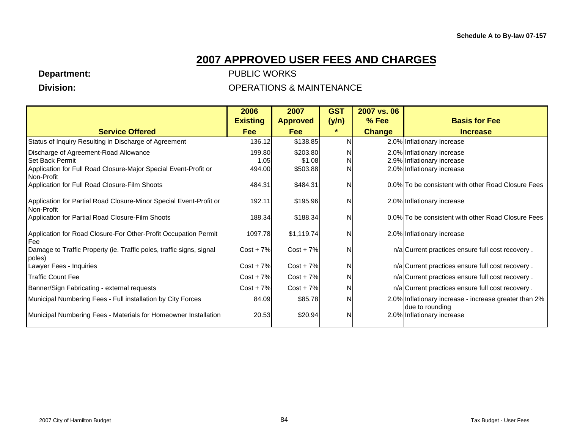**Department:** 

 **Division:** 

|                                                                                  | 2006            | 2007            | <b>GST</b> | 2007 vs. 06   |                                                                          |
|----------------------------------------------------------------------------------|-----------------|-----------------|------------|---------------|--------------------------------------------------------------------------|
|                                                                                  | <b>Existing</b> | <b>Approved</b> | (y/n)      | % Fee         | <b>Basis for Fee</b>                                                     |
| <b>Service Offered</b>                                                           | <b>Fee</b>      | <b>Fee</b>      | $\star$    | <b>Change</b> | <b>Increase</b>                                                          |
| Status of Inquiry Resulting in Discharge of Agreement                            | 136.12          | \$138.85        | N          |               | 2.0% Inflationary increase                                               |
| Discharge of Agreement-Road Allowance                                            | 199.80          | \$203.80        | N          |               | 2.0% Inflationary increase                                               |
| Set Back Permit                                                                  | 1.05            | \$1.08          | N          |               | 2.9% Inflationary increase                                               |
| Application for Full Road Closure-Major Special Event-Profit or<br>Non-Profit    | 494.00          | \$503.88        | N          |               | 2.0% Inflationary increase                                               |
| Application for Full Road Closure-Film Shoots                                    | 484.31          | \$484.31        | N          |               | 0.0% To be consistent with other Road Closure Fees                       |
| Application for Partial Road Closure-Minor Special Event-Profit or<br>Non-Profit | 192.11          | \$195.96        | N          |               | 2.0% Inflationary increase                                               |
| Application for Partial Road Closure-Film Shoots                                 | 188.34          | \$188.34        | N          |               | 0.0% To be consistent with other Road Closure Fees                       |
| Application for Road Closure-For Other-Profit Occupation Permit<br>Fee           | 1097.78         | \$1,119.74      | N          |               | 2.0% Inflationary increase                                               |
| Damage to Traffic Property (ie. Traffic poles, traffic signs, signal<br>poles)   | $Cost + 7\%$    | $Cost + 7\%$    | N          |               | n/a Current practices ensure full cost recovery.                         |
| Lawyer Fees - Inquiries                                                          | $Cost + 7\%$    | $Cost + 7\%$    | N          |               | n/a Current practices ensure full cost recovery.                         |
| <b>Traffic Count Fee</b>                                                         | $Cost + 7\%$    | $Cost + 7\%$    | N          |               | n/a Current practices ensure full cost recovery.                         |
| Banner/Sign Fabricating - external requests                                      | $Cost + 7\%$    | $Cost + 7\%$    | N          |               | n/a Current practices ensure full cost recovery.                         |
| Municipal Numbering Fees - Full installation by City Forces                      | 84.09           | \$85.78         | N          |               | 2.0% Inflationary increase - increase greater than 2%<br>due to rounding |
| Municipal Numbering Fees - Materials for Homeowner Installation                  | 20.53           | \$20.94         | N          |               | 2.0% Inflationary increase                                               |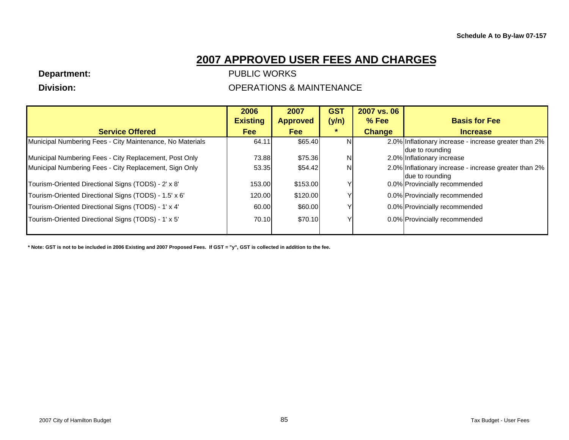**Department:** 

 **Division:** 

### PUBLIC WORKS OPERATIONS & MAINTENANCE

|                                                           | 2006            | 2007            | <b>GST</b> | 2007 vs. 06   |                                                                           |
|-----------------------------------------------------------|-----------------|-----------------|------------|---------------|---------------------------------------------------------------------------|
|                                                           | <b>Existing</b> | <b>Approved</b> | (y/n)      | $%$ Fee       | <b>Basis for Fee</b>                                                      |
| <b>Service Offered</b>                                    | <b>Fee</b>      | <b>Fee</b>      |            | <b>Change</b> | <b>Increase</b>                                                           |
| Municipal Numbering Fees - City Maintenance, No Materials | 64.11           | \$65.40         | NI         |               | 2.0% Inflationary increase - increase greater than 2%<br>due to rounding  |
| Municipal Numbering Fees - City Replacement, Post Only    | 73.88           | \$75.36         | NI         |               | 2.0% Inflationary increase                                                |
| Municipal Numbering Fees - City Replacement, Sign Only    | 53.35           | \$54.42         | N          |               | 2.0% Inflationary increase - increase greater than 2%<br>Idue to rounding |
| Tourism-Oriented Directional Signs (TODS) - 2' x 8'       | 153.00          | \$153.00        |            |               | 0.0% Provincially recommended                                             |
| Tourism-Oriented Directional Signs (TODS) - 1.5' x 6'     | 120.00          | \$120.00        |            |               | 0.0% Provincially recommended                                             |
| Tourism-Oriented Directional Signs (TODS) - 1' x 4'       | 60.00           | \$60.00         |            |               | 0.0% Provincially recommended                                             |
| Tourism-Oriented Directional Signs (TODS) - 1' x 5'       | 70.10           | \$70.10         |            |               | 0.0% Provincially recommended                                             |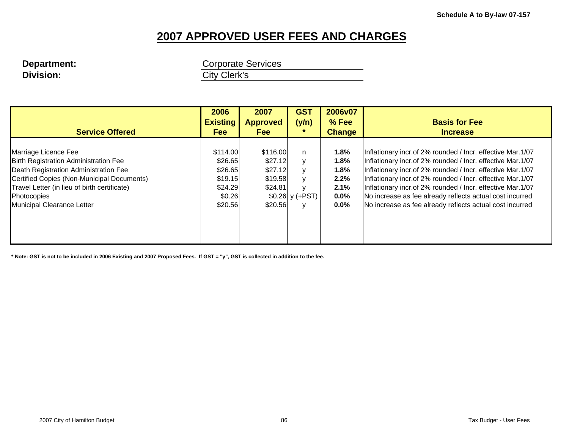# **Division: City Clerk's**

**Department: Corporate Services** 

|                                              | 2006            | 2007            | <b>GST</b>       | 2006v07       |                                                            |
|----------------------------------------------|-----------------|-----------------|------------------|---------------|------------------------------------------------------------|
|                                              | <b>Existing</b> | <b>Approved</b> | (y/n)            | % Fee         | <b>Basis for Fee</b>                                       |
| <b>Service Offered</b>                       | <b>Fee</b>      | <b>Fee</b>      |                  | <b>Change</b> | <b>Increase</b>                                            |
|                                              |                 |                 |                  |               |                                                            |
| Marriage Licence Fee                         | \$114.00        | \$116.00        | n                | 1.8%          | Inflationary incr.of 2% rounded / Incr. effective Mar.1/07 |
| Birth Registration Administration Fee        | \$26.65         | \$27.12         | $\mathsf{v}$     | 1.8%          | Inflationary incr.of 2% rounded / Incr. effective Mar.1/07 |
| Death Registration Administration Fee        | \$26.65         | \$27.12         | $\mathsf{v}$     | 1.8%          | Inflationary incr.of 2% rounded / Incr. effective Mar.1/07 |
| Certified Copies (Non-Municipal Documents)   | \$19.15         | \$19.58         | $\vee$           | 2.2%          | Inflationary incr.of 2% rounded / Incr. effective Mar.1/07 |
| Travel Letter (in lieu of birth certificate) | \$24.29         | \$24.81         | $\mathbf{v}$     | 2.1%          | Inflationary incr.of 2% rounded / Incr. effective Mar.1/07 |
| Photocopies                                  | \$0.26          |                 | $$0.26$ y (+PST) | 0.0%          | No increase as fee already reflects actual cost incurred   |
| Municipal Clearance Letter                   | \$20.56         | \$20.56         |                  | $0.0\%$       | No increase as fee already reflects actual cost incurred   |
|                                              |                 |                 |                  |               |                                                            |
|                                              |                 |                 |                  |               |                                                            |
|                                              |                 |                 |                  |               |                                                            |
|                                              |                 |                 |                  |               |                                                            |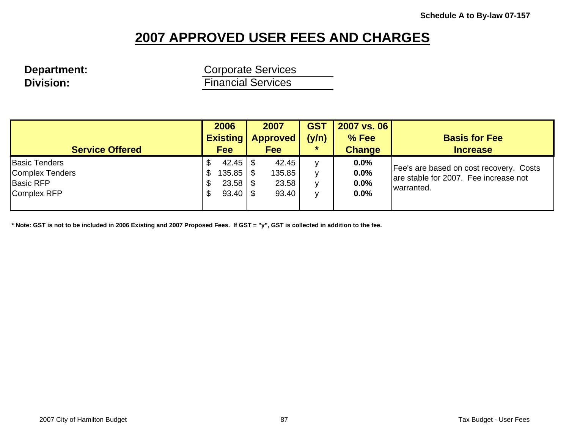**Department:** Corporate Services **Division: Division:** *Financial Services* 

| <b>Service Offered</b>                                                     | 2006<br><b>Existing</b><br><b>Fee</b>            | 2007<br><b>Approved</b><br><b>Fee</b> | <b>GST</b><br>(y/n)<br>$\star$ | 2007 vs. 06<br>$%$ Fee<br><b>Change</b> | <b>Basis for Fee</b><br><b>Increase</b>                                                        |
|----------------------------------------------------------------------------|--------------------------------------------------|---------------------------------------|--------------------------------|-----------------------------------------|------------------------------------------------------------------------------------------------|
| <b>Basic Tenders</b><br>Complex Tenders<br><b>Basic RFP</b><br>Complex RFP | 42.45<br>135.85<br>\$<br>$23.58$   \$<br>S<br>\$ | 42.45<br>135.85<br>23.58<br>93.40     | v<br>v<br>v<br>v               | 0.0%<br>0.0%<br>0.0%<br>0.0%            | Fee's are based on cost recovery. Costs<br>are stable for 2007. Fee increase not<br>warranted. |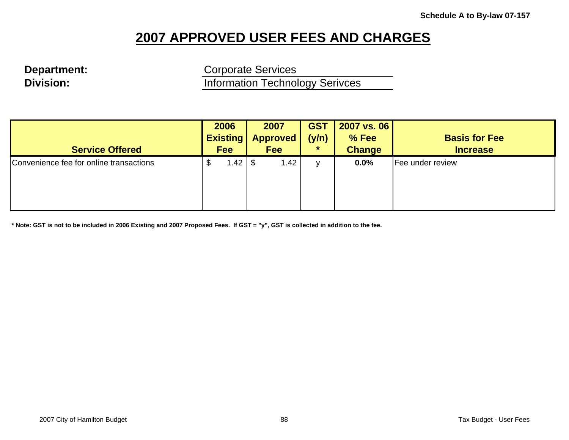**Department:** Corporate Services **Division: Information Technology Serivces** 

| <b>Service Offered</b>                  | 2006<br><b>Existing</b><br><b>Fee</b> |      | 2007<br><b>Approved</b><br><b>Fee</b> | <b>GST</b><br>(y/n)<br>$\star$ | 2007 vs. 06<br>% Fee<br><b>Change</b> | <b>Basis for Fee</b><br><b>Increase</b> |
|-----------------------------------------|---------------------------------------|------|---------------------------------------|--------------------------------|---------------------------------------|-----------------------------------------|
| Convenience fee for online transactions | 1.42                                  | - \$ | 1.42                                  | v                              | 0.0%                                  | <b>Fee under review</b>                 |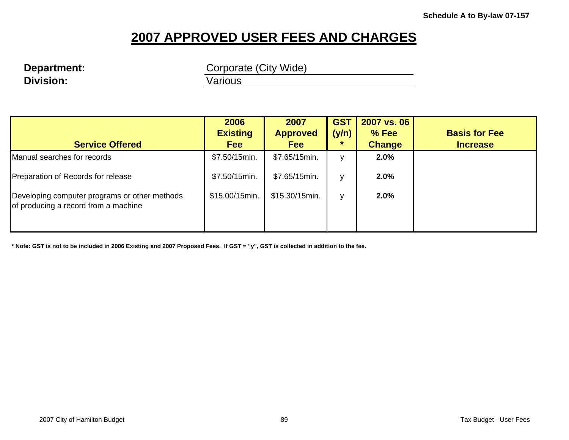# **Division: Various**

**Department:** Corporate (City Wide)

| <b>Service Offered</b>                                                                | 2006<br><b>Existing</b><br><b>Fee</b> | 2007<br><b>Approved</b><br><b>Fee</b> | <b>GST</b><br>(y/n)<br>÷ | 2007 vs. 06<br>% Fee<br><b>Change</b> | <b>Basis for Fee</b><br><b>Increase</b> |
|---------------------------------------------------------------------------------------|---------------------------------------|---------------------------------------|--------------------------|---------------------------------------|-----------------------------------------|
| Manual searches for records                                                           | \$7.50/15min.                         | \$7.65/15min.                         | $\mathbf{v}$             | 2.0%                                  |                                         |
| Preparation of Records for release                                                    | \$7.50/15min.                         | \$7.65/15min.                         | v                        | 2.0%                                  |                                         |
| Developing computer programs or other methods<br>of producing a record from a machine | \$15.00/15min.                        | \$15.30/15min.                        | v                        | 2.0%                                  |                                         |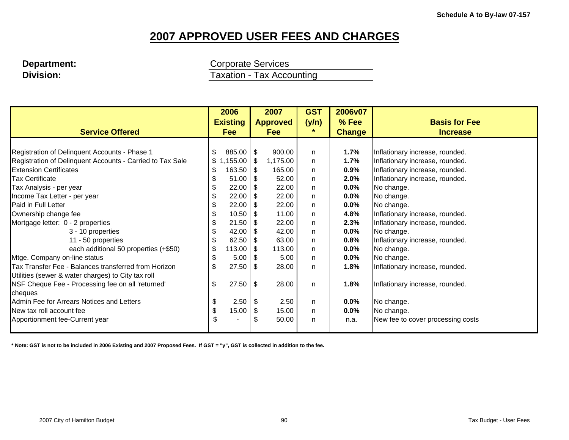**Department: Corporate Services Division: Taxation - Tax Accounting** 

|                                                           | 2006                |              | 2007            | <b>GST</b> | 2006v07       |                                   |
|-----------------------------------------------------------|---------------------|--------------|-----------------|------------|---------------|-----------------------------------|
|                                                           | <b>Existing</b>     |              | <b>Approved</b> | (y/n)      | % Fee         | <b>Basis for Fee</b>              |
| <b>Service Offered</b>                                    | Fee                 |              | <b>Fee</b>      | *.         | <b>Change</b> | <b>Increase</b>                   |
|                                                           |                     |              |                 |            |               |                                   |
| Registration of Delinquent Accounts - Phase 1             | $885.00$ \$<br>\$   |              | 900.00          | n.         | 1.7%          | Inflationary increase, rounded.   |
| Registration of Delinquent Accounts - Carried to Tax Sale | ,155.00 \$<br>\$1,  |              | 1,175.00        | n.         | 1.7%          | Inflationary increase, rounded.   |
| <b>Extension Certificates</b>                             | $163.50$ \ \$<br>\$ |              | 165.00          | n.         | 0.9%          | Inflationary increase, rounded.   |
| <b>Tax Certificate</b>                                    | 51.00<br>\$         | - \$         | 52.00           | n          | 2.0%          | Inflationary increase, rounded.   |
| Tax Analysis - per year                                   | 22.00<br>\$         | - \$         | 22.00           | n          | $0.0\%$       | No change.                        |
| Income Tax Letter - per year                              | 22.00<br>\$         | - \$         | 22.00           | n.         | 0.0%          | No change.                        |
| Paid in Full Letter                                       | 22.00<br>\$         | - \$         | 22.00           | n.         | $0.0\%$       | No change.                        |
| Ownership change fee                                      | 10.50<br>\$         |              | 11.00           | n.         | 4.8%          | Inflationary increase, rounded.   |
| Mortgage letter: 0 - 2 properties                         | 21.50<br>\$         | -S           | 22.00           | n.         | 2.3%          | Inflationary increase, rounded.   |
| 3 - 10 properties                                         | 42.00<br>\$         | - \$         | 42.00           | n.         | $0.0\%$       | No change.                        |
| 11 - 50 properties                                        | $62.50$ \$<br>\$    |              | 63.00           | n          | 0.8%          | Inflationary increase, rounded.   |
| each additional 50 properties (+\$50)                     | \$<br>$113.00$   \$ |              | 113.00          | n          | $0.0\%$       | No change.                        |
| Mtge. Company on-line status                              | 5.00<br>\$          | - \$         | 5.00            | n          | 0.0%          | No change.                        |
| Tax Transfer Fee - Balances transferred from Horizon      | 27.50<br>\$         | - \$         | 28.00           | n.         | 1.8%          | Inflationary increase, rounded.   |
| Utilities (sewer & water charges) to City tax roll        |                     |              |                 |            |               |                                   |
| NSF Cheque Fee - Processing fee on all 'returned'         | \$<br>27.50         | $\mathbb{S}$ | 28.00           | n.         | 1.8%          | Inflationary increase, rounded.   |
| cheques                                                   |                     |              |                 |            |               |                                   |
| Admin Fee for Arrears Notices and Letters                 | \$<br>2.50          | -\$          | 2.50            | n.         | $0.0\%$       | No change.                        |
| New tax roll account fee                                  | 15.00<br>\$         | S            | 15.00           | n          | $0.0\%$       | No change.                        |
| Apportionment fee-Current year                            | \$                  | \$           | 50.00           | n          | n.a.          | New fee to cover processing costs |
|                                                           |                     |              |                 |            |               |                                   |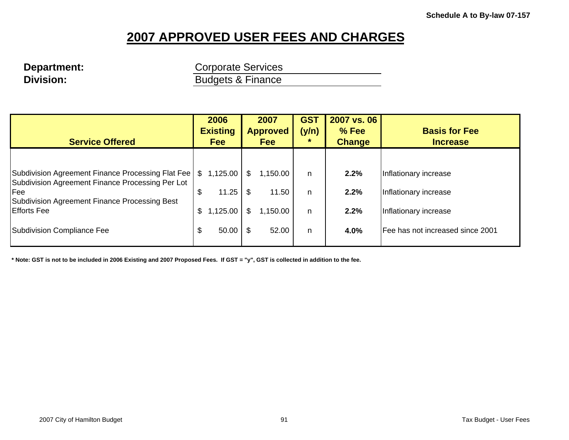# **Division: Budgets & Finance**

**Department:** Corporate Services

| <b>Service Offered</b>                                                                                | 2006<br><b>Existing</b><br><b>Fee</b> |          | 2007<br><b>Approved</b><br><b>Fee</b> |          | <b>GST</b><br>(y/n) | 2007 vs. 06<br>% Fee<br><b>Change</b> | <b>Basis for Fee</b><br><b>Increase</b> |
|-------------------------------------------------------------------------------------------------------|---------------------------------------|----------|---------------------------------------|----------|---------------------|---------------------------------------|-----------------------------------------|
|                                                                                                       |                                       |          |                                       |          |                     |                                       |                                         |
| Subdivision Agreement Finance Processing Flat Fee<br>Subdivision Agreement Finance Processing Per Lot | \$                                    | 1,125.00 | S.                                    | 1,150.00 | n.                  | 2.2%                                  | Inflationary increase                   |
| Fee<br>Subdivision Agreement Finance Processing Best                                                  | \$                                    | 11.25    | \$                                    | 11.50    | n.                  | 2.2%                                  | Inflationary increase                   |
| <b>Efforts Fee</b>                                                                                    | \$                                    | 1,125.00 | \$                                    | 1,150.00 | n                   | 2.2%                                  | Inflationary increase                   |
| Subdivision Compliance Fee                                                                            | \$                                    | 50.00    | \$                                    | 52.00    | n                   | 4.0%                                  | Fee has not increased since 2001        |